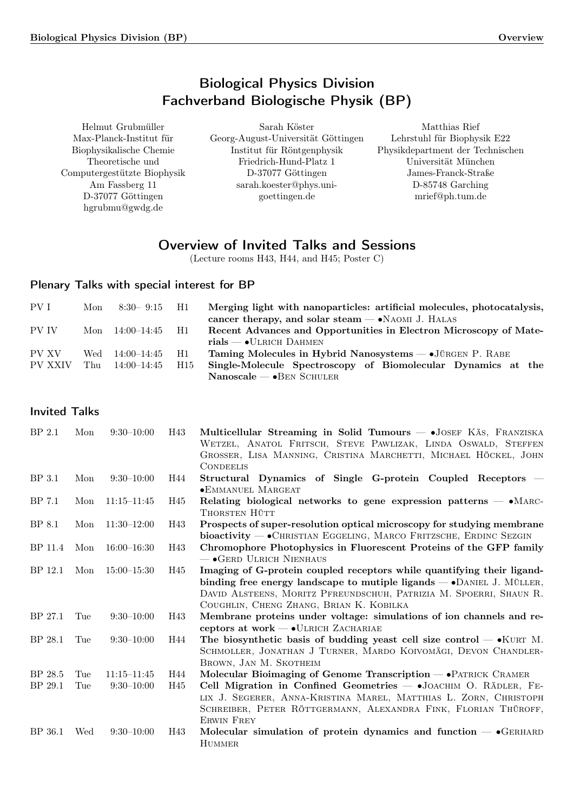# Biological Physics Division Fachverband Biologische Physik (BP)

| Helmut Grubmüller           | Sarah Köster                       | Matthias Rief                    |
|-----------------------------|------------------------------------|----------------------------------|
| Max-Planck-Institut für     | Georg-August-Universität Göttingen | Lehrstuhl für Biophysik E22      |
| Biophysikalische Chemie     | Institut für Röntgenphysik         | Physikdepartment der Technischen |
| Theoretische und            | Friedrich-Hund-Platz 1             | Universität München              |
| Computergestützte Biophysik | D-37077 Göttingen                  | James-Franck-Straße              |
| Am Fassberg 11              | sarah.koester@phys.uni-            | D-85748 Garching                 |
| D-37077 Göttingen           | goettingen.de                      | mrief@ph.tum.de                  |
| hgrubmu@gwdg.de             |                                    |                                  |

# Overview of Invited Talks and Sessions

(Lecture rooms H43, H44, and H45; Poster C)

## Plenary Talks with special interest for BP

| PV I    | Mon | $8:30 - 9:15$    | - H1            | Merging light with nanoparticles: artificial molecules, photocatalysis,<br>cancer therapy, and solar steam $\rightarrow$ NAOMI J. HALAS |
|---------|-----|------------------|-----------------|-----------------------------------------------------------------------------------------------------------------------------------------|
| PV IV   | Mon | $14:00-14:45$ H1 |                 | Recent Advances and Opportunities in Electron Microscopy of Mate-                                                                       |
|         |     |                  |                 | $rials \longrightarrow$ ULRICH DAHMEN                                                                                                   |
| PV XV   | Wed | 14:00–14:45      | - H1            | Taming Molecules in Hybrid Nanosystems $-$ • JÜRGEN P. RABE                                                                             |
| PV XXIV | Thu | 14:00-14:45      | H <sub>15</sub> | Single-Molecule Spectroscopy of Biomolecular Dynamics at the                                                                            |
|         |     |                  |                 | $\text{Nanoscale} \longrightarrow \text{BEN SCHULER}$                                                                                   |

| <b>Invited Talks</b> |  |
|----------------------|--|
|                      |  |

| BP <sub>2.1</sub> | Mon | $9:30-10:00$    | H43 | Multicellular Streaming in Solid Tumours – JOSEF KÄS, FRANZISKA<br>WETZEL, ANATOL FRITSCH, STEVE PAWLIZAK, LINDA OSWALD, STEFFEN<br>GROSSER, LISA MANNING, CRISTINA MARCHETTI, MICHAEL HÖCKEL, JOHN                                                                      |
|-------------------|-----|-----------------|-----|--------------------------------------------------------------------------------------------------------------------------------------------------------------------------------------------------------------------------------------------------------------------------|
| <b>BP</b> 3.1     | Mon | $9:30-10:00$    | H44 | <b>CONDEELIS</b><br>Structural Dynamics of Single G-protein Coupled Receptors –<br><b>•EMMANUEL MARGEAT</b>                                                                                                                                                              |
| BP 7.1            | Mon | $11:15 - 11:45$ | H45 | Relating biological networks to gene expression patterns $- \cdot$ MARC-<br>THORSTEN HÜTT                                                                                                                                                                                |
| BP 8.1            | Mon | $11:30 - 12:00$ | H43 | Prospects of super-resolution optical microscopy for studying membrane<br>bioactivity - • CHRISTIAN EGGELING, MARCO FRITZSCHE, ERDINC SEZGIN                                                                                                                             |
| BP 11.4           | Mon | $16:00 - 16:30$ | H43 | Chromophore Photophysics in Fluorescent Proteins of the GFP family<br>$ \bullet$ GERD ULRICH NIENHAUS                                                                                                                                                                    |
| BP 12.1           | Mon | $15:00 - 15:30$ | H45 | Imaging of G-protein coupled receptors while quantifying their ligand-<br>binding free energy landscape to mutiple ligands $ \bullet$ DANIEL J. MÜLLER,<br>DAVID ALSTEENS, MORITZ PFREUNDSCHUH, PATRIZIA M. SPOERRI, SHAUN R.<br>COUGHLIN, CHENG ZHANG, BRIAN K. KOBILKA |
| BP 27.1           | Tue | $9:30-10:00$    | H43 | Membrane proteins under voltage: simulations of ion channels and re-<br>ceptors at work — • ULRICH ZACHARIAE                                                                                                                                                             |
| BP 28.1           | Tue | $9:30-10:00$    | H44 | The biosynthetic basis of budding yeast cell size control $ \bullet$ KURT M.<br>SCHMOLLER, JONATHAN J TURNER, MARDO KOIVOMÄGI, DEVON CHANDLER-<br>BROWN, JAN M. SKOTHEIM                                                                                                 |
| BP 28.5           | Tue | $11:15 - 11:45$ | H44 | Molecular Bioimaging of Genome Transcription — PATRICK CRAMER                                                                                                                                                                                                            |
| BP 29.1           | Tue | $9:30 - 10:00$  | H45 | Cell Migration in Confined Geometries - JOACHIM O. RÄDLER, FE-<br>LIX J. SEGERER, ANNA-KRISTINA MAREL, MATTHIAS L. ZORN, CHRISTOPH<br>SCHREIBER, PETER RÖTTGERMANN, ALEXANDRA FINK, FLORIAN THÜROFF,<br><b>ERWIN FREY</b>                                                |
| BP 36.1           | Wed | $9:30-10:00$    | H43 | Molecular simulation of protein dynamics and function $-$ • GERHARD<br><b>HUMMER</b>                                                                                                                                                                                     |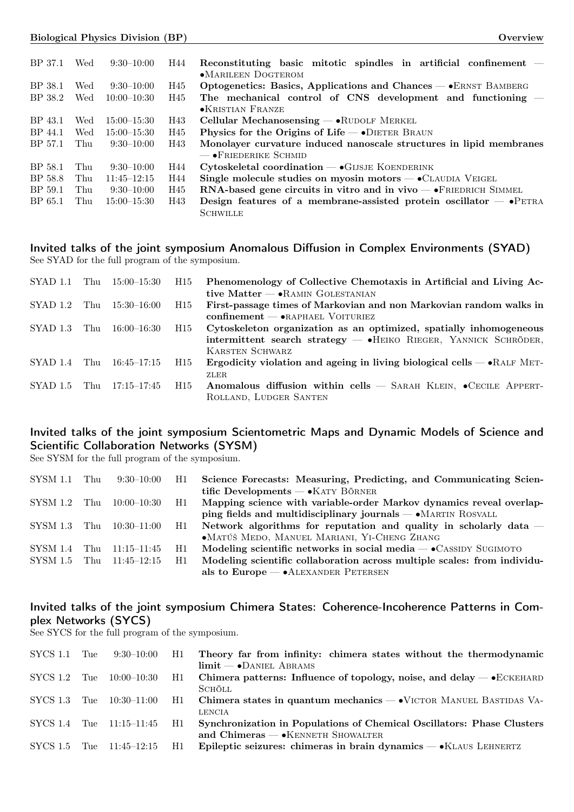| BP 37.1 | Wed | $9:30-10:00$    | H44 | Reconstituting basic mitotic spindles in artificial confinement $-$         |
|---------|-----|-----------------|-----|-----------------------------------------------------------------------------|
|         |     |                 |     | $\bullet$ MARILEEN DOGTEROM                                                 |
| BP 38.1 | Wed | $9:30-10:00$    | H45 | Optogenetics: Basics, Applications and Chances — • ERNST BAMBERG            |
| BP 38.2 | Wed | $10:00-10:30$   | H45 | The mechanical control of CNS development and functioning $-$               |
|         |     |                 |     | •KRISTIAN FRANZE                                                            |
| BP 43.1 | Wed | $15:00 - 15:30$ | H43 | Cellular Mechanosensing $-\bullet$ RUDOLF MERKEL                            |
| BP 44.1 | Wed | $15:00 - 15:30$ | H45 | Physics for the Origins of Life $\rightarrow$ DIETER BRAUN                  |
| BP 57.1 | Thu | $9:30-10:00$    | H43 | Monolayer curvature induced nanoscale structures in lipid membranes         |
|         |     |                 |     | $-$ • Friederike Schmid                                                     |
| BP 58.1 | Thu | $9:30-10:00$    | H44 | $Cytoskeletal$ coordination $-\bullet$ GIJSJE KOENDERINK                    |
| BP 58.8 | Thu | $11:45 - 12:15$ | H44 | Single molecule studies on myosin motors $ \bullet$ CLAUDIA VEIGEL          |
| BP 59.1 | Thu | $9:30-10:00$    | H45 | $RNA$ -based gene circuits in vitro and in vivo $-\bullet$ FRIEDRICH SIMMEL |
| BP 65.1 | Thu | $15:00 - 15:30$ | H43 | Design features of a membrane-assisted protein oscillator $ \bullet$ PETRA  |
|         |     |                 |     | <b>SCHWILLE</b>                                                             |

## Invited talks of the joint symposium Anomalous Diffusion in Complex Environments (SYAD) See SYAD for the full program of the symposium.

| SYAD 1.1 |     | Thu 15:00–15:30 | H15 | Phenomenology of Collective Chemotaxis in Artificial and Living Ac-             |
|----------|-----|-----------------|-----|---------------------------------------------------------------------------------|
|          |     |                 |     | tive Matter $-\bullet$ RAMIN GOLESTANIAN                                        |
| SYAD 1.2 | Thu | 15:30–16:00     | H15 | First-passage times of Markovian and non Markovian random walks in              |
|          |     |                 |     | $\text{confinement} \longrightarrow \text{erapHAEL VOTURIEZ}$                   |
| SYAD 1.3 | Thu | 16:00–16:30     | H15 | Cytoskeleton organization as an optimized, spatially inhomogeneous              |
|          |     |                 |     | intermittent search strategy $-$ • HEIKO RIEGER, YANNICK SCHRÖDER,              |
|          |     |                 |     | <b>KARSTEN SCHWARZ</b>                                                          |
| SYAD 1.4 | Thu | 16:45–17:15     | H15 | Ergodicity violation and ageing in living biological cells $ \bullet$ RALF MET- |
|          |     |                 |     | ZLER.                                                                           |
| SYAD 1.5 | Thu | 17:15–17:45     | H15 | Anomalous diffusion within cells $-$ SARAH KLEIN, $\bullet$ CECILE APPERT-      |
|          |     |                 |     | ROLLAND, LUDGER SANTEN                                                          |

## Invited talks of the joint symposium Scientometric Maps and Dynamic Models of Science and Scientific Collaboration Networks (SYSM)

See SYSM for the full program of the symposium.

| $SYSM$ 1.1 Thu | $9:30-10:00$ H1              |     | Science Forecasts: Measuring, Predicting, and Communicating Scien-       |
|----------------|------------------------------|-----|--------------------------------------------------------------------------|
|                |                              |     | tific Developments — $\bullet$ KATY BÖRNER                               |
| $SYSM$ 1.2 Thu | $10:00-10:30$ H1             |     | Mapping science with variable-order Markov dynamics reveal overlap-      |
|                |                              |     | ping fields and multidisciplinary journals $- \cdot$ MARTIN ROSVALL      |
|                | SYSM 1.3 Thu 10:30-11:00 H1  |     | Network algorithms for reputation and quality in scholarly data $-$      |
|                |                              |     | • MATÚŠ MEDO, MANUEL MARIANI, YI-CHENG ZHANG                             |
| SYSM 1.4 Thu   | $11:15-11:45$                | H1  | Modeling scientific networks in social media $-$ •CASSIDY SUGIMOTO       |
|                | $SYSM 1.5$ Thu $11:45-12:15$ | H1. | Modeling scientific collaboration across multiple scales: from individu- |
|                |                              |     | als to $Europe - \bullet ALEXANDER$ PETERSEN                             |
|                |                              |     |                                                                          |

## Invited talks of the joint symposium Chimera States: Coherence-Incoherence Patterns in Complex Networks (SYCS)

See SYCS for the full program of the symposium.

| SYCS 1.1                | Tue | 9:30–10:00               | - H1 | Theory far from infinity: chimera states without the thermodynamic                                                     |
|-------------------------|-----|--------------------------|------|------------------------------------------------------------------------------------------------------------------------|
| SYCS 1.2                | Tue | 10:00–10:30              | H1   | $\lim$ it — $\bullet$ DANIEL ABRAMS<br>Chimera patterns: Influence of topology, noise, and delay $-\bullet$ ECKEHARD   |
| SYCS 1.3                |     | Tue $10:30-11:00$        | - H1 | <b>SCHÖLL</b><br>Chimera states in quantum mechanics — • VICTOR MANUEL BASTIDAS VA-                                    |
|                         |     | SYCS 1.4 Tue 11:15-11:45 | H1   | LENCIA<br>Synchronization in Populations of Chemical Oscillators: Phase Clusters                                       |
| $\mathrm{SYCS}$ 1.5 Tue |     | $11:45 - 12:15$          | H1.  | and $Chimeras - \bullet$ KENNETH SHOWALTER<br>Epileptic seizures: chimeras in brain dynamics $ \bullet$ KLAUS LEHNERTZ |
|                         |     |                          |      |                                                                                                                        |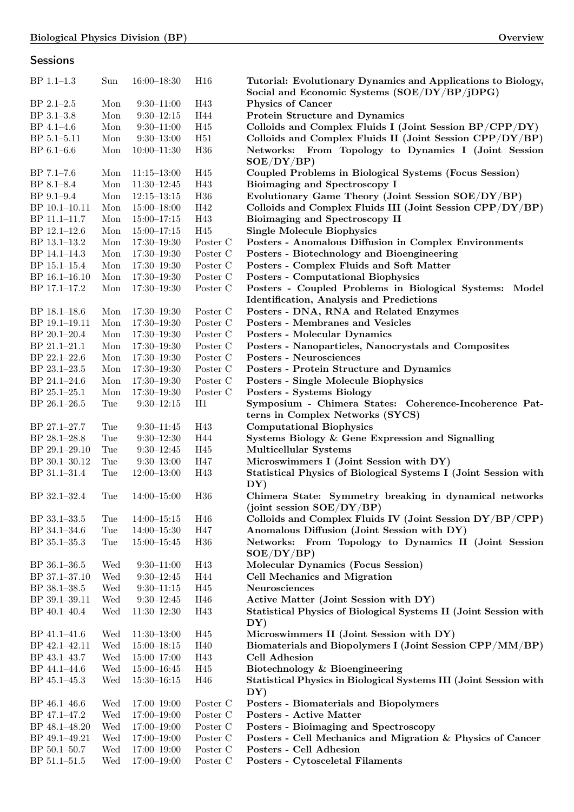**Sessions** 

## BP 1.1–1.3 Sun 16:00–18:30 H16 Tutorial: Evolutionary Dynamics and Applications to Biology, Social and Economic Systems (SOE/DY/BP/jDPG) BP 2.1–2.5 Mon 9:30–11:00 H43 Physics of Cancer BP 3.1–3.8 Mon 9:30–12:15 H44 Protein Structure and Dynamics BP 4.1–4.6 Mon 9:30–11:00 H45 Colloids and Complex Fluids I (Joint Session BP/CPP/DY) BP 5.1–5.11 Mon 9:30–13:00 H51 Colloids and Complex Fluids II (Joint Session CPP/DY/BP) BP 6.1–6.6 Mon 10:00–11:30 H36 Networks: From Topology to Dynamics I (Joint Session SOE/DY/BP) BP 7.1–7.6 Mon 11:15–13:00 H45 Coupled Problems in Biological Systems (Focus Session) BP 8.1–8.4 Mon 11:30–12:45 H43 Bioimaging and Spectroscopy I BP 9.1–9.4 Mon 12:15–13:15 H36 Evolutionary Game Theory (Joint Session SOE/DY/BP) BP 10.1–10.11 Mon 15:00–18:00 H42 Colloids and Complex Fluids III (Joint Session CPP/DY/BP) BP 11.1–11.7 Mon 15:00–17:15 H43 Bioimaging and Spectroscopy II BP 12.1–12.6 Mon 15:00–17:15 H45 Single Molecule Biophysics BP 13.1–13.2 Mon 17:30–19:30 Poster C Posters - Anomalous Diffusion in Complex Environments BP 14.1–14.3 Mon 17:30–19:30 Poster C Posters - Biotechnology and Bioengineering BP 15.1–15.4 Mon 17:30–19:30 Poster C Posters - Complex Fluids and Soft Matter BP 16.1–16.10 Mon 17:30–19:30 Poster C Posters - Computational Biophysics BP 17.1–17.2 Mon 17:30–19:30 Poster C Posters - Coupled Problems in Biological Systems: Model Identification, Analysis and Predictions BP 18.1–18.6 Mon 17:30–19:30 Poster C Posters - DNA, RNA and Related Enzymes BP 19.1–19.11 Mon 17:30–19:30 Poster C Posters - Membranes and Vesicles BP 20.1–20.4 Mon 17:30–19:30 Poster C Posters - Molecular Dynamics BP 21.1–21.1 Mon 17:30–19:30 Poster C Posters - Nanoparticles, Nanocrystals and Composites BP 22.1–22.6 Mon 17:30–19:30 Poster C Posters - Neurosciences BP 23.1–23.5 Mon 17:30–19:30 Poster C Posters - Protein Structure and Dynamics BP 24.1–24.6 Mon 17:30–19:30 Poster C Posters - Single Molecule Biophysics BP 25.1–25.1 Mon 17:30–19:30 Poster C Posters - Systems Biology BP 26.1–26.5 Tue 9:30–12:15 H1 Symposium - Chimera States: Coherence-Incoherence Patterns in Complex Networks (SYCS) BP 27.1–27.7 Tue 9:30–11:45 H43 Computational Biophysics BP 28.1–28.8 Tue 9:30–12:30 H44 Systems Biology & Gene Expression and Signalling BP 29.1–29.10 Tue 9:30–12:45 H45 Multicellular Systems BP 30.1-30.12 Tue 9:30-13:00 H47 Microswimmers I (Joint Session with DY) BP 31.1–31.4 Tue 12:00–13:00 H43 Statistical Physics of Biological Systems I (Joint Session with DY) BP 32.1–32.4 Tue 14:00–15:00 H36 Chimera State: Symmetry breaking in dynamical networks (joint session SOE/DY/BP) BP 33.1–33.5 Tue 14:00–15:15 H46 Colloids and Complex Fluids IV (Joint Session DY/BP/CPP) BP 34.1–34.6 Tue 14:00–15:30 H47 Anomalous Diffusion (Joint Session with DY) BP 35.1–35.3 Tue 15:00–15:45 H36 Networks: From Topology to Dynamics II (Joint Session SOE/DY/BP) BP 36.1–36.5 Wed 9:30–11:00 H43 Molecular Dynamics (Focus Session) BP 37.1–37.10 Wed 9:30–12:45 H44 Cell Mechanics and Migration BP 38.1–38.5 Wed 9:30–11:15 H45 Neurosciences BP 39.1–39.11 Wed 9:30–12:45 H46 Active Matter (Joint Session with DY) BP 40.1–40.4 Wed 11:30–12:30 H43 Statistical Physics of Biological Systems II (Joint Session with DY) BP 41.1-41.6 Wed 11:30-13:00 H45 Microswimmers II (Joint Session with DY) BP 42.1–42.11 Wed 15:00–18:15 H40 Biomaterials and Biopolymers I (Joint Session CPP/MM/BP) BP 43.1–43.7 Wed 15:00–17:00 H43 Cell Adhesion BP 44.1–44.6 Wed 15:00–16:45 H45 Biotechnology & Bioengineering BP 45.1–45.3 Wed 15:30–16:15 H46 Statistical Physics in Biological Systems III (Joint Session with DY) BP 46.1–46.6 Wed 17:00–19:00 Poster C Posters - Biomaterials and Biopolymers BP 47.1–47.2 Wed 17:00–19:00 Poster C Posters - Active Matter BP 48.1–48.20 Wed 17:00–19:00 Poster C Posters - Bioimaging and Spectroscopy BP 49.1-49.21 Wed 17:00-19:00 Poster C Posters - Cell Mechanics and Migration & Physics of Cancer BP 50.1–50.7 Wed 17:00–19:00 Poster C Posters - Cell Adhesion BP 51.1–51.5 Wed 17:00–19:00 Poster C Posters - Cytosceletal Filaments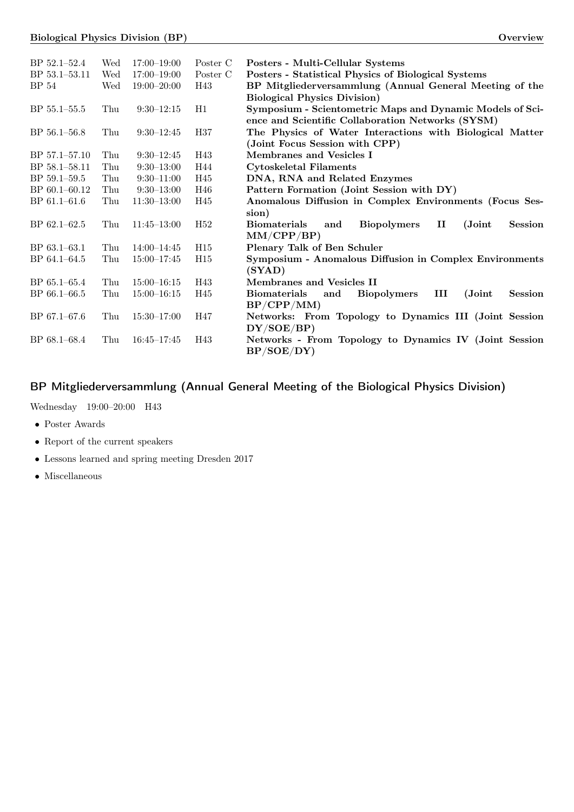| BP 52.1-52.4     | Wed | $17:00 - 19:00$ | Poster C        | Posters - Multi-Cellular Systems                                                              |
|------------------|-----|-----------------|-----------------|-----------------------------------------------------------------------------------------------|
| BP 53.1-53.11    | Wed | $17:00 - 19:00$ | Poster C        | Posters - Statistical Physics of Biological Systems                                           |
| BP 54            | Wed | $19:00 - 20:00$ | H43             | BP Mitgliederversammlung (Annual General Meeting of the                                       |
|                  |     |                 |                 | <b>Biological Physics Division</b> )                                                          |
| BP 55.1-55.5     | Thu | $9:30-12:15$    | H1              | Symposium - Scientometric Maps and Dynamic Models of Sci-                                     |
|                  |     |                 |                 | ence and Scientific Collaboration Networks (SYSM)                                             |
| BP 56.1-56.8     | Thu | $9:30-12:45$    | H37             | The Physics of Water Interactions with Biological Matter                                      |
|                  |     |                 |                 | (Joint Focus Session with CPP)                                                                |
| BP 57.1-57.10    | Thu | $9:30-12:45$    | H43             | Membranes and Vesicles I                                                                      |
| BP 58.1-58.11    | Thu | $9:30-13:00$    | H44             | <b>Cytoskeletal Filaments</b>                                                                 |
| BP 59.1-59.5     | Thu | $9:30-11:00$    | H45             | DNA, RNA and Related Enzymes                                                                  |
| BP 60.1-60.12    | Thu | $9:30-13:00$    | H46             | Pattern Formation (Joint Session with DY)                                                     |
| BP 61.1-61.6     | Thu | $11:30-13:00$   | H45             | Anomalous Diffusion in Complex Environments (Focus Ses-                                       |
|                  |     |                 |                 | sion)                                                                                         |
| $BP 62.1 - 62.5$ | Thu | $11:45 - 13:00$ | H <sub>52</sub> | <b>Biopolymers</b><br><b>Biomaterials</b><br>$\mathbf{I}$<br>(Joint)<br><b>Session</b><br>and |
|                  |     |                 |                 | MM/CPP/BP)                                                                                    |
| $BP 63.1 - 63.1$ | Thu | $14:00 - 14:45$ | H15             | Plenary Talk of Ben Schuler                                                                   |
| BP 64.1-64.5     | Thu | $15:00 - 17:45$ | H15             | <b>Symposium - Anomalous Diffusion in Complex Environments</b>                                |
|                  |     |                 |                 | (SYAD)                                                                                        |
| $BP 65.1 - 65.4$ | Thu | $15:00 - 16:15$ | H43             | Membranes and Vesicles II                                                                     |
| BP 66.1-66.5     | Thu | $15:00 - 16:15$ | H45             | <b>Biomaterials</b><br><b>Biopolymers</b><br>Ш<br>(Joint)<br><b>Session</b><br>and            |
|                  |     |                 |                 | BP/CPP/MM)                                                                                    |
| BP 67.1-67.6     | Thu | $15:30 - 17:00$ | H47             | Networks: From Topology to Dynamics III (Joint Session                                        |
|                  |     |                 |                 | DY/SOE/BP)                                                                                    |
| BP 68.1-68.4     | Thu | $16:45 - 17:45$ | H43             | Networks - From Topology to Dynamics IV (Joint Session                                        |
|                  |     |                 |                 | BP/SOE/DY)                                                                                    |

# BP Mitgliederversammlung (Annual General Meeting of the Biological Physics Division)

Wednesday 19:00–20:00 H43

- ∙ Poster Awards
- ∙ Report of the current speakers
- ∙ Lessons learned and spring meeting Dresden 2017
- ∙ Miscellaneous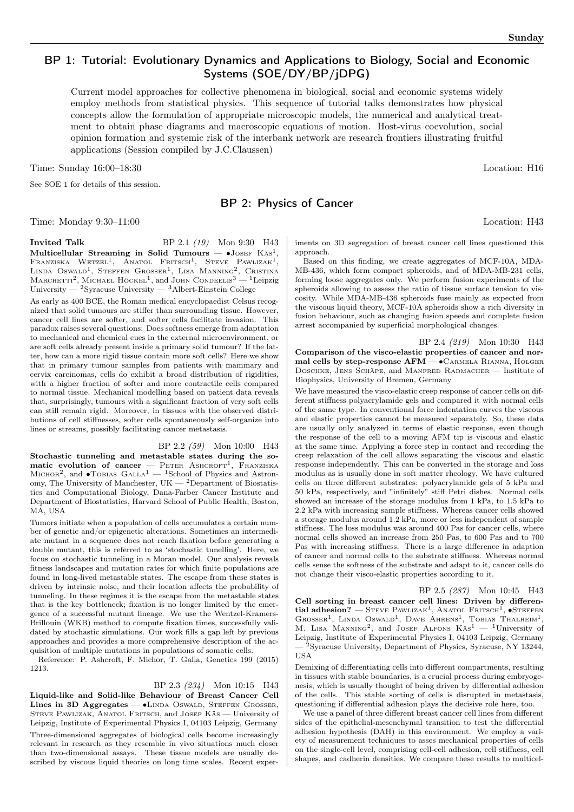## BP 1: Tutorial: Evolutionary Dynamics and Applications to Biology, Social and Economic Systems (SOE/DY/BP/jDPG)

Current model approaches for collective phenomena in biological, social and economic systems widely employ methods from statistical physics. This sequence of tutorial talks demonstrates how physical concepts allow the formulation of appropriate microscopic models, the numerical and analytical treatment to obtain phase diagrams and macroscopic equations of motion. Host-virus coevolution, social opinion formation and systemic risk of the interbank network are research frontiers illustrating fruitful applications (Session compiled by J.C.Claussen)

Time: Sunday  $16:00-18:30$  Location: H16

See SOE 1 for details of this session.

## BP 2: Physics of Cancer

Time: Monday 9:30–11:00 Location: H43

**Invited Talk** BP 2.1 (19) Mon 9:30 H43 Multicellular Streaming in Solid Tumours —  $\bullet$ Josef Käs<sup>1</sup>, FRANZISKA WETZEL<sup>1</sup>, ANATOL FRITSCH<sup>1</sup>, STEVE PAWLIZAK<sup>1</sup>, LINDA OSWALD<sup>1</sup>, STEFFEN GROSSER<sup>1</sup>, LISA MANNING<sup>2</sup>, CRISTINA<br>MARCHETTI<sup>2</sup>, MICHAEL HÖCKEL<sup>1</sup>, and JOHN CONDEELIS<sup>3</sup> — <sup>1</sup>Leipzig University —  $^{2}$ Syracuse University —  $^{3}$ Albert-Einstein College

As early as 400 BCE, the Roman medical encyclopaedist Celsus recognized that solid tumours are stiffer than surrounding tissue. However, cancer cell lines are softer, and softer cells facilitate invasion. This paradox raises several questions: Does softness emerge from adaptation to mechanical and chemical cues in the external microenvironment, or are soft cells already present inside a primary solid tumour? If the latter, how can a more rigid tissue contain more soft cells? Here we show that in primary tumour samples from patients with mammary and cervix carcinomas, cells do exhibit a broad distribution of rigidities, with a higher fraction of softer and more contractile cells compared to normal tissue. Mechanical modelling based on patient data reveals that, surprisingly, tumours with a significant fraction of very soft cells can still remain rigid. Moreover, in tissues with the observed distributions of cell stiffnesses, softer cells spontaneously self-organize into lines or streams, possibly facilitating cancer metastasis.

BP 2.2 (59) Mon 10:00 H43 Stochastic tunneling and metastable states during the somatic evolution of cancer  $-$  PETER ASHCROFT<sup>1</sup>, FRANZISKA Міснов<sup>2</sup>, and •Товіаs  $GALLA<sup>1</sup>$  — <sup>1</sup>School of Physics and Astronomy, The University of Manchester, UK — <sup>2</sup>Department of Biostatistics and Computational Biology, Dana-Farber Cancer Institute and Department of Biostatistics, Harvard School of Public Health, Boston, MA, USA

Tumors initiate when a population of cells accumulates a certain number of genetic and/or epigenetic alterations. Sometimes an intermediate mutant in a sequence does not reach fixation before generating a double mutant, this is referred to as 'stochastic tunelling'. Here, we focus on stochastic tunneling in a Moran model. Our analysis reveals fitness landscapes and mutation rates for which finite populations are found in long-lived metastable states. The escape from these states is driven by intrinsic noise, and their location affects the probability of tunneling. In these regimes it is the escape from the metastable states that is the key bottleneck; fixation is no longer limited by the emergence of a successful mutant lineage. We use the Wentzel-Kramers-Brillouin (WKB) method to compute fixation times, successfully validated by stochastic simulations. Our work fills a gap left by previous approaches and provides a more comprehensive description of the acquisition of multiple mutations in populations of somatic cells.

Reference: P. Ashcroft, F. Michor, T. Galla, Genetics 199 (2015) 1213.

#### BP 2.3 (234) Mon 10:15 H43

Liquid-like and Solid-like Behaviour of Breast Cancer Cell Lines in 3D Aggregates — •LINDA OSWALD, STEFFEN GROSSER, STEVE PAWLIZAK, ANATOL FRITSCH, and JOSEF KÄS — University of Leipzig, Institute of Experimental Physics I, 04103 Leipzig, Germany

Three-dimensional aggregates of biological cells become increasingly relevant in research as they resemble in vivo situations much closer than two-dimensional assays. These tissue models are usually described by viscous liquid theories on long time scales. Recent exper-

iments on 3D segregation of breast cancer cell lines questioned this approach.

Based on this finding, we create aggregates of MCF-10A, MDA-MB-436, which form compact spheroids, and of MDA-MB-231 cells, forming loose aggregates only. We perform fusion experiments of the spheroids allowing to assess the ratio of tissue surface tension to viscosity. While MDA-MB-436 spheroids fuse mainly as expected from the viscous liquid theory, MCF-10A spheroids show a rich diversity in fusion behaviour, such as changing fusion speeds and complete fusion arrest accompanied by superficial morphological changes.

BP 2.4 (219) Mon 10:30 H43 Comparison of the visco-elastic properties of cancer and normal cells by step-response  $AFM - \bullet$  Carmela Rianna, Holger Doschke, Jens Schäpe, and Manfred Radmacher — Institute of Biophysics, University of Bremen, Germany

We have measured the visco-elastic creep response of cancer cells on different stiffness polyacrylamide gels and compared it with normal cells of the same type. In conventional force indentation curves the viscous and elastic properties cannot be measured separately. So, these data are usually only analyzed in terms of elastic response, even though the response of the cell to a moving AFM tip is viscous and elastic at the same time. Applying a force step in contact and recording the creep relaxation of the cell allows separating the viscous and elastic response independently. This can be converted in the storage and loss modulus as is usually done in soft matter rheology. We have cultured cells on three different substrates: polyacrylamide gels of 5 kPa and 50 kPa, respectively, and "infinitely" stiff Petri dishes. Normal cells showed an increase of the storage modulus from 1 kPa, to 1.5 kPa to 2.2 kPa with increasing sample stiffness. Whereas cancer cells showed a storage modulus around 1.2 kPa, more or less independent of sample stiffness. The loss modulus was around 400 Pas for cancer cells, where normal cells showed an increase from 250 Pas, to 600 Pas and to 700 Pas with increasing stiffness. There is a large difference in adaption of cancer and normal cells to the substrate stiffness. Whereas normal cells sense the softness of the substrate and adapt to it, cancer cells do not change their visco-elastic properties according to it.

BP 2.5 (287) Mon 10:45 H43 Cell sorting in breast cancer cell lines: Driven by differential adhesion? — Steve PAWLIZAK<sup>1</sup>, ANATOL FRITSCH<sup>1</sup>, •STEFFEN GROSSER<sup>1</sup>, LINDA OSWALD<sup>1</sup>, DAVE AHRENS<sup>1</sup>, TOBIAS THALHEIM<sup>1</sup>, M. LISA MANNING<sup>2</sup>, and JOSEF ALFONS  $K\ddot{a}s^1 - {}^1$ University of Leipzig, Institute of Experimental Physics I, 04103 Leipzig, Germany — <sup>2</sup>Syracuse University, Department of Physics, Syracuse, NY 13244, USA

Demixing of differentiating cells into different compartments, resulting in tissues with stable boundaries, is a crucial process during embryogenesis, which is usually thought of being driven by differential adhesion of the cells. This stable sorting of cells is disrupted in metastasis, questioning if differential adhesion plays the decisive role here, too.

We use a panel of three different breast cancer cell lines from different sides of the epithelial-mesenchymal transition to test the differential adhesion hypothesis (DAH) in this environment. We employ a variety of measurement techniques to asses mechanical properties of cells on the single-cell level, comprising cell-cell adhesion, cell stiffness, cell shapes, and cadherin densities. We compare these results to multicel-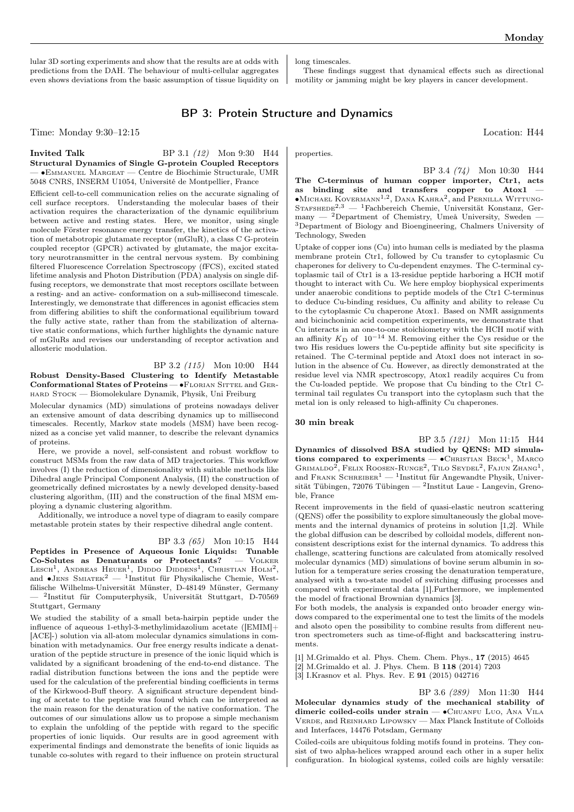lular 3D sorting experiments and show that the results are at odds with predictions from the DAH. The behaviour of multi-cellular aggregates even shows deviations from the basic assumption of tissue liquidity on long timescales.

These findings suggest that dynamical effects such as directional motility or jamming might be key players in cancer development.

## BP 3: Protein Structure and Dynamics

Time: Monday 9:30–12:15 Location: H44

#### **Invited Talk** BP 3.1 (12) Mon 9:30 H44 Structural Dynamics of Single G-protein Coupled Receptors — ∙Emmanuel Margeat — Centre de Biochimie Structurale, UMR 5048 CNRS, INSERM U1054, Université de Montpellier, France

Efficient cell-to-cell communication relies on the accurate signaling of cell surface receptors. Understanding the molecular bases of their activation requires the characterization of the dynamic equilibrium between active and resting states. Here, we monitor, using single molecule Förster resonance energy transfer, the kinetics of the activation of metabotropic glutamate receptor (mGluR), a class C G-protein coupled receptor (GPCR) activated by glutamate, the major excitatory neurotransmitter in the central nervous system. By combining filtered Fluorescence Correlation Spectroscopy (fFCS), excited stated lifetime analysis and Photon Distribution (PDA) analysis on single diffusing receptors, we demonstrate that most receptors oscillate between a resting- and an active- conformation on a sub-millisecond timescale. Interestingly, we demonstrate that differences in agonist efficacies stem from differing abilities to shift the conformational equilibrium toward the fully active state, rather than from the stabilization of alternative static conformations, which further highlights the dynamic nature of mGluRs and revises our understanding of receptor activation and allosteric modulation.

#### BP 3.2 (115) Mon 10:00 H44 Robust Density-Based Clustering to Identify Metastable Conformational States of Proteins — •FLORIAN SITTEL and GERhard Stock — Biomolekulare Dynamik, Physik, Uni Freiburg

Molecular dynamics (MD) simulations of proteins nowadays deliver an extensive amount of data describing dynamics up to millisecond timescales. Recently, Markov state models (MSM) have been recognized as a concise yet valid manner, to describe the relevant dynamics of proteins.

Here, we provide a novel, self-consistent and robust workflow to construct MSMs from the raw data of MD trajectories. This workflow involves (I) the reduction of dimensionality with suitable methods like Dihedral angle Principal Component Analysis, (II) the construction of geometrically defined microstates by a newly developed density-based clustering algorithm, (III) and the construction of the final MSM employing a dynamic clustering algorithm.

Additionally, we introduce a novel type of diagram to easily compare metastable protein states by their respective dihedral angle content.

## BP 3.3 (65) Mon 10:15 H44

Peptides in Presence of Aqueous Ionic Liquids: Tunable Co-Solutes as Denaturants or Protectants? — Volker LESCH<sup>1</sup>, ANDREAS HEUER<sup>1</sup>, DIDDO DIDDENS<sup>1</sup>, CHRISTIAN HOLM<sup>2</sup>, and ∙Jens Smiatek<sup>2</sup> — <sup>1</sup> Institut für Physikalische Chemie, Westfälische Wilhelms-Universität Münster, D-48149 Münster, Germany — <sup>2</sup> Institut für Computerphysik, Universität Stuttgart, D-70569 Stuttgart, Germany

We studied the stability of a small beta-hairpin peptide under the influence of aqueous 1-ethyl-3-methylimidazolium acetate ([EMIM]+ [ACE]-) solution via all-atom molecular dynamics simulations in combination with metadynamics. Our free energy results indicate a denaturation of the peptide structure in presence of the ionic liquid which is validated by a significant broadening of the end-to-end distance. The radial distribution functions between the ions and the peptide were used for the calculation of the preferential binding coefficients in terms of the Kirkwood-Buff theory. A significant structure dependent binding of acetate to the peptide was found which can be interpreted as the main reason for the denaturation of the native conformation. The outcomes of our simulations allow us to propose a simple mechanism to explain the unfolding of the peptide with regard to the specific properties of ionic liquids. Our results are in good agreement with experimental findings and demonstrate the benefits of ionic liquids as tunable co-solutes with regard to their influence on protein structural properties.

BP 3.4 (74) Mon 10:30 H44 The C-terminus of human copper importer, Ctr1, acts as binding site and transfers copper to Atox1 ∙Michael Kovermann1,<sup>2</sup> , Dana Kahra<sup>2</sup> , and Pernilla Wittung-STAFSHEDE<sup>2,3</sup> — <sup>1</sup>Fachbereich Chemie, Universität Konstanz, Germany — <sup>2</sup>Department of Chemistry, Umeå University, Sweden — <sup>3</sup>Department of Biology and Bioengineering, Chalmers University of Technology, Sweden

Uptake of copper ions (Cu) into human cells is mediated by the plasma membrane protein Ctr1, followed by Cu transfer to cytoplasmic Cu chaperones for delivery to Cu-dependent enzymes. The C-terminal cytoplasmic tail of Ctr1 is a 13-residue peptide harboring a HCH motif thought to interact with Cu. We here employ biophysical experiments under anaerobic conditions to peptide models of the Ctr1 C-terminus to deduce Cu-binding residues, Cu affinity and ability to release Cu to the cytoplasmic Cu chaperone Atox1. Based on NMR assignments and bicinchoninic acid competition experiments, we demonstrate that Cu interacts in an one-to-one stoichiometry with the HCH motif with an affinity  $K_D$  of 10<sup>-14</sup> M. Removing either the Cys residue or the two His residues lowers the Cu-peptide affinity but site specificity is retained. The C-terminal peptide and Atox1 does not interact in solution in the absence of Cu. However, as directly demonstrated at the residue level via NMR spectroscopy, Atox1 readily acquires Cu from the Cu-loaded peptide. We propose that Cu binding to the Ctr1 Cterminal tail regulates Cu transport into the cytoplasm such that the metal ion is only released to high-affinity Cu chaperones.

#### 30 min break

BP 3.5 (121) Mon 11:15 H44 Dynamics of dissolved BSA studied by QENS: MD simulations compared to experiments —  $\bullet$ CHRISTIAN BECK<sup>1</sup>, MARCO GRIMALDO<sup>2</sup>, FELIX ROOSEN-RUNGE<sup>2</sup>, TILO SEYDEL<sup>2</sup>, FAJUN ZHANG<sup>1</sup>, and FRANK SCHREIBER<sup>1</sup> — <sup>1</sup>Institut für Angewandte Physik, Universität Tübingen, 72076 Tübingen — <sup>2</sup> Institut Laue - Langevin, Grenoble, France

Recent improvements in the field of quasi-elastic neutron scattering (QENS) offer the possibility to explore simultaneously the global movements and the internal dynamics of proteins in solution [1,2]. While the global diffusion can be described by colloidal models, different nonconsistent descriptions exist for the internal dynamics. To address this challenge, scattering functions are calculated from atomically resolved molecular dynamics (MD) simulations of bovine serum albumin in solution for a temperature series crossing the denaturation temperature, analysed with a two-state model of switching diffusing processes and compared with experimental data [1].Furthermore, we implemented the model of fractional Brownian dynamics [3].

For both models, the analysis is expanded onto broader energy windows compared to the experimental one to test the limits of the models and alsoto open the possibility to combine results from different neutron spectrometers such as time-of-flight and backscattering instruments.

[1] M.Grimaldo et al. Phys. Chem. Chem. Phys., 17 (2015) 4645 [2] M.Grimaldo et al. J. Phys. Chem. B 118 (2014) 7203 [3] I.Krasnov et al. Phys. Rev. E 91 (2015) 042716

BP 3.6 (289) Mon 11:30 H44 Molecular dynamics study of the mechanical stability of dimeric coiled-coils under strain — • CHUANFU LUO, ANA VILA Verde, and Reinhard Lipowsky — Max Planck Institute of Colloids and Interfaces, 14476 Potsdam, Germany

Coiled-coils are ubiquitous folding motifs found in proteins. They consist of two alpha-helices wrapped around each other in a super helix configuration. In biological systems, coiled coils are highly versatile: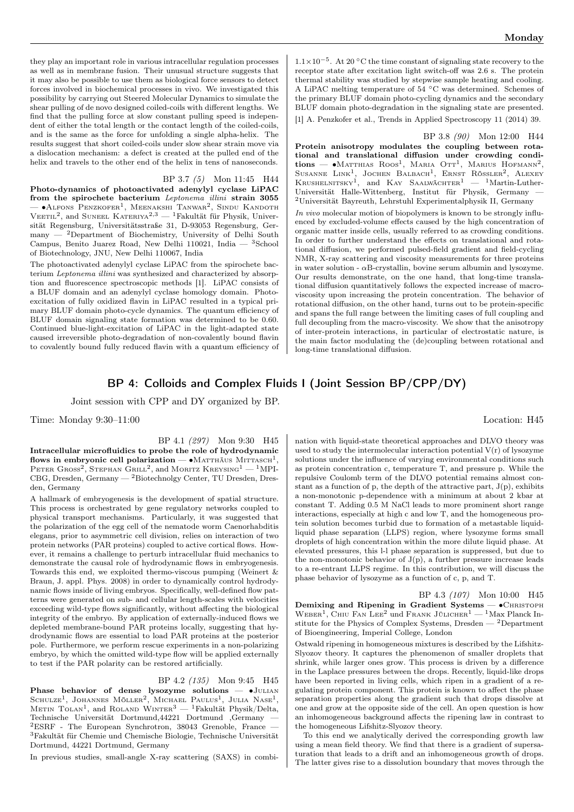they play an important role in various intracellular regulation processes as well as in membrane fusion. Their unusual structure suggests that it may also be possible to use them as biological force sensors to detect forces involved in biochemical processes in vivo. We investigated this possibility by carrying out Steered Molecular Dynamics to simulate the shear pulling of de novo designed coiled-coils with different lengths. We find that the pulling force at slow constant pulling speed is independent of either the total length or the contact length of the coiled-coils, and is the same as the force for unfolding a single alpha-helix. The results suggest that short coiled-coils under slow shear strain move via a dislocation mechanism: a defect is created at the pulled end of the helix and travels to the other end of the helix in tens of nanoseconds.

BP 3.7 (5) Mon 11:45 H44 Photo-dynamics of photoactivated adenylyl cyclase LiPAC from the spirochete bacterium Leptonema illini strain 3055  $-$  •Аlfons Penzkofer<sup>1</sup>, Meenakshi Tanwar<sup>2</sup>, Sindu Kandoth VEETIL<sup>2</sup>, and SUNEEL KATERIYA<sup>2,3</sup> — <sup>1</sup>Fakultät für Physik, Universität Regensburg, Universitätsstraße 31, D-93053 Regensburg, Germany — <sup>2</sup>Department of Biochemistry, University of Delhi South Campus, Benito Juarez Road, New Delhi 110021, India  $-$  3School of Biotechnology, JNU, New Delhi 110067, India

The photoactivated adenylyl cyclase LiPAC from the spirochete bacterium Leptonema illini was synthesized and characterized by absorption and fluorescence spectroscopic methods [1]. LiPAC consists of a BLUF domain and an adenylyl cyclase homology domain. Photoexcitation of fully oxidized flavin in LiPAC resulted in a typical primary BLUF domain photo-cycle dynamics. The quantum efficiency of BLUF domain signaling state formation was determined to be 0.60. Continued blue-light-excitation of LiPAC in the light-adapted state caused irreversible photo-degradation of non-covalently bound flavin to covalently bound fully reduced flavin with a quantum efficiency of

1.1×10−<sup>5</sup> . At 20 <sup>∘</sup>C the time constant of signaling state recovery to the receptor state after excitation light switch-off was 2.6 s. The protein thermal stability was studied by stepwise sample heating and cooling. A LiPAC melting temperature of 54 <sup>∘</sup>C was determined. Schemes of the primary BLUF domain photo-cycling dynamics and the secondary BLUF domain photo-degradation in the signaling state are presented.

[1] A. Penzkofer et al., Trends in Applied Spectroscopy 11 (2014) 39.

BP 3.8 (90) Mon 12:00 H44

Protein anisotropy modulates the coupling between rotational and translational diffusion under crowding condi $tions - \bullet$ Matthias Roos<sup>1</sup>, Maria Ott<sup>1</sup>, Marius Hofmann<sup>2</sup>, Susanne Link<sup>1</sup>, Jochen Balbach<sup>1</sup>, Ernst Rössler<sup>2</sup>, Alexey Krushelnitsky<sup>1</sup>, and Kay Saalwächter<sup>1</sup> — <sup>1</sup>Martin-Luther-Universität Halle-Wittenberg, Institut für Physik, Germany — <sup>2</sup>Universität Bayreuth, Lehrstuhl Experimentalphysik II, Germany

In vivo molecular motion of biopolymers is known to be strongly influenced by excluded-volume effects caused by the high concentration of organic matter inside cells, usually referred to as crowding conditions. In order to further understand the effects on translational and rotational diffusion, we performed pulsed-field gradient and field-cycling NMR, X-ray scattering and viscosity measurements for three proteins in water solution -  $\alpha$ B-crystallin, bovine serum albumin and lysozyme. Our results demonstrate, on the one hand, that long-time translational diffusion quantitatively follows the expected increase of macroviscosity upon increasing the protein concentration. The behavior of rotational diffusion, on the other hand, turns out to be protein-specific and spans the full range between the limiting cases of full coupling and full decoupling from the macro-viscosity. We show that the anisotropy of inter-protein interactions, in particular of electrostatic nature, is the main factor modulating the (de)coupling between rotational and long-time translational diffusion.

## BP 4: Colloids and Complex Fluids I (Joint Session BP/CPP/DY)

Joint session with CPP and DY organized by BP.

Time: Monday 9:30–11:00 Location: H45

BP 4.1 (297) Mon 9:30 H45 Intracellular microfluidics to probe the role of hydrodynamic flows in embryonic cell polarization —  $\bullet$ Matthäus Mittasch<sup>1</sup>, PETER GROSS<sup>2</sup>, STEPHAN GRILL<sup>2</sup>, and MORITZ KREYSING<sup>1</sup> — <sup>1</sup>MPI-CBG, Dresden, Germany — <sup>2</sup>Biotechnolgy Center, TU Dresden, Dresden, Germany

A hallmark of embryogenesis is the development of spatial structure. This process is orchestrated by gene regulatory networks coupled to physical transport mechanisms. Particularly, it was suggested that the polarization of the egg cell of the nematode worm Caenorhabditis elegans, prior to asymmetric cell division, relies on interaction of two protein networks (PAR proteins) coupled to active cortical flows. However, it remains a challenge to perturb intracellular fluid mechanics to demonstrate the causal role of hydrodynamic flows in embryogenesis. Towards this end, we exploited thermo-viscous pumping (Weinert & Braun, J. appl. Phys. 2008) in order to dynamically control hydrodynamic flows inside of living embryos. Specifically, well-defined flow patterns were generated on sub- and cellular length-scales with velocities exceeding wild-type flows significantly, without affecting the biological integrity of the embryo. By application of externally-induced flows we depleted membrane-bound PAR proteins locally, suggesting that hydrodynamic flows are essential to load PAR proteins at the posterior pole. Furthermore, we perform rescue experiments in a non-polarizing embryo, by which the omitted wild-type flow will be applied externally to test if the PAR polarity can be restored artificially.

### BP 4.2 (135) Mon 9:45 H45

Phase behavior of dense lysozyme solutions — ∙Julian Schulze<sup>1</sup>, Johannes Möller<sup>2</sup>, Michael Paulus<sup>1</sup>, Julia Nase<sup>1</sup>, Metin Tolan<sup>1</sup>, and Roland Winter<sup>3</sup> — <sup>1</sup>Fakultät Physik/Delta, Technische Universität Dortmund,44221 Dortmund ,Germany — <sup>2</sup>ESRF - The European Synchrotron, 38043 Grenoble, France — <sup>3</sup>Fakultät für Chemie und Chemische Biologie, Technische Universität Dortmund, 44221 Dortmund, Germany

In previous studies, small-angle X-ray scattering (SAXS) in combi-

nation with liquid-state theoretical approaches and DLVO theory was used to study the intermolecular interaction potential  $V(r)$  of lysozyme solutions under the influence of varying environmental conditions such as protein concentration c, temperature T, and pressure p. While the repulsive Coulomb term of the DLVO potential remains almost constant as a function of p, the depth of the attractive part,  $J(p)$ , exhibits a non-monotonic p-dependence with a minimum at about 2 kbar at constant T. Adding 0.5 M NaCl leads to more prominent short range interactions, especially at high c and low T, and the homogeneous protein solution becomes turbid due to formation of a metastable liquidliquid phase separation (LLPS) region, where lysozyme forms small droplets of high concentration within the more dilute liquid phase. At elevated pressures, this l-l phase separation is suppressed, but due to the non-monotonic behavior of  $J(p)$ , a further pressure increase leads to a re-entrant LLPS regime. In this contribution, we will discuss the phase behavior of lysozyme as a function of c, p, and T.

BP 4.3 (107) Mon 10:00 H45 Demixing and Ripening in Gradient Systems — • CHRISTOPH WEBER<sup>1</sup>, CHIU FAN LEE<sup>2</sup> und FRANK JÜLICHER<sup>1</sup> - <sup>1</sup>Max Planck Institute for the Physics of Complex Systems, Dresden — <sup>2</sup>Department of Bioengineering, Imperial College, London

Ostwald ripening in homogeneous mixtures is described by the Lifshitz-Slyozov theory. It captures the phenomenon of smaller droplets that shrink, while larger ones grow. This process is driven by a difference in the Laplace pressures between the drops. Recently, liquid-like drops have been reported in living cells, which ripen in a gradient of a regulating protein component. This protein is known to affect the phase separation properties along the gradient such that drops dissolve at one and grow at the opposite side of the cell. An open question is how an inhomogeneous background affects the ripening law in contrast to the homogeneous Lifshitz-Slyozov theory.

To this end we analytically derived the corresponding growth law using a mean field theory. We find that there is a gradient of supersaturation that leads to a drift and an inhomogeneous growth of drops. The latter gives rise to a dissolution boundary that moves through the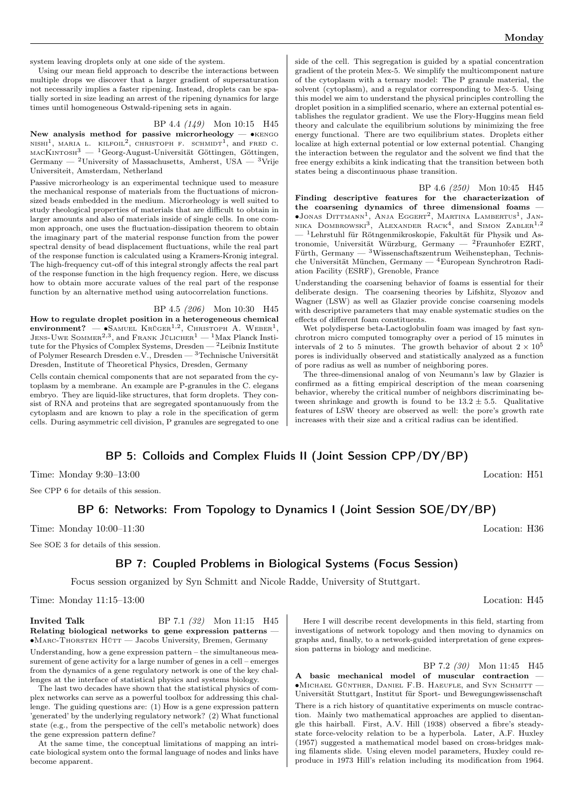system leaving droplets only at one side of the system.

Using our mean field approach to describe the interactions between multiple drops we discover that a larger gradient of supersaturation not necessarily implies a faster ripening. Instead, droplets can be spatially sorted in size leading an arrest of the ripening dynamics for large times until homogeneous Ostwald-ripening sets in again.

#### BP 4.4 (149) Mon 10:15 H45

New analysis method for passive microrheology — •KENGO NISHI<sup>1</sup>, MARIA L. KILFOIL<sup>2</sup>, CHRISTOPH F. SCHMIDT<sup>1</sup>, and FRED C.  ${\mbox{macK}}$ intos<br/>n $^3$  —  $^1\mbox{Georg-August-Universität }$  Göttingen, Göttingen, Germany — <sup>2</sup>University of Massachusetts, Amherst, USA — <sup>3</sup>Vrije Universiteit, Amsterdam, Netherland

Passive microrheology is an experimental technique used to measure the mechanical response of materials from the fluctuations of micronsized beads embedded in the medium. Microrheology is well suited to study rheological properties of materials that are difficult to obtain in larger amounts and also of materials inside of single cells. In one common approach, one uses the fluctuation-dissipation theorem to obtain the imaginary part of the material response function from the power spectral density of bead displacement fluctuations, while the real part of the response function is calculated using a Kramers-Kronig integral. The high-frequency cut-off of this integral strongly affects the real part of the response function in the high frequency region. Here, we discuss how to obtain more accurate values of the real part of the response function by an alternative method using autocorrelation functions.

#### BP 4.5 (206) Mon 10:30 H45

How to regulate droplet position in a heterogeneous chemical environment? — •SAMUEL KRÜGER<sup>1,2</sup>, CHRISTOPH A. WEBER<sup>1</sup>, Jens-Uwe Sommer<sup>2,3</sup>, and Frank Jülicher<sup>1</sup> — <sup>1</sup>Max Planck Institute for the Physics of Complex Systems, Dresden  $-$  <sup>2</sup>Leibniz Institute of Polymer Research Dresden e.V., Dresden — <sup>3</sup>Technische Universität Dresden, Institute of Theoretical Physics, Dresden, Germany

Cells contain chemical components that are not separated from the cytoplasm by a membrane. An example are P-granules in the C. elegans embryo. They are liquid-like structures, that form droplets. They consist of RNA and proteins that are segregated spontanuously from the cytoplasm and are known to play a role in the specification of germ cells. During asymmetric cell division, P granules are segregated to one

side of the cell. This segregation is guided by a spatial concentration gradient of the protein Mex-5. We simplify the multicomponent nature of the cytoplasm with a ternary model: The P granule material, the solvent (cytoplasm), and a regulator corresponding to Mex-5. Using this model we aim to understand the physical principles controlling the droplet position in a simplified scenario, where an external potential establishes the regulator gradient. We use the Flory-Huggins mean field theory and calculate the equilibrium solutions by minimizing the free energy functional. There are two equilibrium states. Droplets either localize at high external potential or low external potential. Changing the interaction between the regulator and the solvent we find that the free energy exhibits a kink indicating that the transition between both states being a discontinuous phase transition.

BP 4.6 (250) Mon 10:45 H45 Finding descriptive features for the characterization of the coarsening dynamics of three dimensional foams — ∙Jonas Dittmann<sup>1</sup> , Anja Eggert<sup>2</sup> , Martina Lambertus<sup>1</sup> , Jan-nika Dombrowski3 , Alexander Rack<sup>4</sup> , and Simon Zabler1,<sup>2</sup> — <sup>1</sup>Lehrstuhl für Rötngenmikroskopie, Fakultät für Physik und Astronomie, Universität Würzburg, Germany — <sup>2</sup>Fraunhofer EZRT, Fürth, Germany — <sup>3</sup>Wissenschaftszentrum Weihenstephan, Technische Universität München, Germany — <sup>4</sup>European Synchrotron Radiation Facility (ESRF), Grenoble, France

Understanding the coarsening behavior of foams is essential for their deliberate design. The coarsening theories by Lifshitz, Slyozov and Wagner (LSW) as well as Glazier provide concise coarsening models with descriptive parameters that may enable systematic studies on the effects of different foam constituents.

Wet polydisperse beta-Lactoglobulin foam was imaged by fast synchrotron micro computed tomography over a period of 15 minutes in intervals of 2 to 5 minutes. The growth behavior of about  $2 \times 10^5$ pores is individually observed and statistically analyzed as a function of pore radius as well as number of neighboring pores.

The three-dimensional analog of von Neumann's law by Glazier is confirmed as a fitting empirical description of the mean coarsening behavior, whereby the critical number of neighbors discriminating between shrinkage and growth is found to be  $13.2 \pm 5.5$ . Qualitative features of LSW theory are observed as well: the pore's growth rate increases with their size and a critical radius can be identified.

## BP 5: Colloids and Complex Fluids II (Joint Session CPP/DY/BP)

Time: Monday 9:30–13:00 Location: H51

See CPP 6 for details of this session.

## BP 6: Networks: From Topology to Dynamics I (Joint Session SOE/DY/BP)

Time: Monday 10:00–11:30 Location: H36

See SOE 3 for details of this session.

## BP 7: Coupled Problems in Biological Systems (Focus Session)

Focus session organized by Syn Schmitt and Nicole Radde, University of Stuttgart.

Time: Monday 11:15–13:00 Location: H45

**Invited Talk** BP 7.1 (32) Mon 11:15 H45 Relating biological networks to gene expression patterns ∙Marc-Thorsten Hütt — Jacobs University, Bremen, Germany Understanding, how a gene expression pattern – the simultaneous measurement of gene activity for a large number of genes in a cell – emerges from the dynamics of a gene regulatory network is one of the key challenges at the interface of statistical physics and systems biology.

The last two decades have shown that the statistical physics of complex networks can serve as a powerful toolbox for addressing this challenge. The guiding questions are: (1) How is a gene expression pattern 'generated' by the underlying regulatory network? (2) What functional state (e.g., from the perspective of the cell's metabolic network) does the gene expression pattern define?

At the same time, the conceptual limitations of mapping an intricate biological system onto the formal language of nodes and links have become apparent.

Here I will describe recent developments in this field, starting from investigations of network topology and then moving to dynamics on graphs and, finally, to a network-guided interpretation of gene expression patterns in biology and medicine.

BP 7.2 (30) Mon 11:45 H45

A basic mechanical model of muscular contraction — ∙Michael Günther, Daniel F.B. Haeufle, and Syn Schmitt —

Universität Stuttgart, Institut für Sport- und Bewegungswissenschaft

There is a rich history of quantitative experiments on muscle contraction. Mainly two mathematical approaches are applied to disentangle this hairball. First, A.V. Hill (1938) observed a fibre's steadystate force-velocity relation to be a hyperbola. Later, A.F. Huxley (1957) suggested a mathematical model based on cross-bridges making filaments slide. Using eleven model parameters, Huxley could reproduce in 1973 Hill's relation including its modification from 1964.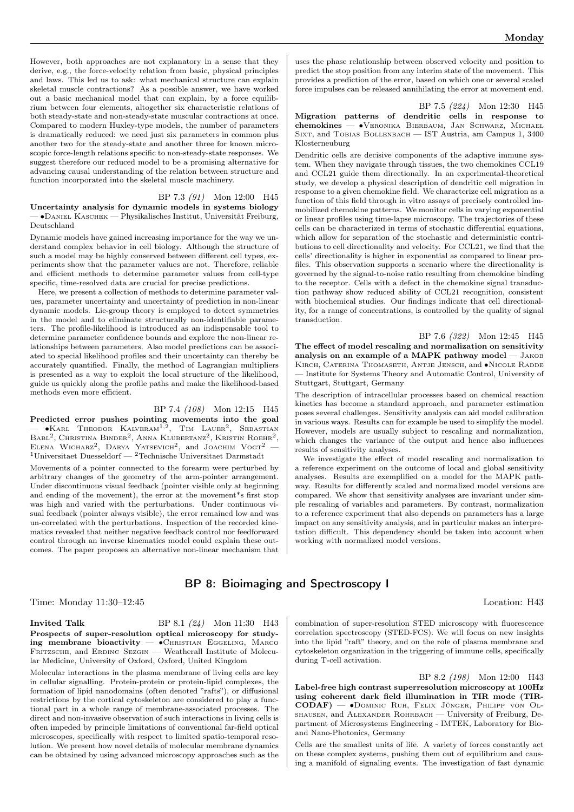However, both approaches are not explanatory in a sense that they derive, e.g., the force-velocity relation from basic, physical principles and laws. This led us to ask: what mechanical structure can explain skeletal muscle contractions? As a possible answer, we have worked out a basic mechanical model that can explain, by a force equilibrium between four elements, altogether six characteristic relations of both steady-state and non-steady-state muscular contractions at once. Compared to modern Huxley-type models, the number of parameters is dramatically reduced: we need just six parameters in common plus another two for the steady-state and another three for known microscopic force-length relations specific to non-steady-state responses. We suggest therefore our reduced model to be a promising alternative for advancing causal understanding of the relation between structure and function incorporated into the skeletal muscle machinery.

BP 7.3 (91) Mon 12:00 H45 Uncertainty analysis for dynamic models in systems biology — ∙Daniel Kaschek — Physikalisches Institut, Universität Freiburg, Deutschland

Dynamic models have gained increasing importance for the way we understand complex behavior in cell biology. Although the structure of such a model may be highly conserved between different cell types, experiments show that the parameter values are not. Therefore, reliable and efficient methods to determine parameter values from cell-type specific, time-resolved data are crucial for precise predictions.

Here, we present a collection of methods to determine parameter values, parameter uncertainty and uncertainty of prediction in non-linear dynamic models. Lie-group theory is employed to detect symmetries in the model and to eliminate structurally non-identifiable parameters. The profile-likelihood is introduced as an indispensable tool to determine parameter confidence bounds and explore the non-linear relationships between parameters. Also model predictions can be associated to special likelihood profiles and their uncertainty can thereby be accurately quantified. Finally, the method of Lagrangian multipliers is presented as a way to exploit the local structure of the likelihood, guide us quickly along the profile paths and make the likelihood-based methods even more efficient.

#### BP 7.4 (108) Mon 12:15 H45

Predicted error pushes pointing movements into the goal  $-$  •Karl Theodor Kalveram<sup>1,2</sup>, Tim Lauer<sup>2</sup>, Sebastian Babl<sup>2</sup>, Christina Binder<sup>2</sup>, Anna Klubertanz<sup>2</sup>, Kristin Roehr<sup>2</sup>, ELENA WICHARZ<sup>2</sup>, DARYA YATSEVICH<sup>2</sup>, and JOACHIM VOGT<sup>2</sup> –  $1$ Universitaet Duesseldorf —  $2$ Technische Universitaet Darmstadt

Movements of a pointer connected to the forearm were perturbed by arbitrary changes of the geometry of the arm-pointer arrangement. Under discontinuous visual feedback (pointer visible only at beginning and ending of the movement), the error at the movement\*s first stop was high and varied with the perturbations. Under continuous visual feedback (pointer always visible), the error remained low and was un-correlated with the perturbations. Inspection of the recorded kinematics revealed that neither negative feedback control nor feedforward control through an inverse kinematics model could explain these outcomes. The paper proposes an alternative non-linear mechanism that

uses the phase relationship between observed velocity and position to predict the stop position from any interim state of the movement. This provides a prediction of the error, based on which one or several scaled force impulses can be released annihilating the error at movement end.

BP 7.5 (224) Mon 12:30 H45

Migration patterns of dendritic cells in response to chemokines — ∙Veronika Bierbaum, Jan Schwarz, Michael Sixt, and Tobias Bollenbach — IST Austria, am Campus 1, 3400 Klosterneuburg

Dendritic cells are decisive components of the adaptive immune system. When they navigate through tissues, the two chemokines CCL19 and CCL21 guide them directionally. In an experimental-theoretical study, we develop a physical description of dendritic cell migration in response to a given chemokine field. We characterize cell migration as a function of this field through in vitro assays of precisely controlled immobilized chemokine patterns. We monitor cells in varying exponential or linear profiles using time-lapse microscopy. The trajectories of these cells can be characterized in terms of stochastic differential equations, which allow for separation of the stochastic and deterministic contributions to cell directionality and velocity. For CCL21, we find that the cells' directionality is higher in exponential as compared to linear profiles. This observation supports a scenario where the directionality is governed by the signal-to-noise ratio resulting from chemokine binding to the receptor. Cells with a defect in the chemokine signal transduction pathway show reduced ability of CCL21 recognition, consistent with biochemical studies. Our findings indicate that cell directionality, for a range of concentrations, is controlled by the quality of signal transduction.

BP 7.6 (322) Mon 12:45 H45 The effect of model rescaling and normalization on sensitivity analysis on an example of a MAPK pathway model  $-$  JAKOB Kirch, Caterina Thomaseth, Antje Jensch, and ∙Nicole Radde — Institute for Systems Theory and Automatic Control, University of Stuttgart, Stuttgart, Germany

The description of intracellular processes based on chemical reaction kinetics has become a standard approach, and parameter estimation poses several challenges. Sensitivity analysis can aid model calibration in various ways. Results can for example be used to simplify the model. However, models are usually subject to rescaling and normalization, which changes the variance of the output and hence also influences results of sensitivity analyses.

We investigate the effect of model rescaling and normalization to a reference experiment on the outcome of local and global sensitivity analyses. Results are exemplified on a model for the MAPK pathway. Results for differently scaled and normalized model versions are compared. We show that sensitivity analyses are invariant under simple rescaling of variables and parameters. By contrast, normalization to a reference experiment that also depends on parameters has a large impact on any sensitivity analysis, and in particular makes an interpretation difficult. This dependency should be taken into account when working with normalized model versions.

## BP 8: Bioimaging and Spectroscopy I

Time: Monday 11:30–12:45 Location: H43

**Invited Talk** BP 8.1 (24) Mon 11:30 H43 Prospects of super-resolution optical microscopy for studying membrane bioactivity — ∙Christian Eggeling, Marco FRITZSCHE, and ERDINC SEZGIN — Weatherall Institute of Molecular Medicine, University of Oxford, Oxford, United Kingdom

Molecular interactions in the plasma membrane of living cells are key in cellular signalling. Protein-protein or protein-lipid complexes, the formation of lipid nanodomains (often denoted "rafts"), or diffusional restrictions by the cortical cytoskeleton are considered to play a functional part in a whole range of membrane-associated processes. The direct and non-invasive observation of such interactions in living cells is often impeded by principle limitations of conventional far-field optical microscopes, specifically with respect to limited spatio-temporal resolution. We present how novel details of molecular membrane dynamics can be obtained by using advanced microscopy approaches such as the

combination of super-resolution STED microscopy with fluorescence correlation spectroscopy (STED-FCS). We will focus on new insights into the lipid "raft" theory, and on the role of plasma membrane and cytoskeleton organization in the triggering of immune cells, specifically during T-cell activation.

BP 8.2 (198) Mon 12:00 H43 Label-free high contrast superresolution microscopy at 100Hz using coherent dark field illumination in TIR mode (TIR-CODAF) — ∙Dominic Ruh, Felix Jünger, Philipp von Olshausen, and Alexander Rohrbach — University of Freiburg, Department of Microsystems Engineering - IMTEK, Laboratory for Bioand Nano-Photonics, Germany

Cells are the smallest units of life. A variety of forces constantly act on these complex systems, pushing them out of equilibrium and causing a manifold of signaling events. The investigation of fast dynamic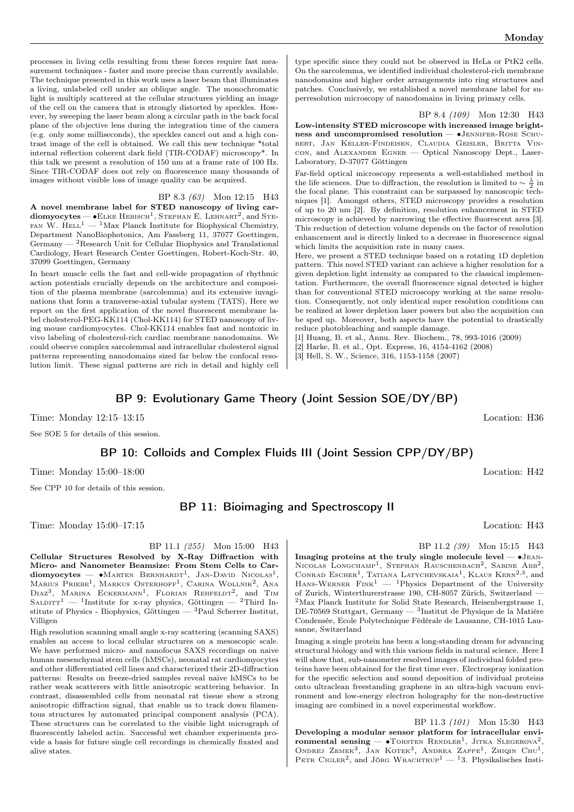processes in living cells resulting from these forces require fast measurement techniques - faster and more precise than currently available. The technique presented in this work uses a laser beam that illuminates a living, unlabeled cell under an oblique angle. The monochromatic light is multiply scattered at the cellular structures yielding an image of the cell on the camera that is strongly distorted by speckles. However, by sweeping the laser beam along a circular path in the back focal plane of the objective lens during the integration time of the camera (e.g. only some milliseconds), the speckles cancel out and a high contrast image of the cell is obtained. We call this new technique \*total internal reflection coherent dark field (TIR-CODAF) microscopy\*. In this talk we present a resolution of 150 nm at a frame rate of 100 Hz. Since TIR-CODAF does not rely on fluorescence many thousands of images without visible loss of image quality can be acquired.

BP 8.3 (63) Mon 12:15 H43 A novel membrane label for STED nanoscopy of living car- $\mathbf{d}$ iomyocytes —  $\bullet$ Elke Hebisch<sup>1</sup>, Stephan E. Lehnart<sup>2</sup>, and Ste-FAN W.  $H = \binom{1}{1}$  Max Planck Institute for Biophysical Chemistry, Department NanoBiophotonics, Am Fassberg 11, 37077 Goettingen, Germany  $-$  <sup>2</sup>Research Unit for Cellular Biophysics and Translational Cardiology, Heart Research Center Goettingen, Robert-Koch-Str. 40, 37099 Goettingen, Germany

In heart muscle cells the fast and cell-wide propagation of rhythmic action potentials crucially depends on the architecture and composition of the plasma membrane (sarcolemma) and its extensive invaginations that form a transverse-axial tubular system (TATS). Here we report on the first application of the novel fluorescent membrane label cholesterol-PEG-KK114 (Chol-KK114) for STED nanoscopy of living mouse cardiomyocytes. Chol-KK114 enables fast and nontoxic in vivo labeling of cholesterol-rich cardiac membrane nanodomains. We could observe complex sarcolemmal and intracellular cholesterol signal patterns representing nanodomains sized far below the confocal resolution limit. These signal patterns are rich in detail and highly cell

type specific since they could not be observed in HeLa or PtK2 cells. On the sarcolemma, we identified individual cholesterol-rich membrane nanodomains and higher order arrangements into ring structures and patches. Conclusively, we established a novel membrane label for superresolution microscopy of nanodomains in living primary cells.

BP 8.4 (109) Mon 12:30 H43 Low-intensity STED microscope with increased image brightness and uncompromised resolution — •JENNIFER-ROSE SCHUbert, Jan Keller-Findeisen, Claudia Geisler, Britta Vincon, and Alexander Egner — Optical Nanoscopy Dept., Laser-Laboratory, D-37077 Göttingen

Far-field optical microscopy represents a well-established method in the life sciences. Due to diffraction, the resolution is limited to  $\sim \frac{\lambda}{2}$  in the focal plane. This constraint can be surpassed by nanoscopic techniques [1]. Amongst others, STED microscopy provides a resolution of up to 20 nm [2]. By definition, resolution enhancement in STED microscopy is achieved by narrowing the effective fluorescent area [3]. This reduction of detection volume depends on the factor of resolution enhancement and is directly linked to a decrease in fluorescence signal which limits the acquisition rate in many cases.

Here, we present a STED technique based on a rotating 1D depletion pattern. This novel STED variant can achieve a higher resolution for a given depletion light intensity as compared to the classical implementation. Furthermore, the overall fluorescence signal detected is higher than for conventional STED microscopy working at the same resolution. Consequently, not only identical super resolution conditions can be realized at lower depletion laser powers but also the acquisition can be sped up. Moreover, both aspects have the potential to drastically reduce photobleaching and sample damage.

- [1] Huang, B. et al., Annu. Rev. Biochem., 78, 993-1016 (2009)
- [2] Harke, B. et al., Opt. Express, 16, 4154-4162 (2008)

[3] Hell, S. W., Science, 316, 1153-1158 (2007)

## BP 9: Evolutionary Game Theory (Joint Session SOE/DY/BP)

Time: Monday 12:15–13:15 Location: H36

See SOE 5 for details of this session.

BP 10: Colloids and Complex Fluids III (Joint Session CPP/DY/BP)

Time: Monday 15:00–18:00 Location: H42

See CPP 10 for details of this session.

## BP 11: Bioimaging and Spectroscopy II

Time: Monday 15:00–17:15 Location: H43

BP 11.1 (255) Mon 15:00 H43 Cellular Structures Resolved by X-Ray Diffraction with Micro- and Nanometer Beamsize: From Stem Cells to Car- $\text{diomyocytes} = \bullet \text{Marten} \text{ Bernhard}^{-1}$ , Jan-David Nicolas<sup>1</sup>, Marius Priebe<sup>1</sup>, Markus Osterhoff<sup>1</sup>, Carina Wollnik<sup>2</sup>, Ana  $Diaz^3$ , Marina Eckermann<sup>1</sup>, Florian Rehfeldt<sup>2</sup>, and Tim SALDITT<sup>1</sup> — <sup>1</sup>Institute for x-ray physics, Göttingen — <sup>2</sup>Third Institute of Physics - Biophysics, Göttingen — <sup>3</sup>Paul Scherrer Institut, Villigen

High resolution scanning small angle x-ray scattering (scanning SAXS) enables an access to local cellular structures on a mesoscopic scale. We have performed micro- and nanofocus SAXS recordings on naive human mesenchymal stem cells (hMSCs), neonatal rat cardiomyocytes and other differentiated cell lines and characterized their 2D-diffraction patterns: Results on freeze-dried samples reveal naive hMSCs to be rather weak scatterers with little anisotropic scattering behavior. In contrast, disassembled cells from neonatal rat tissue show a strong anisotropic diffraction signal, that enable us to track down filamentous structures by automated principal component analysis (PCA). These structures can be correlated to the visible light micrograph of fluorescently labeled actin. Successful wet chamber experiments provide a basis for future single cell recordings in chemically fixated and alive states.

BP 11.2 (39) Mon 15:15 H43

Imaging proteins at the truly single molecule level —  $\bullet$ JEAN-NICOLAS LONGCHAMP<sup>1</sup>, STEPHAN RAUSCHENBACH<sup>2</sup>, SABINE ABB<sup>2</sup>, CONRAD ESCHER<sup>1</sup>, TATIANA LATYCHEVSKAIA<sup>1</sup>, KLAUS KERN<sup>2,3</sup>, and HANS-WERNER  $\text{Fink}^1$  — <sup>1</sup>Physics Department of the University of Zurich, Winterthurerstrasse 190, CH-8057 Zürich, Switzerland —  $^2$ Max Planck Institute for Solid State Research, Heisenbergstrasse 1, DE-70569 Stuttgart, Germany — <sup>3</sup> Institut de Physique de la Matière Condensée, Ecole Polytechnique Fédérale de Lausanne, CH-1015 Lausanne, Switzerland

Imaging a single protein has been a long-standing dream for advancing structural biology and with this various fields in natural science. Here I will show that, sub-nanometer resolved images of individual folded proteins have been obtained for the first time ever. Electrospray ionization for the specific selection and sound deposition of individual proteins onto ultraclean freestanding graphene in an ultra-high vacuum environment and low-energy electron holography for the non-destructive imaging are combined in a novel experimental workflow.

BP 11.3 (101) Mon 15:30 H43 Developing a modular sensor platform for intracellular environmental sensing —  $\bullet$ TORSTEN RENDLER<sup>1</sup>, JITKA SLEGEROVA<sup>2</sup>, ONDREJ ZEMEK<sup>3</sup>, JAN KOTEK<sup>3</sup>, ANDREA ZAPPE<sup>1</sup>, ZHIQIN CHU<sup>1</sup>, PETR CIGLER<sup>2</sup>, and JÖRG WRACHTRUP<sup>1</sup> - <sup>1</sup>3. Physikalisches Insti-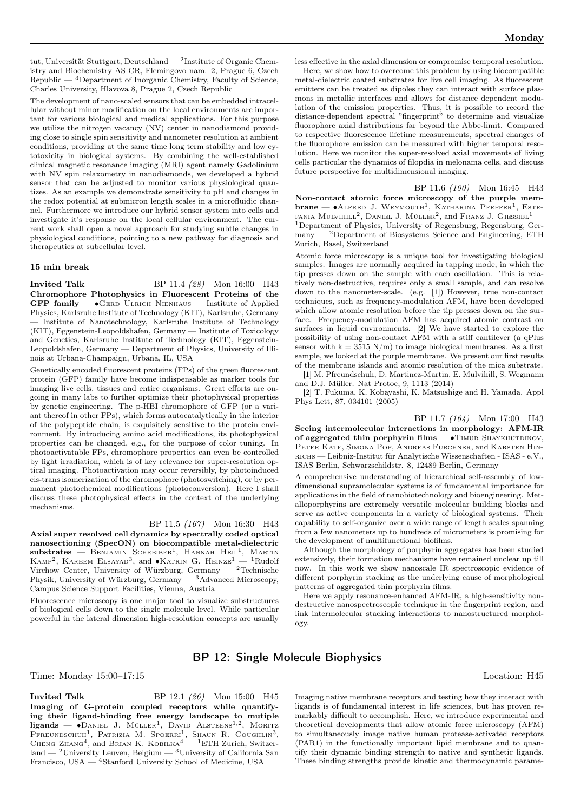tut, Universität Stuttgart, Deutschland —  $^2$ Institute of Organic Chemistry and Biochemistry AS CR, Flemingovo nam. 2, Prague 6, Czech  ${\rm Republic}\, -\, ^3{\rm Department\,\, of\,\, Inorganic\,\, Chemistry,\, Faculty\,\, of\,\, Science,}$ Charles University, Hlavova 8, Prague 2, Czech Republic

The development of nano-scaled sensors that can be embedded intracellular without minor modification on the local environments are important for various biological and medical applications. For this purpose we utilize the nitrogen vacancy (NV) center in nanodiamond providing close to single spin sensitivity and nanometer resolution at ambient conditions, providing at the same time long term stability and low cytotoxicity in biological systems. By combining the well-established clinical magnetic resonance imaging (MRI) agent namely Gadolinium with NV spin relaxometry in nanodiamonds, we developed a hybrid sensor that can be adjusted to monitor various physiological quantizes. As an example we demonstrate sensitivity to pH and changes in the redox potential at submicron length scales in a microfluidic channel. Furthermore we introduce our hybrid sensor system into cells and investigate it's response on the local cellular environment. The current work shall open a novel approach for studying subtle changes in physiological conditions, pointing to a new pathway for diagnosis and therapeutics at subcellular level.

#### 15 min break

**Invited Talk** BP 11.4 (28) Mon 16:00 H43 Chromophore Photophysics in Fluorescent Proteins of the GFP family —  $\bullet$ GERD ULRICH NIENHAUS — Institute of Applied Physics, Karlsruhe Institute of Technology (KIT), Karlsruhe, Germany — Institute of Nanotechnology, Karlsruhe Institute of Technology (KIT), Eggenstein-Leopoldshafen, Germany — Institute of Toxicology and Genetics, Karlsruhe Institute of Technology (KIT), Eggenstein-Leopoldshafen, Germany — Department of Physics, University of Illinois at Urbana-Champaign, Urbana, IL, USA

Genetically encoded fluorescent proteins (FPs) of the green fluorescent protein (GFP) family have become indispensable as marker tools for imaging live cells, tissues and entire organisms. Great efforts are ongoing in many labs to further optimize their photophysical properties by genetic engineering. The p-HBI chromophore of GFP (or a variant thereof in other FPs), which forms autocatalytically in the interior of the polypeptide chain, is exquisitely sensitive to the protein environment. By introducing amino acid modifications, its photophysical properties can be changed, e.g., for the purpose of color tuning. In photoactivatable FPs, chromophore properties can even be controlled by light irradiation, which is of key relevance for super-resolution optical imaging. Photoactivation may occur reversibly, by photoinduced cis-trans isomerization of the chromophore (photoswitching), or by permanent photochemical modifications (photoconversion). Here I shall discuss these photophysical effects in the context of the underlying mechanisms.

#### BP 11.5 (167) Mon 16:30 H43

Axial super resolved cell dynamics by spectrally coded optical nanosectioning (SpecON) on biocompatible metal-dielectric  $substrates$  — Benjamin Schreiber<sup>1</sup>, Hannah Heil<sup>1</sup>, Martin KAMP<sup>2</sup>, KAREEM ELSAYAD<sup>3</sup>, and •KATRIN G. HEINZE<sup>1</sup> — <sup>1</sup>Rudolf Virchow Center, University of Würzburg, Germany — <sup>2</sup>Technische Physik, University of Würzburg, Germany — <sup>3</sup>Advanced Microscopy, Campus Science Support Facilities, Vienna, Austria

Fluorescence microscopy is one major tool to visualize substructures of biological cells down to the single molecule level. While particular powerful in the lateral dimension high-resolution concepts are usually less effective in the axial dimension or compromise temporal resolution.

Here, we show how to overcome this problem by using biocompatible metal-dielectric coated substrates for live cell imaging. As fluorescent emitters can be treated as dipoles they can interact with surface plasmons in metallic interfaces and allows for distance dependent modulation of the emission properties. Thus, it is possible to record the distance-dependent spectral "fingerprint" to determine and visualize fluorophore axial distributions far beyond the Abbe-limit. Compared to respective fluorescence lifetime measurements, spectral changes of the fluorophore emission can be measured with higher temporal resolution. Here we monitor the super-resolved axial movements of living cells particular the dynamics of filopdia in melonama cells, and discuss future perspective for multidimensional imaging.

BP 11.6 (100) Mon 16:45 H43 Non-contact atomic force microscopy of the purple mem $brane - \bullet$ Alfred J. Weymouth<sup>1</sup>, Katharina Pfeffer<sup>1</sup>, Este-FANIA MULVIHILL<sup>2</sup>, DANIEL J. MÜLLER<sup>2</sup>, and FRANZ J. GIESSIBL<sup>1</sup> -<sup>1</sup>Department of Physics, University of Regensburg, Regensburg, Ger $m$ any  $-$  <sup>2</sup>Department of Biosystems Science and Engineering, ETH Zurich, Basel, Switzerland

Atomic force microscopy is a unique tool for investigating biological samples. Images are normally acquired in tapping mode, in which the tip presses down on the sample with each oscillation. This is relatively non-destructive, requires only a small sample, and can resolve down to the nanometer-scale. (e.g. [1]) However, true non-contact techniques, such as frequency-modulation AFM, have been developed which allow atomic resolution before the tip presses down on the surface. Frequency-modulation AFM has acquired atomic contrast on surfaces in liquid environments. [2] We have started to explore the possibility of using non-contact AFM with a stiff cantilever (a qPlus sensor with  $k = 3515$  N/m) to image biological membranes. As a first sample, we looked at the purple membrane. We present our first results of the membrane islands and atomic resolution of the mica substrate.

[1] M. Pfreundschuh, D. Martinez-Martin, E. Mulvihill, S. Wegmann and D.J. Müller. Nat Protoc, 9, 1113 (2014)

[2] T. Fukuma, K. Kobayashi, K. Matsushige and H. Yamada. Appl Phys Lett, 87, 034101 (2005)

BP 11.7 (164) Mon 17:00 H43 Seeing intermolecular interactions in morphology: AFM-IR of aggregated thin porphyrin films —  $\bullet$ TIMUR SHAYKHUTDINOV, PETER KATE, SIMONA POP, ANDREAS FURCHNER, and KARSTEN HINrichs — Leibniz-Institut für Analytische Wissenschaften - ISAS - e.V., ISAS Berlin, Schwarzschildstr. 8, 12489 Berlin, Germany

A comprehensive understanding of hierarchical self-assembly of lowdimensional supramolecular systems is of fundamental importance for applications in the field of nanobiotechnology and bioengineering. Metalloporphyrins are extremely versatile molecular building blocks and serve as active components in a variety of biological systems. Their capability to self-organize over a wide range of length scales spanning from a few nanometers up to hundreds of micrometers is promising for the development of multifunctional biofilms.

Although the morphology of porphyrin aggregates has been studied extensively, their formation mechanisms have remained unclear up till now. In this work we show nanoscale IR spectroscopic evidence of different porphyrin stacking as the underlying cause of morphological patterns of aggregated thin porphyrin films.

Here we apply resonance-enhanced AFM-IR, a high-sensitivity nondestructive nanospectroscopic technique in the fingerprint region, and link intermolecular stacking interactions to nanostructured morphology.

## BP 12: Single Molecule Biophysics

Time: Monday 15:00–17:15 Location: H45

**Invited Talk** BP 12.1 (26) Mon 15:00 H45 Imaging of G-protein coupled receptors while quantifying their ligand-binding free energy landscape to mutiple ligands — •DANIEL J. MÜLLER<sup>1</sup>, DAVID ALSTEENS<sup>1,2</sup>, MORITZ PFREUNDSCHUH<sup>1</sup>, PATRIZIA M. SPOERRI<sup>1</sup>, SHAUN R. COUGHLIN<sup>3</sup>, CHENG  $Z$ HANG<sup>4</sup>, and BRIAN K. KOBILKA<sup>4</sup> — <sup>1</sup>ETH Zurich, Switzerland —  $^2$ University Leuven, Belgium —  $^3$ University of California San Francisco, USA — <sup>4</sup>Stanford University School of Medicine, USA

Imaging native membrane receptors and testing how they interact with ligands is of fundamental interest in life sciences, but has proven remarkably difficult to accomplish. Here, we introduce experimental and theoretical developments that allow atomic force microscopy (AFM) to simultaneously image native human protease-activated receptors (PAR1) in the functionally important lipid membrane and to quantify their dynamic binding strength to native and synthetic ligands. These binding strengths provide kinetic and thermodynamic parame-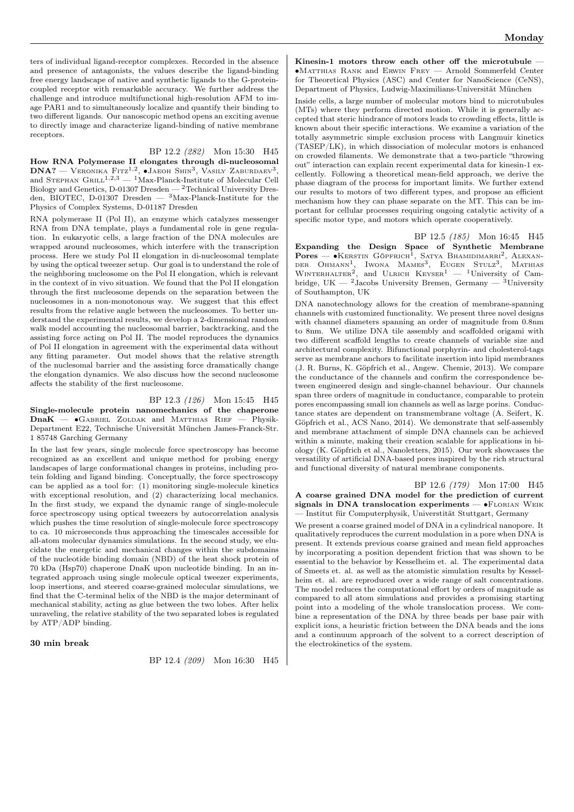ters of individual ligand-receptor complexes. Recorded in the absence and presence of antagonists, the values describe the ligand-binding free energy landscape of native and synthetic ligands to the G-proteincoupled receptor with remarkable accuracy. We further address the challenge and introduce multifunctional high-resolution AFM to image PAR1 and to simultaneously localize and quantify their binding to two different ligands. Our nanoscopic method opens an exciting avenue to directly image and characterize ligand-binding of native membrane receptors.

#### BP 12.2 (282) Mon 15:30 H45

How RNA Polymerase II elongates through di-nucleosomal  $\text{DNA?}$  — Vеrоміка Fitz<sup>1,2</sup>, •Јаеон Shin<sup>3</sup>, Vasily Zaburdaev<sup>3</sup>, and Stephan Grill<sup>1,2,3</sup> — <sup>1</sup>Max-Planck-Institute of Molecular Cell Biology and Genetics, D-01307 Dresden — <sup>2</sup>Technical University Dresden, BIOTEC, D-01307 Dresden — <sup>3</sup>Max-Planck-Institute for the Physics of Complex Systems, D-01187 Dresden

RNA polymerase II (Pol II), an enzyme which catalyzes messenger RNA from DNA template, plays a fundamental role in gene regulation. In eukaryotic cells, a large fraction of the DNA molecules are wrapped around nucleosomes, which interfere with the transcription process. Here we study Pol II elongation in di-nucleosomal template by using the optical tweezer setup. Our goal is to understand the role of the neighboring nucleosome on the Pol II elongation, which is relevant in the context of in vivo situation. We found that the Pol II elongation through the first nucleosome depends on the separation between the nucleosomes in a non-monotonous way. We suggest that this effect results from the relative angle between the nucleosomes. To better understand the experimental results, we develop a 2-dimensional random walk model accounting the nucleosomal barrier, backtracking, and the assisting force acting on Pol II. The model reproduces the dynamics of Pol II elongation in agreement with the experimental data without any fitting parameter. Out model shows that the relative strength of the nuclesomal barrier and the assisting force dramatically change the elongation dynamics. We also discuss how the second nucleosome affects the stability of the first nucleosome.

BP 12.3 (126) Mon 15:45 H45 Single-molecule protein nanomechanics of the chaperone  $\text{DnaK}$  —  $\bullet$ Gabriel Zoldak and Matthias Rief — Physik-Department E22, Technische Universität München James-Franck-Str. 1 85748 Garching Germany

In the last few years, single molecule force spectroscopy has become recognized as an excellent and unique method for probing energy landscapes of large conformational changes in proteins, including protein folding and ligand binding. Conceptually, the force spectroscopy can be applied as a tool for: (1) monitoring single-molecule kinetics with exceptional resolution, and  $(2)$  characterizing local mechanics. In the first study, we expand the dynamic range of single-molecule force spectroscopy using optical tweezers by autocorrelation analysis which pushes the time resolution of single-molecule force spectroscopy to ca. 10 microseconds thus approaching the timescales accessible for all-atom molecular dynamics simulations. In the second study, we elucidate the energetic and mechanical changes within the subdomains of the nucleotide binding domain (NBD) of the heat shock protein of 70 kDa (Hsp70) chaperone DnaK upon nucleotide binding. In an integrated approach using single molecule optical tweezer experiments, loop insertions, and steered coarse-grained molecular simulations, we find that the C-terminal helix of the NBD is the major determinant of mechanical stability, acting as glue between the two lobes. After helix unraveling, the relative stability of the two separated lobes is regulated by ATP/ADP binding.

#### 30 min break

BP 12.4 (209) Mon 16:30 H45

Kinesin-1 motors throw each other off the microtubule ∙Matthias Rank and Erwin Frey — Arnold Sommerfeld Center for Theoretical Physics (ASC) and Center for NanoScience (CeNS), Department of Physics, Ludwig-Maximilians-Universität München

Inside cells, a large number of molecular motors bind to microtubules (MTs) where they perform directed motion. While it is generally accepted that steric hindrance of motors leads to crowding effects, little is known about their specific interactions. We examine a variation of the totally asymmetric simple exclusion process with Langmuir kinetics (TASEP/LK), in which dissociation of molecular motors is enhanced on crowded filaments. We demonstrate that a two-particle "throwing out" interaction can explain recent experimental data for kinesin-1 excellently. Following a theoretical mean-field approach, we derive the phase diagram of the process for important limits. We further extend our results to motors of two different types, and propose an efficient mechanism how they can phase separate on the MT. This can be important for cellular processes requiring ongoing catalytic activity of a specific motor type, and motors which operate cooperatively.

BP 12.5 (185) Mon 16:45 H45 Expanding the Design Space of Synthetic Membrane **Pores — •**Kerstin Göpfrich<sup>1</sup>, Satya Bhamidimarri<sup>2</sup>, Alexan-<br>Der Ohmann<sup>1</sup>, Iwona Mames<sup>3</sup>, Eugen Stulz<sup>3</sup>, Mathias<br>Winterhalter<sup>2</sup>, and Ulrich Keyser<sup>1</sup> — <sup>1</sup>University of Cambridge, UK —  $2$ Jacobs University Bremen, Germany —  $3$ University of Southampton, UK

DNA nanotechnology allows for the creation of membrane-spanning channels with customized functionality. We present three novel designs with channel diameters spanning an order of magnitude from 0.8nm to 8nm. We utilize DNA tile assembly and scaffolded origami with two different scaffold lengths to create channels of variable size and architectural complexity. Bifunctional porphyrin- and cholesterol-tags serve as membrane anchors to facilitate insertion into lipid membranes (J. R. Burns, K. Göpfrich et al., Angew. Chemie, 2013). We compare the conductance of the channels and confirm the correspondence between engineered design and single-channel behaviour. Our channels span three orders of magnitude in conductance, comparable to protein pores encompassing small ion channels as well as large porins. Conductance states are dependent on transmembrane voltage (A. Seifert, K. Göpfrich et al., ACS Nano, 2014). We demonstrate that self-assembly and membrane attachment of simple DNA channels can be achieved within a minute, making their creation scalable for applications in biology (K. Göpfrich et al., Nanoletters, 2015). Our work showcases the versatility of artificial DNA-based pores inspired by the rich structural and functional diversity of natural membrane components.

BP 12.6 (179) Mon 17:00 H45 A coarse grained DNA model for the prediction of current signals in DNA translocation experiments —  $\bullet$ FLORIAN WEIK — Institut für Computerphysik, Universtität Stuttgart, Germany

We present a coarse grained model of DNA in a cylindrical nanopore. It qualitatively reproduces the current modulation in a pore when DNA is present. It extends previous coarse grained and mean field approaches by incorporating a position dependent friction that was shown to be essential to the behavior by Kesselheim et. al. The experimental data of Smeets et. al. as well as the atomistic simulation results by Kesselheim et. al. are reproduced over a wide range of salt concentrations. The model reduces the computational effort by orders of magnitude as compared to all atom simulations and provides a promising starting point into a modeling of the whole translocation process. We combine a representation of the DNA by three beads per base pair with explicit ions, a heuristic friction between the DNA beads and the ions and a continuum approach of the solvent to a correct description of the electrokinetics of the system.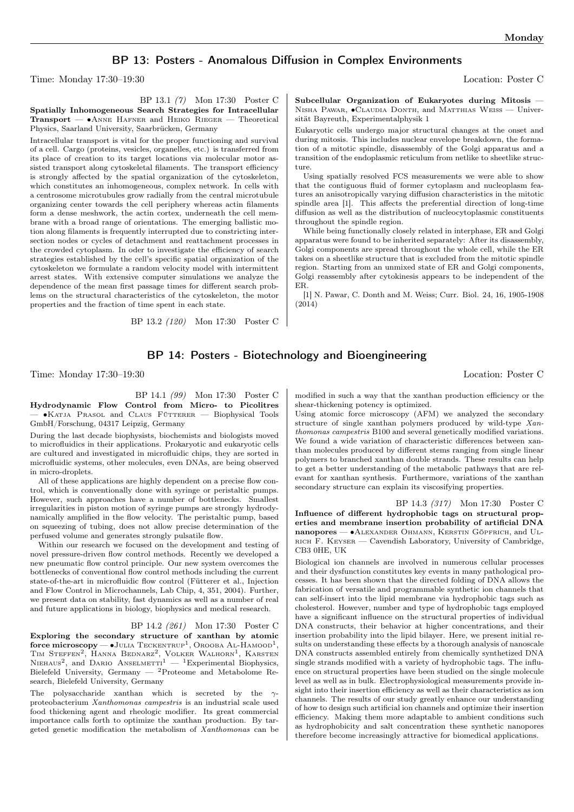## BP 13: Posters - Anomalous Diffusion in Complex Environments

Time: Monday 17:30–19:30 Location: Poster C

BP 13.1 (7) Mon 17:30 Poster C

Spatially Inhomogeneous Search Strategies for Intracellular Transport — ∙Anne Hafner and Heiko Rieger — Theoretical Physics, Saarland University, Saarbrücken, Germany

Intracellular transport is vital for the proper functioning and survival of a cell. Cargo (proteins, vesicles, organelles, etc.) is transferred from its place of creation to its target locations via molecular motor assisted transport along cytoskeletal filaments. The transport efficiency is strongly affected by the spatial organization of the cytoskeleton, which constitutes an inhomogeneous, complex network. In cells with a centrosome microtubules grow radially from the central microtubule organizing center towards the cell periphery whereas actin filaments form a dense meshwork, the actin cortex, underneath the cell membrane with a broad range of orientations. The emerging ballistic motion along filaments is frequently interrupted due to constricting intersection nodes or cycles of detachment and reattachment processes in the crowded cytoplasm. In oder to investigate the efficiency of search strategies established by the cell's specific spatial organization of the cytoskeleton we formulate a random velocity model with intermittent arrest states. With extensive computer simulations we analyze the dependence of the mean first passage times for different search problems on the structural characteristics of the cytoskeleton, the motor properties and the fraction of time spent in each state.

BP 13.2 (120) Mon 17:30 Poster C

Subcellular Organization of Eukaryotes during Mitosis — Nisha Pawar, ∙Claudia Donth, and Matthias Weiss — Universität Bayreuth, Experimentalphysik 1

Eukaryotic cells undergo major structural changes at the onset and during mitosis. This includes nuclear envelope breakdown, the formation of a mitotic spindle, disassembly of the Golgi apparatus and a transition of the endoplasmic reticulum from netlike to sheetlike structure.

Using spatially resolved FCS measurements we were able to show that the contiguous fluid of former cytoplasm and nucleoplasm features an anisotropically varying diffusion characteristics in the mitotic spindle area [1]. This affects the preferential direction of long-time diffusion as well as the distribution of nucleocytoplasmic constituents throughout the spindle region.

While being functionally closely related in interphase, ER and Golgi apparatus were found to be inherited separately: After its disassembly, Golgi components are spread throughout the whole cell, while the ER takes on a sheetlike structure that is excluded from the mitotic spindle region. Starting from an unmixed state of ER and Golgi components, Golgi reassembly after cytokinesis appears to be independent of the ER.

[1] N. Pawar, C. Donth and M. Weiss; Curr. Biol. 24, 16, 1905-1908 (2014)

## BP 14: Posters - Biotechnology and Bioengineering

Time: Monday 17:30–19:30 Location: Poster C

BP 14.1 (99) Mon 17:30 Poster C

Hydrodynamic Flow Control from Micro- to Picolitres — ∙Katja Prasol and Claus Fütterer — Biophysical Tools GmbH/Forschung, 04317 Leipzig, Germany

During the last decade biophysists, biochemists and biologists moved to microfluidics in their applications. Prokaryotic and eukaryotic cells are cultured and investigated in microfluidic chips, they are sorted in microfluidic systems, other molecules, even DNAs, are being observed in micro-droplets.

All of these applications are highly dependent on a precise flow control, which is conventionally done with syringe or peristaltic pumps. However, such approaches have a number of bottlenecks. Smallest irregularities in piston motion of syringe pumps are strongly hydrodynamically amplified in the flow velocity. The peristaltic pump, based on squeezing of tubing, does not allow precise determination of the perfused volume and generates strongly pulsatile flow.

Within our research we focused on the development and testing of novel pressure-driven flow control methods. Recently we developed a new pneumatic flow control principle. Our new system overcomes the bottlenecks of conventional flow control methods including the current state-of-the-art in microfluidic flow control (Fütterer et al., Injection and Flow Control in Microchannels, Lab Chip, 4, 351, 2004). Further, we present data on stability, fast dynamics as well as a number of real and future applications in biology, biophysics and medical research.

#### BP 14.2 (261) Mon 17:30 Poster C

Exploring the secondary structure of xanthan by atomic  $\text{force microscopy} \longrightarrow \text{Julia}$  Teckentrup<sup>1</sup>, Orooba Al-Hamood<sup>1</sup>, TIM STEFFEN<sup>2</sup>, HANNA BEDNARZ<sup>2</sup>, VOLKER WALHORN<sup>1</sup>, KARSTEN NIEHAUS<sup>2</sup>, and DARIO ANSELMETTI<sup>1</sup> — <sup>1</sup>Experimental Biophysics, Bielefeld University, Germany — <sup>2</sup>Proteome and Metabolome Research, Bielefeld University, Germany

The polysaccharide xanthan which is secreted by the  $\gamma$ proteobacterium Xanthomonas campestris is an industrial scale used food thickening agent and rheologic modifier. Its great commercial importance calls forth to optimize the xanthan production. By targeted genetic modification the metabolism of Xanthomonas can be

modified in such a way that the xanthan production efficiency or the shear-thickening potency is optimized.

Using atomic force microscopy (AFM) we analyzed the secondary structure of single xanthan polymers produced by wild-type Xanthomonas campestris B100 and several genetically modified variations. We found a wide variation of characteristic differences between xanthan molecules produced by different stems ranging from single linear polymers to branched xanthan double strands. These results can help to get a better understanding of the metabolic pathways that are relevant for xanthan synthesis. Furthermore, variations of the xanthan secondary structure can explain its viscosifying properties.

BP 14.3 (317) Mon 17:30 Poster C Influence of different hydrophobic tags on structural properties and membrane insertion probability of artificial DNA nanopores — • ALEXANDER OHMANN, KERSTIN GÖPFRICH, and UL-RICH F. KEYSER — Cavendish Laboratory, University of Cambridge, CB3 0HE, UK

Biological ion channels are involved in numerous cellular processes and their dysfunction constitutes key events in many pathological processes. It has been shown that the directed folding of DNA allows the fabrication of versatile and programmable synthetic ion channels that can self-insert into the lipid membrane via hydrophobic tags such as cholesterol. However, number and type of hydrophobic tags employed have a significant influence on the structural properties of individual DNA constructs, their behavior at higher concentrations, and their insertion probability into the lipid bilayer. Here, we present initial results on understanding these effects by a thorough analysis of nanoscale DNA constructs assembled entirely from chemically synthetized DNA single strands modified with a variety of hydrophobic tags. The influence on structural properties have been studied on the single molecule level as well as in bulk. Electrophysiological measurements provide insight into their insertion efficiency as well as their characteristics as ion channels. The results of our study greatly enhance our understanding of how to design such artificial ion channels and optimize their insertion efficiency. Making them more adaptable to ambient conditions such as hydrophobicity and salt concentration these synthetic nanopores therefore become increasingly attractive for biomedical applications.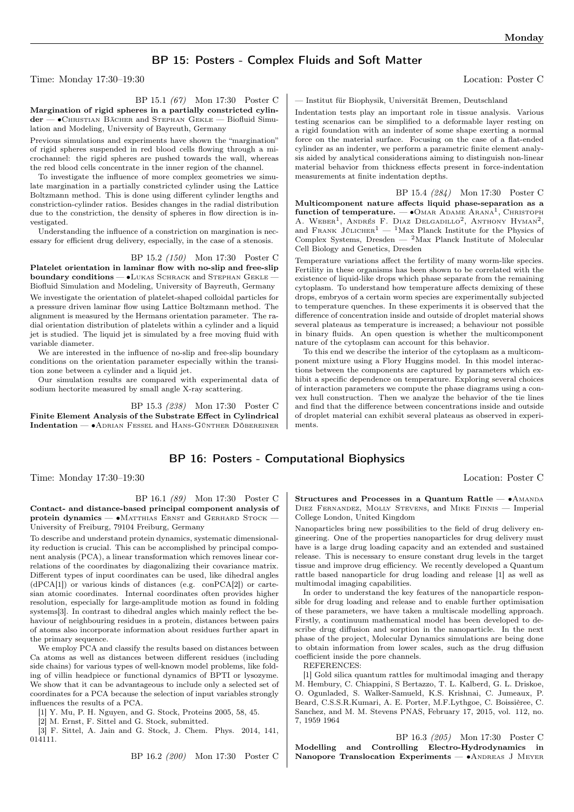## BP 15: Posters - Complex Fluids and Soft Matter

Time: Monday 17:30–19:30 Location: Poster C

BP 15.1 (67) Mon 17:30 Poster C

Margination of rigid spheres in a partially constricted cylinder — ∙Christian Bächer and Stephan Gekle — Biofluid Simulation and Modeling, University of Bayreuth, Germany

Previous simulations and experiments have shown the "margination" of rigid spheres suspended in red blood cells flowing through a microchannel: the rigid spheres are pushed towards the wall, whereas the red blood cells concentrate in the inner region of the channel.

To investigate the influence of more complex geometries we simulate margination in a partially constricted cylinder using the Lattice Boltzmann method. This is done using different cylinder lengths and constriction-cylinder ratios. Besides changes in the radial distribution due to the constriction, the density of spheres in flow direction is investigated.

Understanding the influence of a constriction on margination is necessary for efficient drug delivery, especially, in the case of a stenosis.

### BP 15.2 (150) Mon 17:30 Poster C

Platelet orientation in laminar flow with no-slip and free-slip **boundary conditions — •LUKAS SCHRACK and STEPHAN GEKLE —** Biofluid Simulation and Modeling, University of Bayreuth, Germany

We investigate the orientation of platelet-shaped colloidal particles for a pressure driven laminar flow using Lattice Boltzmann method. The alignment is measured by the Hermans orientation parameter. The radial orientation distribution of platelets within a cylinder and a liquid jet is studied. The liquid jet is simulated by a free moving fluid with variable diameter.

We are interested in the influence of no-slip and free-slip boundary conditions on the orientation parameter especially within the transition zone between a cylinder and a liquid jet.

Our simulation results are compared with experimental data of sodium hectorite measured by small angle X-ray scattering.

BP 15.3 (238) Mon 17:30 Poster C

Finite Element Analysis of the Substrate Effect in Cylindrical Indentation — ∙Adrian Fessel and Hans-Günther Döbereiner

# BP 16: Posters - Computational Biophysics

Time: Monday 17:30–19:30 Location: Poster C

BP 16.1 (89) Mon 17:30 Poster C Contact- and distance-based principal component analysis of protein dynamics — ∙Matthias Ernst and Gerhard Stock — University of Freiburg, 79104 Freiburg, Germany

To describe and understand protein dynamics, systematic dimensionality reduction is crucial. This can be accomplished by principal component analysis (PCA), a linear transformation which removes linear correlations of the coordinates by diagonalizing their covariance matrix. Different types of input coordinates can be used, like dihedral angles (dPCA[1]) or various kinds of distances (e.g. conPCA[2]) or cartesian atomic coordinates. Internal coordinates often provides higher resolution, especially for large-amplitude motion as found in folding systems[3]. In contrast to dihedral angles which mainly reflect the behaviour of neighbouring residues in a protein, distances between pairs of atoms also incorporate information about residues further apart in the primary sequence.

We employ PCA and classify the results based on distances between Ca atoms as well as distances between different residues (including side chains) for various types of well-known model problems, like folding of villin headpiece or functional dynamics of BPTI or lysozyme. We show that it can be advantageous to include only a selected set of coordinates for a PCA because the selection of input variables strongly influences the results of a PCA.

[1] Y. Mu, P. H. Nguyen, and G. Stock, Proteins 2005, 58, 45.

[2] M. Ernst, F. Sittel and G. Stock, submitted.

[3] F. Sittel, A. Jain and G. Stock, J. Chem. Phys. 2014, 141, 014111.

BP 16.2 (200) Mon 17:30 Poster C

— Institut für Biophysik, Universität Bremen, Deutschland

Indentation tests play an important role in tissue analysis. Various testing scenarios can be simplified to a deformable layer resting on a rigid foundation with an indenter of some shape exerting a normal force on the material surface. Focusing on the case of a flat-ended cylinder as an indenter, we perform a parametric finite element analysis aided by analytical considerations aiming to distinguish non-linear material behavior from thickness effects present in force-indentation measurements at finite indentation depths.

BP 15.4 (284) Mon 17:30 Poster C Multicomponent nature affects liquid phase-separation as a function of temperature.  $-$  • Omar Adame Arana<sup>1</sup>, Christoph A. WEBER<sup>1</sup>, ANDRÉS F. DIAZ DELGADILLO<sup>2</sup>, ANTHONY HYMAN<sup>2</sup>, and FRANK JÜLICHER<sup>1</sup> — <sup>1</sup>Max Planck Institute for the Physics of Complex Systems, Dresden — <sup>2</sup>Max Planck Institute of Molecular Cell Biology and Genetics, Dresden

Temperature variations affect the fertility of many worm-like species. Fertility in these organisms has been shown to be correlated with the existence of liquid-like drops which phase separate from the remaining cytoplasm. To understand how temperature affects demixing of these drops, embryos of a certain worm species are experimentally subjected to temperature quenches. In these experiments it is observed that the difference of concentration inside and outside of droplet material shows several plateaus as temperature is increased; a behaviour not possible in binary fluids. An open question is whether the multicomponent nature of the cytoplasm can account for this behavior.

To this end we describe the interior of the cytoplasm as a multicomponent mixture using a Flory Huggins model. In this model interactions between the components are captured by parameters which exhibit a specific dependence on temperature. Exploring several choices of interaction parameters we compute the phase diagrams using a convex hull construction. Then we analyze the behavior of the tie lines and find that the difference between concentrations inside and outside of droplet material can exhibit several plateaus as observed in experiments.

Structures and Processes in a Quantum Rattle —  $•^{\mathrm{A}_{\mathrm{M}{\mathrm{A}}\mathrm{N}{\mathrm{D}}\mathrm{A}}}$ Diez Fernandez, Molly Stevens, and Mike Finnis — Imperial College London, United Kingdom

Nanoparticles bring new possibilities to the field of drug delivery engineering. One of the properties nanoparticles for drug delivery must have is a large drug loading capacity and an extended and sustained release. This is necessary to ensure constant drug levels in the target tissue and improve drug efficiency. We recently developed a Quantum rattle based nanoparticle for drug loading and release [1] as well as multimodal imaging capabilities.

In order to understand the key features of the nanoparticle responsible for drug loading and release and to enable further optimisation of these parameters, we have taken a multiscale modelling approach. Firstly, a continuum mathematical model has been developed to describe drug diffusion and sorption in the nanoparticle. In the next phase of the project, Molecular Dynamics simulations are being done to obtain information from lower scales, such as the drug diffusion coefficient inside the pore channels.

REFERENCES:

[1] Gold silica quantum rattles for multimodal imaging and therapy M. Hembury, C. Chiappini, S Bertazzo, T. L. Kalberd, G. L. Driskoe, O. Ogunladed, S. Walker-Samueld, K.S. Krishnai, C. Jumeaux, P. Beard, C.S.S.R.Kumari, A. E. Porter, M.F.Lythgoe, C. Boissièree, C. Sanchez, and M. M. Stevens PNAS, February 17, 2015, vol. 112, no. 7, 1959 1964

BP 16.3 (205) Mon 17:30 Poster C Modelling and Controlling Electro-Hydrodynamics in Nanopore Translocation Experiments — • ANDREAS J MEYER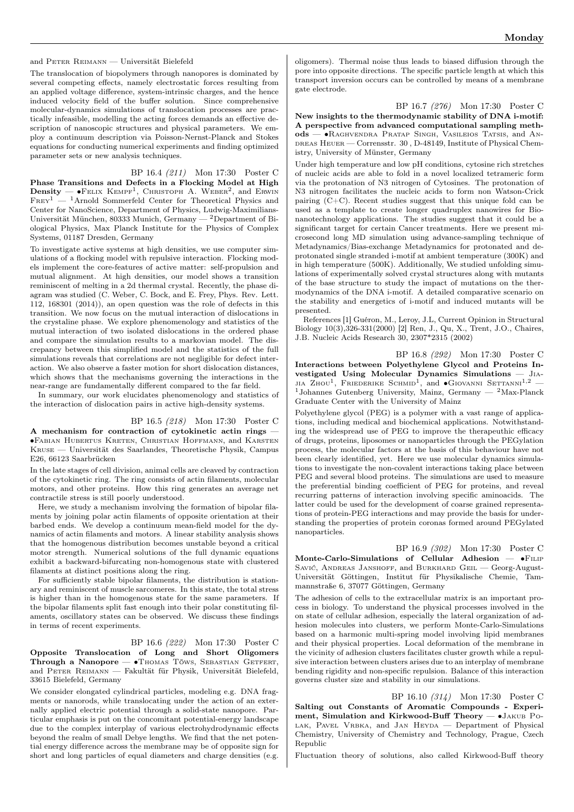#### and Peter Reimann — Universität Bielefeld

The translocation of biopolymers through nanopores is dominated by several competing effects, namely electrostatic forces resulting from an applied voltage difference, system-intrinsic charges, and the hence induced velocity field of the buffer solution. Since comprehensive molecular-dynamics simulations of translocation processes are practically infeasible, modelling the acting forces demands an effective description of nanoscopic structures and physical parameters. We employ a continuum description via Poisson-Nernst-Planck and Stokes equations for conducting numerical experiments and finding optimized parameter sets or new analysis techniques.

BP 16.4 (211) Mon 17:30 Poster C Phase Transitions and Defects in a Flocking Model at High Density —  $\bullet$ FELIX KEMPF<sup>1</sup>, CHRISTOPH A. WEBER<sup>2</sup>, and ERWIN  $F_{REF}^{1}$  – <sup>1</sup>Arnold Sommerfeld Center for Theoretical Physics and Center for NanoScience, Department of Physics, Ludwig-Maximilians-Universität München, 80333 Munich, Germany — <sup>2</sup>Department of Biological Physics, Max Planck Institute for the Physics of Complex Systems, 01187 Dresden, Germany

To investigate active systems at high densities, we use computer simulations of a flocking model with repulsive interaction. Flocking models implement the core-features of active matter: self-propulsion and mutual alignment. At high densities, our model shows a transition reminiscent of melting in a 2d thermal crystal. Recently, the phase diagram was studied (C. Weber, C. Bock, and E. Frey, Phys. Rev. Lett. 112, 168301 (2014)), an open question was the role of defects in this transition. We now focus on the mutual interaction of dislocations in the crystaline phase. We explore phenomenology and statistics of the mutual interaction of two isolated dislocations in the ordered phase and compare the simulation results to a markovian model. The discrepancy between this simplified model and the statistics of the full simulations reveals that correlations are not negligible for defect interaction. We also observe a faster motion for short dislocation distances, which shows that the mechanisms governing the interactions in the near-range are fundamentally different compared to the far field.

In summary, our work elucidates phenomenology and statistics of the interaction of dislocation pairs in active high-density systems.

BP 16.5 (218) Mon 17:30 Poster C A mechanism for contraction of cytokinetic actin rings — ∙Fabian Hubertus Kreten, Christian Hoffmann, and Karsten Kruse — Universität des Saarlandes, Theoretische Physik, Campus E26, 66123 Saarbrücken

In the late stages of cell division, animal cells are cleaved by contraction of the cytokinetic ring. The ring consists of actin filaments, molecular motors, and other proteins. How this ring generates an average net contractile stress is still poorly understood.

Here, we study a mechanism involving the formation of bipolar filaments by joining polar actin filaments of opposite orientation at their barbed ends. We develop a continuum mean-field model for the dynamics of actin filaments and motors. A linear stability analysis shows that the homogenous distribution becomes unstable beyond a critical motor strength. Numerical solutions of the full dynamic equations exhibit a backward-bifurcating non-homogenous state with clustered filaments at distinct positions along the ring.

For sufficiently stable bipolar filaments, the distribution is stationary and reminiscent of muscle sarcomeres. In this state, the total stress is higher than in the homogenous state for the same parameters. If the bipolar filaments split fast enough into their polar constituting filaments, oscillatory states can be observed. We discuss these findings in terms of recent experiments.

#### BP 16.6 (222) Mon 17:30 Poster C

Opposite Translocation of Long and Short Oligomers Through a Nanopore — • Thomas Töws, SEBASTIAN GETFERT, and Peter Reimann — Fakultät für Physik, Universität Bielefeld, 33615 Bielefeld, Germany

We consider elongated cylindrical particles, modeling e.g. DNA fragments or nanorods, while translocating under the action of an externally applied electric potential through a solid-state nanopore. Particular emphasis is put on the concomitant potential-energy landscape due to the complex interplay of various electrohydrodynamic effects beyond the realm of small Debye lengths. We find that the net potential energy difference across the membrane may be of opposite sign for short and long particles of equal diameters and charge densities (e.g.

oligomers). Thermal noise thus leads to biased diffusion through the pore into opposite directions. The specific particle length at which this transport inversion occurs can be controlled by means of a membrane gate electrode.

BP 16.7 (276) Mon 17:30 Poster C

New insights to the thermodynamic stability of DNA i-motif: A perspective from advanced computational sampling methods — ∙Raghvendra Pratap Singh, Vasileios Tatsis, and An-DREAS HEUER — Corrensstr. 30, D-48149, Institute of Physical Chemistry, University of Münster, Germany

Under high temperature and low pH conditions, cytosine rich stretches of nucleic acids are able to fold in a novel localized tetrameric form via the protonation of N3 nitrogen of Cytosines. The protonation of N3 nitrogen facilitates the nucleic acids to form non Watson-Crick pairing  $(C+C)$ . Recent studies suggest that this unique fold can be used as a template to create longer quadruplex nanowires for Bionanotechnology applications. The studies suggest that it could be a significant target for certain Cancer treatments. Here we present microsecond long MD simulation using advance-sampling technique of Metadynamics/Bias-exchange Metadynamics for protonated and deprotonated single stranded i-motif at ambient temperature (300K) and in high temperature (500K). Additionally, We studied unfolding simulations of experimentally solved crystal structures along with mutants of the base structure to study the impact of mutations on the thermodynamics of the DNA i-motif. A detailed comparative scenario on the stability and energetics of i-motif and induced mutants will be presented.

References [1] Guéron, M., Leroy, J.L, Current Opinion in Structural Biology 10(3),326-331(2000) [2] Ren, J., Qu, X., Trent, J.O., Chaires, J.B. Nucleic Acids Research 30, 2307\*2315 (2002)

BP 16.8 (292) Mon 17:30 Poster C Interactions between Polyethylene Glycol and Proteins Investigated Using Molecular Dynamics Simulations — Jia-JIA  $Z_{\text{HOU}}^1$ , Friederike Schmid<sup>1</sup>, and  $\bullet$ Giovanni Settanni<sup>1,2</sup> – <sup>1</sup>Johannes Gutenberg University, Mainz, Germany  $-$  <sup>2</sup>Max-Planck Graduate Center with the University of Mainz

Polyethylene glycol (PEG) is a polymer with a vast range of applications, including medical and biochemical applications. Notwithstanding the widespread use of PEG to improve the therapeuthic efficacy of drugs, proteins, liposomes or nanoparticles through the PEGylation process, the molecular factors at the basis of this behaviour have not been clearly identified, yet. Here we use molecular dynamics simulations to investigate the non-covalent interactions taking place between PEG and several blood proteins. The simulations are used to measure the preferential binding coefficient of PEG for proteins, and reveal recurring patterns of interaction involving specific aminoacids. The latter could be used for the development of coarse grained representations of protein-PEG interactions and may provide the basis for understanding the properties of protein coronas formed around PEGylated nanoparticles.

BP 16.9 (302) Mon 17:30 Poster C Monte-Carlo-Simulations of Cellular Adhesion — •FILIP SAVIĆ, ANDREAS JANSHOFF, and BURKHARD GEIL — Georg-August-Universität Göttingen, Institut für Physikalische Chemie, Tammannstraße 6, 37077 Göttingen, Germany

The adhesion of cells to the extracellular matrix is an important process in biology. To understand the physical processes involved in the on state of cellular adhesion, especially the lateral organization of adhesion molecules into clusters, we perform Monte-Carlo-Simulations based on a harmonic multi-spring model involving lipid membranes and their physical properties. Local deformation of the membrane in the vicinity of adhesion clusters facilitates cluster growth while a repulsive interaction between clusters arises due to an interplay of membrane bending rigidity and non-specific repulsion. Balance of this interaction governs cluster size and stability in our simulations.

BP 16.10 (314) Mon 17:30 Poster C Salting out Constants of Aromatic Compounds - Experiment, Simulation and Kirkwood-Buff Theory — ∙Jakub Po-LAK, PAVEL VRBKA, and JAN HEYDA — Department of Physical Chemistry, University of Chemistry and Technology, Prague, Czech Republic

Fluctuation theory of solutions, also called Kirkwood-Buff theory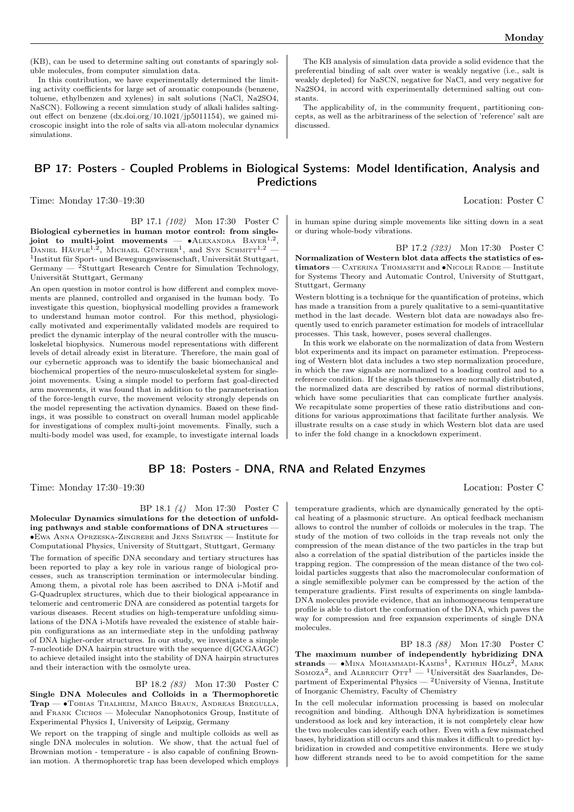(KB), can be used to determine salting out constants of sparingly soluble molecules, from computer simulation data.

In this contribution, we have experimentally determined the limiting activity coefficients for large set of aromatic compounds (benzene, toluene, ethylbenzen and xylenes) in salt solutions (NaCl, Na2SO4, NaSCN). Following a recent simulation study of alkali halides saltingout effect on benzene (dx.doi.org/10.1021/jp5011154), we gained microscopic insight into the role of salts via all-atom molecular dynamics simulations.

BP 17: Posters - Coupled Problems in Biological Systems: Model Identification, Analysis and **Predictions** 

Time: Monday 17:30–19:30 Location: Poster C

BP 17.1 (102) Mon 17:30 Poster C Biological cybernetics in human motor control: from singlejoint to multi-joint movements —  $\bullet$ ALEXANDRA BAYER<sup>1,2</sup>, DANIEL HÄUFLE<sup>1,2</sup>, MICHAEL GÜNTHER<sup>1</sup>, and Syn Schmitt<sup>1,2</sup> -1 Institut für Sport- und Bewegungswissenschaft, Universität Stuttgart, Germany  $-$  <sup>2</sup>Stuttgart Research Centre for Simulation Technology, Universität Stuttgart, Germany

An open question in motor control is how different and complex movements are planned, controlled and organised in the human body. To investigate this question, biophysical modelling provides a framework to understand human motor control. For this method, physiologically motivated and experimentally validated models are required to predict the dynamic interplay of the neural controller with the musculoskeletal biophysics. Numerous model representations with different levels of detail already exist in literature. Therefore, the main goal of our cybernetic approach was to identify the basic biomechanical and biochemical properties of the neuro-musculoskeletal system for singlejoint movements. Using a simple model to perform fast goal-directed arm movements, it was found that in addition to the parameterisation of the force-length curve, the movement velocity strongly depends on the model representing the activation dynamics. Based on these findings, it was possible to construct on overall human model applicable for investigations of complex multi-joint movements. Finally, such a multi-body model was used, for example, to investigate internal loads

## BP 18: Posters - DNA, RNA and Related Enzymes

Time: Monday 17:30–19:30 Location: Poster C

BP 18.1 (4) Mon 17:30 Poster C

Molecular Dynamics simulations for the detection of unfolding pathways and stable conformations of DNA structures — ∙Ewa Anna Oprzeska-Zingrebe and Jens Smiatek — Institute for Computational Physics, University of Stuttgart, Stuttgart, Germany The formation of specific DNA secondary and tertiary structures has been reported to play a key role in various range of biological processes, such as transcription termination or intermolecular binding. Among them, a pivotal role has been ascribed to DNA i-Motif and G-Quadruplex structures, which due to their biological appearance in telomeric and centromeric DNA are considered as potential targets for various diseases. Recent studies on high-temperature unfolding simulations of the DNA i-Motifs have revealed the existence of stable hairpin configurations as an intermediate step in the unfolding pathway of DNA higher-order structures. In our study, we investigate a simple 7-nucleotide DNA hairpin structure with the sequence d(GCGAAGC) to achieve detailed insight into the stability of DNA hairpin structures and their interaction with the osmolyte urea.

BP 18.2 (83) Mon 17:30 Poster C Single DNA Molecules and Colloids in a Thermophoretic Trap — ∙Tobias Thalheim, Marco Braun, Andreas Bregulla, and Frank Cichos — Molecular Nanophotonics Group, Institute of Experimental Physics I, University of Leipzig, Germany

We report on the trapping of single and multiple colloids as well as single DNA molecules in solution. We show, that the actual fuel of Brownian motion - temperature - is also capable of confining Brownian motion. A thermophoretic trap has been developed which employs

The KB analysis of simulation data provide a solid evidence that the preferential binding of salt over water is weakly negative (i.e., salt is weakly depleted) for NaSCN, negative for NaCl, and very negative for Na2SO4, in accord with experimentally determined salting out constants.

The applicability of, in the community frequent, partitioning concepts, as well as the arbitrariness of the selection of 'reference' salt are discussed.

in human spine during simple movements like sitting down in a seat or during whole-body vibrations.

BP 17.2 (323) Mon 17:30 Poster C Normalization of Western blot data affects the statistics of estimators — CATERINA THOMASETH and ●NICOLE RADDE — Institute for Systems Theory and Automatic Control, University of Stuttgart, Stuttgart, Germany

Western blotting is a technique for the quantification of proteins, which has made a transition from a purely qualitative to a semi-quantitative method in the last decade. Western blot data are nowadays also frequently used to enrich parameter estimation for models of intracellular processes. This task, however, poses several challenges.

In this work we elaborate on the normalization of data from Western blot experiments and its impact on parameter estimation. Preprocessing of Western blot data includes a two step normalization procedure, in which the raw signals are normalized to a loading control and to a reference condition. If the signals themselves are normally distributed, the normalized data are described by ratios of normal distributions, which have some peculiarities that can complicate further analysis. We recapitulate some properties of these ratio distributions and conditions for various approximations that facilitate further analysis. We illustrate results on a case study in which Western blot data are used to infer the fold change in a knockdown experiment.

temperature gradients, which are dynamically generated by the optical heating of a plasmonic structure. An optical feedback mechanism allows to control the number of colloids or molecules in the trap. The study of the motion of two colloids in the trap reveals not only the compression of the mean distance of the two particles in the trap but also a correlation of the spatial distribution of the particles inside the trapping region. The compression of the mean distance of the two colloidal particles suggests that also the macromolecular conformation of a single semiflexible polymer can be compressed by the action of the temperature gradients. First results of experiments on single lambda-DNA molecules provide evidence, that an inhomogeneous temperature

profile is able to distort the conformation of the DNA, which paves the way for compression and free expansion experiments of single DNA molecules.

BP 18.3 (88) Mon 17:30 Poster C The maximum number of independently hybridizing DNA strands —  $\bullet$ Mina Mohammadi-Kambs<sup>1</sup>, Kathrin Hölz<sup>2</sup>, Mark SOMOZA<sup>2</sup>, and ALBRECHT  $\text{OTT}^1 - {}^1\text{University}$  des Saarlandes, Department of Experimental Physics — <sup>2</sup>University of Vienna, Institute of Inorganic Chemistry, Faculty of Chemistry

In the cell molecular information processing is based on molecular recognition and binding. Although DNA hybridization is sometimes understood as lock and key interaction, it is not completely clear how the two molecules can identify each other. Even with a few mismatched bases, hybridization still occurs and this makes it difficult to predict hybridization in crowded and competitive environments. Here we study how different strands need to be to avoid competition for the same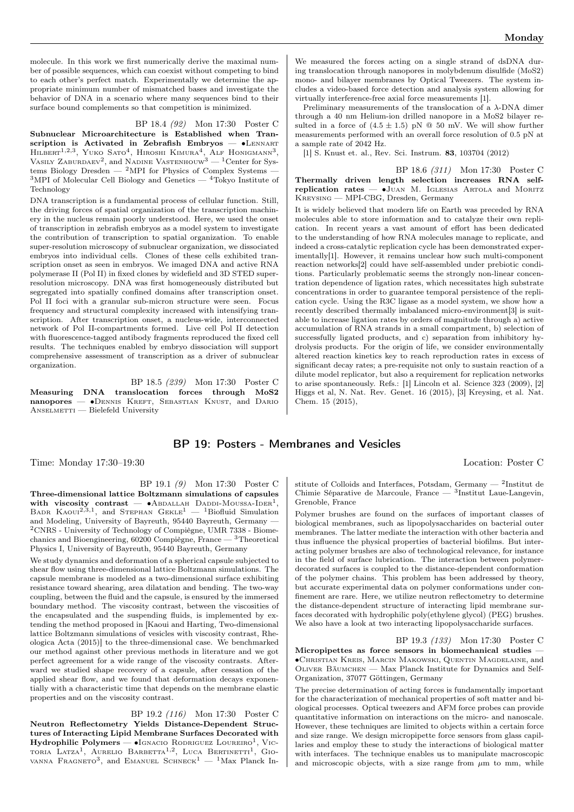molecule. In this work we first numerically derive the maximal number of possible sequences, which can coexist without competing to bind to each other's perfect match. Experimentally we determine the appropriate minimum number of mismatched bases and investigate the behavior of DNA in a scenario where many sequences bind to their surface bound complements so that competition is minimized.

#### BP 18.4 (92) Mon 17:30 Poster C

Subnuclear Microarchitecture is Established when Transcription is Activated in Zebrafish Embryos — •LENNART Hilbert<sup>1,2,3</sup>, Yuko Sato<sup>4</sup>, Hiroshi Kimura<sup>4</sup>, Alf Honigmann<sup>3</sup>, Vasily Zaburdaev<sup>2</sup>, and Nadine Vastenhouw<sup>3</sup> — <sup>1</sup>Center for Systems Biology Dresden —  $^2$ MPI for Physics of Complex Systems –  ${}^{3}\text{MPI}$  of Molecular Cell Biology and Genetics  $-{}^{4}\text{Tokyo Institute of}$ Technology

DNA transcription is a fundamental process of cellular function. Still, the driving forces of spatial organization of the transcription machinery in the nucleus remain poorly understood. Here, we used the onset of transcription in zebrafish embryos as a model system to investigate the contribution of transcription to spatial organization. To enable super-resolution microscopy of subnuclear organization, we dissociated embryos into individual cells. Clones of these cells exhibited transcription onset as seen in embryos. We imaged DNA and active RNA polymerase II (Pol II) in fixed clones by widefield and 3D STED superresolution microscopy. DNA was first homogeneously distributed but segregated into spatially confined domains after transcription onset. Pol II foci with a granular sub-micron structure were seen. Focus frequency and structural complexity increased with intensifying transcription. After transcription onset, a nucleus-wide, interconnected network of Pol II-compartments formed. Live cell Pol II detection with fluorescence-tagged antibody fragments reproduced the fixed cell results. The techniques enabled by embryo dissociation will support comprehensive assessment of transcription as a driver of subnuclear organization.

BP 18.5 (239) Mon 17:30 Poster C Measuring DNA translocation forces through MoS2 nanopores — •DENNIS KREFT, SEBASTIAN KNUST, and DARIO ANSELMETTI — Bielefeld University

We measured the forces acting on a single strand of dsDNA during translocation through nanopores in molybdenum disulfide (MoS2) mono- and bilayer membranes by Optical Tweezers. The system includes a video-based force detection and analysis system allowing for virtually interference-free axial force measurements [1].

Preliminary measurements of the translocation of a  $\lambda$ -DNA dimer through a 40 nm Helium-ion drilled nanopore in a MoS2 bilayer resulted in a force of  $(4.5 \pm 1.5)$  pN @ 50 mV. We will show further measurements performed with an overall force resolution of 0.5 pN at a sample rate of 2042 Hz.

[1] S. Knust et. al., Rev. Sci. Instrum. 83, 103704 (2012)

BP 18.6 (311) Mon 17:30 Poster C Thermally driven length selection increases RNA selfreplication rates — •JUAN M. IGLESIAS ARTOLA and MORITZ Kreysing — MPI-CBG, Dresden, Germany

It is widely believed that modern life on Earth was preceded by RNA molecules able to store information and to catalyze their own replication. In recent years a vast amount of effort has been dedicated to the understanding of how RNA molecules manage to replicate, and indeed a cross-catalytic replication cycle has been demonstrated experimentally[1]. However, it remains unclear how such multi-component reaction networks[2] could have self-assembled under prebiotic conditions. Particularly problematic seems the strongly non-linear concentration dependence of ligation rates, which necessitates high substrate concentrations in order to guarantee temporal persistence of the replication cycle. Using the R3C ligase as a model system, we show how a recently described thermally imbalanced micro-environment[3] is suitable to increase ligation rates by orders of magnitude through a) active accumulation of RNA strands in a small compartment, b) selection of successfully ligated products, and c) separation from inhibitory hydrolysis products. For the origin of life, we consider environmentally altered reaction kinetics key to reach reproduction rates in excess of significant decay rates; a pre-requisite not only to sustain reaction of a dilute model replicator, but also a requirement for replication networks to arise spontaneously. Refs.: [1] Lincoln et al. Science 323 (2009), [2] Higgs et al, N. Nat. Rev. Genet. 16 (2015), [3] Kreysing, et al. Nat. Chem. 15 (2015),

### BP 19: Posters - Membranes and Vesicles

Time: Monday 17:30–19:30 Location: Poster C

BP 19.1 (9) Mon 17:30 Poster C Three-dimensional lattice Boltzmann simulations of capsules with viscosity contrast — •ABDALLAH DADDI-MOUSSA-IDER<sup>1</sup>, BADR KAOUI<sup>2,3,1</sup>, and Stephan Gekle<sup>1</sup> — <sup>1</sup>Biofluid Simulation and Modeling, University of Bayreuth, 95440 Bayreuth, Germany — <sup>2</sup>CNRS - University of Technology of Compiègne, UMR 7338 - Biomechanics and Bioengineering, 60200 Compiègne, France — $\rm{^3Theoretical}$ Physics I, University of Bayreuth, 95440 Bayreuth, Germany

We study dynamics and deformation of a spherical capsule subjected to shear flow using three-dimensional lattice Boltzmann simulations. The capsule membrane is modeled as a two-dimensional surface exhibiting resistance toward shearing, area dilatation and bending. The two-way coupling, between the fluid and the capsule, is ensured by the immersed boundary method. The viscosity contrast, between the viscosities of the encapsulated and the suspending fluids, is implemented by extending the method proposed in [Kaoui and Harting, Two-dimensional lattice Boltzmann simulations of vesicles with viscosity contrast, Rheologica Acta (2015)] to the three-dimensional case. We benchmarked our method against other previous methods in literature and we got perfect agreement for a wide range of the viscosity contrasts. Afterward we studied shape recovery of a capsule, after cessation of the applied shear flow, and we found that deformation decays exponentially with a characteristic time that depends on the membrane elastic properties and on the viscosity contrast.

BP 19.2 (116) Mon 17:30 Poster C Neutron Reflectometry Yields Distance-Dependent Structures of Interacting Lipid Membrane Surfaces Decorated with  ${\rm Hydrophilic~Polymers} \longrightarrow {\rm Jgnacio~Rophic {Loureno}^1}, {\rm Vic-}$ toria Latza<sup>1</sup>, Aurelio Barbetta<sup>1,2</sup>, Luca Bertinetti<sup>1</sup>, Giovanna Fragneto<sup>3</sup>, and Emanuel Schneck<sup>1</sup> — <sup>1</sup>Max Planck In-

stitute of Colloids and Interfaces, Potsdam, Germany — <sup>2</sup> Institut de Chimie Séparative de Marcoule, France — <sup>3</sup> Institut Laue-Langevin, Grenoble, France

Polymer brushes are found on the surfaces of important classes of biological membranes, such as lipopolysaccharides on bacterial outer membranes. The latter mediate the interaction with other bacteria and thus influence the physical properties of bacterial biofilms. But interacting polymer brushes are also of technological relevance, for instance in the field of surface lubrication. The interaction between polymerdecorated surfaces is coupled to the distance-dependent conformation of the polymer chains. This problem has been addressed by theory, but accurate experimental data on polymer conformations under confinement are rare. Here, we utilize neutron reflectometry to determine the distance-dependent structure of interacting lipid membrane surfaces decorated with hydrophilic poly(ethylene glycol) (PEG) brushes. We also have a look at two interacting lipopolysaccharide surfaces.

BP 19.3 (133) Mon 17:30 Poster C Micropipettes as force sensors in biomechanical studies — ∙Christian Kreis, Marcin Makowski, Quentin Magdelaine, and Oliver Bäumchen — Max Planck Institute for Dynamics and Self-Organization, 37077 Göttingen, Germany

The precise determination of acting forces is fundamentally important for the characterization of mechanical properties of soft matter and biological processes. Optical tweezers and AFM force probes can provide quantitative information on interactions on the micro- and nanoscale. However, these techniques are limited to objects within a certain force and size range. We design micropipette force sensors from glass capillaries and employ these to study the interactions of biological matter with interfaces. The technique enables us to manipulate macroscopic and microscopic objects, with a size range from  $\mu$ m to mm, while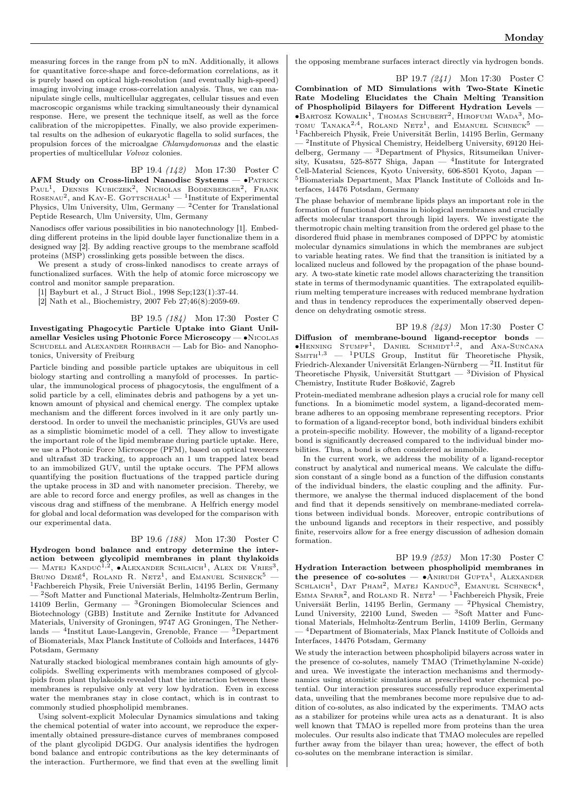measuring forces in the range from pN to mN. Additionally, it allows for quantitative force-shape and force-deformation correlations, as it is purely based on optical high-resolution (and eventually high-speed) imaging involving image cross-correlation analysis. Thus, we can manipulate single cells, multicellular aggregates, cellular tissues and even macroscopic organisms while tracking simultaneously their dynamical response. Here, we present the technique itself, as well as the force calibration of the micropipettes. Finally, we also provide experimental results on the adhesion of eukaryotic flagella to solid surfaces, the propulsion forces of the microalgae Chlamydomonas and the elastic properties of multicellular Volvox colonies.

BP 19.4 (142) Mon 17:30 Poster C AFM Study on Cross-linked Nanodisc Systems — ∙Patrick Paul<sup>1</sup>, Dennis Kubiczek<sup>2</sup>, Nicholas Bodenberger<sup>2</sup>, Frank ROSENAU<sup>2</sup>, and KAY-E. GOTTSCHALK<sup>1</sup> — <sup>1</sup>Institute of Experimental Physics, Ulm University, Ulm, Germany — <sup>2</sup>Center for Translational Peptide Research, Ulm University, Ulm, Germany

Nanodiscs offer various possibilities in bio nanotechnology [1]. Embedding different proteins in the lipid double layer functionalize them in a designed way [2]. By adding reactive groups to the membrane scaffold proteins (MSP) crosslinking gets possible between the discs.

We present a study of cross-linked nanodiscs to create arrays of functionalized surfaces. With the help of atomic force microscopy we control and monitor sample preparation.

[1] Bayburt et al., J Struct Biol., 1998 Sep;123(1):37-44.

[2] Nath et al., Biochemistry, 2007 Feb 27;46(8):2059-69.

BP 19.5 (184) Mon 17:30 Poster C Investigating Phagocytic Particle Uptake into Giant Unilamellar Vesicles using Photonic Force Microscopy — ∙Nicolas SCHUDELL and ALEXANDER ROHRBACH — Lab for Bio- and Nanophotonics, University of Freiburg

Particle binding and possible particle uptakes are ubiquitous in cell biology starting and controlling a manyfold of processes. In particular, the immunological process of phagocytosis, the engulfment of a solid particle by a cell, eliminates debris and pathogens by a yet unknown amount of physical and chemical energy. The complex uptake mechanism and the different forces involved in it are only partly understood. In order to unveil the mechanistic principles, GUVs are used as a simplistic biomimetic model of a cell. They allow to investigate the important role of the lipid membrane during particle uptake. Here, we use a Photonic Force Microscope (PFM), based on optical tweezers and ultrafast 3D tracking, to approach an 1 um trapped latex bead to an immobilized GUV, until the uptake occurs. The PFM allows quantifying the position fluctuations of the trapped particle during the uptake process in 3D and with nanometer precision. Thereby, we are able to record force and energy profiles, as well as changes in the viscous drag and stiffness of the membrane. A Helfrich energy model for global and local deformation was developed for the comparison with our experimental data.

#### BP 19.6 (188) Mon 17:30 Poster C

Hydrogen bond balance and entropy determine the interaction between glycolipid membranes in plant thylakoids — MATEJ KANDUČ<sup>1,2</sup>, ●ALEXANDER SCHLAICH<sup>1</sup>, ALEX DE VRIES<sup>3</sup>, BRUNO  $Dem\epsilon^4$ , ROLAND R. Netz<sup>1</sup>, and EMANUEL SCHNECK<sup>5</sup> – <sup>1</sup>Fachbereich Physik, Freie Universiät Berlin, 14195 Berlin, Germany — <sup>2</sup>Soft Matter and Functional Materials, Helmholtz-Zentrum Berlin, 14109 Berlin, Germany  $-$  <sup>3</sup>Groningen Biomolecular Sciences and Biotechnology (GBB) Institute and Zernike Institute for Advanced Materials, University of Groningen, 9747 AG Groningen, The Netherlands — <sup>4</sup> Institut Laue-Langevin, Grenoble, France — <sup>5</sup>Department of Biomaterials, Max Planck Institute of Colloids and Interfaces, 14476 Potsdam, Germany

Naturally stacked biological membranes contain high amounts of glycolipids. Swelling experiments with membranes composed of glycolipids from plant thylakoids revealed that the interaction between these membranes is repulsive only at very low hydration. Even in excess water the membranes stay in close contact, which is in contrast to commonly studied phospholipid membranes.

Using solvent-explicit Molecular Dynamics simulations and taking the chemical potential of water into account, we reproduce the experimentally obtained pressure-distance curves of membranes composed of the plant glycolipid DGDG. Our analysis identifies the hydrogen bond balance and entropic contributions as the key determinants of the interaction. Furthermore, we find that even at the swelling limit the opposing membrane surfaces interact directly via hydrogen bonds.

BP 19.7 (241) Mon 17:30 Poster C Combination of MD Simulations with Two-State Kinetic Rate Modeling Elucidates the Chain Melting Transition of Phospholipid Bilayers for Different Hydration Levels — ∙Bartosz Kowalik<sup>1</sup> , Thomas Schubert<sup>2</sup> , Hirofumi Wada<sup>3</sup> , Mo-TOMU TANAKA<sup>2,4</sup>, ROLAND NETZ<sup>1</sup>, and EMANUEL SCHNECK<sup>5</sup> –

<sup>1</sup>Fachbereich Physik, Freie Universität Berlin, 14195 Berlin, Germany — <sup>2</sup> Institute of Physical Chemistry, Heidelberg University, 69120 Heidelberg, Germany — <sup>3</sup>Department of Physics, Ritsumeikan University, Kusatsu, 525-8577 Shiga, Japan — <sup>4</sup>Institute for Intergrated Cell-Material Sciences, Kyoto University, 606-8501 Kyoto, Japan — <sup>5</sup>Biomaterials Department, Max Planck Institute of Colloids and Interfaces, 14476 Potsdam, Germany

The phase behavior of membrane lipids plays an important role in the formation of functional domains in biological membranes and crucially affects molecular transport through lipid layers. We investigate the thermotropic chain melting transition from the ordered gel phase to the disordered fluid phase in membranes composed of DPPC by atomistic molecular dynamics simulations in which the membranes are subject to variable heating rates. We find that the transition is initiated by a localized nucleus and followed by the propagation of the phase boundary. A two-state kinetic rate model allows characterizing the transition state in terms of thermodynamic quantities. The extrapolated equilibrium melting temperature increases with reduced membrane hydration and thus in tendency reproduces the experimentally observed dependence on dehydrating osmotic stress.

BP 19.8 (243) Mon 17:30 Poster C Diffusion of membrane-bound ligand-receptor bonds — ∙Henning Stumpf<sup>1</sup> , Daniel Schmidt1,<sup>2</sup> , and Ana-Sunčana  $S$ MITH<sup>1,3</sup> — <sup>1</sup>PULS Group, Institut für Theoretische Physik, Friedrich-Alexander Universität Erlangen-Nürnberg — <sup>2</sup> II. Institut für Theoretische Physik, Universität Stuttgart —  ${}^{3}$ Division of Physical Chemistry, Institute Ruđer Bošković, Zagreb

Protein-mediated membrane adhesion plays a crucial role for many cell functions. In a biomimetic model system, a ligand-decorated membrane adheres to an opposing membrane representing receptors. Prior to formation of a ligand-receptor bond, both individual binders exhibit a protein-specific mobility. However, the mobility of a ligand-receptor bond is significantly decreased compared to the individual binder mobilities. Thus, a bond is often considered as immobile.

In the current work, we address the mobility of a ligand-receptor construct by analytical and numerical means. We calculate the diffusion constant of a single bond as a function of the diffusion constants of the individual binders, the elastic coupling and the affinity. Furthermore, we analyse the thermal induced displacement of the bond and find that it depends sensitively on membrane-mediated correlations between individual bonds. Moreover, entropic contributions of the unbound ligands and receptors in their respective, and possibly finite, reservoirs allow for a free energy discussion of adhesion domain formation.

BP 19.9 (253) Mon 17:30 Poster C Hydration Interaction between phospholipid membranes in the presence of co-solutes — • ANIRUDH GUPTA<sup>1</sup>, ALEXANDER SCHLAICH<sup>1</sup>, DAT PHAM<sup>2</sup>, MATEJ KANDUČ<sup>3</sup>, EMANUEL SCHNECK<sup>4</sup>, EMMA SPARR<sup>2</sup>, and ROLAND R. NETZ<sup>1</sup> - <sup>1</sup>Fachbereich Physik, Freie Universiät Berlin, 14195 Berlin, Germany — <sup>2</sup>Physical Chemistry, Lund University, 22100 Lund, Sweden — <sup>3</sup>Soft Matter and Functional Materials, Helmholtz-Zentrum Berlin, 14109 Berlin, Germany — <sup>4</sup>Department of Biomaterials, Max Planck Institute of Colloids and Interfaces, 14476 Potsdam, Germany

We study the interaction between phospholipid bilayers across water in the presence of co-solutes, namely TMAO (Trimethylamine N-oxide) and urea. We investigate the interaction mechanisms and thermodynamics using atomistic simulations at prescribed water chemical potential. Our interaction pressures successfully reproduce experimental data, unveiling that the membranes become more repulsive due to addition of co-solutes, as also indicated by the experiments. TMAO acts as a stabilizer for proteins while urea acts as a denaturant. It is also well known that TMAO is repelled more from proteins than the urea molecules. Our results also indicate that TMAO molecules are repelled further away from the bilayer than urea; however, the effect of both co-solutes on the membrane interaction is similar.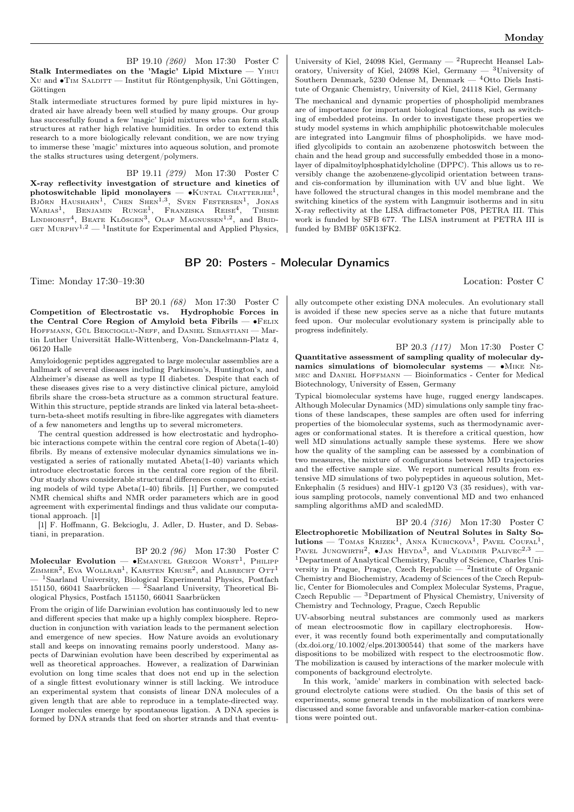BP 19.10 (260) Mon 17:30 Poster C Stalk Intermediates on the 'Magic' Lipid Mixture — Yihui Xu and ∙Tim Salditt — Institut für Röntgenphysik, Uni Göttingen, Göttingen

Stalk intermediate structures formed by pure lipid mixtures in hydrated air have already been well studied by many groups. Our group has successfully found a few 'magic' lipid mixtures who can form stalk structures at rather high relative humidities. In order to extend this research to a more biologically relevant condition, we are now trying to immerse these 'magic' mixtures into aqueous solution, and promote the stalks structures using detergent/polymers.

BP 19.11 (279) Mon 17:30 Poster C X-ray reflectivity investgation of structure and kinetics of  $\mathbf{photoswitchable}$  lipid monolayers —  $\bullet$ KUNTAL CHATTERJEE<sup>1</sup>, Björn Haushahn<sup>1</sup>, Chen Shen<sup>1,3</sup>, Sven Festersen<sup>1</sup>, Jonas<br>Warias<sup>1</sup>, Benjamin Runge<sup>1</sup>, Franziska Reise<sup>4</sup>, Thisbe<br>Lindhorst<sup>4</sup>, Beate Klösgen<sup>3</sup>, Olaf Magnussen<sup>1,2</sup>, and Brid-GET MURPHY<sup>1,2</sup>  $-$  <sup>1</sup>Institute for Experimental and Applied Physics,

University of Kiel, 24098 Kiel, Germany —  ${}^{2}$ Ruprecht Heansel Laboratory, University of Kiel, 24098 Kiel, Germany  $-$  <sup>3</sup>University of Southern Denmark, 5230 Odense M, Denmark — <sup>4</sup>Otto Diels Institute of Organic Chemistry, University of Kiel, 24118 Kiel, Germany The mechanical and dynamic properties of phospholipid membranes

are of importance for important biological functions, such as switching of embedded proteins. In order to investigate these properties we study model systems in which amphiphilic photoswitchable molecules are integrated into Langmuir films of phospholipids. we have modified glycolipids to contain an azobenzene photoswitch between the chain and the head group and successfully embedded those in a monolayer of dipalmitoylphosphatidylcholine (DPPC). This allows us to reversibly change the azobenzene-glycolipid orientation between transand cis-conformation by illumination with UV and blue light. We have followed the structural changes in this model membrane and the switching kinetics of the system with Langmuir isotherms and in situ X-ray reflectivity at the LISA diffractometer P08, PETRA III. This work is funded by SFB 677. The LISA instrument at PETRA III is funded by BMBF 05K13FK2.

## BP 20: Posters - Molecular Dynamics

Time: Monday 17:30–19:30 Location: Poster C

BP 20.1 (68) Mon 17:30 Poster C Competition of Electrostatic vs. Hydrophobic Forces in the Central Core Region of Amyloid beta Fibrils — ∙Felix Hoffmann, Gül Bekcioglu-Neff, and Daniel Sebastiani — Martin Luther Universität Halle-Wittenberg, Von-Danckelmann-Platz 4, 06120 Halle

Amyloidogenic peptides aggregated to large molecular assemblies are a hallmark of several diseases including Parkinson's, Huntington's, and Alzheimer's disease as well as type II diabetes. Despite that each of these diseases gives rise to a very distinctive clinical picture, amyloid fibrils share the cross-beta structure as a common structural feature. Within this structure, peptide strands are linked via lateral beta-sheetturn-beta-sheet motifs resulting in fibre-like aggregates with diameters of a few nanometers and lengths up to several micrometers.

The central question addressed is how electrostatic and hydrophobic interactions compete within the central core region of Abeta(1-40) fibrils. By means of extensive molecular dynamics simulations we investigated a series of rationally mutated Abeta(1-40) variants which introduce electrostatic forces in the central core region of the fibril. Our study shows considerable structural differences compared to existing models of wild type Abeta(1-40) fibrils. [1] Further, we computed NMR chemical shifts and NMR order parameters which are in good agreement with experimental findings and thus validate our computational approach. [1]

[1] F. Hoffmann, G. Bekcioglu, J. Adler, D. Huster, and D. Sebastiani, in preparation.

#### BP 20.2 (96) Mon 17:30 Poster C

 $\mathbf M$ olecular Evolution —  $\bullet$ Emanuel Gregor Worst<sup>1</sup>, Philipp  $Z$ IMMER<sup>2</sup>, EVA WOLLRAB<sup>1</sup>, KARSTEN KRUSE<sup>2</sup>, and ALBRECHT OTT<sup>1</sup> <sup>1</sup>Saarland University, Biological Experimental Physics, Postfach 151150, 66041 Saarbrücken — <sup>2</sup>Saarland University, Theoretical Biological Physics, Postfach 151150, 66041 Saarbrücken

From the origin of life Darwinian evolution has continuously led to new and different species that make up a highly complex biosphere. Reproduction in conjunction with variation leads to the permanent selection and emergence of new species. How Nature avoids an evolutionary stall and keeps on innovating remains poorly understood. Many aspects of Darwinian evolution have been described by experimental as well as theoretical approaches. However, a realization of Darwinian evolution on long time scales that does not end up in the selection of a single fittest evolutionary winner is still lacking. We introduce an experimental system that consists of linear DNA molecules of a given length that are able to reproduce in a template-directed way. Longer molecules emerge by spontaneous ligation. A DNA species is formed by DNA strands that feed on shorter strands and that eventu-

ally outcompete other existing DNA molecules. An evolutionary stall is avoided if these new species serve as a niche that future mutants feed upon. Our molecular evolutionary system is principally able to progress indefinitely.

BP 20.3 (117) Mon 17:30 Poster C Quantitative assessment of sampling quality of molecular dynamics simulations of biomolecular systems — •MIKE NEmec and Daniel Hoffmann — Bioinformatics - Center for Medical Biotechnology, University of Essen, Germany

Typical biomolecular systems have huge, rugged energy landscapes. Although Molecular Dynamics (MD) simulations only sample tiny fractions of these landscapes, these samples are often used for inferring properties of the biomolecular systems, such as thermodynamic averages or conformational states. It is therefore a critical question, how well MD simulations actually sample these systems. Here we show how the quality of the sampling can be assessed by a combination of two measures, the mixture of configurations between MD trajectories and the effective sample size. We report numerical results from extensive MD simulations of two polypeptides in aqueous solution, Met-Enkephalin (5 residues) and HIV-1 gp120 V3 (35 residues), with various sampling protocols, namely conventional MD and two enhanced sampling algorithms aMD and scaledMD.

BP 20.4 (316) Mon 17:30 Poster C Electrophoretic Mobilization of Neutral Solutes in Salty So $lutions$  — TOMAS  $KRIZEK<sup>1</sup>$ , ANNA  $KUBICKOVA<sup>1</sup>$ , PAVEL COUFAL<sup>1</sup>, PAVEL JUNGWIRTH<sup>2</sup>,  $\bullet$ JAN HEYDA<sup>3</sup>, and VLADIMIR PALIVEC<sup>2,3</sup> – <sup>1</sup>Department of Analytical Chemistry, Faculty of Science, Charles University in Prague, Prague, Czech Republic —  $2$ Institute of Organic Chemistry and Biochemistry, Academy of Sciences of the Czech Republic, Center for Biomolecules and Complex Molecular Systems, Prague, Czech Republic — <sup>3</sup>Department of Physical Chemistry, University of Chemistry and Technology, Prague, Czech Republic

UV-absorbing neutral substances are commonly used as markers of mean electroosmotic flow in capillary electrophoresis. However, it was recently found both experimentally and computationally  $(dx.doi.org/10.1002/elps.201300544)$  that some of the markers have dispositions to be mobilized with respect to the electroosmotic flow. The mobilization is caused by interactions of the marker molecule with components of background electrolyte.

In this work, 'amide' markers in combination with selected background electrolyte cations were studied. On the basis of this set of experiments, some general trends in the mobilization of markers were discussed and some favorable and unfavorable marker-cation combinations were pointed out.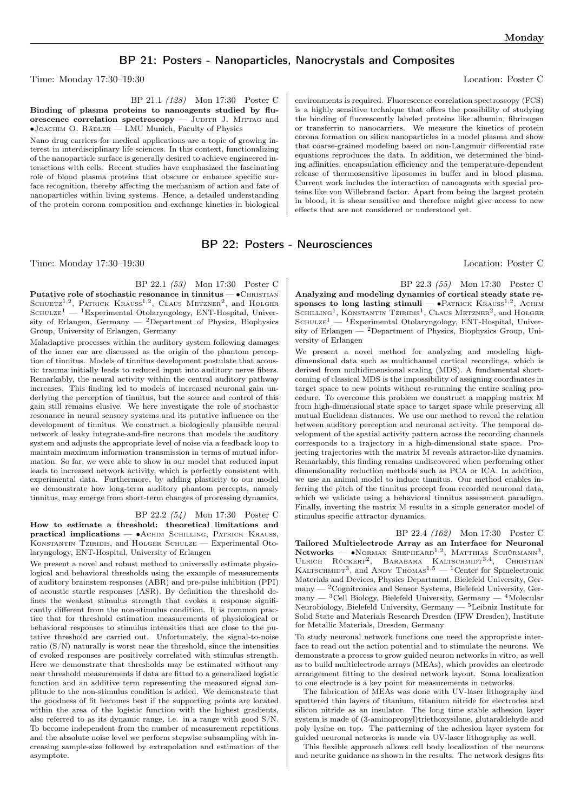## BP 21: Posters - Nanoparticles, Nanocrystals and Composites

Time: Monday 17:30–19:30 Location: Poster C

BP 21.1 (128) Mon 17:30 Poster C Binding of plasma proteins to nanoagents studied by flu-

orescence correlation spectroscopy  $-$  JUDITH J. MITTAG and ∙Joachim O. Rädler — LMU Munich, Faculty of Physics

Nano drug carriers for medical applications are a topic of growing interest in interdisciplinary life sciences. In this context, functionalizing of the nanoparticle surface is generally desired to achieve engineered interactions with cells. Recent studies have emphasized the fascinating role of blood plasma proteins that obscure or enhance specific surface recognition, thereby affecting the mechanism of action and fate of nanoparticles within living systems. Hence, a detailed understanding of the protein corona composition and exchange kinetics in biological

BP 22: Posters - Neurosciences

Time: Monday 17:30–19:30 Location: Poster C

BP 22.1 (53) Mon 17:30 Poster C Putative role of stochastic resonance in tinnitus — •CHRISTIAN

SCHUETZ<sup>1,2</sup>, PATRICK KRAUSS<sup>1,2</sup>, CLAUS METZNER<sup>2</sup>, and HOLGER  $S$ CHULZE<sup>1</sup> — <sup>1</sup>Experimental Otolaryngology, ENT-Hospital, University of Erlangen, Germany  $-$  <sup>2</sup>Department of Physics, Biophysics Group, University of Erlangen, Germany

Maladaptive processes within the auditory system following damages of the inner ear are discussed as the origin of the phantom perception of tinnitus. Models of tinnitus development postulate that acoustic trauma initially leads to reduced input into auditory nerve fibers. Remarkably, the neural activity within the central auditory pathway increases. This finding led to models of increased neuronal gain underlying the perception of tinnitus, but the source and control of this gain still remains elusive. We here investigate the role of stochastic resonance in neural sensory systems and its putative influence on the development of tinnitus. We construct a biologically plausible neural network of leaky integrate-and-fire neurons that models the auditory system and adjusts the appropriate level of noise via a feedback loop to maintain maximum information transmission in terms of mutual information. So far, we were able to show in our model that reduced input leads to increased network activity, which is perfectly consistent with experimental data. Furthermore, by adding plasticity to our model we demonstrate how long-term auditory phantom percepts, namely tinnitus, may emerge from short-term changes of processing dynamics.

#### BP 22.2 (54) Mon 17:30 Poster C

How to estimate a threshold: theoretical limitations and practical implications — ∙Achim Schilling, Patrick Krauss, Konstantin Tziridis, and Holger Schulze — Experimental Otolaryngology, ENT-Hospital, University of Erlangen

We present a novel and robust method to universally estimate physiological and behavioral thresholds using the example of measurements of auditory brainstem responses (ABR) and pre-pulse inhibition (PPI) of acoustic startle responses (ASR). By definition the threshold defines the weakest stimulus strength that evokes a response significantly different from the non-stimulus condition. It is common practice that for threshold estimation measurements of physiological or behavioral responses to stimulus intensities that are close to the putative threshold are carried out. Unfortunately, the signal-to-noise ratio  $(S/N)$  naturally is worst near the threshold, since the intensities of evoked responses are positively correlated with stimulus strength. Here we demonstrate that thresholds may be estimated without any near threshold measurements if data are fitted to a generalized logistic function and an additive term representing the measured signal amplitude to the non-stimulus condition is added. We demonstrate that the goodness of fit becomes best if the supporting points are located within the area of the logistic function with the highest gradients, also referred to as its dynamic range, i.e. in a range with good S/N. To become independent from the number of measurement repetitions and the absolute noise level we perform stepwise subsampling with increasing sample-size followed by extrapolation and estimation of the asymptote.

environments is required. Fluorescence correlation spectroscopy (FCS) is a highly sensitive technique that offers the possibility of studying the binding of fluorescently labeled proteins like albumin, fibrinogen or transferrin to nanocarriers. We measure the kinetics of protein corona formation on silica nanoparticles in a model plasma and show that coarse-grained modeling based on non-Langmuir differential rate equations reproduces the data. In addition, we determined the binding affinities, encapsulation efficiency and the temperature-dependent release of thermosensitive liposomes in buffer and in blood plasma. Current work includes the interaction of nanoagents with special proteins like von Willebrand factor. Apart from being the largest protein in blood, it is shear sensitive and therefore might give access to new effects that are not considered or understood yet.

BP 22.3 (55) Mon 17:30 Poster C Analyzing and modeling dynamics of cortical steady state responses to long lasting stimuli —  $\bullet$ PATRICK KRAUSS<sup>1,2</sup>, ACHIM SCHILLING<sup>1</sup>, KONSTANTIN TZIRIDIS<sup>1</sup>, CLAUS METZNER<sup>2</sup>, and HOLGER  $S$ CHULZE<sup>1</sup> — <sup>1</sup>Experimental Otolaryngology, ENT-Hospital, University of Erlangen —  $^2$ Department of Physics, Biophysics Group, University of Erlangen

We present a novel method for analyzing and modeling highdimensional data such as multichannel cortical recordings, which is derived from multidimensional scaling (MDS). A fundamental shortcoming of classical MDS is the impossibility of assigning coordinates in target space to new points without re-running the entire scaling procedure. To overcome this problem we construct a mapping matrix M from high-dimensional state space to target space while preserving all mutual Euclidean distances. We use our method to reveal the relation between auditory perception and neuronal activity. The temporal development of the spatial activity pattern across the recording channels corresponds to a trajectory in a high-dimensional state space. Projecting trajectories with the matrix M reveals attractor-like dynamics. Remarkably, this finding remains undiscovered when performing other dimensionality reduction methods such as PCA or ICA. In addition, we use an animal model to induce tinnitus. Our method enables inferring the pitch of the tinnitus precept from recorded neuronal data, which we validate using a behavioral tinnitus assessment paradigm. Finally, inverting the matrix M results in a simple generator model of stimulus specific attractor dynamics.

BP 22.4 (162) Mon 17:30 Poster C Tailored Multielectrode Array as an Interface for Neuronal Networks — •Norman Shepheard<sup>1,2</sup>, Matthias Schürmann<sup>3</sup>, ULRICH RÜCKERT<sup>2</sup>, BARABARA KALTSCHMIDT<sup>3,4</sup>, CHRISTIAN  $K$ ALTSCHMIDT<sup>3</sup>, and ANDY THOMAS<sup>1,5</sup> — <sup>1</sup>Center for Spinelectronic Materials and Devices, Physics Department, Bielefeld University, Ger- $\,$  many  $\,$  2Cognitronics and Sensor Systems, Bielefeld University, Ger $m$ any — <sup>3</sup>Cell Biology, Bielefeld University, Germany — <sup>4</sup>Molecular Neurobiology, Bielefeld University, Germany — <sup>5</sup>Leibniz Institute for Solid State and Materials Research Dresden (IFW Dresden), Institute for Metallic Materials, Dresden, Germany

To study neuronal network functions one need the appropriate interface to read out the action potential and to stimulate the neurons. We demonstrate a process to grow guided neuron networks in vitro, as well as to build multielectrode arrays (MEAs), which provides an electrode arrangement fitting to the desired network layout. Soma localization to one electrode is a key point for measurements in networks.

The fabrication of MEAs was done with UV-laser lithography and sputtered thin layers of titanium, titanium nitride for electrodes and silicon nitride as an insulator. The long time stable adhesion layer system is made of (3-aminopropyl)triethoxysilane, glutaraldehyde and poly lysine on top. The patterning of the adhesion layer system for guided neuronal networks is made via UV-laser lithography as well.

This flexible approach allows cell body localization of the neurons and neurite guidance as shown in the results. The network designs fits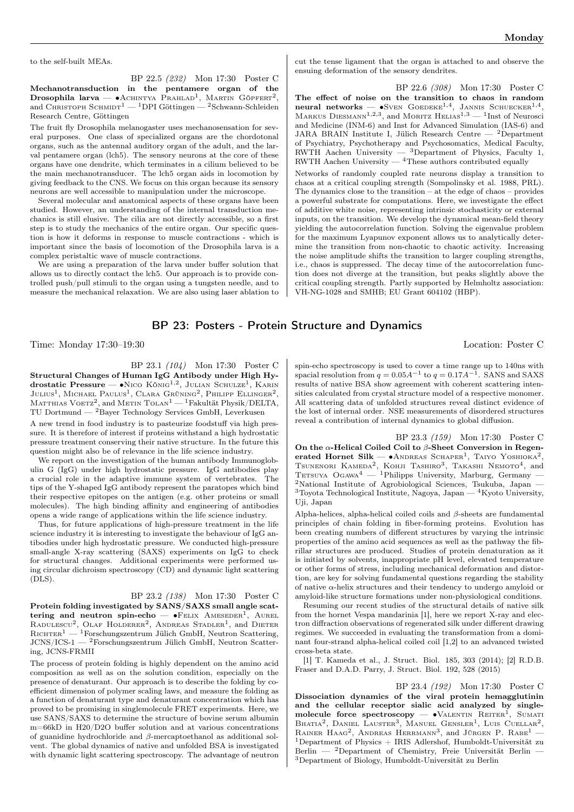to the self-built MEAs.

BP 22.5 (232) Mon 17:30 Poster C Mechanotransduction in the pentamere organ of the Drosophila larva —  $\bullet$ Achintya Prahlad<sup>1</sup>, Martin Göpfert<sup>2</sup>, and CHRISTOPH SCHMIDT<sup>1</sup> — <sup>1</sup>DPI Göttingen — <sup>2</sup>Schwann-Schleiden Research Centre, Göttingen

The fruit fly Drosophila melanogaster uses mechanosensation for several purposes. One class of specialized organs are the chordotonal organs, such as the antennal auditory organ of the adult, and the larval pentamere organ (lch5). The sensory neurons at the core of these organs have one dendrite, which terminates in a cilium believed to be the main mechanotransducer. The lch5 organ aids in locomotion by giving feedback to the CNS. We focus on this organ because its sensory neurons are well accessible to manipulation under the microscope.

Several molecular and anatomical aspects of these organs have been studied. However, an understanding of the internal transduction mechanics is still elusive. The cilia are not directly accessible, so a first step is to study the mechanics of the entire organ. Our specific question is how it deforms in response to muscle contractions - which is important since the basis of locomotion of the Drosophila larva is a complex peristaltic wave of muscle contractions.

We are using a preparation of the larva under buffer solution that allows us to directly contact the lch5. Our approach is to provide controlled push/pull stimuli to the organ using a tungsten needle, and to measure the mechanical relaxation. We are also using laser ablation to

cut the tense ligament that the organ is attached to and observe the ensuing deformation of the sensory dendrites.

BP 22.6 (308) Mon 17:30 Poster C The effect of noise on the transition to chaos in random neural networks —  $\bullet$ Sven Goedeke<sup>1,4</sup>, Jannis Schuecker<sup>1,4</sup>, MARKUS DIESMANN<sup>1,2,3</sup>, and MORITZ HELIAS<sup>1,3</sup> — <sup>1</sup>Inst of Neurosci and Medicine (INM-6) and Inst for Advanced Simulation (IAS-6) and JARA BRAIN Institute I, Jülich Research Centre — <sup>2</sup>Department of Psychiatry, Psychotherapy and Psychosomatics, Medical Faculty, RWTH Aachen University — 3Department of Physics, Faculty 1,  $RWTH$  Aachen University  $-{}^{4}$ These authors contributed equally

Networks of randomly coupled rate neurons display a transition to chaos at a critical coupling strength (Sompolinsky et al. 1988, PRL). The dynamics close to the transition – at the edge of chaos – provides a powerful substrate for computations. Here, we investigate the effect of additive white noise, representing intrinsic stochasticity or external inputs, on the transition. We develop the dynamical mean-field theory yielding the autocorrelation function. Solving the eigenvalue problem for the maximum Lyapunov exponent allows us to analytically determine the transition from non-chaotic to chaotic activity. Increasing the noise amplitude shifts the transition to larger coupling strengths, i.e., chaos is suppressed. The decay time of the autocorrelation function does not diverge at the transition, but peaks slightly above the critical coupling strength. Partly supported by Helmholtz association: VH-NG-1028 and SMHB; EU Grant 604102 (HBP).

## BP 23: Posters - Protein Structure and Dynamics

Time: Monday 17:30–19:30 Location: Poster C

BP 23.1 (104) Mon 17:30 Poster C Structural Changes of Human IgG Antibody under High Hydrostatic Pressure —  $\bullet$ Nico König<sup>1,2</sup>, Julian Schulze<sup>1</sup>, Karin  $\text{Julus}^1$ , Michael Paulus<sup>1</sup>, Clara Grüning<sup>2</sup>, Philipp Ellinger<sup>2</sup>, Маттніаs Voetz $^2$ , and Metin Tolan $^1-$  Fakultät Physik/DELTA, TU Dortmund  $-$  <sup>2</sup>Bayer Technology Services GmbH, Leverkusen

A new trend in food industry is to pasteurize foodstuff via high pressure. It is therefore of interest if proteins withstand a high hydrostatic pressure treatment conserving their native structure. In the future this question might also be of relevance in the life science industry.

We report on the investigation of the human antibody Immunoglobulin G (IgG) under high hydrostatic pressure. IgG antibodies play a crucial role in the adaptive immune system of vertebrates. The tips of the Y-shaped IgG antibody represent the paratopes which bind their respective epitopes on the antigen (e.g. other proteins or small molecules). The high binding affinity and engineering of antibodies opens a wide range of applications within the life science industry.

Thus, for future applications of high-pressure treatment in the life science industry it is interesting to investigate the behaviour of IgG antibodies under high hydrostatic pressure. We conducted high-pressure small-angle X-ray scattering (SAXS) experiments on IgG to check for structural changes. Additional experiments were performed using circular dichroism spectroscopy (CD) and dynamic light scattering (DLS).

#### BP 23.2 (138) Mon 17:30 Poster C

Protein folding investigated by SANS/SAXS small angle scattering and neutron spin-echo —  $\bullet$ FELIX AMESEDER<sup>1</sup>, AUREL RADULESCU<sup>2</sup>, OLAF HOLDERER<sup>2</sup>, ANDREAS STADLER<sup>1</sup>, and DIETER  $R$ ICHTER<sup>1</sup> — <sup>1</sup>Forschungszentrum Jülich GmbH, Neutron Scattering, JCNS/ICS-1 — <sup>2</sup>Forschungszentrum Jülich GmbH, Neutron Scattering, JCNS-FRMII

The process of protein folding is highly dependent on the amino acid composition as well as on the solution condition, especially on the presence of denaturant. Our approach is to describe the folding by coefficient dimension of polymer scaling laws, and measure the folding as a function of denaturant type and denaturant concentration which has proved to be promising in singlemolecule FRET experiments. Here, we use SANS/SAXS to determine the structure of bovine serum albumin m=66kD in H20/D2O buffer solution and at various concentrations of guanidine hydrochloride and  $\beta$ -mercaptoethanol as additional solvent. The global dynamics of native and unfolded BSA is investigated with dynamic light scattering spectroscopy. The advantage of neutron

spin-echo spectroscopy is used to cover a time range up to 140ns with spacial resolution from  $q = 0.05A^{-1}$  to  $q = 0.17A^{-1}$ . SANS and SAXS results of native BSA show agreement with coherent scattering intensities calculated from crystal structure model of a respective monomer. All scattering data of unfolded structures reveal distinct evidence of the lost of internal order. NSE measurements of disordered structures reveal a contribution of internal dynamics to global diffusion.

BP 23.3 (159) Mon 17:30 Poster C On the  $\alpha$ -Helical Coiled Coil to  $\beta$ -Sheet Conversion in Regenerated Hornet Silk —  $\bullet$ Andreas Schaper<sup>1</sup>, Taiyo Yoshioka<sup>2</sup>, TSUNENORI KAMEDA<sup>2</sup>, KOHJI TASHIRO<sup>3</sup>, TAKASHI NEMOTO<sup>4</sup>, and<br>TETSUYA OGAWA<sup>4</sup> — <sup>1</sup>Philipps University, Marburg, Germany — <sup>2</sup>National Institute of Agrobiological Sciences, Tsukuba, Japan —  $3$ Toyota Technological Institute, Nagoya, Japan —  $4$ Kyoto University, Uji, Japan

Alpha-helices, alpha-helical coiled coils and  $\beta$ -sheets are fundamental principles of chain folding in fiber-forming proteins. Evolution has been creating numbers of different structures by varying the intrinsic properties of the amino acid sequences as well as the pathway the fibrillar structures are produced. Studies of protein denaturation as it is initiated by solvents, inappropriate pH level, elevated temperature or other forms of stress, including mechanical deformation and distortion, are key for solving fundamental questions regarding the stability of native  $\alpha$ -helix structures and their tendency to undergo amyloid or amyloid-like structure formations under non-physiological conditions.

Resuming our recent studies of the structural details of native silk from the hornet Vespa mandarinia [1], here we report X-ray and electron diffraction observations of regenerated silk under different drawing regimes. We succeeded in evaluating the transformation from a dominant four-strand alpha-helical coiled coil [1,2] to an advanced twisted cross-beta state.

[1] T. Kameda et al., J. Struct. Biol. 185, 303 (2014); [2] R.D.B. Fraser and D.A.D. Parry, J. Struct. Biol. 192, 528 (2015)

BP 23.4 (192) Mon 17:30 Poster C Dissociation dynamics of the viral protein hemagglutinin and the cellular receptor sialic acid analyzed by singlemolecule force spectroscopy —  $\bullet$ VALENTIN REITER<sup>1</sup>, SUMATI BHATIA<sup>2</sup>, DANIEL LAUSTER<sup>3</sup>, MANUEL GENSLER<sup>1</sup>, LUIS CUELLAR<sup>2</sup>, RAINER HAAG<sup>2</sup>, ANDREAS HERRMANN<sup>3</sup>, and JÜRGEN P. RABE<sup>1</sup> – <sup>1</sup>Department of Physics  $+$  IRIS Adlershof, Humboldt-Universität zu Berlin — <sup>2</sup>Department of Chemistry, Freie Universität Berlin — <sup>3</sup>Department of Biology, Humboldt-Universität zu Berlin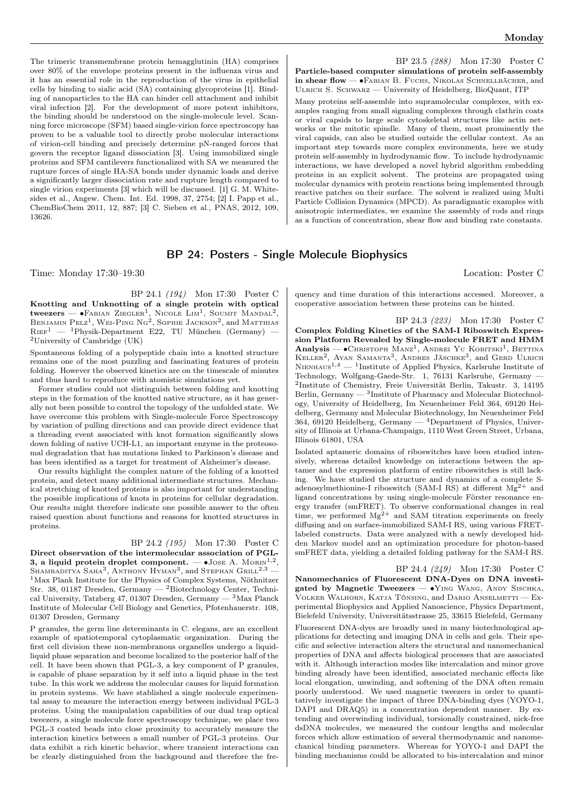BP 23.5 (288) Mon 17:30 Poster C

The trimeric transmembrane protein hemagglutinin (HA) comprises over 80% of the envelope proteins present in the influenza virus and it has an essential role in the reproduction of the virus in epithelial cells by binding to sialic acid (SA) containing glycoproteins [1]. Binding of nanoparticles to the HA can hinder cell attachment and inhibit viral infection [2]. For the development of more potent inhibitors, the binding should be understood on the single-molecule level. Scanning force microscope (SFM) based single-virion force spectroscopy has proven to be a valuable tool to directly probe molecular interactions of virion-cell binding and precisely determine pN-ranged forces that govern the receptor ligand dissociation [3]. Using immobilized single proteins and SFM cantilevers functionalized with SA we measured the rupture forces of single HA-SA bonds under dynamic loads and derive a significantly larger dissociation rate and rupture length compared to single virion experiments [3] which will be discussed. [1] G. M. Whitesides et al., Angew. Chem. Int. Ed. 1998, 37, 2754; [2] I. Papp et al., ChemBioChem 2011, 12, 887; [3] C. Sieben et al., PNAS, 2012, 109, 13626.

## BP 24: Posters - Single Molecule Biophysics

Time: Monday 17:30–19:30 Location: Poster C

BP 24.1 (194) Mon 17:30 Poster C Knotting and Unknotting of a single protein with optical tweezers — •Fавіан Ziegler<sup>1</sup>, Nicole Lim<sup>1</sup>, Soumit Mandal<sup>2</sup>, Benjamin Pelz<sup>1</sup>, Wei-Ping Ng<sup>2</sup>, Sophie Jackson<sup>2</sup>, and Matthias  $\mathrm{Ri}\mathrm{E}\mathrm{F}^1$  —  $^1\mathrm{Physik}\text{-}\mathrm{Department}$  E22, TU München (Germany) — <sup>2</sup>University of Cambridge  $(UK)$ 

Spontaneous folding of a polypeptide chain into a knotted structure remains one of the most puzzling and fascinating features of protein folding. However the observed kinetics are on the timescale of minutes and thus hard to reproduce with atomistic simulations yet.

Former studies could not distinguish between folding and knotting steps in the formation of the knotted native structure, as it has generally not been possible to control the topology of the unfolded state. We have overcome this problem with Single-molecule Force Spectroscopy by variation of pulling directions and can provide direct evidence that a threading event associated with knot formation significantly slows down folding of native UCH-L1, an important enzyme in the proteosomal degradation that has mutations linked to Parkinson's disease and has been identified as a target for treatment of Alzheimer's disease.

Our results highlight the complex nature of the folding of a knotted protein, and detect many additional intermediate structures. Mechanical stretching of knotted proteins is also important for understanding the possible implications of knots in proteins for cellular degradation. Our results might therefore indicate one possible answer to the often raised question about functions and reasons for knotted structures in proteins.

#### BP 24.2 (195) Mon 17:30 Poster C

Direct observation of the intermolecular association of PGL-3, a liquid protein droplet component.  $\bullet$ Jose A. Morin<sup>1,2</sup>, SHAMBADITYA SAHA<sup>3</sup>, ANTHONY HYMAN<sup>3</sup>, and STEPHAN GRILL<sup>2,3</sup> —  $^1$ Max Plank Institute for the Physics of Complex Systems, Nöthnitzer Str. 38, 01187 Dresden, Germany — <sup>2</sup>Biotechnology Center, Technical University, Tatzberg 47, 01307 Dresden, Germany — <sup>3</sup>Max Planck Institute of Molecular Cell Biology and Genetics, Pfotenhauerstr. 108, 01307 Dresden, Germany

P granules, the germ line determinants in C. elegans, are an excellent example of spatiotemporal cytoplasmatic organization. During the first cell division these non-membranous organelles undergo a liquidliquid phase separation and become localized to the posterior half of the cell. It have been shown that PGL-3, a key component of P granules, is capable of phase separation by it self into a liquid phase in the test tube. In this work we address the molecular causes for liquid formation in protein systems. We have stablished a single molecule experimental assay to measure the interaction energy between individual PGL-3 proteins. Using the manipulation capabilities of our dual trap optical tweezers, a single molecule force spectroscopy technique, we place two PGL-3 coated beads into close proximity to accurately measure the interaction kinetics between a small number of PGL-3 proteins. Our data exhibit a rich kinetic behavior, where transient interactions can be clearly distinguished from the background and therefore the fre-

quency and time duration of this interactions accessed. Moreover, a cooperative association between these proteins can be hinted.

Particle-based computer simulations of protein self-assembly in shear flow — •FABIAN B. FUCHS, NIKOLAS SCHNELLBÄCHER, and Ulrich S. Schwarz — University of Heidelberg, BioQuant, ITP Many proteins self-assemble into supramolecular complexes, with examples ranging from small signaling complexes through clathrin coats or viral capsids to large scale cytoskeletal structures like actin networks or the mitotic spindle. Many of them, most prominently the viral capsids, can also be studied outside the cellular context. As an important step towards more complex environments, here we study protein self-assembly in hydrodynamic flow. To include hydrodynamic interactions, we have developed a novel hybrid algorithm embedding proteins in an explicit solvent. The proteins are propagated using molecular dynamics with protein reactions being implemented through reactive patches on their surface. The solvent is realized using Multi Particle Collision Dynamics (MPCD). As paradigmatic examples with anisotropic intermediates, we examine the assembly of rods and rings as a function of concentration, shear flow and binding rate constants.

BP 24.3 (223) Mon 17:30 Poster C Complex Folding Kinetics of the SAM-I Riboswitch Expression Platform Revealed by Single-molecule FRET and HMM  $\textbf{Analysis} \longrightarrow \textbf{CHRISTOPH} \ \text{MANz}^1, \ \text{ANDREI} \ \text{YU} \ \text{KOBITSKI}^1, \ \text{BETTINA}$ KELLER<sup>2</sup>, AYAN SAMANTA<sup>3</sup>, ANDRES JÄSCHKE<sup>3</sup>, and GERD ULRICH NIENHAUS<sup>1,4</sup>  $-$  <sup>1</sup>Institute of Applied Physics, Karlsruhe Institute of Technology, Wolfgang-Gaede-Str. 1, 76131 Karlsruhe, Germany -2 Institute of Chemistry, Freie Universität Berlin, Takustr. 3, 14195 Berlin, Germany — <sup>3</sup> Institute of Pharmacy and Molecular Biotechnology, University of Heidelberg, Im Neuenheimer Feld 364, 69120 Heidelberg, Germany and Molecular Biotechnology, Im Neuenheimer Feld 364, 69120 Heidelberg, Germany  $-$  <sup>4</sup>Department of Physics, University of Illinois at Urbana-Champaign, 1110 West Green Street, Urbana, Illinois 61801, USA

Isolated aptameric domains of riboswitches have been studied intensively, whereas detailed knowledge on interactions between the aptamer and the expression platform of entire riboswitches is still lacking. We have studied the structure and dynamics of a complete Sadenosylmethionine-I riboswitch (SAM-I RS) at different  $Mg^{2+}$  and ligand concentrations by using single-molecule Förster resonance energy transfer (smFRET). To observe conformational changes in real time, we performed  $Mg^{2+}$  and SAM titration experiments on freely diffusing and on surface-immobilized SAM-I RS, using various FRETlabeled constructs. Data were analyzed with a newly developed hidden Markov model and an optimization procedure for photon-based smFRET data, yielding a detailed folding pathway for the SAM-I RS.

BP 24.4 (249) Mon 17:30 Poster C Nanomechanics of Fluorescent DNA-Dyes on DNA investigated by Magnetic Tweezers — •YING WANG, ANDY SISCHKA, Volker Walhorn, Katja Tönsing, and Dario Anselmetti — Experimental Biophysics and Applied Nanoscience, Physics Department, Bielefeld University, Universitätsstrasse 25, 33615 Bielefeld, Germany Fluorescent DNA-dyes are broadly used in many biotechnological applications for detecting and imaging DNA in cells and gels. Their specific and selective interaction alters the structural and nanomechanical properties of DNA and affects biological processes that are associated with it. Although interaction modes like intercalation and minor grove binding already have been identified, associated mechanic effects like local elongation, unwinding, and softening of the DNA often remain poorly understood. We used magnetic tweezers in order to quantitatively investigate the impact of three DNA-binding dyes (YOYO-1, DAPI and DRAQ5) in a concentration dependent manner. By extending and overwinding individual, torsionally constrained, nick-free dsDNA molecules, we measured the contour lengths and molecular forces which allow estimation of several thermodynamic and nanomechanical binding parameters. Whereas for YOYO-1 and DAPI the binding mechanisms could be allocated to bis-intercalation and minor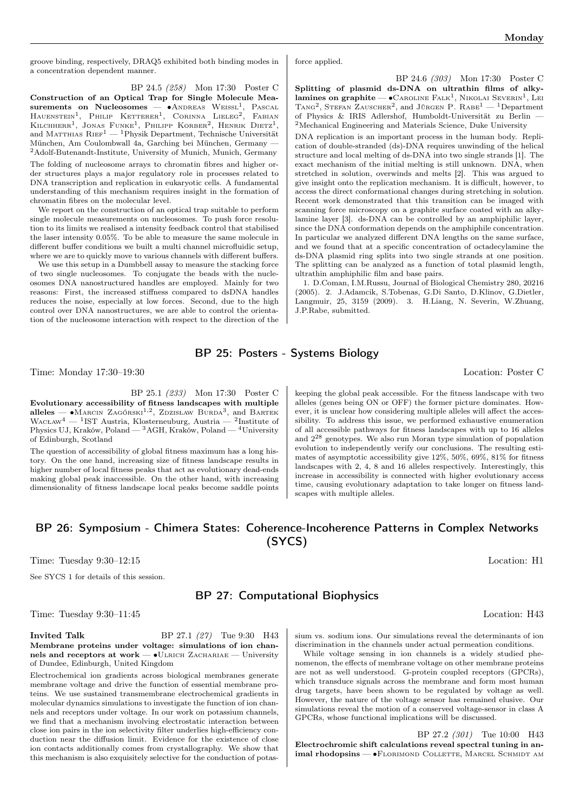groove binding, respectively, DRAQ5 exhibited both binding modes in a concentration dependent manner.

BP 24.5 (258) Mon 17:30 Poster C Construction of an Optical Trap for Single Molecule Measurements on Nucleosomes — •Andreas Weissl<sup>1</sup>, Pascal<br>Hauenstein<sup>1</sup>, Philip Ketterer<sup>1</sup>, Corinna Lieleg<sup>2</sup>, Fabian Kilchherr<sup>1</sup>, Jonas Funke<sup>1</sup>, Philipp Korber<sup>2</sup>, Henrik Dietz<sup>1</sup>, and MATTHIAS  $RIEF<sup>1</sup>$  — <sup>1</sup>Physik Department, Technische Universität München, Am Coulombwall 4a, Garching bei München, Germany —  ${\rm ^2A}{\rm dolf-Butenandt-Institute},$  University of Munich, Munich, Germany

The folding of nucleosome arrays to chromatin fibres and higher order structures plays a major regulatory role in processes related to DNA transcription and replication in eukaryotic cells. A fundamental understanding of this mechanism requires insight in the formation of chromatin fibres on the molecular level.

We report on the construction of an optical trap suitable to perform single molecule measurements on nucleosomes. To push force resolution to its limits we realised a intensity feedback control that stabilised the laser intensity 0.05%. To be able to measure the same molecule in different buffer conditions we built a multi channel microfluidic setup, where we are to quickly move to various channels with different buffers.

We use this setup in a Dumbbell assay to measure the stacking force of two single nucleosomes. To conjugate the beads with the nucleosomes DNA nanostructured handles are employed. Mainly for two reasons: First, the increased stiffness compared to dsDNA handles reduces the noise, especially at low forces. Second, due to the high control over DNA nanostructures, we are able to control the orientation of the nucleosome interaction with respect to the direction of the

#### force applied.

BP 24.6 (303) Mon 17:30 Poster C Splitting of plasmid ds-DNA on ultrathin films of alky**lamines on graphite** —  $\bullet$ Caroline Falk<sup>1</sup>, Nikolai Severin<sup>1</sup>, Lei<br>Tang<sup>2</sup>, Stefan Zauscher<sup>2</sup>, and Jürgen P. Rabe<sup>1</sup> — <sup>1</sup>Department of Physics & IRIS Adlershof, Humboldt-Universität zu Berlin — <sup>2</sup>Mechanical Engineering and Materials Science, Duke University

DNA replication is an important process in the human body. Replication of double-stranded (ds)-DNA requires unwinding of the helical structure and local melting of ds-DNA into two single strands [1]. The exact mechanism of the initial melting is still unknown. DNA, when stretched in solution, overwinds and melts [2]. This was argued to give insight onto the replication mechanism. It is difficult, however, to access the direct conformational changes during stretching in solution. Recent work demonstrated that this transition can be imaged with scanning force microscopy on a graphite surface coated with an alkylamine layer [3]. ds-DNA can be controlled by an amphiphilic layer, since the DNA conformation depends on the amphiphile concentration. In particular we analyzed different DNA lengths on the same surface, and we found that at a specific concentration of octadecylamine the ds-DNA plasmid ring splits into two single strands at one position. The splitting can be analyzed as a function of total plasmid length, ultrathin amphiphilic film and base pairs.

1. D.Coman, I.M.Russu, Journal of Biological Chemistry 280, 20216 (2005). 2. J.Adamcik, S.Tobenas, G.Di Santo, D.Klinov, G.Dietler, Langmuir, 25, 3159 (2009). 3. H.Liang, N. Severin, W.Zhuang, J.P.Rabe, submitted.

## BP 25: Posters - Systems Biology

Time: Monday 17:30–19:30 Location: Poster C

BP 25.1 (233) Mon 17:30 Poster C

Evolutionary accessibility of fitness landscapes with multiple alleles — • MARCIN ZAGÓRSKI<sup>1,2</sup>, ZDZISŁAW BURDA<sup>3</sup>, and BARTEK WACŁAW<sup>4</sup> — <sup>1</sup>IST Austria, Klosterneuburg, Austria — <sup>2</sup>Institute of Physics UJ, Kraków, Poland — <sup>3</sup>AGH, Kraków, Poland — <sup>4</sup>University of Edinburgh, Scotland

The question of accessibility of global fitness maximum has a long history. On the one hand, increasing size of fitness landscape results in higher number of local fitness peaks that act as evolutionary dead-ends making global peak inaccessible. On the other hand, with increasing dimensionality of fitness landscape local peaks become saddle points

keeping the global peak accessible. For the fitness landscape with two alleles (genes being ON or OFF) the former picture dominates. However, it is unclear how considering multiple alleles will affect the accessibility. To address this issue, we performed exhaustive enumeration of all accessible pathways for fitness landscapes with up to 16 alleles and 2<sup>28</sup> genotypes. We also run Moran type simulation of population evolution to independently verify our conclusions. The resulting estimates of asymptotic accessibility give 12%, 50%, 69%, 81% for fitness landscapes with 2, 4, 8 and 16 alleles respectively. Interestingly, this increase in accessibility is connected with higher evolutionary access time, causing evolutionary adaptation to take longer on fitness landscapes with multiple alleles.

## BP 26: Symposium - Chimera States: Coherence-Incoherence Patterns in Complex Networks (SYCS)

Time: Tuesday 9:30–12:15 Location: H1

See SYCS 1 for details of this session.

## BP 27: Computational Biophysics

Time: Tuesday 9:30–11:45 Location: H43

**Invited Talk** BP 27.1 (27) Tue 9:30 H43 Membrane proteins under voltage: simulations of ion channels and receptors at work — • ULRICH ZACHARIAE — University of Dundee, Edinburgh, United Kingdom

Electrochemical ion gradients across biological membranes generate membrane voltage and drive the function of essential membrane proteins. We use sustained transmembrane electrochemical gradients in molecular dynamics simulations to investigate the function of ion channels and receptors under voltage. In our work on potassium channels, we find that a mechanism involving electrostatic interaction between close ion pairs in the ion selectivity filter underlies high-efficiency conduction near the diffusion limit. Evidence for the existence of close ion contacts additionally comes from crystallography. We show that this mechanism is also exquisitely selective for the conduction of potassium vs. sodium ions. Our simulations reveal the determinants of ion discrimination in the channels under actual permeation conditions.

While voltage sensing in ion channels is a widely studied phenomenon, the effects of membrane voltage on other membrane proteins are not as well understood. G-protein coupled receptors (GPCRs), which transduce signals across the membrane and form most human drug targets, have been shown to be regulated by voltage as well. However, the nature of the voltage sensor has remained elusive. Our simulations reveal the motion of a conserved voltage-sensor in class A GPCRs, whose functional implications will be discussed.

BP 27.2 (301) Tue 10:00 H43 Electrochromic shift calculations reveal spectral tuning in animal rhodopsins — •Florimond Collette, Marcel Schmidt am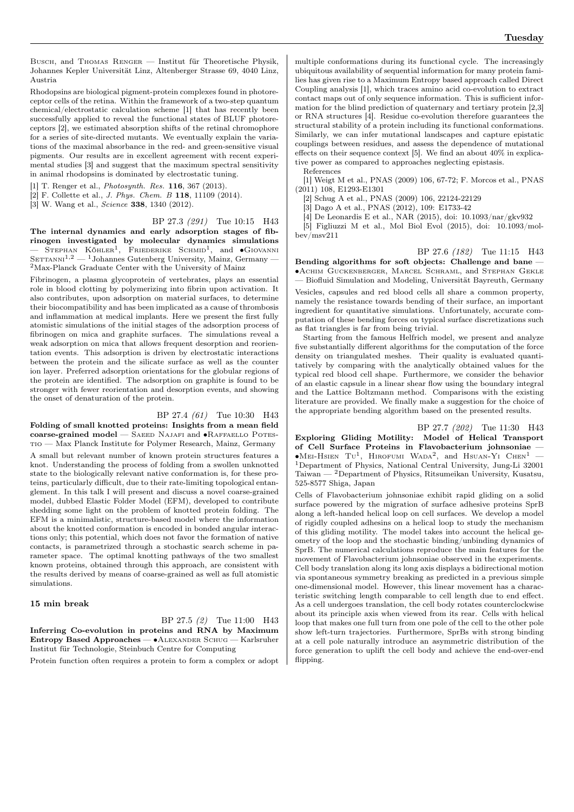Busch, and Thomas Renger — Institut für Theoretische Physik, Johannes Kepler Universität Linz, Altenberger Strasse 69, 4040 Linz, Austria

Rhodopsins are biological pigment-protein complexes found in photoreceptor cells of the retina. Within the framework of a two-step quantum chemical/electrostatic calculation scheme [1] that has recently been successfully applied to reveal the functional states of BLUF photoreceptors [2], we estimated absorption shifts of the retinal chromophore for a series of site-directed mutants. We eventually explain the variations of the maximal absorbance in the red- and green-sensitive visual pigments. Our results are in excellent agreement with recent experimental studies [3] and suggest that the maximum spectral sensitivity in animal rhodopsins is dominated by electrostatic tuning.

[1] T. Renger et al., *Photosynth. Res.* **116**, 367 (2013).

[2] F. Collette et al., J. Phys. Chem. B 118, 11109 (2014).

[3] W. Wang et al., Science 338, 1340 (2012).

BP 27.3 (291) Tue 10:15 H43

The internal dynamics and early adsorption stages of fibrinogen investigated by molecular dynamics simulations  $-$  STEPHAN KÖHLER<sup>1</sup>, FRIEDERIKE SCHMID<sup>1</sup>, and  $\bullet$ GIOVANNI  $S$ ETTANNI<sup>1,2</sup> — <sup>1</sup>Johannes Gutenberg University, Mainz, Germany — <sup>2</sup>Max-Planck Graduate Center with the University of Mainz

Fibrinogen, a plasma glycoprotein of vertebrates, plays an essential role in blood clotting by polymerizing into fibrin upon activation. It also contributes, upon adsorption on material surfaces, to determine their biocompatibility and has been implicated as a cause of thrombosis and inflammation at medical implants. Here we present the first fully atomistic simulations of the initial stages of the adsorption process of fibrinogen on mica and graphite surfaces. The simulations reveal a weak adsorption on mica that allows frequent desorption and reorientation events. This adsorption is driven by electrostatic interactions between the protein and the silicate surface as well as the counter ion layer. Preferred adsorption orientations for the globular regions of the protein are identified. The adsorption on graphite is found to be stronger with fewer reorientation and desorption events, and showing the onset of denaturation of the protein.

#### BP 27.4 (61) Tue 10:30 H43

Folding of small knotted proteins: Insights from a mean field coarse-grained model — Saeed Najafi and ∙Raffaello Potestio — Max Planck Institute for Polymer Research, Mainz, Germany

A small but relevant number of known protein structures features a knot. Understanding the process of folding from a swollen unknotted state to the biologically relevant native conformation is, for these proteins, particularly difficult, due to their rate-limiting topological entanglement. In this talk I will present and discuss a novel coarse-grained model, dubbed Elastic Folder Model (EFM), developed to contribute shedding some light on the problem of knotted protein folding. The EFM is a minimalistic, structure-based model where the information about the knotted conformation is encoded in bonded angular interactions only; this potential, which does not favor the formation of native contacts, is parametrized through a stochastic search scheme in parameter space. The optimal knotting pathways of the two smallest known proteins, obtained through this approach, are consistent with the results derived by means of coarse-grained as well as full atomistic simulations.

#### 15 min break

BP 27.5 (2) Tue 11:00 H43 Inferring Co-evolution in proteins and RNA by Maximum Entropy Based Approaches — ∙Alexander Schug — Karlsruher Institut für Technologie, Steinbuch Centre for Computing

Protein function often requires a protein to form a complex or adopt

multiple conformations during its functional cycle. The increasingly ubiquitous availability of sequential information for many protein families has given rise to a Maximum Entropy based approach called Direct Coupling analysis [1], which traces amino acid co-evolution to extract contact maps out of only sequence information. This is sufficient information for the blind prediction of quaternary and tertiary protein [2,3] or RNA structures [4]. Residue co-evolution therefore guarantees the structural stability of a protein including its functional conformations. Similarly, we can infer mutational landscapes and capture epistatic couplings between residues, and assess the dependence of mutational effects on their sequence context [5]. We find an about 40% in explicative power as compared to approaches neglecting epistasis. References

[1] Weigt M et al., PNAS (2009) 106, 67-72; F. Morcos et al., PNAS (2011) 108, E1293-E1301

[2] Schug A et al., PNAS (2009) 106, 22124-22129

[3] Dago A et al., PNAS (2012), 109: E1733-42

[4] De Leonardis E et al., NAR (2015), doi: 10.1093/nar/gkv932 [5] Figliuzzi M et al., Mol Biol Evol (2015), doi: 10.1093/mol-

bev/msv211

BP 27.6 (182) Tue 11:15 H43 Bending algorithms for soft objects: Challenge and bane — ∙Achim Guckenberger, Marcel Schraml, and Stephan Gekle — Biofluid Simulation and Modeling, Universität Bayreuth, Germany

Vesicles, capsules and red blood cells all share a common property, namely the resistance towards bending of their surface, an important ingredient for quantitative simulations. Unfortunately, accurate computation of these bending forces on typical surface discretizations such as flat triangles is far from being trivial.

Starting from the famous Helfrich model, we present and analyze five substantially different algorithms for the computation of the force density on triangulated meshes. Their quality is evaluated quantitatively by comparing with the analytically obtained values for the typical red blood cell shape. Furthermore, we consider the behavior of an elastic capsule in a linear shear flow using the boundary integral and the Lattice Boltzmann method. Comparisons with the existing literature are provided. We finally make a suggestion for the choice of the appropriate bending algorithm based on the presented results.

BP 27.7 (202) Tue 11:30 H43 Exploring Gliding Motility: Model of Helical Transport of Cell Surface Proteins in Flavobacterium johnsoniae —  $\bullet$ Mei-Hsien Tu<sup>1</sup>, Hirofumi Wada<sup>2</sup>, and Hsuan-Yi Chen<sup>1</sup> – <sup>1</sup>Department of Physics, National Central University, Jung-Li 32001 Taiwan — <sup>2</sup>Department of Physics, Ritsumeikan University, Kusatsu, 525-8577 Shiga, Japan

Cells of Flavobacterium johnsoniae exhibit rapid gliding on a solid surface powered by the migration of surface adhesive proteins SprB along a left-handed helical loop on cell surfaces. We develop a model of rigidly coupled adhesins on a helical loop to study the mechanism of this gliding motility. The model takes into account the helical geometry of the loop and the stochastic binding/unbinding dynamics of SprB. The numerical calculations reproduce the main features for the movement of Flavobacterium johnsoniae observed in the experiments. Cell body translation along its long axis displays a bidirectional motion via spontaneous symmetry breaking as predicted in a previous simple one-dimensional model. However, this linear movement has a characteristic switching length comparable to cell length due to end effect. As a cell undergoes translation, the cell body rotates counterclockwise about its principle axis when viewed from its rear. Cells with helical loop that makes one full turn from one pole of the cell to the other pole show left-turn trajectories. Furthermore, SprBs with strong binding at a cell pole naturally introduce an asymmetric distribution of the force generation to uplift the cell body and achieve the end-over-end flipping.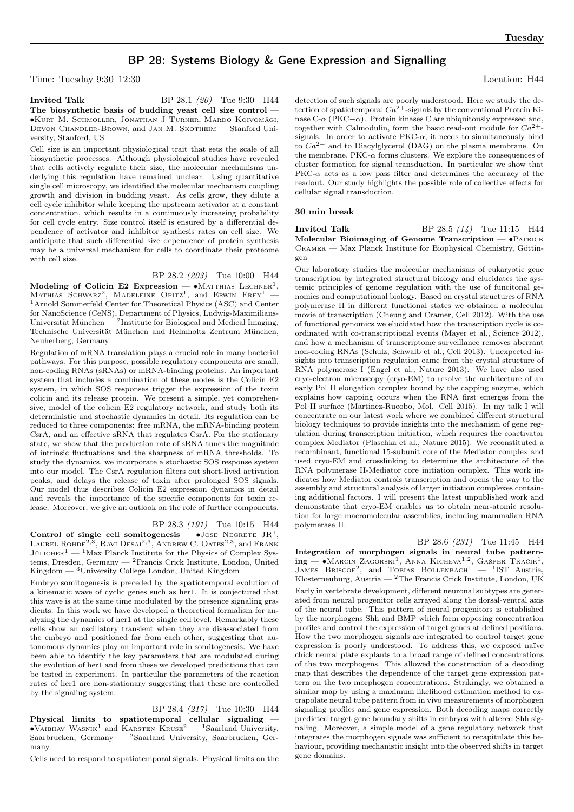## BP 28: Systems Biology & Gene Expression and Signalling

Time: Tuesday 9:30–12:30 Location: H44

**Invited Talk** BP 28.1 (20) Tue 9:30 H44 The biosynthetic basis of budding yeast cell size control -∙Kurt M. Schmoller, Jonathan J Turner, Mardo Koivomägi, Devon Chandler-Brown, and Jan M. Skotheim — Stanford University, Stanford, US

Cell size is an important physiological trait that sets the scale of all biosynthetic processes. Although physiological studies have revealed that cells actively regulate their size, the molecular mechanisms underlying this regulation have remained unclear. Using quantitative single cell microscopy, we identified the molecular mechanism coupling growth and division in budding yeast. As cells grow, they dilute a cell cycle inhibitor while keeping the upstream activator at a constant concentration, which results in a continuously increasing probability for cell cycle entry. Size control itself is ensured by a differential dependence of activator and inhibitor synthesis rates on cell size. We anticipate that such differential size dependence of protein synthesis may be a universal mechanism for cells to coordinate their proteome with cell size.

#### BP 28.2 (203) Tue 10:00 H44

Modeling of Colicin E2 Expression —  $\bullet$ Matthias Lechner<sup>1</sup>, Mathias Schwarz<sup>2</sup>, Madeleine Opitz<sup>1</sup>, and Erwin Frey<sup>1</sup> — <sup>1</sup>Arnold Sommerfeld Center for Theoretical Physics (ASC) and Center for NanoScience (CeNS), Department of Physics, Ludwig-Maximilians-Universität München  $-2$ Institute for Biological and Medical Imaging, Technische Universität München and Helmholtz Zentrum München, Neuherberg, Germany

Regulation of mRNA translation plays a crucial role in many bacterial pathways. For this purpose, possible regulatory components are small, non-coding RNAs (sRNAs) or mRNA-binding proteins. An important system that includes a combination of these modes is the Colicin E2 system, in which SOS responses trigger the expression of the toxin colicin and its release protein. We present a simple, yet comprehensive, model of the colicin E2 regulatory network, and study both its deterministic and stochastic dynamics in detail. Its regulation can be reduced to three components: free mRNA, the mRNA-binding protein CsrA, and an effective sRNA that regulates CsrA. For the stationary state, we show that the production rate of sRNA tunes the magnitude of intrinsic fluctuations and the sharpness of mRNA thresholds. To study the dynamics, we incorporate a stochastic SOS response system into our model. The CsrA regulation filters out short-lived activation peaks, and delays the release of toxin after prolonged SOS signals. Our model thus describes Colicin E2 expression dynamics in detail and reveals the importance of the specific components for toxin release. Moreover, we give an outlook on the role of further components.

#### BP 28.3 (191) Tue 10:15 H44

Control of single cell somitogenesis —  $\bullet$ Jose Negrete JR<sup>1</sup>, LAUREL ROHDE<sup>2,3</sup>, RAVI DESAI<sup>2,3</sup>, ANDREW C. OATES<sup>2,3</sup>, and Frank  $J\ddot{\mu}$ LICHER<sup>1</sup> — <sup>1</sup>Max Planck Institute for the Physics of Complex Systems, Dresden, Germany — <sup>2</sup>Francis Crick Institute, London, United  $\mathbf{King} \mathbf{dom} = \mathbf{^{3}University}$  College London, United Kingdom

Embryo somitogenesis is preceded by the spatiotemporal evolution of a kinematic wave of cyclic genes such as her1. It is conjectured that this wave is at the same time modulated by the presence signaling gradients. In this work we have developed a theoretical formalism for analyzing the dynamics of her1 at the single cell level. Remarkably these cells show an oscillatory transient when they are disassociated from the embryo and positioned far from each other, suggesting that autonomous dynamics play an important role in somitogenesis. We have been able to identify the key parameters that are modulated during the evolution of her1 and from these we developed predictions that can be tested in experiment. In particular the parameters of the reaction rates of her1 are non-stationary suggesting that these are controlled by the signaling system.

BP 28.4 (217) Tue 10:30 H44 Physical limits to spatiotemporal cellular signaling —<br>•VAIBHAV WASNIK<sup>1</sup> and KARSTEN KRUSE<sup>2</sup> — <sup>1</sup>Saarland University, Saarbrucken, Germany —  ${}^{2}$ Saarland University, Saarbrucken, Germany

Cells need to respond to spatiotemporal signals. Physical limits on the

detection of such signals are poorly understood. Here we study the detection of spatiotemporal  $Ca<sup>2+</sup>$ -signals by the conventional Protein Kinase C- $\alpha$  (PKC− $\alpha$ ). Protein kinases C are ubiquitously expressed and, together with Calmodulin, form the basic read-out module for  $Ca^{2+}$ signals. In order to activate  $PKC-\alpha$ , it needs to simultaneously bind to  $Ca^{2+}$  and to Diacylglycerol (DAG) on the plasma membrane. On the membrane,  $PKC-\alpha$  forms clusters. We explore the consequences of cluster formation for signal transduction. In particular we show that  $PKC-\alpha$  acts as a low pass filter and determines the accuracy of the readout. Our study highlights the possible role of collective effects for cellular signal transduction.

#### 30 min break

**Invited Talk** BP 28.5 (14) Tue 11:15 H44 Molecular Bioimaging of Genome Transcription — •PATRICK Cramer — Max Planck Institute for Biophysical Chemistry, Göttingen

Our laboratory studies the molecular mechanisms of eukaryotic gene transcription by integrated structural biology and elucidates the systemic principles of genome regulation with the use of funcitonal genomics and computational biology. Based on crystal structures of RNA polymerase II in different functional states we obtained a molecular movie of transcription (Cheung and Cramer, Cell 2012). With the use of functional genomics we elucidated how the transcription cycle is coordinated with co-transcriptional events (Mayer et al., Science 2012), and how a mechanism of transcriptome surveillance removes aberrant non-coding RNAs (Schulz, Schwalb et al., Cell 2013). Unexpected insights into transcription regulation came from the crystal structure of RNA polymerase I (Engel et al., Nature 2013). We have also used cryo-electron microscopy (cryo-EM) to resolve the architecture of an early Pol II elongation complex bound by the capping enzyme, which explains how capping occurs when the RNA first emerges from the Pol II surface (Martinez-Rucobo, Mol. Cell 2015). In my talk I will concentrate on our latest work where we combined different structural biology techniques to provide insights into the mechanism of gene regulation during transcription initiation, which requires the coactivator complex Mediator (Plaschka et al., Nature 2015). We reconstituted a recombinant, functional 15-subunit core of the Mediator complex and used cryo-EM and crosslinking to determine the architecture of the RNA polymerase II-Mediator core initiation complex. This work indicates how Mediator controls transcription and opens the way to the assembly and structural analysis of larger initiation complexes containing additional factors. I will present the latest unpublished work and demonstrate that cryo-EM enables us to obtain near-atomic resolution for large macromolecular assemblies, including mammalian RNA polymerase II.

BP 28.6 (231) Tue 11:45 H44 Integration of morphogen signals in neural tube patterning — • MARCIN ZAGÓRSKI<sup>1</sup>, ANNA KICHEVA<sup>1,2</sup>, GAŠPER TKAČIK<sup>1</sup>, JAMES BRISCOE<sup>2</sup>, and TOBIAS BOLLENBACH<sup>1</sup> - <sup>1</sup>IST Austria, Klosterneuburg, Austria —  $^2$ The Francis Crick Institute, London, UK Early in vertebrate development, different neuronal subtypes are generated from neural progenitor cells arrayed along the dorsal-ventral axis of the neural tube. This pattern of neural progenitors is established by the morphogens Shh and BMP which form opposing concentration profiles and control the expression of target genes at defined positions. How the two morphogen signals are integrated to control target gene expression is poorly understood. To address this, we exposed naïve chick neural plate explants to a broad range of defined concentrations of the two morphogens. This allowed the construction of a decoding map that describes the dependence of the target gene expression pattern on the two morphogen concentrations. Strikingly, we obtained a similar map by using a maximum likelihood estimation method to extrapolate neural tube pattern from in vivo measurements of morphogen signaling profiles and gene expression. Both decoding maps correctly predicted target gene boundary shifts in embryos with altered Shh signaling. Moreover, a simple model of a gene regulatory network that integrates the morphogen signals was sufficient to recapitulate this behaviour, providing mechanistic insight into the observed shifts in target gene domains.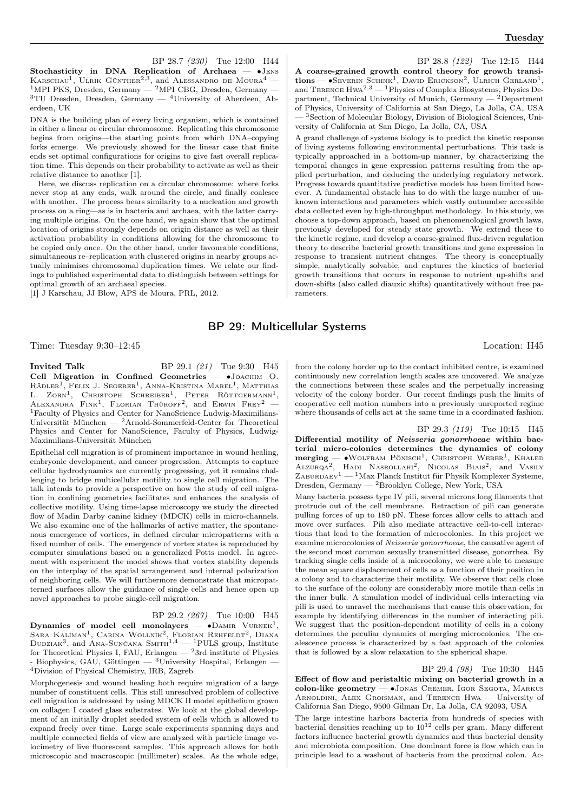BP 28.7 (230) Tue 12:00 H44 Stochasticity in DNA Replication of Archaea — ∙Jens KARSCHAU<sup>1</sup>, ULRIK GÜNTHER<sup>2,3</sup>, and ALESSANDRO DE MOURA<sup>4</sup> – <sup>1</sup>MPI PKS, Dresden, Germany — <sup>2</sup>MPI CBG, Dresden, Germany —  $3$ TU Dresden, Dresden, Germany —  $4$ University of Aberdeen, Aberdeen, UK

DNA is the building plan of every living organism, which is contained in either a linear or circular chromosome. Replicating this chromosome begins from origins—the starting points from which DNA–copying forks emerge. We previously showed for the linear case that finite ends set optimal configurations for origins to give fast overall replication time. This depends on their probability to activate as well as their relative distance to another [1].

Here, we discuss replication on a circular chromosome: where forks never stop at any ends, walk around the circle, and finally coalesce with another. The process bears similarity to a nucleation and growth process on a ring—as is in bacteria and archaea, with the latter carrying multiple origins. On the one hand, we again show that the optimal location of origins strongly depends on origin distance as well as their activation probability in conditions allowing for the chromosome to be copied only once. On the other hand, under favourable conditions, simultaneous re–replication with clustered origins in nearby groups actually minimises chromosomal duplication times. We relate our findings to published experimental data to distinguish between settings for optimal growth of an archaeal species.

[1] J Karschau, JJ Blow, APS de Moura, PRL, 2012.

BP 28.8 (122) Tue 12:15 H44 A coarse-grained growth control theory for growth transi $tions - \bullet$ Severin Schink<sup>1</sup>, David Erickson<sup>2</sup>, Ulrich Gerland<sup>1</sup>, and TERENCE  $H_{WA}^{2,3}$  — <sup>1</sup>Physics of Complex Biosystems, Physics Department, Technical University of Munich, Germany  $-$  <sup>2</sup>Department of Physics, University of California at San Diego, La Jolla, CA, USA — <sup>3</sup>Section of Molecular Biology, Division of Biological Sciences, University of California at San Diego, La Jolla, CA, USA

A grand challenge of systems biology is to predict the kinetic response of living systems following environmental perturbations. This task is typically approached in a bottom-up manner, by characterizing the temporal changes in gene expression patterns resulting from the applied perturbation, and deducing the underlying regulatory network. Progress towards quantitative predictive models has been limited however. A fundamental obstacle has to do with the large number of unknown interactions and parameters which vastly outnumber accessible data collected even by high-throughput methodology. In this study, we choose a top-down approach, based on phenomenological growth laws, previously developed for steady state growth. We extend these to the kinetic regime, and develop a coarse-grained flux-driven regulation theory to describe bacterial growth transitions and gene expression in response to transient nutrient changes. The theory is conceptually simple, analytically solvable, and captures the kinetics of bacterial growth transitions that occurs in response to nutrient up-shifts and down-shifts (also called diauxic shifts) quantitatively without free parameters.

## BP 29: Multicellular Systems

Time: Tuesday 9:30–12:45 Location: H45

**Invited Talk** BP 29.1 (21) Tue 9:30 H45 Cell Migration in Confined Geometries — ∙Joachim O.  $R$ ädler<sup>1</sup>, Felix J. Segerer<sup>1</sup>, Anna-Kristina Marel<sup>1</sup>, Matthias L. ZORN<sup>1</sup>, CHRISTOPH SCHREIBER<sup>1</sup>, PETER RÖTTGERMANN<sup>1</sup>, ALEXANDRA  $\text{Fink}^1$ , Florian Thüroff<sup>2</sup>, and Erwin Frey<sup>2</sup> -<sup>1</sup>Faculty of Physics and Center for NanoScience Ludwig-Maximilians-Universität München — <sup>2</sup>Arnold-Sommerfeld-Center for Theoretical Physics and Center for NanoScience, Faculty of Physics, Ludwig-Maximilians-Universität München

Epithelial cell migration is of prominent importance in wound healing, embryonic development, and cancer progression. Attempts to capture cellular hydrodynamics are currently progressing, yet it remains challenging to bridge multicellular motility to single cell migration. The talk intends to provide a perspective on how the study of cell migration in confining geometries facilitates and enhances the analysis of collective motility. Using time-lapse microscopy we study the directed flow of Madin Darby canine kidney (MDCK) cells in micro-channels. We also examine one of the hallmarks of active matter, the spontanenous emergence of vortices, in defined circular micropatterns with a fixed number of cells. The emergence of vortex states is reproduced by computer simulations based on a generalized Potts model. In agreement with experiment the model shows that vortex stability depends on the interplay of the spatial arrangement and internal polarization of neighboring cells. We will furthermore demonstrate that micropatterned surfaces allow the guidance of single cells and hence open up novel approaches to probe single-cell migration.

### BP 29.2 (267) Tue 10:00 H45

 $\textbf{Dynamics of model cell monolayers} = \textbf{•} \textbf{DAMIR VURNEK}^{1},$ Sara Kaliman<sup>1</sup>, Carina Wollnik<sup>2</sup>, Florian Rehfeldt<sup>2</sup>, Diana<br>Dudziak<sup>3</sup>, and Ana-Sunčana Smith<sup>1,4</sup> — <sup>1</sup>PULS group, Institute for Theoretical Physics I, FAU, Erlangen  $-2$  3rd institute of Physics - Biophysics, GAU, Göttingen — <sup>3</sup>University Hospital, Erlangen — <sup>4</sup>Division of Physical Chemistry, IRB, Zagreb

Morphogenesis and wound healing both require migration of a large number of constituent cells. This still unresolved problem of collective cell migration is addressed by using MDCK II model epithelium grown on collagen I coated glass substrates. We look at the global development of an initially droplet seeded system of cells which is allowed to expand freely over time. Large scale experiments spanning days and multiple connected fields of view are analyzed with particle image velocimetry of live fluorescent samples. This approach allows for both microscopic and macroscopic (millimeter) scales. As the whole edge,

from the colony border up to the contact inhibited centre, is examined continuously new correlation length scales are uncovered. We analyze the connections between these scales and the perpetually increasing velocity of the colony border. Our recent findings push the limits of cooperative cell motion numbers into a previously unreported regime where thousands of cells act at the same time in a coordinated fashion.

BP 29.3 (119) Tue 10:15 H45 Differential motility of Neisseria gonorrhoeae within bacterial micro-colonies determines the dynamics of colony merging — •Wolfram Pönisch<sup>1</sup>, Christoph Weber<sup>1</sup>, Khaled<br>Alzurqa<sup>2</sup>, Hadi Nasrollahi<sup>2</sup>, Nicolas Biais<sup>2</sup>, and Vasily ZABURDAEV<sup>1</sup> — <sup>1</sup>Max Planck Institut für Physik Komplexer Systeme, Dresden, Germany — <sup>2</sup>Brooklyn College, New York, USA

Many bacteria possess type IV pili, several microns long filaments that protrude out of the cell membrane. Retraction of pili can generate pulling forces of up to 180 pN. These forces allow cells to attach and move over surfaces. Pili also mediate attractive cell-to-cell interactions that lead to the formation of microcolonies. In this project we examine microcolonies of Neisseria gonorrhoeae, the causative agent of the second most common sexually transmitted disease, gonorrhea. By tracking single cells inside of a microcolony, we were able to measure the mean square displacement of cells as a function of their position in a colony and to characterize their motility. We observe that cells close to the surface of the colony are considerably more motile than cells in the inner bulk. A simulation model of individual cells interacting via pili is used to unravel the mechanisms that cause this observation, for example by identifying differences in the number of interacting pili. We suggest that the position-dependent motility of cells in a colony determines the peculiar dynamics of merging microcolonies. The coalescence process is characterized by a fast approach of the colonies that is followed by a slow relaxation to the spherical shape.

BP 29.4 (98) Tue 10:30 H45 Effect of flow and peristaltic mixing on bacterial growth in a colon-like geometry — ∙Jonas Cremer, Igor Segota, Markus Arnoldini, Alex Groisman, and Terence Hwa — University of California San Diego, 9500 Gilman Dr, La Jolla, CA 92093, USA

The large intestine harbors bacteria from hundreds of species with bacterial densities reaching up to  $10^{12}$  cells per gram. Many different factors influence bacterial growth dynamics and thus bacterial density and microbiota composition. One dominant force is flow which can in principle lead to a washout of bacteria from the proximal colon. Ac-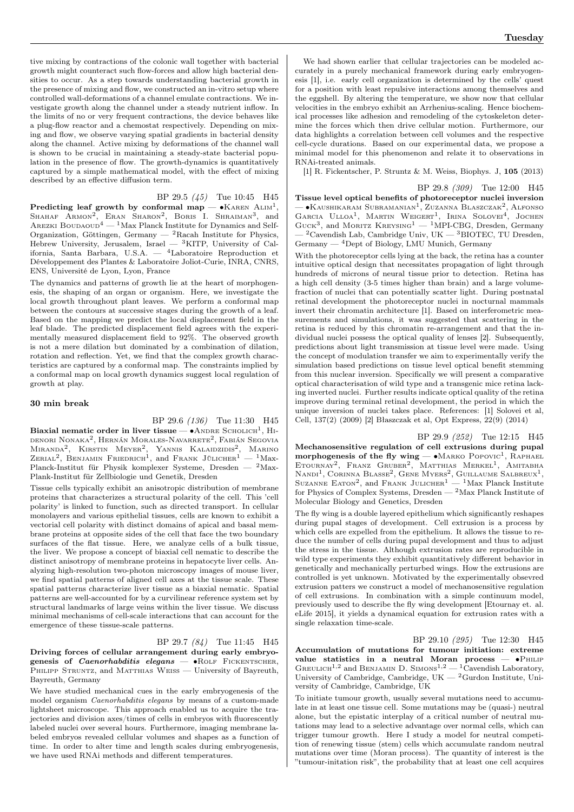tive mixing by contractions of the colonic wall together with bacterial growth might counteract such flow-forces and allow high bacterial densities to occur. As a step towards understanding bacterial growth in the presence of mixing and flow, we constructed an in-vitro setup where controlled wall-deformations of a channel emulate contractions. We investigate growth along the channel under a steady nutrient inflow. In the limits of no or very frequent contractions, the device behaves like a plug-flow reactor and a chemostat respectively. Depending on mixing and flow, we observe varying spatial gradients in bacterial density along the channel. Active mixing by deformations of the channel wall is shown to be crucial in maintaining a steady-state bacterial population in the presence of flow. The growth-dynamics is quantitatively captured by a simple mathematical model, with the effect of mixing described by an effective diffusion term.

BP 29.5 (45) Tue 10:45 H45 Predicting leaf growth by conformal map —  $\bullet$ KAREN ALIM<sup>1</sup>, SHAHAF  $\overline{\text{ARMON}^2}$ , ERAN SHARON<sup>2</sup>, BORIS I. SHRAIMAN<sup>3</sup>, and Arezki Boudaoud<sup>4</sup> — <sup>1</sup>Max Planck Institute for Dynamics and Self-Organization, Göttingen, Germany  $-$  <sup>2</sup>Racah Institute for Physics, Hebrew University, Jerusalem, Israel —  ${}^{3}$ KITP, University of California, Santa Barbara, U.S.A. — <sup>4</sup>Laboratoire Reproduction et Développement des Plantes & Laboratoire Joliot-Curie, INRA, CNRS, ENS, Université de Lyon, Lyon, France

The dynamics and patterns of growth lie at the heart of morphogenesis, the shaping of an organ or organism. Here, we investigate the local growth throughout plant leaves. We perform a conformal map between the contours at successive stages during the growth of a leaf. Based on the mapping we predict the local displacement field in the leaf blade. The predicted displacement field agrees with the experimentally measured displacement field to 92%. The observed growth is not a mere dilation but dominated by a combination of dilation, rotation and reflection. Yet, we find that the complex growth characteristics are captured by a conformal map. The constraints implied by a conformal map on local growth dynamics suggest local regulation of growth at play.

#### 30 min break

BP 29.6 (136) Tue 11:30 H45

Biaxial nematic order in liver tissue —  $\bullet$ ANDRE SCHOLICH<sup>1</sup>, HIdenori Nonaka2 , Hernán Morales-Navarrete<sup>2</sup> , Fabián Segovia Miranda<sup>2</sup>, Kirstin Meyer<sup>2</sup>, Yannis Kalaidzidis<sup>2</sup>, Marino<br>Zerial<sup>2</sup>, Benjamin Friedrich<sup>1</sup>, and Frank Jülicher<sup>1</sup> — <sup>1</sup>Max-Planck-Institut für Physik komplexer Systeme, Dresden — <sup>2</sup>Max-Plank-Institut für Zellbiologie und Genetik, Dresden

Tissue cells typically exhibit an anisotropic distribution of membrane proteins that characterizes a structural polarity of the cell. This 'cell polarity' is linked to function, such as directed transport. In cellular monolayers and various epithelial tissues, cells are known to exhibit a vectorial cell polarity with distinct domains of apical and basal membrane proteins at opposite sides of the cell that face the two boundary surfaces of the flat tissue. Here, we analyze cells of a bulk tissue, the liver. We propose a concept of biaxial cell nematic to describe the distinct anisotropy of membrane proteins in hepatocyte liver cells. Analyzing high-resolution two-photon microscopy images of mouse liver, we find spatial patterns of aligned cell axes at the tissue scale. These spatial patterns characterize liver tissue as a biaxial nematic. Spatial patterns are well-accounted for by a curvilinear reference system set by structural landmarks of large veins within the liver tissue. We discuss minimal mechanisms of cell-scale interactions that can account for the emergence of these tissue-scale patterns.

## BP 29.7 (84) Tue 11:45 H45

Driving forces of cellular arrangement during early embryogenesis of *Caenorhabditis elegans*  $- \bullet$ ROLF FICKENTSCHER, PHILIPP STRUNTZ, and MATTHIAS WEISS - University of Bayreuth, Bayreuth, Germany

We have studied mechanical cues in the early embryogenesis of the model organism Caenorhabditis elegans by means of a custom-made lightsheet microscope. This approach enabled us to acquire the trajectories and division axes/times of cells in embryos with fluorescently labeled nuclei over several hours. Furthermore, imaging membrane labeled embryos revealed cellular volumes and shapes as a function of time. In order to alter time and length scales during embryogenesis, we have used RNAi methods and different temperatures.

We had shown earlier that cellular trajectories can be modeled accurately in a purely mechanical framework during early embryogenesis [1], i.e. early cell organization is determined by the cells' quest for a position with least repulsive interactions among themselves and the eggshell. By altering the temperature, we show now that cellular velocities in the embryo exhibit an Arrhenius-scaling. Hence biochemical processes like adhesion and remodeling of the cytoskeleton determine the forces which then drive cellular motion. Furthermore, our data highlights a correlation between cell volumes and the respective cell-cycle durations. Based on our experimental data, we propose a minimal model for this phenomenon and relate it to observations in RNAi-treated animals.

[1] R. Fickentscher, P. Struntz & M. Weiss, Biophys. J, 105 (2013)

BP 29.8 (309) Tue 12:00 H45 Tissue level optical benefits of photoreceptor nuclei inversion — •Kaushikaram Subramanian<sup>1</sup>, Zuzanna Blaszczak<sup>2</sup>, Alfonso GARCIA ULLOA<sup>1</sup>, MARTIN WEIGERT<sup>1</sup>, IRINA SOLOVEI<sup>4</sup>, JOCHEN GUCK<sup>3</sup>, and MORITZ KREYSING<sup>1</sup> - <sup>1</sup>MPI-CBG, Dresden, Germany <sup>2</sup>Cavendish Lab, Cambridge Univ, UK  $-$  <sup>3</sup>BIOTEC, TU Dresden, Germany — <sup>4</sup>Dept of Biology, LMU Munich, Germany

With the photoreceptor cells lying at the back, the retina has a counter intuitive optical design that necessitates propagation of light through hundreds of microns of neural tissue prior to detection. Retina has a high cell density (3-5 times higher than brain) and a large volumefraction of nuclei that can potentially scatter light. During postnatal retinal development the photoreceptor nuclei in nocturnal mammals invert their chromatin architecture [1]. Based on interferometric measurements and simulations, it was suggested that scattering in the retina is reduced by this chromatin re-arrangement and that the individual nuclei possess the optical quality of lenses [2]. Subsequently, predictions about light transmission at tissue level were made. Using the concept of modulation transfer we aim to experimentally verify the simulation based predictions on tissue level optical benefit stemming from this nuclear inversion. Specifically we will present a comparative optical characterisation of wild type and a transgenic mice retina lacking inverted nuclei. Further results indicate optical quality of the retina improve during terminal retinal development, the period in which the unique inversion of nuclei takes place. References: [1] Solovei et al, Cell, 137(2) (2009) [2] Błaszczak et al, Opt Express, 22(9) (2014)

BP 29.9 (252) Tue 12:15 H45

Mechanosensitive regulation of cell extrusions during pupal morphogenesis of the fly wing —  $\bullet$ Marko Popovic<sup>1</sup>, RAPHAEL ETOURNAY<sup>2</sup>, FRANZ GRUBER<sup>2</sup>, MATTHIAS MERKEL<sup>1</sup>, AMITABHA NANDI<sup>1</sup>, CORINNA BLASSE<sup>2</sup>, GENE MYERS<sup>2</sup>, GUILLAUME SALBREUX<sup>1</sup>, SUZANNE EATON<sup>2</sup>, and FRANK JULICHER<sup>1</sup> — <sup>1</sup>Max Planck Institute for Physics of Complex Systems, Dresden — <sup>2</sup>Max Planck Institute of Molecular Biology and Genetics, Dresden

The fly wing is a double layered epithelium which significantly reshapes during pupal stages of development. Cell extrusion is a process by which cells are expelled from the epithelium. It allows the tissue to reduce the number of cells during pupal development and thus to adjust the stress in the tissue. Although extrusion rates are reproducible in wild type experiments they exhibit quantitatively different behavior in genetically and mechanically perturbed wings. How the extrusions are controlled is yet unknown. Motivated by the experimentally obsevred extrusion patters we construct a model of mechanosensitive regulation of cell extrusions. In combination with a simple continuum model, previously used to describe the fly wing development [Etournay et. al. eLife 2015], it yields a dynamical equation for extrusion rates with a single relaxation time-scale.

BP 29.10 (295) Tue 12:30 H45 Accumulation of mutations for tumour initiation: extreme value statistics in a neutral Moran process — ∙Philip GREULICH<sup>1,2</sup> and BENJAMIN D. SIMONS<sup>1,2</sup> - <sup>1</sup>Cavendish Laboratory, University of Cambridge, Cambridge, UK  $-$  <sup>2</sup>Gurdon Institute, University of Cambridge, Cambridge, UK

To initiate tumour growth, usually several mutations need to accumulate in at least one tissue cell. Some mutations may be (quasi-) neutral alone, but the epistatic interplay of a critical number of neutral mutations may lead to a selective advantage over normal cells, which can trigger tumour growth. Here I study a model for neutral competition of renewing tissue (stem) cells which accumulate random neutral mutations over time (Moran process). The quantity of interest is the "tumour-initation risk", the probability that at least one cell acquires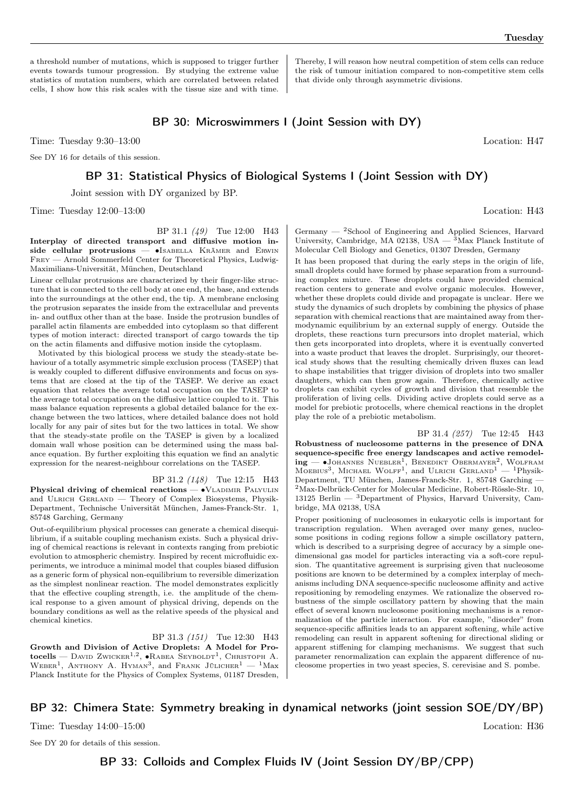a threshold number of mutations, which is supposed to trigger further events towards tumour progression. By studying the extreme value statistics of mutation numbers, which are correlated between related cells, I show how this risk scales with the tissue size and with time.

Thereby, I will reason how neutral competition of stem cells can reduce the risk of tumour initiation compared to non-competitive stem cells that divide only through asymmetric divisions.

## BP 30: Microswimmers I (Joint Session with DY)

Time: Tuesday 9:30–13:00 Location: H47

See DY 16 for details of this session.

## BP 31: Statistical Physics of Biological Systems I (Joint Session with DY)

Joint session with DY organized by BP.

Time: Tuesday  $12:00-13:00$  Location: H43

BP 31.1 (49) Tue 12:00 H43 Interplay of directed transport and diffusive motion inside cellular protrusions — •Isabella Krämer and Erwin Frey — Arnold Sommerfeld Center for Theoretical Physics, Ludwig-Maximilians-Universität, München, Deutschland

Linear cellular protrusions are characterized by their finger-like structure that is connected to the cell body at one end, the base, and extends into the surroundings at the other end, the tip. A membrane enclosing the protrusion separates the inside from the extracellular and prevents in- and outflux other than at the base. Inside the protrusion bundles of parallel actin filaments are embedded into cytoplasm so that different types of motion interact: directed transport of cargo towards the tip on the actin filaments and diffusive motion inside the cytoplasm.

Motivated by this biological process we study the steady-state behaviour of a totally asymmetric simple exclusion process (TASEP) that is weakly coupled to different diffusive environments and focus on systems that are closed at the tip of the TASEP. We derive an exact equation that relates the average total occupation on the TASEP to the average total occupation on the diffusive lattice coupled to it. This mass balance equation represents a global detailed balance for the exchange between the two lattices, where detailed balance does not hold locally for any pair of sites but for the two lattices in total. We show that the steady-state profile on the TASEP is given by a localized domain wall whose position can be determined using the mass balance equation. By further exploiting this equation we find an analytic expression for the nearest-neighbour correlations on the TASEP.

## BP 31.2 (148) Tue 12:15 H43

Physical driving of chemical reactions — • VLADIMIR PALYULIN and ULRICH GERLAND — Theory of Complex Biosystems, Physik-Department, Technische Universität München, James-Franck-Str. 1, 85748 Garching, Germany

Out-of-equilibrium physical processes can generate a chemical disequilibrium, if a suitable coupling mechanism exists. Such a physical driving of chemical reactions is relevant in contexts ranging from prebiotic evolution to atmospheric chemistry. Inspired by recent microfluidic experiments, we introduce a minimal model that couples biased diffusion as a generic form of physical non-equilibrium to reversible dimerization as the simplest nonlinear reaction. The model demonstrates explicitly that the effective coupling strength, i.e. the amplitude of the chemical response to a given amount of physical driving, depends on the boundary conditions as well as the relative speeds of the physical and chemical kinetics.

BP 31.3 (151) Tue 12:30 H43 Growth and Division of Active Droplets: A Model for Protocells — David Zwicker<sup>1,2</sup>, •Rabea Seyboldt<sup>1</sup>, Christoph A.<br>Weber<sup>1</sup>, Anthony A. Hyman<sup>3</sup>, and Frank Jülicher<sup>1</sup> — <sup>1</sup>Max Planck Institute for the Physics of Complex Systems, 01187 Dresden, Germany — <sup>2</sup>School of Engineering and Applied Sciences, Harvard University, Cambridge, MA 02138, USA  $-$  <sup>3</sup>Max Planck Institute of Molecular Cell Biology and Genetics, 01307 Dresden, Germany

It has been proposed that during the early steps in the origin of life, small droplets could have formed by phase separation from a surrounding complex mixture. These droplets could have provided chemical reaction centers to generate and evolve organic molecules. However, whether these droplets could divide and propagate is unclear. Here we study the dynamics of such droplets by combining the physics of phase separation with chemical reactions that are maintained away from thermodynamic equilibrium by an external supply of energy. Outside the droplets, these reactions turn precursors into droplet material, which then gets incorporated into droplets, where it is eventually converted into a waste product that leaves the droplet. Surprisingly, our theoretical study shows that the resulting chemically driven fluxes can lead to shape instabilities that trigger division of droplets into two smaller daughters, which can then grow again. Therefore, chemically active droplets can exhibit cycles of growth and division that resemble the proliferation of living cells. Dividing active droplets could serve as a model for prebiotic protocells, where chemical reactions in the droplet play the role of a prebiotic metabolism.

BP 31.4 (257) Tue 12:45 H43 Robustness of nucleosome patterns in the presence of DNA sequence-specific free energy landscapes and active remodel**ing** — •Јонаммеѕ Nuевlеr<sup>1</sup>, Вемерикт Овекмауек<sup>2</sup>, Wolfram Moebius<sup>3</sup>, Michael Wolff<sup>1</sup>, and Ulrich Gerland<sup>1</sup> — <sup>1</sup>Physik-Department, TU München, James-Franck-Str. 1, 85748 Garching — <sup>2</sup>Max-Delbrück-Center for Molecular Medicine, Robert-Rössle-Str. 10, 13125 Berlin —  ${}^{3}$ Department of Physics, Harvard University, Cambridge, MA 02138, USA

Proper positioning of nucleosomes in eukaryotic cells is important for transcription regulation. When averaged over many genes, nucleosome positions in coding regions follow a simple oscillatory pattern, which is described to a surprising degree of accuracy by a simple onedimensional gas model for particles interacting via a soft-core repulsion. The quantitative agreement is surprising given that nucleosome positions are known to be determined by a complex interplay of mechanisms including DNA sequence-specific nucleosome affinity and active repositioning by remodeling enzymes. We rationalize the observed robustness of the simple oscillatory pattern by showing that the main effect of several known nucleosome positioning mechanisms is a renormalization of the particle interaction. For example, "disorder" from sequence-specific affinities leads to an apparent softening, while active remodeling can result in apparent softening for directional sliding or apparent stiffening for clamping mechanisms. We suggest that such parameter renormalization can explain the apparent difference of nucleosome properties in two yeast species, S. cerevisiae and S. pombe.

## BP 32: Chimera State: Symmetry breaking in dynamical networks (joint session SOE/DY/BP)

Time: Tuesday  $14:00-15:00$  Location: H36

See DY 20 for details of this session.

BP 33: Colloids and Complex Fluids IV (Joint Session DY/BP/CPP)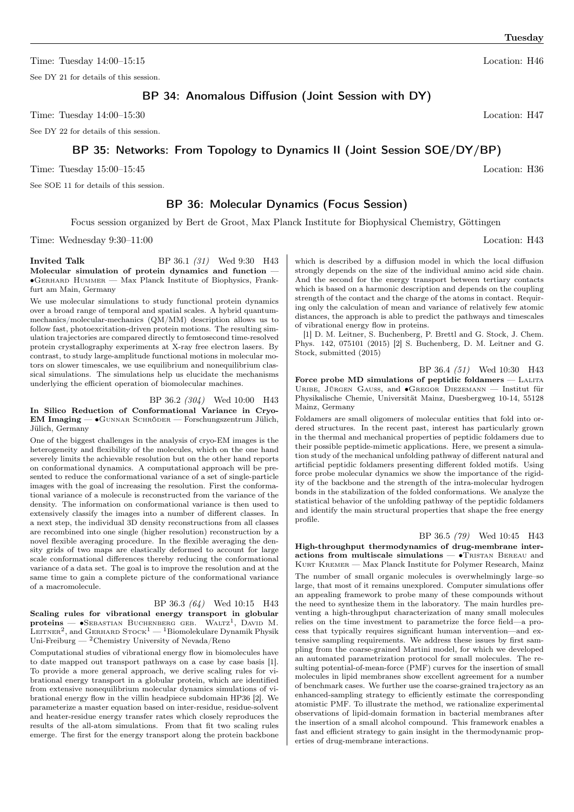Time: Tuesday  $14:00-15:15$  Location: H46

See DY 21 for details of this session.

BP 34: Anomalous Diffusion (Joint Session with DY)

Time: Tuesday  $14:00-15:30$  Location: H47

See DY 22 for details of this session.

## BP 35: Networks: From Topology to Dynamics II (Joint Session SOE/DY/BP)

Time: Tuesday  $15:00-15:45$  Location: H36

See SOE 11 for details of this session.

## BP 36: Molecular Dynamics (Focus Session)

Focus session organized by Bert de Groot, Max Planck Institute for Biophysical Chemistry, Göttingen

Time: Wednesday 9:30–11:00 Location: H43

**Invited Talk** BP 36.1 (31) Wed 9:30 H43 Molecular simulation of protein dynamics and function — ∙Gerhard Hummer — Max Planck Institute of Biophysics, Frankfurt am Main, Germany

We use molecular simulations to study functional protein dynamics over a broad range of temporal and spatial scales. A hybrid quantummechanics/molecular-mechanics (QM/MM) description allows us to follow fast, photoexcitation-driven protein motions. The resulting simulation trajectories are compared directly to femtosecond time-resolved protein crystallography experiments at X-ray free electron lasers. By contrast, to study large-amplitude functional motions in molecular motors on slower timescales, we use equilibrium and nonequilibrium classical simulations. The simulations help us elucidate the mechanisms underlying the efficient operation of biomolecular machines.

#### BP 36.2 (304) Wed 10:00 H43

In Silico Reduction of Conformational Variance in Cryo-EM Imaging — ∙Gunnar Schröder — Forschungszentrum Jülich, Jülich, Germany

One of the biggest challenges in the analysis of cryo-EM images is the heterogeneity and flexibility of the molecules, which on the one hand severely limits the achievable resolution but on the other hand reports on conformational dynamics. A computational approach will be presented to reduce the conformational variance of a set of single-particle images with the goal of increasing the resolution. First the conformational variance of a molecule is reconstructed from the variance of the density. The information on conformational variance is then used to extensively classify the images into a number of different classes. In a next step, the individual 3D density reconstructions from all classes are recombined into one single (higher resolution) reconstruction by a novel flexible averaging procedure. In the flexible averaging the density grids of two maps are elastically deformed to account for large scale conformational differences thereby reducing the conformational variance of a data set. The goal is to improve the resolution and at the same time to gain a complete picture of the conformational variance of a macromolecule.

BP 36.3 (64) Wed 10:15 H43 Scaling rules for vibrational energy transport in globular  $\mathbf{proteins}$   $\bullet$  SEBASTIAN BUCHENBERG GEB. WALTZ<sup>1</sup>, DAVID M. LEITNER $^2$ , and GERHARD  $\mathrm{Srock}^1-{\rm^1Biomolekulare}$  Dynamik Physik Uni-Freiburg — $\rm ^2Chemistry$ University of Nevada/Reno

Computational studies of vibrational energy flow in biomolecules have to date mapped out transport pathways on a case by case basis [1]. To provide a more general approach, we derive scaling rules for vibrational energy transport in a globular protein, which are identified from extensive nonequilibrium molecular dynamics simulations of vibrational energy flow in the villin headpiece subdomain HP36 [2]. We parameterize a master equation based on inter-residue, residue-solvent and heater-residue energy transfer rates which closely reproduces the results of the all-atom simulations. From that fit two scaling rules emerge. The first for the energy transport along the protein backbone which is described by a diffusion model in which the local diffusion strongly depends on the size of the individual amino acid side chain. And the second for the energy transport between tertiary contacts which is based on a harmonic description and depends on the coupling strength of the contact and the charge of the atoms in contact. Requiring only the calculation of mean and variance of relatively few atomic distances, the approach is able to predict the pathways and timescales of vibrational energy flow in proteins.

[1] D. M. Leitner, S. Buchenberg, P. Brettl and G. Stock, J. Chem. Phys. 142, 075101 (2015) [2] S. Buchenberg, D. M. Leitner and G. Stock, submitted (2015)

BP 36.4 (51) Wed 10:30 H43 Force probe MD simulations of peptidic foldamers - LALITA Uribe, Jürgen Gauss, and ∙Gregor Diezemann — Institut für Physikalische Chemie, Universität Mainz, Duesbergweg 10-14, 55128 Mainz, Germany

Foldamers are small oligomers of molecular entities that fold into ordered structures. In the recent past, interest has particularly grown in the thermal and mechanical properties of peptidic foldamers due to their possible peptide-mimetic applications. Here, we present a simulation study of the mechanical unfolding pathway of different natural and artificial peptidic foldamers presenting different folded motifs. Using force probe molecular dynamics we show the importance of the rigidity of the backbone and the strength of the intra-molecular hydrogen bonds in the stabilization of the folded conformations. We analyze the statistical behavior of the unfolding pathway of the peptidic foldamers and identify the main structural properties that shape the free energy profile.

BP 36.5 (79) Wed 10:45 H43 High-throughput thermodynamics of drug-membrane interactions from multiscale simulations — •TRISTAN BEREAU and KURT KREMER — Max Planck Institute for Polymer Research, Mainz The number of small organic molecules is overwhelmingly large–so large, that most of it remains unexplored. Computer simulations offer an appealing framework to probe many of these compounds without the need to synthesize them in the laboratory. The main hurdles preventing a high-throughput characterization of many small molecules relies on the time investment to parametrize the force field—a process that typically requires significant human intervention—and extensive sampling requirements. We address these issues by first sampling from the coarse-grained Martini model, for which we developed an automated parametrization protocol for small molecules. The resulting potential-of-mean-force (PMF) curves for the insertion of small molecules in lipid membranes show excellent agreement for a number of benchmark cases. We further use the coarse-grained trajectory as an enhanced-sampling strategy to efficiently estimate the corresponding atomistic PMF. To illustrate the method, we rationalize experimental observations of lipid-domain formation in bacterial membranes after the insertion of a small alcohol compound. This framework enables a fast and efficient strategy to gain insight in the thermodynamic properties of drug-membrane interactions.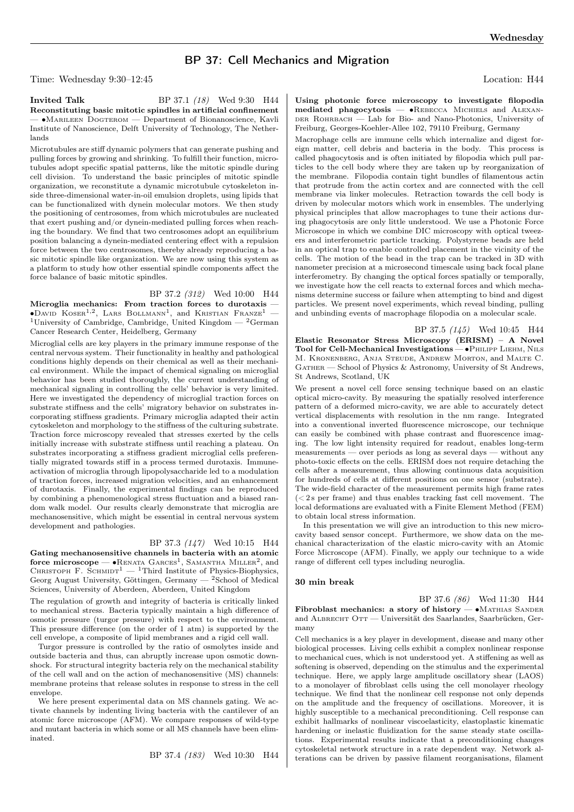## BP 37: Cell Mechanics and Migration

Time: Wednesday 9:30–12:45 Location: H44

**Invited Talk** BP 37.1 (18) Wed 9:30 H44 Reconstituting basic mitotic spindles in artificial confinement — ∙Marileen Dogterom — Department of Bionanoscience, Kavli Institute of Nanoscience, Delft University of Technology, The Netherlands

Microtubules are stiff dynamic polymers that can generate pushing and pulling forces by growing and shrinking. To fulfill their function, microtubules adopt specific spatial patterns, like the mitotic spindle during cell division. To understand the basic principles of mitotic spindle organization, we reconstitute a dynamic microtubule cytoskeleton inside three-dimensional water-in-oil emulsion droplets, using lipids that can be functionalized with dynein molecular motors. We then study the positioning of centrosomes, from which microtubules are nucleated that exert pushing and/or dynein-mediated pulling forces when reaching the boundary. We find that two centrosomes adopt an equilibrium position balancing a dynein-mediated centering effect with a repulsion force between the two centrosomes, thereby already reproducing a basic mitotic spindle like organization. We are now using this system as a platform to study how other essential spindle components affect the force balance of basic mitotic spindles.

BP 37.2 (312) Wed 10:00 H44 Microglia mechanics: From traction forces to durotaxis —  $\bullet$ David Koser<sup>1,2</sup>, Lars Bollmann<sup>1</sup>, and Kristian Franze<sup>1</sup> – <sup>1</sup>University of Cambridge, Cambridge, United Kingdom  $-$  <sup>2</sup>German Cancer Research Center, Heidelberg, Germany

Microglial cells are key players in the primary immune response of the central nervous system. Their functionality in healthy and pathological conditions highly depends on their chemical as well as their mechanical environment. While the impact of chemical signaling on microglial behavior has been studied thoroughly, the current understanding of mechanical signaling in controlling the cells' behavior is very limited. Here we investigated the dependency of microglial traction forces on substrate stiffness and the cells' migratory behavior on substrates incorporating stiffness gradients. Primary microglia adapted their actin cytoskeleton and morphology to the stiffness of the culturing substrate. Traction force microscopy revealed that stresses exerted by the cells initially increase with substrate stiffness until reaching a plateau. On substrates incorporating a stiffness gradient microglial cells preferentially migrated towards stiff in a process termed durotaxis. Immuneactivation of microglia through lipopolysaccharide led to a modulation of traction forces, increased migration velocities, and an enhancement of durotaxis. Finally, the experimental findings can be reproduced by combining a phenomenological stress fluctuation and a biased random walk model. Our results clearly demonstrate that microglia are mechanosensitive, which might be essential in central nervous system development and pathologies.

### BP 37.3 (147) Wed 10:15 H44

Gating mechanosensitive channels in bacteria with an atomic force microscope —  $\bullet$ RENATA  $\text{Garces}^1$ , SAMANTHA MILLER<sup>2</sup>, and CHRISTOPH F. SCHMIDT<sup>1</sup> — <sup>1</sup>Third Institute of Physics-Biophysics, Georg August University, Göttingen, Germany — <sup>2</sup>School of Medical Sciences, University of Aberdeen, Aberdeen, United Kingdom

The regulation of growth and integrity of bacteria is critically linked to mechanical stress. Bacteria typically maintain a high difference of osmotic pressure (turgor pressure) with respect to the environment. This pressure difference (on the order of 1 atm) is supported by the cell envelope, a composite of lipid membranes and a rigid cell wall.

Turgor pressure is controlled by the ratio of osmolytes inside and outside bacteria and thus, can abruptly increase upon osmotic downshock. For structural integrity bacteria rely on the mechanical stability of the cell wall and on the action of mechanosensitive (MS) channels: membrane proteins that release solutes in response to stress in the cell envelope.

We here present experimental data on MS channels gating. We activate channels by indenting living bacteria with the cantilever of an atomic force microscope (AFM). We compare responses of wild-type and mutant bacteria in which some or all MS channels have been eliminated.

BP 37.4 (183) Wed 10:30 H44

Using photonic force microscopy to investigate filopodia mediated phagocytosis — ∙Rebecca Michiels and Alexan-DER ROHRBACH — Lab for Bio- and Nano-Photonics, University of Freiburg, Georges-Koehler-Allee 102, 79110 Freiburg, Germany

Macrophage cells are immune cells which internalize and digest foreign matter, cell debris and bacteria in the body. This process is called phagocytosis and is often initiated by filopodia which pull particles to the cell body where they are taken up by reorganization of the membrane. Filopodia contain tight bundles of filamentous actin that protrude from the actin cortex and are connected with the cell membrane via linker molecules. Retraction towards the cell body is driven by molecular motors which work in ensembles. The underlying physical principles that allow macrophages to tune their actions during phagocytosis are only little understood. We use a Photonic Force Microscope in which we combine DIC microscopy with optical tweezers and interferometric particle tracking. Polystyrene beads are held in an optical trap to enable controlled placement in the vicinity of the cells. The motion of the bead in the trap can be tracked in 3D with nanometer precision at a microsecond timescale using back focal plane interferometry. By changing the optical forces spatially or temporally, we investigate how the cell reacts to external forces and which mechanisms determine success or failure when attempting to bind and digest particles. We present novel experiments, which reveal binding, pulling and unbinding events of macrophage filopodia on a molecular scale.

BP 37.5 (145) Wed 10:45 H44 Elastic Resonator Stress Microscopy (ERISM) – A Novel Tool for Cell-Mechanical Investigations — • PHILIPP LIEHM, NILS M. Kronenberg, Anja Steude, Andrew Morton, and Malte C. GATHER — School of Physics & Astronomy, University of St Andrews, St Andrews, Scotland, UK

We present a novel cell force sensing technique based on an elastic optical micro-cavity. By measuring the spatially resolved interference pattern of a deformed micro-cavity, we are able to accurately detect vertical displacements with resolution in the nm range. Integrated into a conventional inverted fluorescence microscope, our technique can easily be combined with phase contrast and fluorescence imaging. The low light intensity required for readout, enables long-term measurements — over periods as long as several days — without any photo-toxic effects on the cells. ERISM does not require detaching the cells after a measurement, thus allowing continuous data acquisition for hundreds of cells at different positions on one sensor (substrate). The wide-field character of the measurement permits high frame rates  $( $2s$  per frame) and thus enables tracking fast cell movement. The$ local deformations are evaluated with a Finite Element Method (FEM) to obtain local stress information.

In this presentation we will give an introduction to this new microcavity based sensor concept. Furthermore, we show data on the mechanical characterization of the elastic micro-cavity with an Atomic Force Microscope (AFM). Finally, we apply our technique to a wide range of different cell types including neuroglia.

#### 30 min break

BP 37.6 (86) Wed 11:30 H44 Fibroblast mechanics: a story of history — ∙Mathias Sander and ALBRECHT OTT — Universität des Saarlandes, Saarbrücken, Germany

Cell mechanics is a key player in development, disease and many other biological processes. Living cells exhibit a complex nonlinear response to mechanical cues, which is not understood yet. A stiffening as well as softening is observed, depending on the stimulus and the experimental technique. Here, we apply large amplitude oscillatory shear (LAOS) to a monolayer of fibroblast cells using the cell monolayer rheology technique. We find that the nonlinear cell response not only depends on the amplitude and the frequency of oscillations. Moreover, it is highly susceptible to a mechanical preconditioning. Cell response can exhibit hallmarks of nonlinear viscoelasticity, elastoplastic kinematic hardening or inelastic fluidization for the same steady state oscillations. Experimental results indicate that a preconditioning changes cytoskeletal network structure in a rate dependent way. Network alterations can be driven by passive filament reorganisations, filament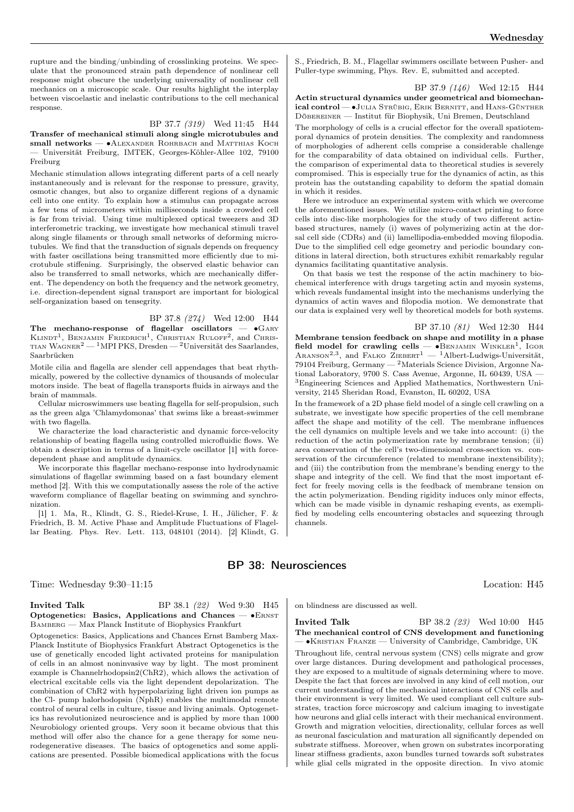rupture and the binding/unbinding of crosslinking proteins. We speculate that the pronounced strain path dependence of nonlinear cell response might obscure the underlying universality of nonlinear cell mechanics on a microscopic scale. Our results highlight the interplay between viscoelastic and inelastic contributions to the cell mechanical response.

### BP 37.7 (319) Wed 11:45 H44

Transfer of mechanical stimuli along single microtubules and small networks — • ALEXANDER ROHRBACH and MATTHIAS KOCH — Universität Freiburg, IMTEK, Georges-Köhler-Allee 102, 79100 Freiburg

Mechanic stimulation allows integrating different parts of a cell nearly instantaneously and is relevant for the response to pressure, gravity, osmotic changes, but also to organize different regions of a dynamic cell into one entity. To explain how a stimulus can propagate across a few tens of micrometers within milliseconds inside a crowded cell is far from trivial. Using time multiplexed optical tweezers and 3D interferometric tracking, we investigate how mechanical stimuli travel along single filaments or through small networks of deforming microtubules. We find that the transduction of signals depends on frequency with faster oscillations being transmitted more efficiently due to microtubule stiffening. Surprisingly, the observed elastic behavior can also be transferred to small networks, which are mechanically different. The dependency on both the frequency and the network geometry, i.e. direction-dependent signal transport are important for biological self-organization based on tensegrity.

BP 37.8 (274) Wed 12:00 H44 The mechano-response of flagellar oscillators — ∙Gary  $KLINDT<sup>1</sup>$ , BENJAMIN FRIEDRICH<sup>1</sup>, CHRISTIAN RULOFF<sup>2</sup>, and CHRIS-TIAN WAGNER<sup>2</sup> — <sup>1</sup>MPI PKS, Dresden — <sup>2</sup>Universität des Saarlandes, Saarbrücken

Motile cilia and flagella are slender cell appendages that beat rhythmically, powered by the collective dynamics of thousands of molecular motors inside. The beat of flagella transports fluids in airways and the brain of mammals.

Cellular microswimmers use beating flagella for self-propulsion, such as the green alga 'Chlamydomonas' that swims like a breast-swimmer with two flagella.

We characterize the load characteristic and dynamic force-velocity relationship of beating flagella using controlled microfluidic flows. We obtain a description in terms of a limit-cycle oscillator [1] with forcedependent phase and amplitude dynamics.

We incorporate this flagellar mechano-response into hydrodynamic simulations of flagellar swimming based on a fast boundary element method [2]. With this we computationally assess the role of the active waveform compliance of flagellar beating on swimming and synchronization.

[1] 1. Ma, R., Klindt, G. S., Riedel-Kruse, I. H., Jülicher, F. & Friedrich, B. M. Active Phase and Amplitude Fluctuations of Flagellar Beating. Phys. Rev. Lett. 113, 048101 (2014). [2] Klindt, G. S., Friedrich, B. M., Flagellar swimmers oscillate between Pusher- and Puller-type swimming, Phys. Rev. E, submitted and accepted.

#### BP 37.9 (146) Wed 12:15 H44

Actin structural dynamics under geometrical and biomechanical control — •JULIA STRÜBIG, ERIK BERNITT, and HANS-GÜNTHER Döbereiner — Institut für Biophysik, Uni Bremen, Deutschland

The morphology of cells is a crucial effector for the overall spatiotemporal dynamics of protein densities. The complexity and randomness of morphologies of adherent cells comprise a considerable challenge for the comparability of data obtained on individual cells. Further, the comparison of experimental data to theoretical studies is severely compromised. This is especially true for the dynamics of actin, as this protein has the outstanding capability to deform the spatial domain in which it resides.

Here we introduce an experimental system with which we overcome the aforementioned issues. We utilize micro-contact printing to force cells into disc-like morphologies for the study of two different actinbased structures, namely (i) waves of polymerizing actin at the dorsal cell side (CDRs) and (ii) lamellipodia-embedded moving filopodia. Due to the simplified cell edge geometry and periodic boundary conditions in lateral direction, both structures exhibit remarkably regular dynamics facilitating quantitative analysis.

On that basis we test the response of the actin machinery to biochemical interference with drugs targeting actin and myosin systems, which reveals fundamental insight into the mechanisms underlying the dynamics of actin waves and filopodia motion. We demonstrate that our data is explained very well by theoretical models for both systems.

#### BP 37.10 (81) Wed 12:30 H44

Membrane tension feedback on shape and motility in a phase field model for crawling cells —  $\bullet$ BENJAMIN WINKLER<sup>1</sup>, IGOR ARANSON<sup>2,3</sup>, and FALKO ZIEBERT<sup>1</sup> - <sup>1</sup>Albert-Ludwigs-Universität, 79104 Freiburg, Germany — <sup>2</sup>Materials Science Division, Argonne National Laboratory, 9700 S. Cass Avenue, Argonne, IL 60439, USA — <sup>3</sup>Engineering Sciences and Applied Mathematics, Northwestern University, 2145 Sheridan Road, Evanston, IL 60202, USA

In the framework of a 2D phase field model of a single cell crawling on a substrate, we investigate how specific properties of the cell membrane affect the shape and motility of the cell. The membrane influences the cell dynamics on multiple levels and we take into account: (i) the reduction of the actin polymerization rate by membrane tension; (ii) area conservation of the cell's two-dimensional cross-section vs. conservation of the circumference (related to membrane inextensibility); and (iii) the contribution from the membrane's bending energy to the shape and integrity of the cell. We find that the most important effect for freely moving cells is the feedback of membrane tension on the actin polymerization. Bending rigidity induces only minor effects, which can be made visible in dynamic reshaping events, as exemplified by modeling cells encountering obstacles and squeezing through channels.

### BP 38: Neurosciences

Time: Wednesday 9:30–11:15 Location: H45

#### **Invited Talk** BP 38.1 (22) Wed 9:30 H45 Optogenetics: Basics, Applications and Chances — ∙Ernst Bamberg — Max Planck Institute of Biophysics Frankfurt

Optogenetics: Basics, Applications and Chances Ernst Bamberg Max-Planck Institute of Biophysics Frankfurt Abstract Optogenetics is the use of genetically encoded light activated proteins for manipulation of cells in an almost noninvasive way by light. The most prominent example is Channelrhodopsin2(ChR2), which allows the activation of electrical excitable cells via the light dependent depolarization. The combination of ChR2 with hyperpolarizing light driven ion pumps as the Cl- pump halorhodopsin (NphR) enables the multimodal remote control of neural cells in culture, tissue and living animals. Optogenetics has revolutionized neuroscience and is applied by more than 1000 Neurobiology oriented groups. Very soon it became obvious that this method will offer also the chance for a gene therapy for some neurodegenerative diseases. The basics of optogenetics and some applications are presented. Possible biomedical applications with the focus

on blindness are discussed as well.

#### **Invited Talk** BP 38.2 (23) Wed 10:00 H45 The mechanical control of CNS development and functioning — ∙Kristian Franze — University of Cambridge, Cambridge, UK

Throughout life, central nervous system (CNS) cells migrate and grow over large distances. During development and pathological processes, they are exposed to a multitude of signals determining where to move. Despite the fact that forces are involved in any kind of cell motion, our current understanding of the mechanical interactions of CNS cells and their environment is very limited. We used compliant cell culture substrates, traction force microscopy and calcium imaging to investigate how neurons and glial cells interact with their mechanical environment. Growth and migration velocities, directionality, cellular forces as well as neuronal fasciculation and maturation all significantly depended on substrate stiffness. Moreover, when grown on substrates incorporating linear stiffness gradients, axon bundles turned towards soft substrates while glial cells migrated in the opposite direction. In vivo atomic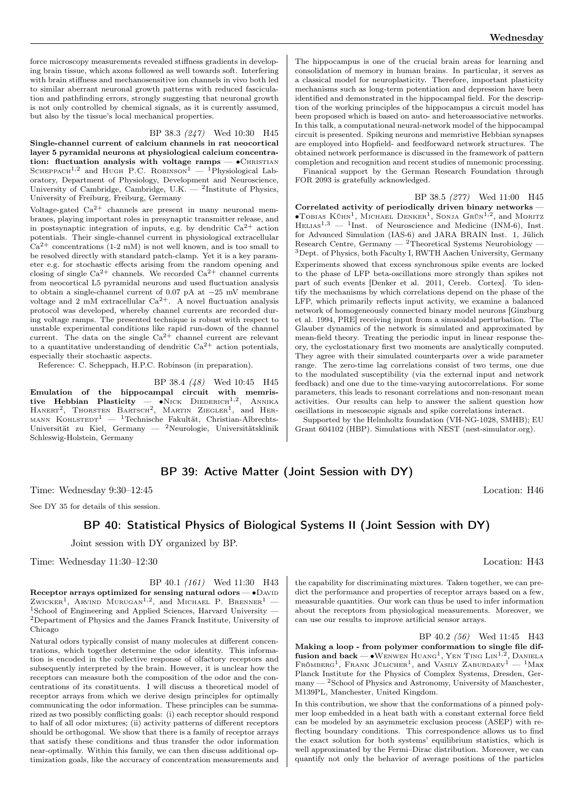#### BP 38.3 (247) Wed 10:30 H45

Single-channel current of calcium channels in rat neocortical layer 5 pyramidal neurons at physiological calcium concentration: fluctuation analysis with voltage ramps — • CHRISTIAN SCHEPPACH<sup>1,2</sup> and Hugh P.C. ROBINSON<sup>1</sup> — <sup>1</sup>Physiological Laboratory, Department of Physiology, Development and Neuroscience, University of Cambridge, Cambridge, U.K. — <sup>2</sup>Institute of Physics, University of Freiburg, Freiburg, Germany

Voltage-gated  $Ca^{2+}$  channels are present in many neuronal membranes, playing important roles in presynaptic transmitter release, and in postsynaptic integration of inputs, e.g. by dendritic  $Ca^{2+}$  action potentials. Their single-channel current in physiological extracellular  $Ca^{2+}$  concentrations (1-2 mM) is not well known, and is too small to be resolved directly with standard patch-clamp. Yet it is a key parameter e.g. for stochastic effects arising from the random opening and closing of single  $Ca^{2+}$  channels. We recorded  $Ca^{2+}$  channel currents from neocortical L5 pyramidal neurons and used fluctuation analysis to obtain a single-channel current of 0.07 pA at −25 mV membrane voltage and 2 mM extracellular  $Ca^{2+}$ . A novel fluctuation analysis protocol was developed, whereby channel currents are recorded during voltage ramps. The presented technique is robust with respect to unstable experimental conditions like rapid run-down of the channel current. The data on the single  $Ca^{2+}$  channel current are relevant to a quantitative understanding of dendritic  $Ca^{2+}$  action potentials, especially their stochastic aspects.

Reference: C. Scheppach, H.P.C. Robinson (in preparation).

BP 38.4 (48) Wed 10:45 H45

Emulation of the hippocampal circuit with memristive Hebbian Plasticity — •Nick Diederich<sup>1,2</sup>, Annika<br>Hanert<sup>2</sup>, Thorsten Bartsch<sup>2</sup>, Martin Ziegler<sup>1</sup>, and Her-MANN KOHLSTEDT<sup>1</sup> — <sup>1</sup>Technische Fakultät, Christian-Albrechts-Universität zu Kiel, Germany — <sup>2</sup>Neurologie, Universitätsklinik Schleswig-Holstein, Germany

The hippocampus is one of the crucial brain areas for learning and consolidation of memory in human brains. In particular, it serves as a classical model for neuroplasticity. Therefore, important plasticity mechanisms such as long-term potentiation and depression have been identified and demonstrated in the hippocampal field. For the description of the working principles of the hippocampus a circuit model has been proposed which is based on auto- and heteroassociative networks. In this talk, a computational neural-network model of the hippocampal circuit is presented. Spiking neurons and memristive Hebbian synapses are employed into Hopfield- and feedforward network structures. The obtained network performance is discussed in the framework of pattern completion and recognition and recent studies of mnemonic processing. Finanical support by the German Research Foundation through

FOR 2093 is gratefully acknowledged.

BP 38.5 (277) Wed 11:00 H45 Correlated activity of periodically driven binary networks — •TOBIAS KÜHN<sup>1</sup>, MICHAEL DENKER<sup>1</sup>, SONJA GRÜN<sup>1,2</sup>, and MORITZ HELIAS<sup>1,3</sup>  $-$  <sup>1</sup>Inst. of Neuroscience and Medicine (INM-6), Inst. for Advanced Simulation (IAS-6) and JARA BRAIN Inst. 1, Jülich Research Centre, Germany — <sup>2</sup>Theoretical Systems Neurobiology — <sup>3</sup>Dept. of Physics, both Faculty I, RWTH Aachen University, Germany

Experiments showed that excess synchronous spike events are locked to the phase of LFP beta-oscillations more strongly than spikes not part of such events [Denker et al. 2011, Cereb. Cortex]. To identify the mechanisms by which correlations depend on the phase of the LFP, which primarily reflects input activity, we examine a balanced network of homogeneously connected binary model neurons [Ginzburg et al. 1994, PRE] receiving input from a sinusoidal perturbation. The Glauber dynamics of the network is simulated and approximated by mean-field theory. Treating the periodic input in linear response theory, the cyclostationary first two moments are analytically computed. They agree with their simulated counterparts over a wide parameter range. The zero-time lag correlations consist of two terms, one due to the modulated susceptibility (via the external input and network feedback) and one due to the time-varying autocorrelations. For some parameters, this leads to resonant correlations and non-resonant mean activities. Our results can help to answer the salient question how oscillations in mesoscopic signals and spike correlations interact.

Supported by the Helmholtz foundation (VH-NG-1028, SMHB); EU Grant 604102 (HBP). Simulations with NEST (nest-simulator.org).

## BP 39: Active Matter (Joint Session with DY)

Time: Wednesday 9:30–12:45 Location: H46

See DY 35 for details of this session.

## BP 40: Statistical Physics of Biological Systems II (Joint Session with DY)

Joint session with DY organized by BP.

Time: Wednesday 11:30–12:30 Location: H43

## BP 40.1 (161) Wed 11:30 H43

Receptor arrays optimized for sensing natural odors — • DAVID Zwicker<sup>1</sup>, Arvind Murugan<sup>1,2</sup>, and Michael P. Brenner<sup>1</sup> – <sup>1</sup>School of Engineering and Applied Sciences, Harvard University — <sup>2</sup>Department of Physics and the James Franck Institute, University of Chicago

Natural odors typically consist of many molecules at different concentrations, which together determine the odor identity. This information is encoded in the collective response of olfactory receptors and subsequently interpreted by the brain. However, it is unclear how the receptors can measure both the composition of the odor and the concentrations of its constituents. I will discuss a theoretical model of receptor arrays from which we derive design principles for optimally communicating the odor information. These principles can be summarized as two possibly conflicting goals: (i) each receptor should respond to half of all odor mixtures; (ii) activity patterns of different receptors should be orthogonal. We show that there is a family of receptor arrays that satisfy these conditions and thus transfer the odor information near-optimally. Within this family, we can then discuss additional optimization goals, like the accuracy of concentration measurements and

the capability for discriminating mixtures. Taken together, we can predict the performance and properties of receptor arrays based on a few, measurable quantities. Our work can thus be used to infer information about the receptors from physiological measurements. Moreover, we can use our results to improve artificial sensor arrays.

BP 40.2 (56) Wed 11:45 H43 Making a loop - from polymer conformation to single file diffusion and back —  $\bullet$ Wenwen Huang<sup>1</sup>, Yen Ting Lin<sup>1,2</sup>, Daniela  $FR\ddot{o}MBERG^1$ , FRANK JÜLICHER<sup>1</sup>, and VASILY ZABURDAEV<sup>1</sup> - <sup>1</sup>Max Planck Institute for the Physics of Complex Systems, Dresden, Germany — <sup>2</sup>School of Physics and Astronomy, University of Manchester, M139PL, Manchester, United Kingdom.

In this contribution, we show that the conformations of a pinned polymer loop embedded in a heat bath with a constant external force field can be modeled by an asymmetric exclusion process (ASEP) with reflecting boundary conditions. This correspondence allows us to find the exact solution for both systems' equilibrium statistics, which is well approximated by the Fermi–Dirac distribution. Moreover, we can quantify not only the behavior of average positions of the particles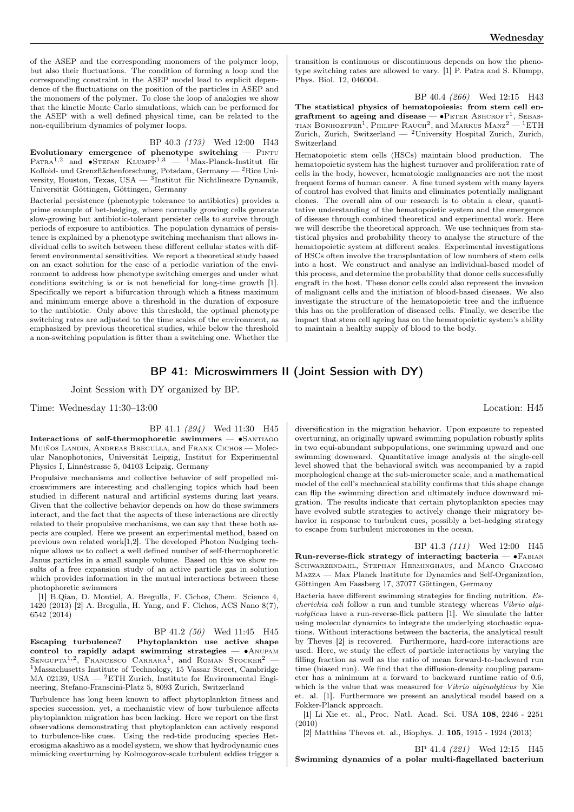of the ASEP and the corresponding monomers of the polymer loop, but also their fluctuations. The condition of forming a loop and the corresponding constraint in the ASEP model lead to explicit dependence of the fluctuations on the position of the particles in ASEP and the monomers of the polymer. To close the loop of analogies we show that the kinetic Monte Carlo simulations, which can be performed for the ASEP with a well defined physical time, can be related to the non-equilibrium dynamics of polymer loops.

#### BP 40.3 (173) Wed 12:00 H43

Evolutionary emergence of phenotype switching  $-$  PINTU PATRA<sup>1,2</sup> and •STEFAN KLUMPP<sup>1,3</sup> — <sup>1</sup>Max-Planck-Institut für Kolloid- und Grenzflächenforschung, Potsdam, Germany — <sup>2</sup>Rice University, Houston, Texas, USA —  ${}^{3}$ Institut für Nichtlineare Dynamik, Universität Göttingen, Göttingen, Germany

Bacterial persistence (phenotypic tolerance to antibiotics) provides a prime example of bet-hedging, where normally growing cells generate slow-growing but antibiotic-tolerant persister cells to survive through periods of exposure to antibiotics. The population dynamics of persistence is explained by a phenotype switching mechanism that allows individual cells to switch between these different cellular states with different environmental sensitivities. We report a theoretical study based on an exact solution for the case of a periodic variation of the environment to address how phenotype switching emerges and under what conditions switching is or is not beneficial for long-time growth [1]. Specifically we report a bifurcation through which a fitness maximum and minimum emerge above a threshold in the duration of exposure to the antibiotic. Only above this threshold, the optimal phenotype switching rates are adjusted to the time scales of the environment, as emphasized by previous theoretical studies, while below the threshold a non-switching population is fitter than a switching one. Whether the

transition is continuous or discontinuous depends on how the phenotype switching rates are allowed to vary. [1] P. Patra and S. Klumpp, Phys. Biol. 12, 046004.

BP 40.4 (266) Wed 12:15 H43 The statistical physics of hematopoiesis: from stem cell engraftment to ageing and disease —  $\bullet$ Peter Ashcroft<sup>1</sup>, Sebastian Bonhoeffer<sup>1</sup>, Philipp Rauch<sup>2</sup>, and Markus Manz<sup>2</sup> — <sup>1</sup>ETH Zurich, Zurich, Switzerland — <sup>2</sup>University Hospital Zurich, Zurich, Switzerland

Hematopoietic stem cells (HSCs) maintain blood production. The hematopoietic system has the highest turnover and proliferation rate of cells in the body, however, hematologic malignancies are not the most frequent forms of human cancer. A fine tuned system with many layers of control has evolved that limits and eliminates potentially malignant clones. The overall aim of our research is to obtain a clear, quantitative understanding of the hematopoietic system and the emergence of disease through combined theoretical and experimental work. Here we will describe the theoretical approach. We use techniques from statistical physics and probability theory to analyse the structure of the hematopoietic system at different scales. Experimental investigations of HSCs often involve the transplantation of low numbers of stem cells into a host. We construct and analyse an individual-based model of this process, and determine the probability that donor cells successfully engraft in the host. These donor cells could also represent the invasion of malignant cells and the initiation of blood-based diseases. We also investigate the structure of the hematopoietic tree and the influence this has on the proliferation of diseased cells. Finally, we describe the impact that stem cell ageing has on the hematopoietic system's ability to maintain a healthy supply of blood to the body.

## BP 41: Microswimmers II (Joint Session with DY)

Joint Session with DY organized by BP.

Time: Wednesday 11:30–13:00 Location: H45

#### BP 41.1 (294) Wed 11:30 H45

Interactions of self-thermophoretic swimmers — ∙Santiago Muiños Landin, Andreas Bregulla, and Frank Cichos — Molecular Nanophotonics, Universität Leipzig, Institut for Experimental Physics I, Linnéstrasse 5, 04103 Leipzig, Germany

Propulsive mechanisms and collective behavior of self propelled microswimmers are interesting and challenging topics which had been studied in different natural and artificial systems during last years. Given that the collective behavior depends on how do these swimmers interact, and the fact that the aspects of these interactions are directly related to their propulsive mechanisms, we can say that these both aspects are coupled. Here we present an experimental method, based on previous own related work[1,2]. The developed Photon Nudging technique allows us to collect a well defined number of self-thermophoretic Janus particles in a small sample volume. Based on this we show results of a free expansion study of an active particle gas in solution which provides information in the mutual interactions between these photophoretic swimmers

[1] B.Qian, D. Montiel, A. Bregulla, F. Cichos, Chem. Science 4, 1420 (2013) [2] A. Bregulla, H. Yang, and F. Cichos, ACS Nano 8(7), 6542 (2014)

BP 41.2 (50) Wed 11:45 H45

Escaping turbulence? Phytoplankton use active shape control to rapidly adapt swimming strategies — ∙Anupam SENGUPTA<sup>1,2</sup>, FRANCESCO CARRARA<sup>1</sup>, and ROMAN STOCKER<sup>2</sup> – <sup>1</sup>Massachusetts Institute of Technology, 15 Vassar Street, Cambridge MA 02139, USA  $-$  <sup>2</sup>ETH Zurich, Institute for Environmental Engineering, Stefano-Franscini-Platz 5, 8093 Zurich, Switzerland

Turbulence has long been known to affect phytoplankton fitness and species succession, yet, a mechanistic view of how turbulence affects phytoplankton migration has been lacking. Here we report on the first observations demonstrating that phytoplankton can actively respond to turbulence-like cues. Using the red-tide producing species Heterosigma akashiwo as a model system, we show that hydrodynamic cues mimicking overturning by Kolmogorov-scale turbulent eddies trigger a

diversification in the migration behavior. Upon exposure to repeated overturning, an originally upward swimming population robustly splits in two equi-abundant subpopulations, one swimming upward and one swimming downward. Quantitative image analysis at the single-cell level showed that the behavioral switch was accompanied by a rapid morphological change at the sub-micrometer scale, and a mathematical model of the cell's mechanical stability confirms that this shape change can flip the swimming direction and ultimately induce downward migration. The results indicate that certain phytoplankton species may have evolved subtle strategies to actively change their migratory behavior in response to turbulent cues, possibly a bet-hedging strategy to escape from turbulent microzones in the ocean.

BP 41.3 (111) Wed 12:00 H45 Run-reverse-flick strategy of interacting bacteria — •FABIAN Schwarzendahl, Stephan Herminghaus, and Marco Giacomo Mazza — Max Planck Institute for Dynamics and Self-Organization, Göttingen Am Fassberg 17, 37077 Göttingen, Germany

Bacteria have different swimming strategies for finding nutrition. Escherichia coli follow a run and tumble strategy whereas Vibrio alginolyticus have a run-reverse-flick pattern [1]. We simulate the latter using molecular dynamics to integrate the underlying stochastic equations. Without interactions between the bacteria, the analytical result by Theves [2] is recovered. Furthermore, hard-core interactions are used. Here, we study the effect of particle interactions by varying the filling fraction as well as the ratio of mean forward-to-backward run time (biased run). We find that the diffusion-density coupling parameter has a minimum at a forward to backward runtime ratio of 0.6, which is the value that was measured for *Vibrio alginolyticus* by Xie et. al. [1]. Furthermore we present an analytical model based on a Fokker-Planck approach.

[1] Li Xie et. al., Proc. Natl. Acad. Sci. USA 108, 2246 - 2251  $(2010)$ 

[2] Matthias Theves et. al., Biophys. J. 105, 1915 - 1924 (2013)

BP 41.4 (221) Wed 12:15 H45 Swimming dynamics of a polar multi-flagellated bacterium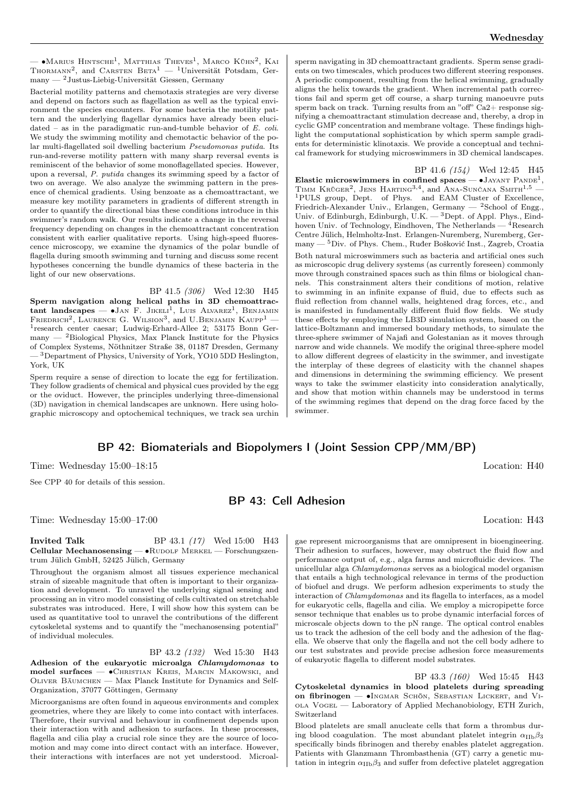— •Маrius Hintsche<sup>1</sup>, Matthias Theves<sup>1</sup>, Marco Kühn<sup>2</sup>, Kai THORMANN<sup>2</sup>, and CARSTEN  $BETA<sup>1</sup>$  - <sup>1</sup>Universität Potsdam, Germany — <sup>2</sup>Justus-Liebig-Universität Giessen, Germany

Bacterial motility patterns and chemotaxis strategies are very diverse and depend on factors such as flagellation as well as the typical environment the species encounters. For some bacteria the motility pattern and the underlying flagellar dynamics have already been elucidated – as in the paradigmatic run-and-tumble behavior of E. coli. We study the swimming motility and chemotactic behavior of the polar multi-flagellated soil dwelling bacterium Pseudomonas putida. Its run-and-reverse motility pattern with many sharp reversal events is reminiscent of the behavior of some monoflagellated species. However, upon a reversal, P. putida changes its swimming speed by a factor of two on average. We also analyze the swimming pattern in the presence of chemical gradients. Using benzoate as a chemoattractant, we measure key motility parameters in gradients of different strength in order to quantify the directional bias these conditions introduce in this swimmer's random walk. Our results indicate a change in the reversal frequency depending on changes in the chemoattractant concentration consistent with earlier qualitative reports. Using high-speed fluorescence microscopy, we examine the dynamics of the polar bundle of flagella during smooth swimming and turning and discuss some recent hypotheses concerning the bundle dynamics of these bacteria in the light of our new observations.

BP 41.5 (306) Wed 12:30 H45 Sperm navigation along helical paths in 3D chemoattrac $t$ ant landscapes —  $\bullet$ Jan F. Jikeli<sup>1</sup>, Luis Alvarez<sup>1</sup>, Benjamin FRIEDRICH<sup>2</sup>, LAURENCE G. WILSION<sup>3</sup>, and U.BENJAMIN KAUPP<sup>1</sup> – 1 research center caesar; Ludwig-Erhard-Allee 2; 53175 Bonn Germany — <sup>2</sup>Biological Physics, Max Planck Institute for the Physics of Complex Systems, Nöthnitzer Straße 38, 01187 Dresden, Germany — <sup>3</sup>Department of Physics, University of York, YO10 5DD Heslington, York, UK

Sperm require a sense of direction to locate the egg for fertilization. They follow gradients of chemical and physical cues provided by the egg or the oviduct. However, the principles underlying three-dimensional (3D) navigation in chemical landscapes are unknown. Here using holographic microscopy and optochemical techniques, we track sea urchin sperm navigating in 3D chemoattractant gradients. Sperm sense gradients on two timescales, which produces two different steering responses. A periodic component, resulting from the helical swimming, gradually aligns the helix towards the gradient. When incremental path corrections fail and sperm get off course, a sharp turning manoeuvre puts sperm back on track. Turning results from an "off"  $Ca2+$  response signifying a chemoattractant stimulation decrease and, thereby, a drop in cyclic GMP concentration and membrane voltage. These findings highlight the computational sophistication by which sperm sample gradients for deterministic klinotaxis. We provide a conceptual and technical framework for studying microswimmers in 3D chemical landscapes.

BP 41.6 (154) Wed 12:45 H45 Elastic microswimmers in confined spaces —  $\bullet$  JAYANT PANDE<sup>1</sup>, TIMM KRÜGER<sup>2</sup>, JENS HARTING<sup>3,4</sup>, and ANA-SUNČANA SMITH<sup>1,5</sup> -<sup>1</sup>PULS group, Dept. of Phys. and EAM Cluster of Excellence, Friedrich-Alexander Univ., Erlangen, Germany —  ${}^{2}$ School of Engg., Univ. of Edinburgh, Edinburgh, U.K. — <sup>3</sup>Dept. of Appl. Phys., Eindhoven Univ. of Technology, Eindhoven, The Netherlands —  $4$ Research Centre Jülich, Helmholtz-Inst. Erlangen-Nuremberg, Nuremberg, Germany — <sup>5</sup>Div. of Phys. Chem., Ruđer Bošković Inst., Zagreb, Croatia Both natural microswimmers such as bacteria and artificial ones such as microscopic drug delivery systems (as currently foreseen) commonly move through constrained spaces such as thin films or biological channels. This constrainment alters their conditions of motion, relative to swimming in an infinite expanse of fluid, due to effects such as fluid reflection from channel walls, heightened drag forces, etc., and is manifested in fundamentally different fluid flow fields. We study these effects by employing the LB3D simulation system, based on the lattice-Boltzmann and immersed boundary methods, to simulate the three-sphere swimmer of Najafi and Golestanian as it moves through narrow and wide channels. We modify the original three-sphere model to allow different degrees of elasticity in the swimmer, and investigate the interplay of these degrees of elasticity with the channel shapes and dimensions in determining the swimming efficiency. We present ways to take the swimmer elasticity into consideration analytically, and show that motion within channels may be understood in terms of the swimming regimes that depend on the drag force faced by the swimmer.

## BP 42: Biomaterials and Biopolymers I (Joint Session CPP/MM/BP)

Time: Wednesday 15:00–18:15 Location: H40

See CPP 40 for details of this session.

## BP 43: Cell Adhesion

Time: Wednesday 15:00–17:00 Location: H43

**Invited Talk** BP 43.1 (17) Wed 15:00 H43 Cellular Mechanosensing — • RUDOLF MERKEL — Forschungszentrum Jülich GmbH, 52425 Jülich, Germany

Throughout the organism almost all tissues experience mechanical strain of sizeable magnitude that often is important to their organization and development. To unravel the underlying signal sensing and processing an in vitro model consisting of cells cultivated on stretchable substrates was introduced. Here, I will show how this system can be used as quantitative tool to unravel the contributions of the different cytoskeletal systems and to quantify the "mechanosensing potential" of individual molecules.

BP 43.2 (132) Wed 15:30 H43 Adhesion of the eukaryotic microalga Chlamydomonas to model surfaces — ∙Christian Kreis, Marcin Makowski, and Oliver Bäumchen — Max Planck Institute for Dynamics and Self-Organization, 37077 Göttingen, Germany

Microorganisms are often found in aqueous environments and complex geometries, where they are likely to come into contact with interfaces. Therefore, their survival and behaviour in confinement depends upon their interaction with and adhesion to surfaces. In these processes, flagella and cilia play a crucial role since they are the source of locomotion and may come into direct contact with an interface. However, their interactions with interfaces are not yet understood. Microal-

gae represent microorganisms that are omnipresent in bioengineering. Their adhesion to surfaces, however, may obstruct the fluid flow and performance output of, e.g., alga farms and microfluidic devices. The unicellular alga Chlamydomonas serves as a biological model organism that entails a high technological relevance in terms of the production of biofuel and drugs. We perform adhesion experiments to study the interaction of Chlamydomonas and its flagella to interfaces, as a model for eukaryotic cells, flagella and cilia. We employ a micropipette force sensor technique that enables us to probe dynamic interfacial forces of microscale objects down to the pN range. The optical control enables us to track the adhesion of the cell body and the adhesion of the flagella. We observe that only the flagella and not the cell body adhere to our test substrates and provide precise adhesion force measurements of eukaryotic flagella to different model substrates.

BP 43.3 (160) Wed 15:45 H43 Cytoskeletal dynamics in blood platelets during spreading on fibrinogen — ∙Ingmar Schön, Sebastian Lickert, and Viola Vogel — Laboratory of Applied Mechanobiology, ETH Zurich, Switzerland

Blood platelets are small anucleate cells that form a thrombus during blood coagulation. The most abundant platelet integrin  $\alpha_{\text{IIb}}\beta_3$ specifically binds fibrinogen and thereby enables platelet aggregation. Patients with Glanzmann Thrombasthenia (GT) carry a genetic mutation in integrin  $\alpha_{\text{IIb}}\beta_3$  and suffer from defective platelet aggregation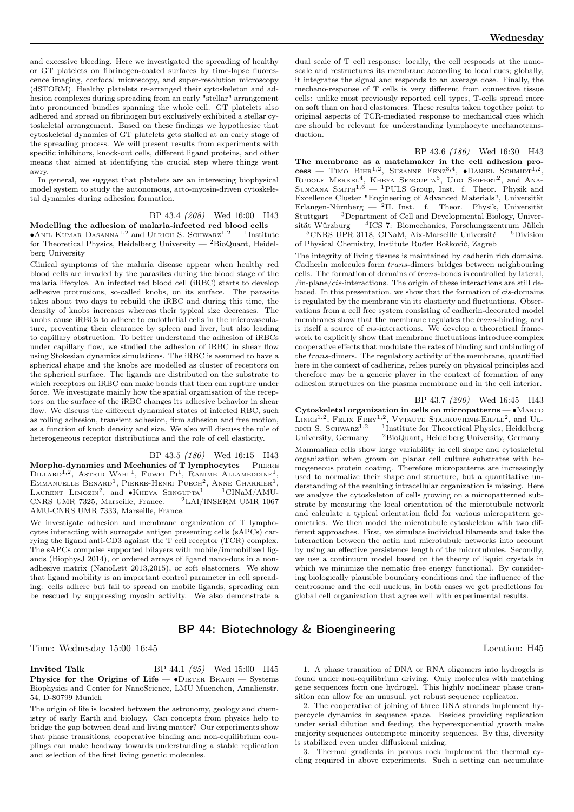and excessive bleeding. Here we investigated the spreading of healthy or GT platelets on fibrinogen-coated surfaces by time-lapse fluorescence imaging, confocal microscopy, and super-resolution microscopy (dSTORM). Healthy platelets re-arranged their cytoskeleton and adhesion complexes during spreading from an early "stellar" arrangement into pronounced bundles spanning the whole cell. GT platelets also adhered and spread on fibrinogen but exclusively exhibited a stellar cytoskeletal arrangement. Based on these findings we hypothesize that cytoskeletal dynamics of GT platelets gets stalled at an early stage of the spreading process. We will present results from experiments with specific inhibitors, knock-out cells, different ligand proteins, and other means that aimed at identifying the crucial step where things went awry.

In general, we suggest that platelets are an interesting biophysical model system to study the autonomous, acto-myosin-driven cytoskeletal dynamics during adhesion formation.

BP 43.4 (208) Wed 16:00 H43 Modelling the adhesion of malaria-infected red blood cells —  $\bullet$ Anil Kumar Dasanna<sup>1,2</sup> and Ulrich S. Schwarz<sup>1,2</sup> — <sup>1</sup>Institute for Theoretical Physics, Heidelberg University —  ${}^{2}$ BioQuant, Heidelberg University

Clinical symptoms of the malaria disease appear when healthy red blood cells are invaded by the parasites during the blood stage of the malaria lifecylce. An infected red blood cell (iRBC) starts to develop adhesive protrusions, so-called knobs, on its surface. The parasite takes about two days to rebuild the iRBC and during this time, the density of knobs increases whereas their typical size decreases. The knobs cause iRBCs to adhere to endothelial cells in the microvasculature, preventing their clearance by spleen and liver, but also leading to capillary obstruction. To better understand the adhesion of iRBCs under capillary flow, we studied the adhesion of iRBC in shear flow using Stokesian dynamics simulations. The iRBC is assumed to have a spherical shape and the knobs are modelled as cluster of receptors on the spherical surface. The ligands are distributed on the substrate to which receptors on iRBC can make bonds that then can rupture under force. We investigate mainly how the spatial organisation of the receptors on the surface of the iRBC changes its adhesive behavior in shear flow. We discuss the different dynamical states of infected RBC, such as rolling adhesion, transient adhesion, firm adhesion and free motion, as a function of knob density and size. We also will discuss the role of heterogeneous receptor distributions and the role of cell elasticity.

BP 43.5 (180) Wed 16:15 H43 Morpho-dynamics and Mechanics of T lymphocytes - PIERRE DILLARD<sup>1,2</sup>, ASTRID WAHL<sup>1</sup>, FUWEI PI<sup>1</sup>, RANIME ALLAMEDDINE<sup>1</sup>, EMMANUELLE BENARD<sup>1</sup>, PIERRE-HENRI PUECH<sup>2</sup>, ANNE CHARRIER<sup>1</sup>,<br>LAURENT LIMOZIN<sup>2</sup>, and ●KHEYA SENGUPTA<sup>1</sup> — <sup>1</sup>CINaM/AMU-CNRS UMR 7325, Marseille, France. — <sup>2</sup>LAI/INSERM UMR 1067 AMU-CNRS UMR 7333, Marseille, France.

We investigate adhesion and membrane organization of T lymphocytes interacting with surrogate antigen presenting cells (sAPCs) carrying the ligand anti-CD3 against the T cell receptor (TCR) complex. The sAPCs comprise supported bilayers with mobile/immobilized ligands (BiophysJ 2014), or ordered arrays of ligand nano-dots in a nonadhesive matrix (NanoLett 2013,2015), or soft elastomers. We show that ligand mobility is an important control parameter in cell spreading: cells adhere but fail to spread on mobile ligands, spreading can be rescued by suppressing myosin activity. We also demonstrate a

dual scale of T cell response: locally, the cell responds at the nanoscale and restructures its membrane according to local cues; globally, it integrates the signal and responds to an average dose. Finally, the mechano-response of T cells is very different from connective tissue cells: unlike most previously reported cell types, T-cells spread more on soft than on hard elastomers. These results taken together point to original aspects of TCR-mediated response to mechanical cues which are should be relevant for understanding lymphocyte mechanotransduction.

BP 43.6 (186) Wed 16:30 H43 The membrane as a matchmaker in the cell adhesion pro- $\text{cess}$  — Timo Bihr<sup>1,2</sup>, Susanne Fenz<sup>3,4</sup>, •Daniel Schmidt<sup>1,2</sup>, RUDOLF MERKEL<sup>4</sup>, KHEYA SENGUPTA<sup>5</sup>, UDO SEIFERT<sup>2</sup>, and ANA-SUNČANA SMITH<sup>1,6</sup> - <sup>1</sup>PULS Group, Inst. f. Theor. Physik and Excellence Cluster "Engineering of Advanced Materials", Universität Erlangen-Nürnberg —  ${}^{2}$ II. Inst. f. Theor. Physik, Universität Stuttgart — <sup>3</sup>Department of Cell and Developmental Biology, Universität Würzburg — <sup>4</sup> ICS 7: Biomechanics, Forschungszentrum Jülich <sup>5</sup>CNRS UPR 3118, CINaM, Aix-Marseille Université —  ${}^{6}$ Division of Physical Chemistry, Institute Ruđer Bošković, Zagreb

The integrity of living tissues is maintained by cadherin rich domains. Cadherin molecules form trans-dimers bridges between neighbouring cells. The formation of domains of  $trans-bonds$  is controlled by lateral,  $\sin\theta - \cos\theta$  interactions. The origin of these interactions are still debated. In this presentation, we show that the formation of  $cis$ -domains is regulated by the membrane via its elasticity and fluctuations. Observations from a cell free system consisting of cadherin-decorated model membranes show that the membrane regulates the  $trans$ -binding, and is itself a source of  $cis$ -interactions. We develop a theoretical framework to explicitly show that membrane fluctuations introduce complex cooperative effects that modulate the rates of binding and unbinding of the  $trans\text{-dimers.}$  The regulatory activity of the membrane, quantified here in the context of cadherins, relies purely on physical principles and therefore may be a generic player in the context of formation of any adhesion structures on the plasma membrane and in the cell interior.

BP 43.7 (290) Wed 16:45 H43 Cytoskeletal organization in cells on micropatterns — ∙Marco LINKE<sup>1,2</sup>, FELIX FREY<sup>1,2</sup>, VYTAUTE STARKUVIENE-ERFLE<sup>2</sup>, and UL-RICH S. SCHWARZ<sup>1,2</sup> — <sup>1</sup>Institute for Theoretical Physics, Heidelberg University, Germany —  $^2$ BioQuant, Heidelberg University, Germany Mammalian cells show large variability in cell shape and cytoskeletal organization when grown on planar cell culture substrates with homogeneous protein coating. Therefore micropatterns are increasingly used to normalize their shape and structure, but a quantitative understanding of the resulting intracellular organization is missing. Here we analyze the cytoskeleton of cells growing on a micropatterned substrate by measuring the local orientation of the microtubule network and calculate a typical orientation field for various micropattern geometries. We then model the microtubule cytoskeleton with two different approaches. First, we simulate individual filaments and take the interaction between the actin and microtubule networks into account by using an effective persistence length of the microtubules. Secondly, we use a continuum model based on the theory of liquid crystals in which we minimize the nematic free energy functional. By considering biologically plausible boundary conditions and the influence of the centrosome and the cell nucleus, in both cases we get predictions for global cell organization that agree well with experimental results.

## BP 44: Biotechnology & Bioengineering

Time: Wednesday 15:00–16:45 Location: H45

**Invited Talk** BP 44.1 (25) Wed 15:00 H45 Physics for the Origins of Life —  $\bullet$ DIETER BRAUN — Systems Biophysics and Center for NanoScience, LMU Muenchen, Amalienstr. 54, D-80799 Munich

The origin of life is located between the astronomy, geology and chemistry of early Earth and biology. Can concepts from physics help to bridge the gap between dead and living matter? Our experiments show that phase transitions, cooperative binding and non-equilibrium couplings can make headway towards understanding a stable replication and selection of the first living genetic molecules.

1. A phase transition of DNA or RNA oligomers into hydrogels is found under non-equilibrium driving. Only molecules with matching gene sequences form one hydrogel. This highly nonlinear phase transition can allow for an unusual, yet robust sequence replicator.

2. The cooperative of joining of three DNA strands implement hypercycle dynamics in sequence space. Besides providing replication under serial dilution and feeding, the hyperexponential growth make majority sequences outcompete minority sequences. By this, diversity is stabilized even under diffusional mixing.

3. Thermal gradients in porous rock implement the thermal cycling required in above experiments. Such a setting can accumulate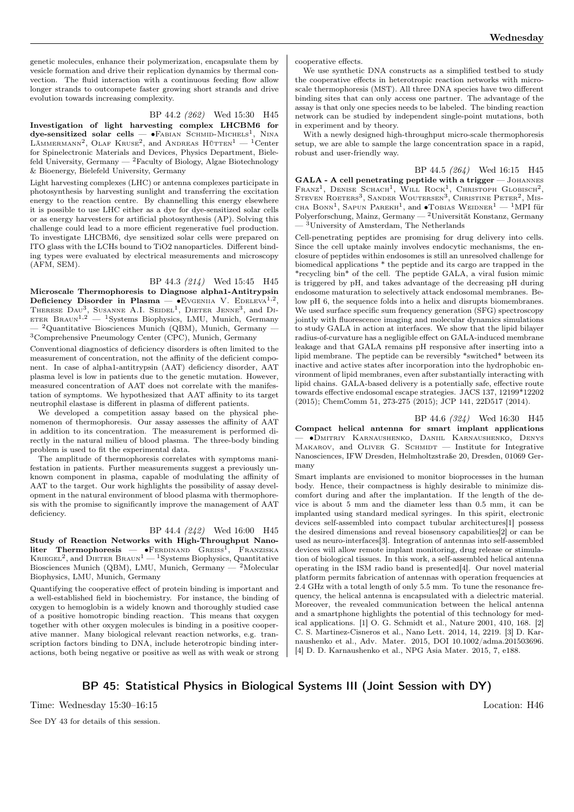genetic molecules, enhance their polymerization, encapsulate them by vesicle formation and drive their replication dynamics by thermal convection. The fluid interaction with a continuous feeding flow allow longer strands to outcompete faster growing short strands and drive evolution towards increasing complexity.

BP 44.2 (262) Wed 15:30 H45

Investigation of light harvesting complex LHCBM6 for  $d$ ye-sensitized solar cells — •Fabian Schmid-Michels<sup>1</sup>, Nina LÄMMERMANN<sup>2</sup>, OLAF KRUSE<sup>2</sup>, and ANDREAS  $H\ddot{\text{u}}$ TTEN<sup>1</sup> - <sup>1</sup>Center for Spinelectronic Materials and Devices, Physics Department, Bielefeld University, Germany — <sup>2</sup>Faculty of Biology, Algae Biotechnology & Bioenergy, Bielefeld University, Germany

Light harvesting complexes (LHC) or antenna complexes participate in photosynthesis by harvesting sunlight and transferring the excitation energy to the reaction centre. By channelling this energy elsewhere it is possible to use LHC either as a dye for dye-sensitized solar cells or as energy harvesters for artificial photosynthesis (AP). Solving this challenge could lead to a more efficient regenerative fuel production. To investigate LHCBM6, dye sensitized solar cells were prepared on ITO glass with the LCHs bound to TiO2 nanoparticles. Different binding types were evaluated by electrical measurements and microscopy (AFM, SEM).

BP 44.3 (214) Wed 15:45 H45

Microscale Thermophoresis to Diagnose alpha1-Antitrypsin Deficiency Disorder in Plasma — •Evgenia V. EDELEVA<sup>1,2</sup>, THERESE  $\text{Dau}^3$ , SUSANNE A.I. SEIDEL<sup>1</sup>, DIETER JENNE<sup>3</sup>, and DI-ETER BRAUN<sup>1,2</sup> — <sup>1</sup>Systems Biophysics, LMU, Munich, Germany <sup>2</sup>Quantitative Biosciences Munich (QBM), Munich, Germany <sup>3</sup>Comprehensive Pneumology Center (CPC), Munich, Germany

Conventional diagnostics of deficiency disorders is often limited to the measurement of concentration, not the affinity of the deficient component. In case of alpha1-antitrypsin (AAT) deficiency disorder, AAT plasma level is low in patients due to the genetic mutation. However, measured concentration of AAT does not correlate with the manifestation of symptoms. We hypothesized that AAT affinity to its target neutrophil elastase is different in plasma of different patients.

We developed a competition assay based on the physical phenomenon of thermophoresis. Our assay assesses the affinity of AAT in addition to its concentration. The measurement is performed directly in the natural milieu of blood plasma. The three-body binding problem is used to fit the experimental data.

The amplitude of thermophoresis correlates with symptoms manifestation in patients. Further measurements suggest a previously unknown component in plasma, capable of modulating the affinity of AAT to the target. Our work highlights the possibility of assay development in the natural environment of blood plasma with thermophoresis with the promise to significantly improve the management of AAT deficiency.

#### BP 44.4 (242) Wed 16:00 H45

Study of Reaction Networks with High-Throughput Nanoliter Thermophoresis — •FERDINAND GREISS<sup>1</sup>, FRANZISKA<br>KRIEGEL<sup>2</sup>, and DIETER BRAUN<sup>1</sup> — <sup>1</sup>Systems Biophysics, Quantitative Biosciences Munich (QBM), LMU, Munich, Germany — <sup>2</sup>Molecular Biophysics, LMU, Munich, Germany

Quantifying the cooperative effect of protein binding is important and a well-established field in biochemistry. For instance, the binding of oxygen to hemoglobin is a widely known and thoroughly studied case of a positive homotropic binding reaction. This means that oxygen together with other oxygen molecules is binding in a positive cooperative manner. Many biological relevant reaction networks, e.g. transcription factors binding to DNA, include heterotropic binding interactions, both being negative or positive as well as with weak or strong cooperative effects.

We use synthetic DNA constructs as a simplified testbed to study the cooperative effects in heterotropic reaction networks with microscale thermophoresis (MST). All three DNA species have two different binding sites that can only access one partner. The advantage of the assay is that only one species needs to be labeled. The binding reaction network can be studied by independent single-point mutations, both in experiment and by theory.

With a newly designed high-throughput micro-scale thermophoresis setup, we are able to sample the large concentration space in a rapid, robust and user-friendly way.

BP 44.5 (264) Wed 16:15 H45 GALA - A cell penetrating peptide with a trigger - JOHANNES Franz<sup>1</sup>, Denise Schach<sup>1</sup>, Will Rock<sup>1</sup>, Christoph Globisch<sup>2</sup>, Steven Roeters<sup>3</sup>, Sander Woutersen<sup>3</sup>, Christine Peter<sup>2</sup>, Mis-CHA BONN<sup>1</sup>, SAPUN PAREKH<sup>1</sup>, and •Tobias Weidner<sup>1</sup> — <sup>1</sup>MPI für Polyerforschung, Mainz, Germany — <sup>2</sup>Universität Konstanz, Germany — <sup>3</sup>University of Amsterdam, The Netherlands

Cell-penetrating peptides are promising for drug delivery into cells. Since the cell uptake mainly involves endocytic mechanisms, the enclosure of peptides within endosomes is still an unresolved challenge for biomedical applications \* the peptide and its cargo are trapped in the \*recycling bin\* of the cell. The peptide GALA, a viral fusion mimic is triggered by pH, and takes advantage of the decreasing pH during endosome maturation to selectively attack endosomal membranes. Below pH 6, the sequence folds into a helix and disrupts biomembranes. We used surface specific sum frequency generation (SFG) spectroscopy jointly with fluorescence imaging and molecular dynamics simulations to study GALA in action at interfaces. We show that the lipid bilayer radius-of-curvature has a negligible effect on GALA-induced membrane leakage and that GALA remains pH responsive after inserting into a lipid membrane. The peptide can be reversibly \*switched\* between its inactive and active states after incorporation into the hydrophobic environment of lipid membranes, even after substantially interacting with lipid chains. GALA-based delivery is a potentially safe, effective route towards effective endosomal escape strategies. JACS 137, 12199\*12202 (2015); ChemComm 51, 273-275 (2015); JCP 141, 22D517 (2014).

BP 44.6 (324) Wed 16:30 H45 Compact helical antenna for smart implant applications — ∙Dmitriy Karnaushenko, Daniil Karnaushenko, Denys MAKAROV, and OLIVER G. SCHMIDT  $-$  Institute for Integrative Nanosciences, IFW Dresden, Helmholtzstraße 20, Dresden, 01069 Germany

Smart implants are envisioned to monitor bioprocesses in the human body. Hence, their compactness is highly desirable to minimize discomfort during and after the implantation. If the length of the device is about 5 mm and the diameter less than 0.5 mm, it can be implanted using standard medical syringes. In this spirit, electronic devices self-assembled into compact tubular architectures[1] possess the desired dimensions and reveal biosensory capabilities[2] or can be used as neuro-interfaces[3]. Integration of antennas into self-assembled devices will allow remote implant monitoring, drug release or stimulation of biological tissues. In this work, a self-assembled helical antenna operating in the ISM radio band is presented[4]. Our novel material platform permits fabrication of antennas with operation frequencies at 2.4 GHz with a total length of only 5.5 mm. To tune the resonance frequency, the helical antenna is encapsulated with a dielectric material. Moreover, the revealed communication between the helical antenna and a smartphone highlights the potential of this technology for medical applications. [1] O. G. Schmidt et al., Nature 2001, 410, 168. [2] C. S. Martinez-Cisneros et al., Nano Lett. 2014, 14, 2219. [3] D. Karnaushenko et al., Adv. Mater. 2015, DOI 10.1002/adma.201503696. [4] D. D. Karnaushenko et al., NPG Asia Mater. 2015, 7, e188.

## BP 45: Statistical Physics in Biological Systems III (Joint Session with DY)

Time: Wednesday 15:30–16:15 Location: H46

See DY 43 for details of this session.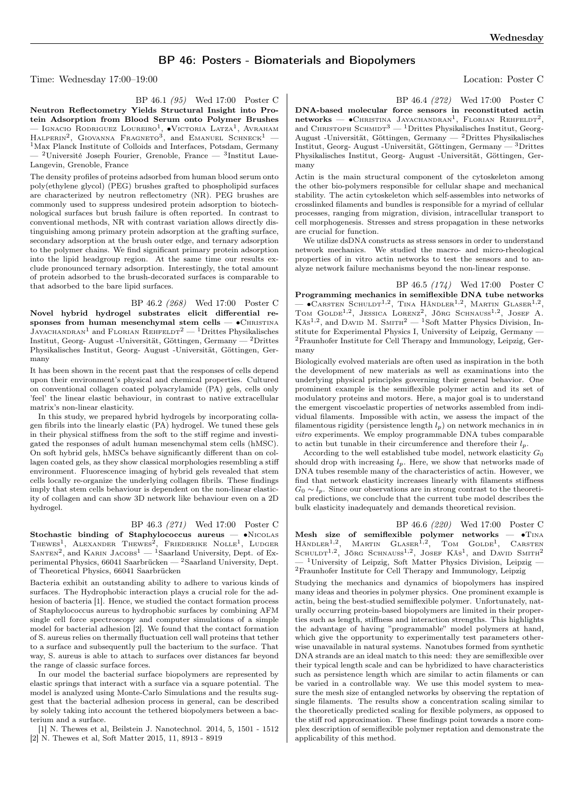## BP 46: Posters - Biomaterials and Biopolymers

Time: Wednesday 17:00–19:00 Location: Poster C

BP 46.1 (95) Wed 17:00 Poster C Neutron Reflectometry Yields Structural Insight into Protein Adsorption from Blood Serum onto Polymer Brushes — Іgnacio Rodriguez Loureiro<sup>1</sup>, •Victoria Latza<sup>1</sup>, Avraham<br>Наlperin<sup>2</sup>, Giovanna Fragneto<sup>3</sup>, and Emanuel Schneck<sup>1</sup> — <sup>1</sup>Max Planck Institute of Colloids and Interfaces, Potsdam, Germany — <sup>2</sup>Université Joseph Fourier, Grenoble, France — <sup>3</sup> Institut Laue-Langevin, Grenoble, France

The density profiles of proteins adsorbed from human blood serum onto poly(ethylene glycol) (PEG) brushes grafted to phospholipid surfaces are characterized by neutron reflectometry (NR). PEG brushes are commonly used to suppress undesired protein adsorption to biotechnological surfaces but brush failure is often reported. In contrast to conventional methods, NR with contrast variation allows directly distinguishing among primary protein adsorption at the grafting surface, secondary adsorption at the brush outer edge, and ternary adsorption to the polymer chains. We find significant primary protein adsorption into the lipid headgroup region. At the same time our results exclude pronounced ternary adsorption. Interestingly, the total amount of protein adsorbed to the brush-decorated surfaces is comparable to that adsorbed to the bare lipid surfaces.

BP 46.2 (268) Wed 17:00 Poster C Novel hybrid hydrogel substrates elicit differential responses from human mesenchymal stem cells — •CHRISTINA JAYACHANDRAN<sup>1</sup> and FLORIAN REHFELDT<sup>2</sup> — <sup>1</sup>Drittes Physikalisches Institut, Georg- August -Universität, Göttingen, Germany — <sup>2</sup>Drittes Physikalisches Institut, Georg- August -Universität, Göttingen, Germany

It has been shown in the recent past that the responses of cells depend upon their environment's physical and chemical properties. Cultured on conventional collagen coated polyacrylamide (PA) gels, cells only 'feel' the linear elastic behaviour, in contrast to native extracellular matrix's non-linear elasticity.

In this study, we prepared hybrid hydrogels by incorporating collagen fibrils into the linearly elastic (PA) hydrogel. We tuned these gels in their physical stiffness from the soft to the stiff regime and investigated the responses of adult human mesenchymal stem cells (hMSC). On soft hybrid gels, hMSCs behave significantly different than on collagen coated gels, as they show classical morphologies resembling a stiff environment. Fluorescence imaging of hybrid gels revealed that stem cells locally re-organize the underlying collagen fibrils. These findings imply that stem cells behaviour is dependent on the non-linear elasticity of collagen and can show 3D network like behaviour even on a 2D hydrogel.

BP 46.3 (271) Wed 17:00 Poster C

Stochastic binding of Staphylococcus aureus — ∙Nicolas Thewes<sup>1</sup>, Alexander Thewes<sup>2</sup>, Friederike Nolle<sup>1</sup>, Ludger SANTEN<sup>2</sup>, and KARIN JACOBS<sup>1</sup> — <sup>1</sup>Saarland University, Dept. of Experimental Physics, 66041 Saarbrücken — <sup>2</sup>Saarland University, Dept. of Theoretical Physics, 66041 Saarbrücken

Bacteria exhibit an outstanding ability to adhere to various kinds of surfaces. The Hydrophobic interaction plays a crucial role for the adhesion of bacteria [1]. Hence, we studied the contact formation process of Staphylococcus aureus to hydrophobic surfaces by combining AFM single cell force spectroscopy and computer simulations of a simple model for bacterial adhesion [2]. We found that the contact formation of S. aureus relies on thermally fluctuation cell wall proteins that tether to a surface and subsequently pull the bacterium to the surface. That way, S. aureus is able to attach to surfaces over distances far beyond the range of classic surface forces.

In our model the bacterial surface biopolymers are represented by elastic springs that interact with a surface via a square potential. The model is analyzed using Monte-Carlo Simulations and the results suggest that the bacterial adhesion process in general, can be described by solely taking into account the tethered biopolymers between a bacterium and a surface.

[1] N. Thewes et al, Beilstein J. Nanotechnol. 2014, 5, 1501 - 1512 [2] N. Thewes et al, Soft Matter 2015, 11, 8913 - 8919

BP 46.4 (272) Wed 17:00 Poster C DNA-based molecular force sensors in reconstituted actin  $networks$   $\longrightarrow$  CHRISTINA JAYACHANDRAN<sup>1</sup>, FLORIAN REHFELDT<sup>2</sup>, and CHRISTOPH SCHMIDT<sup>3</sup> — <sup>1</sup>Drittes Physikalisches Institut, Georg-August -Universität, Göttingen, Germany — <sup>2</sup>Drittes Physikalisches Institut, Georg- August -Universität, Göttingen, Germany — <sup>3</sup>Drittes Physikalisches Institut, Georg- August -Universität, Göttingen, Germany

Actin is the main structural component of the cytoskeleton among the other bio-polymers responsible for cellular shape and mechanical stability. The actin cytoskeleton which self-assembles into networks of crosslinked filaments and bundles is responsible for a myriad of cellular processes, ranging from migration, division, intracellular transport to cell morphogenesis. Stresses and stress propagation in these networks are crucial for function.

We utilize dsDNA constructs as stress sensors in order to understand network mechanics. We studied the macro- and micro-rheological properties of in vitro actin networks to test the sensors and to analyze network failure mechanisms beyond the non-linear response.

BP 46.5 (174) Wed 17:00 Poster C Programming mechanics in semiflexible DNA tube networks  $-$  •Carsten Schuldt<sup>1,2</sup>, Tina Händler<sup>1,2</sup>, Martin Glaser<sup>1,2</sup>, TOM GOLDE<sup>1,2</sup>, JESSICA LORENZ<sup>2</sup>, JÖRG SCHNAUSS<sup>1,2</sup>, JOSEF A. Käs<sup>1,2</sup>, and DAVID M. SMITH<sup>2</sup> - <sup>1</sup>Soft Matter Physics Division, Institute for Experimental Physics I, University of Leipzig, Germany — <sup>2</sup>Fraunhofer Institute for Cell Therapy and Immunology, Leipzig, Germany

Biologically evolved materials are often used as inspiration in the both the development of new materials as well as examinations into the underlying physical principles governing their general behavior. One prominent example is the semiflexible polymer actin and its set of modulatory proteins and motors. Here, a major goal is to understand the emergent viscoelastic properties of networks assembled from individual filaments. Impossible with actin, we assess the impact of the filamentous rigidity (persistence length  $l_p$ ) on network mechanics in in vitro experiments. We employ programmable DNA tubes comparable to actin but tunable in their circumference and therefore their  $l_p$ .

According to the well established tube model, network elasticity  $G_0$ should drop with increasing  $l_p$ . Here, we show that networks made of DNA tubes resemble many of the characteristics of actin. However, we find that network elasticity increases linearly with filaments stiffness  $G_0 \sim l_p$ . Since our observations are in strong contrast to the theoretical predictions, we conclude that the current tube model describes the bulk elasticity inadequately and demands theoretical revision.

BP 46.6 (220) Wed 17:00 Poster C Mesh size of semiflexible polymer networks — •TINA HÄNDLER<sup>1,2</sup>, MARTIN GLASER<sup>1,2</sup>, TOM GOLDE<sup>1</sup>, CARSTEN SCHULDT<sup>1,2</sup>, JÖRG SCHNAUSS<sup>1,2</sup>, JOSEF KÄS<sup>1</sup>, and DAVID SMITH<sup>2</sup>  $-$ <sup>1</sup>University of Leipzig, Soft Matter Physics Division, Leipzig  $-$ <sup>2</sup>Fraunhofer Institute for Cell Therapy and Immunology, Leipzig

Studying the mechanics and dynamics of biopolymers has inspired many ideas and theories in polymer physics. One prominent example is actin, being the best-studied semiflexible polymer. Unfortunately, naturally occurring protein-based biopolymers are limited in their properties such as length, stiffness and interaction strengths. This highlights the advantage of having "programmable" model polymers at hand, which give the opportunity to experimentally test parameters otherwise unavailable in natural systems. Nanotubes formed from synthetic DNA strands are an ideal match to this need: they are semiflexible over their typical length scale and can be hybridized to have characteristics such as persistence length which are similar to actin filaments or can be varied in a controllable way. We use this model system to measure the mesh size of entangled networks by observing the reptation of single filaments. The results show a concentration scaling similar to the theoretically predicted scaling for flexible polymers, as opposed to the stiff rod approximation. These findings point towards a more complex description of semiflexible polymer reptation and demonstrate the applicability of this method.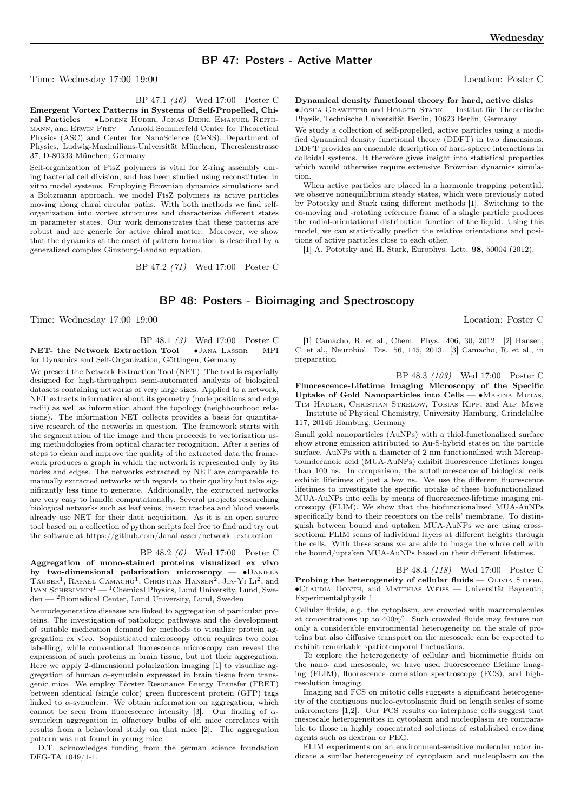## BP 47: Posters - Active Matter

Time: Wednesday 17:00–19:00 Location: Poster C

BP 47.1 (46) Wed 17:00 Poster C Emergent Vortex Patterns in Systems of Self-Propelled, Chiral Particles — ∙Lorenz Huber, Jonas Denk, Emanuel Reithmann, and Erwin Frey — Arnold Sommerfeld Center for Theoretical Physics (ASC) and Center for NanoScience (CeNS), Department of Physics, Ludwig-Maximilians-Universität München, Theresienstrasse 37, D-80333 München, Germany

Self-organization of FtsZ polymers is vital for Z-ring assembly during bacterial cell division, and has been studied using reconstituted in vitro model systems. Employing Brownian dynamics simulations and a Boltzmann approach, we model FtsZ polymers as active particles moving along chiral circular paths. With both methods we find selforganization into vortex structures and characterize different states in parameter states. Our work demonstrates that these patterns are robust and are generic for active chiral matter. Moreover, we show that the dynamics at the onset of pattern formation is described by a generalized complex Ginzburg-Landau equation.

BP 47.2 (71) Wed 17:00 Poster C

Dynamical density functional theory for hard, active disks — ∙Josua Grawitter and Holger Stark — Institut für Theoretische Physik, Technische Universität Berlin, 10623 Berlin, Germany

We study a collection of self-propelled, active particles using a modified dynamical density functional theory (DDFT) in two dimensions. DDFT provides an ensemble description of hard-sphere interactions in colloidal systems. It therefore gives insight into statistical properties which would otherwise require extensive Brownian dynamics simulation.

When active particles are placed in a harmonic trapping potential, we observe nonequilibrium steady states, which were previously noted by Pototsky and Stark using different methods [1]. Switching to the co-moving and -rotating reference frame of a single particle produces the radial-orientational distribution function of the liquid. Using this model, we can statistically predict the relative orientations and positions of active particles close to each other.

[1] A. Pototsky and H. Stark, Europhys. Lett. 98, 50004 (2012).

## BP 48: Posters - Bioimaging and Spectroscopy

Time: Wednesday 17:00–19:00 Location: Poster C

BP 48.1 (3) Wed 17:00 Poster C NET- the Network Extraction Tool — ∙Jana Lasser — MPI for Dynamics and Self-Organization, Göttingen, Germany

We present the Network Extraction Tool (NET). The tool is especially designed for high-throughput semi-automated analysis of biological datasets containing networks of very large sizes. Applied to a network, NET extracts information about its geometry (node positions and edge radii) as well as information about the topology (neighbourhood relations). The information NET collects provides a basis for quantitative research of the networks in question. The framework starts with the segmentation of the image and then proceeds to vectorization using methodologies from optical character recognition. After a series of steps to clean and improve the quality of the extracted data the framework produces a graph in which the network is represented only by its nodes and edges. The networks extracted by NET are comparable to manually extracted networks with regards to their quality but take significantly less time to generate. Additionally, the extracted networks are very easy to handle computationally. Several projects researching biological networks such as leaf veins, insect trachea and blood vessels already use NET for their data acquisition. As it is an open source tool based on a collection of python scripts feel free to find and try out the software at https://github.com/JanaLasser/network\_extraction.

### BP 48.2 (6) Wed 17:00 Poster C

Aggregation of mono-stained proteins visualized ex vivo by two-dimensional polarization microscopy — ∙Daniela TÄUBER<sup>1</sup>, RAFAEL CAMACHO<sup>1</sup>, CHRISTIAN HANSEN<sup>2</sup>, JIA-YI LI<sup>2</sup>, and IVAN SCHEBLYKIN<sup>1</sup> — <sup>1</sup>Chemical Physics, Lund University, Lund, Sweden — <sup>2</sup>Biomedical Center, Lund University, Lund, Sweden

Neurodegenerative diseases are linked to aggregation of particular proteins. The investigation of pathologic pathways and the development of suitable medication demand for methods to visualize protein aggregation ex vivo. Sophisticated microscopy often requires two color labelling, while conventional fluorescence microscopy can reveal the expression of such proteins in brain tissue, but not their aggregation. Here we apply 2-dimensional polarization imaging [1] to visualize aggregation of human  $\alpha$ -synuclein expressed in brain tissue from transgenic mice. We employ Förster Resonance Energy Transfer (FRET) between identical (single color) green fluorescent protein (GFP) tags linked to  $\alpha$ -synuclein. We obtain information on aggregation, which cannot be seen from fluorescence intensity [3]. Our finding of  $\alpha$ synuclein aggregation in olfactory bulbs of old mice correlates with results from a behavioral study on that mice [2]. The aggregation pattern was not found in young mice.

D.T. acknowledges funding from the german science foundation DFG-TA 1049/1-1.

[1] Camacho, R. et al., Chem. Phys. 406, 30, 2012. [2] Hansen, C. et al., Neurobiol. Dis. 56, 145, 2013. [3] Camacho, R. et al., in preparation

BP 48.3 (103) Wed 17:00 Poster C Fluorescence-Lifetime Imaging Microscopy of the Specific Uptake of Gold Nanoparticles into Cells — ∙Marina Mutas, Tim Hadler, Christian Strelow, Tobias Kipp, and Alf Mews — Institute of Physical Chemistry, University Hamburg, Grindelallee 117, 20146 Hamburg, Germany

Small gold nanoparticles (AuNPs) with a thiol-functionalized surface show strong emission attributed to Au-S-hybrid states on the particle surface. AuNPs with a diameter of 2 nm functionalized with Mercaptoundecanoic acid (MUA-AuNPs) exhibit fluorescence lifetimes longer than 100 ns. In comparison, the autofluorescence of biological cells exhibit lifetimes of just a few ns. We use the different fluorescence lifetimes to investigate the specific uptake of these biofunctionalized MUA-AuNPs into cells by means of fluorescence-lifetime imaging microscopy (FLIM). We show that the biofunctionalized MUA-AuNPs specifically bind to their receptors on the cells' membrane. To distinguish between bound and uptaken MUA-AuNPs we are using crosssectional FLIM scans of individual layers at different heights through the cells. With these scans we are able to image the whole cell with the bound/uptaken MUA-AuNPs based on their different lifetimes.

BP 48.4 (118) Wed 17:00 Poster C Probing the heterogeneity of cellular fluids  $-$  OLIVIA STIEHL, ∙Claudia Donth, and Matthias Weiss — Universität Bayreuth, Experimentalphysik 1

Cellular fluids, e.g. the cytoplasm, are crowded with macromolecules at concentrations up to 400g/l. Such crowded fluids may feature not only a considerable environmental heterogeneity on the scale of proteins but also diffusive transport on the mesoscale can be expected to exhibit remarkable spatiotemporal fluctuations.

To explore the heterogeneity of cellular and biomimetic fluids on the nano- and mesoscale, we have used fluoresecence lifetime imaging (FLIM), fluorescence correlation spectroscopy (FCS), and highresolution imaging.

Imaging and FCS on mitotic cells suggests a significant heterogeneity of the contiguous nucleo-cytoplasmic fluid on length scales of some micrometers [1,2]. Our FCS results on interphase cells suggest that mesoscale heterogeneities in cytoplasm and nucleoplasm are comparable to those in highly concentrated solutions of established crowding agents such as dextran or PEG.

FLIM experiments on an environment-sensitive molecular rotor indicate a similar heterogeneity of cytoplasm and nucleoplasm on the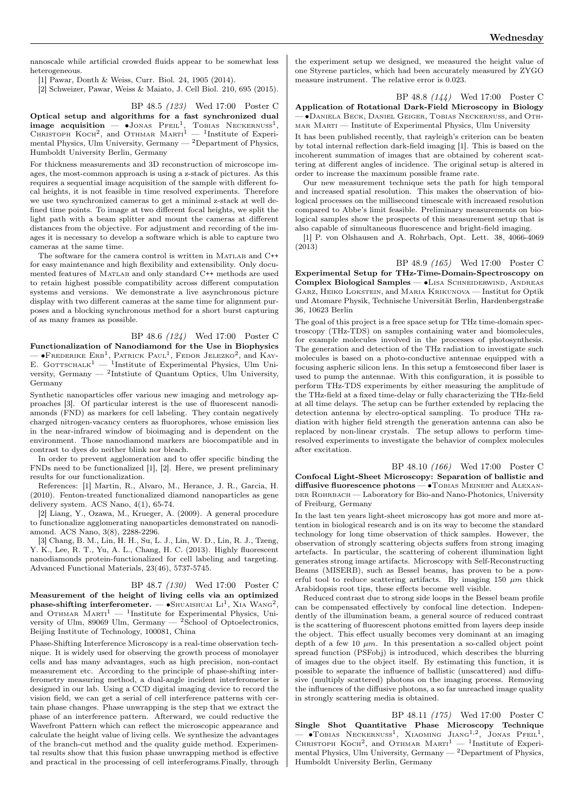nanoscale while artificial crowded fluids appear to be somewhat less heterogeneous.

[1] Pawar, Donth & Weiss, Curr. Biol. 24, 1905 (2014).

[2] Schweizer, Pawar, Weiss & Maiato, J. Cell Biol. 210, 695 (2015).

BP 48.5 (123) Wed 17:00 Poster C

Optical setup and algorithms for a fast synchronized dual **image acquisition** — •Jonas Pfell<sup>1</sup>, Tobias Neckernuss<sup>1</sup>, CHRISTOPH KOCH<sup>2</sup>, and OTHMAR MARTI<sup>1</sup> — <sup>1</sup>Institute of Experimental Physics, Ulm University, Germany — <sup>2</sup>Department of Physics, Humboldt University Berlin, Germany

For thickness measurements and 3D reconstruction of microscope images, the most-common approach is using a z-stack of pictures. As this requires a sequential image acquisition of the sample with different focal heights, it is not feasible in time resolved experiments. Therefore we use two synchronized cameras to get a minimal z-stack at well defined time points. To image at two different focal heights, we split the light path with a beam splitter and mount the cameras at different distances from the objective. For adjustment and recording of the images it is necessary to develop a software which is able to capture two cameras at the same time.

The software for the camera control is written in Matlab and C<sup>++</sup> for easy maintenance and high flexibility and extensibility. Only documented features of MATLAB and only standard C++ methods are used to retain highest possible compatibility across different computation systems and versions. We demonstrate a live asynchronous picture display with two different cameras at the same time for alignment purposes and a blocking synchronous method for a short burst capturing of as many frames as possible.

BP 48.6 (124) Wed 17:00 Poster C Functionalization of Nanodiamond for the Use in Biophysics  $-$  •Frederike Erb<sup>1</sup>, Patrick Paul<sup>1</sup>, Fedor Jelezko<sup>2</sup>, and Kay-E. GOTTSCHALK<sup>1</sup> — <sup>1</sup>Institute of Experimental Physics, Ulm University, Germany — <sup>2</sup> Intstiute of Quantum Optics, Ulm University, Germany

Synthetic nanoparticles offer various new imaging and metrology approaches [3]. Of particular interest is the use of fluorescent nanodiamonds (FND) as markers for cell labeling. They contain negatively charged nitrogen-vacancy centers as fluorophores, whose emission lies in the near-infrared window of bioimaging and is dependent on the environment. Those nanodiamond markers are biocompatible and in contrast to dyes do neither blink nor bleach.

In order to prevent agglomeration and to offer specific binding the FNDs need to be functionalized [1], [2]. Here, we present preliminary results for our functionalization.

References: [1] Martin, R., Alvaro, M., Herance, J. R., Garcia, H. (2010). Fenton-treated functionalized diamond nanoparticles as gene delivery system. ACS Nano, 4(1), 65-74.

[2] Liang, Y., Ozawa, M., Krueger, A. (2009). A general procedure to functionalize agglomerating nanoparticles demonstrated on nanodiamond. ACS Nano, 3(8), 2288-2296.

[3] Chang, B. M., Lin, H. H., Su, L. J., Lin, W. D., Lin, R. J., Tzeng, Y. K., Lee, R. T., Yu, A. L., Chang, H. C. (2013). Highly fluorescent nanodiamonds protein-functionalized for cell labeling and targeting. Advanced Functional Materials, 23(46), 5737-5745.

BP 48.7 (130) Wed 17:00 Poster C Measurement of the height of living cells via an optimized phase-shifting interferometer. —  $\bullet$ ShUAISHUAI Li<sup>1</sup>, XIA WANG<sup>2</sup>, and OTHMAR  $MART^1$  — <sup>1</sup>Institute for Experimental Physics, University of Ulm, 89069 Ulm, Germany  $-$  <sup>2</sup>School of Optoelectronics, Beijing Institute of Technology, 100081, China

Phase-Shifting Interference Microscopy is a real-time observation technique. It is widely used for observing the growth process of monolayer cells and has many advantages, such as high precision, non-contact measurement etc. According to the principle of phase-shifting interferometry measuring method, a dual-angle incident interferometer is designed in our lab. Using a CCD digital imaging device to record the vision field, we can get a serial of cell interference patterns with certain phase changes. Phase unwrapping is the step that we extract the phase of an interference pattern. Afterward, we could reductive the Wavefront Pattern which can reflect the microscopic appearance and calculate the height value of living cells. We synthesize the advantages of the branch-cut method and the quality guide method. Experimental results show that this fusion phase unwrapping method is effective and practical in the processing of cell interferograms.Finally, through

the experiment setup we designed, we measured the height value of one Styrene particles, which had been accurately measured by ZYGO measure instrument. The relative error is 0.023.

BP 48.8 (144) Wed 17:00 Poster C Application of Rotational Dark-Field Microscopy in Biology — ∙Daniela Beck, Daniel Geiger, Tobias Neckernuß, and Othmar Marti — Institute of Experimental Physics, Ulm University

It has been published recently, that rayleigh's criterion can be beaten by total internal reflection dark-field imaging [1]. This is based on the incoherent summation of images that are obtained by coherent scattering at different angles of incidence. The original setup is altered in order to increase the maximum possible frame rate.

Our new measurement technique sets the path for high temporal and increased spatial resolution. This makes the observation of biological processes on the millisecond timescale with increased resolution compared to Abbe's limit feasible. Preliminary measurements on biological samples show the prospects of this measurement setup that is also capable of simultaneous fluorescence and bright-field imaging.

[1] P. von Olshausen and A. Rohrbach, Opt. Lett. 38, 4066-4069 (2013)

BP 48.9 (165) Wed 17:00 Poster C Experimental Setup for THz-Time-Domain-Spectroscopy on Complex Biological Samples — •Lisa Schneiderwind, Andreas Garz, Heiko Lokstein, and Maria Krikunova — Institut for Optik und Atomare Physik, Technische Universität Berlin, Hardenbergstraße

36, 10623 Berlin

The goal of this project is a free space setup for THz time-domain spectroscopy (THz-TDS) on samples containing water and biomolecules, for example molecules involved in the processes of photosynthesis. The generation and detection of the THz radiation to investigate such molecules is based on a photo-conductive antennae equipped with a focusing aspheric silicon lens. In this setup a femtosecond fiber laser is used to pump the antennae. With this configuration, it is possible to perform THz-TDS experiments by either measuring the amplitude of the THz-field at a fixed time-delay or fully characterizing the THz-field at all time delays. The setup can be further extended by replacing the detection antenna by electro-optical sampling. To produce THz radiation with higher field strength the generation antenna can also be replaced by non-linear crystals. The setup allows to perform timeresolved experiments to investigate the behavior of complex molecules after excitation.

BP 48.10 (166) Wed 17:00 Poster C Confocal Light-Sheet Microscopy: Separation of ballistic and diffusive fluorescence photons — ∙Tobias Meinert and Alexan-DER ROHRBACH — Laboratory for Bio-and Nano-Photonics, University of Freiburg, Germany

In the last ten years light-sheet microscopy has got more and more attention in biological research and is on its way to become the standard technology for long time observation of thick samples. However, the observation of strongly scattering objects suffers from strong imaging artefacts. In particular, the scattering of coherent illumination light generates strong image artifacts. Microscopy with Self-Reconstructing Beams (MISERB), such as Bessel beams, has proven to be a powerful tool to reduce scattering artifacts. By imaging 150  $\mu$ m thick Arabidopsis root tips, these effects become well visible.

Reduced contrast due to strong side loops in the Bessel beam profile can be compensated effectively by confocal line detection. Independently of the illumination beam, a general source of reduced contrast is the scattering of fluorescent photons emitted from layers deep inside the object. This effect usually becomes very dominant at an imaging depth of a few 10  $\mu$ m. In this presentation a so-called object point spread function (PSFobj) is introduced, which describes the blurring of images due to the object itself. By estimating this function, it is possible to separate the influence of ballistic (unscattered) and diffusive (multiply scattered) photons on the imaging process. Removing the influences of the diffusive photons, a so far unreached image quality in strongly scattering media is obtained.

BP 48.11 (175) Wed 17:00 Poster C Single Shot Quantitative Phase Microscopy Technique  $-$  •Tobias Neckernuss<sup>1</sup>, Xiaoming Jiang<sup>1,2</sup>, Jonas Pfeil<sup>1</sup>, CHRISTOPH KOCH<sup>2</sup>, and OTHMAR MARTI<sup>1</sup> - <sup>1</sup>Institute of Experimental Physics, Ulm University, Germany  $-2$  Department of Physics, Humboldt University Berlin, Germany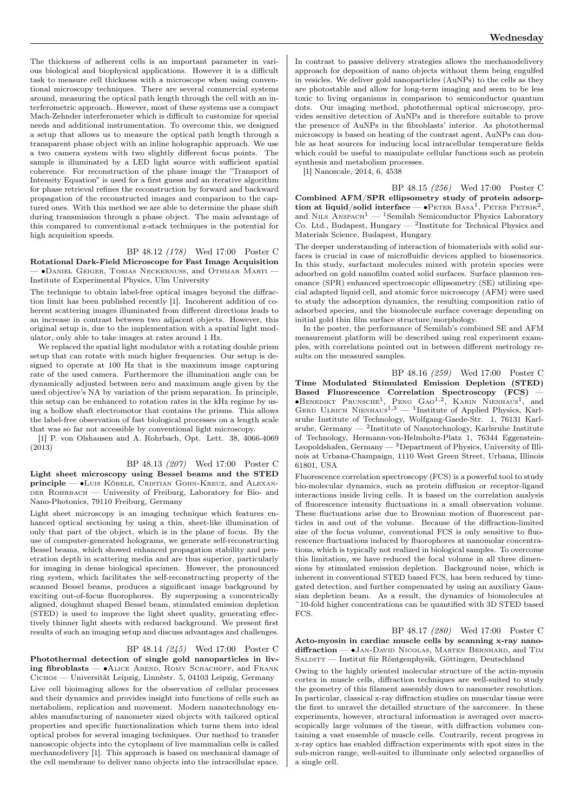The thickness of adherent cells is an important parameter in various biological and biophysical applications. However it is a difficult task to measure cell thickness with a microscope when using conventional microscopy techniques. There are several commercial systems around, measuring the optical path length through the cell with an interferometric approach. However, most of these systems use a compact Mach-Zehnder interferometer which is difficult to customize for special needs and additional instrumentation. To overcome this, we designed a setup that allows us to measure the optical path length through a transparent phase object with an inline holographic approach. We use a two camera system with two slightly different focus points. The sample is illuminated by a LED light source with sufficient spatial coherence. For reconstruction of the phase image the "Transport of Intensity Equation" is used for a first guess and an iterative algorithm for phase retrieval refines the reconstruction by forward and backward propagation of the reconstructed images and comparison to the captured ones. With this method we are able to determine the phase shift during transmission through a phase object. The main advantage of this compared to conventional z-stack techniques is the potential for high acquisition speeds.

#### BP 48.12 (178) Wed 17:00 Poster C

Rotational Dark-Field Microscope for Fast Image Acquisition — ∙Daniel Geiger, Tobias Neckernuß, and Othmar Marti — Institute of Experimental Physics, Ulm University

The technique to obtain label-free optical images beyond the diffraction limit has been published recently [1]. Incoherent addition of coherent scattering images illuminated from different directions leads to an increase in contrast between two adjacent objects. However, this original setup is, due to the implementation with a spatial light modulator, only able to take images at rates around 1 Hz.

We replaced the spatial light modulator with a rotating double prism setup that can rotate with much higher frequencies. Our setup is designed to operate at 100 Hz that is the maximum image capturing rate of the used camera. Furthermore the illumination angle can be dynamically adjusted between zero and maximum angle given by the used objective's NA by variation of the prism separation. In principle, this setup can be enhanced to rotation rates in the kHz regime by using a hollow shaft electromotor that contains the prisms. This allows the label-free observation of fast biological processes on a length scale that was so far not accessible by conventional light microscopy.

[1] P. von Olshausen and A. Rohrbach, Opt. Lett. 38, 4066-4069  $(2013)$ 

BP 48.13 (207) Wed 17:00 Poster C Light sheet microscopy using Bessel beams and the STED principle — ∙Luis Köbele, Cristian Gohn-Kreuz, and Alexan-DER ROHRBACH — University of Freiburg, Laboratory for Bio- and Nano-Photonics, 79110 Freiburg, Germany

Light sheet microscopy is an imaging technique which features enhanced optical sectioning by using a thin, sheet-like illumination of only that part of the object, which is in the plane of focus. By the use of computer-generated holograms, we generate self-reconstructing Bessel beams, which showed enhanced propagation stability and penetration depth in scattering media and are thus superior, particularly for imaging in dense biological specimen. However, the pronounced ring system, which facilitates the self-reconstructing property of the scanned Bessel beams, produces a significant image background by exciting out-of-focus fluorophores. By superposing a concentrically aligned, doughnut shaped Bessel beam, stimulated emission depletion (STED) is used to improve the light sheet quality, generating effectively thinner light sheets with reduced background. We present first results of such an imaging setup and discuss advantages and challenges.

#### BP 48.14 (245) Wed 17:00 Poster C

Photothermal detection of single gold nanoparticles in living fibroblasts — • ALICE ABEND, ROMY SCHACHOFF, and FRANK Cichos — Universität Leipzig, Linnéstr. 5, 04103 Leipzig, Germany

Live cell bioimaging allows for the observation of cellular processes and their dynamics and provides insight into functions of cells such as metabolism, replication and movement. Modern nanotechnology enables manufacturing of nanometer sized objects with tailored optical properties and specific functionalization which turns them into ideal optical probes for several imaging techniques. Our method to transfer nanoscopic objects into the cytoplasm of live mammalian cells is called mechanodelivery [1]. This approach is based on mechanical damage of the cell membrane to deliver nano objects into the intracellular space.

In contrast to passive delivery strategies allows the mechanodelivery approach for deposition of nano objects without them being engulfed in vesicles. We deliver gold nanoparticles (AuNPs) to the cells as they are photostable and allow for long-term imaging and seem to be less toxic to living organisms in comparison to semiconductor quantum dots. Our imaging method, photothermal optical microscopy, provides sensitive detection of AuNPs and is therefore suitable to prove the presence of AuNPs in the fibroblasts' interior. As photothermal microscopy is based on heating of the contrast agent, AuNPs can double as heat sources for inducing local intracellular temperature fields which could be useful to manipulate cellular functions such as protein synthesis and metabolism processes.

[1] Nanoscale, 2014, 6, 4538

BP 48.15 (256) Wed 17:00 Poster C Combined AFM/SPR ellipsometry study of protein adsorption at liquid/solid interface —  $\bullet$ Peter Basa<sup>1</sup>, Peter Petrik<sup>2</sup>, and NILS  $\widehat{A}$ NSPACH<sup>1</sup> — <sup>1</sup>Semilab Semiconductor Physics Laboratory Co. Ltd., Budapest, Hungary — <sup>2</sup> Institute for Technical Physics and Materials Science, Budapest, Hungary

The deeper understanding of interaction of biomaterials with solid surfaces is crucial in case of microfluidic devices applied to biosensorics. In this study, surfactant molecules mixed with protein species were adsorbed on gold nanofilm coated solid surfaces. Surface plasmon resonance (SPR) enhanced spectroscopic ellipsometry (SE) utilizing special adapted liquid cell, and atomic force microscopy (AFM) were used to study the adsorption dynamics, the resulting composition ratio of adsorbed species, and the biomolecule surface coverage depending on initial gold thin film surface structure/morphology.

In the poster, the performance of Semilab's combined SE and AFM measurement platform will be described using real experiment examples, with correlations pointed out in between different metrology results on the measured samples.

BP 48.16 (259) Wed 17:00 Poster C Time Modulated Stimulated Emission Depletion (STED) Based Fluorescence Correlation Spectroscopy (FCS) — ∙Benedikt Prunsche<sup>1</sup> , Peng Gao1,<sup>2</sup> , Karin Nienhaus<sup>1</sup> , and Gerd Ulrich Nienhaus1,<sup>3</sup> — <sup>1</sup> Institute of Applied Physics, Karlsruhe Institute of Technology, Wolfgang-Gaede-Str. 1, 76131 Karlsruhe, Germany —  $^2$ Institute of Nanotechnology, Karlsruhe Institute of Technology, Hermann-von-Helmholtz-Platz 1, 76344 Eggenstein-Leopoldshafen, Germany — <sup>3</sup>Department of Physics, University of Illinois at Urbana-Champaign, 1110 West Green Street, Urbana, Illinois 61801, USA

Fluorescence correlation spectroscopy (FCS) is a powerful tool to study bio-molecular dynamics, such as protein diffusion or receptor-ligand interactions inside living cells. It is based on the correlation analysis of fluorescence intensity fluctuations in a small observation volume. These fluctuations arise due to Brownian motion of fluorescent particles in and out of the volume. Because of the diffraction-limited size of the focus volume, conventional FCS is only sensitive to fluorescence fluctuations induced by fluorophores at nanomolar concentrations, which is typically not realized in biological samples. To overcome this limitation, we have reduced the focal volume in all three dimensions by stimulated emission depletion. Background noise, which is inherent in conventional STED based FCS, has been reduced by timegated detection, and further compensated by using an auxiliary Gaussian depletion beam. As a result, the dynamics of biomolecules at ~10-fold higher concentrations can be quantified with 3D STED based FCS.

BP 48.17 (280) Wed 17:00 Poster C Acto-myosin in cardiac muscle cells by scanning x-ray nanodiffraction — •JAN-DAVID NICOLAS, MARTEN BERNHARD, and TIM  $\textsc{SALDITT}$  — Institut für Röntgenphysik, Göttingen, Deutschland

Owing to the highly oriented molecular structure of the actin-myosin cortex in muscle cells, diffraction techniques are well-suited to study the geometry of this filament assembly down to nanometer resolution. In particular, classical x-ray diffraction studies on muscular tissue were the first to unravel the detailled structure of the sarcomere. In these experiments, however, structural information is averaged over macroscopically large volumes of the tissue, with diffraction volumes containing a vast ensemble of muscle cells. Contrarily, recent progress in x-ray optics has enabled diffraction experiments with spot sizes in the sub-micron range, well-suited to illuminate only selected organelles of a single cell.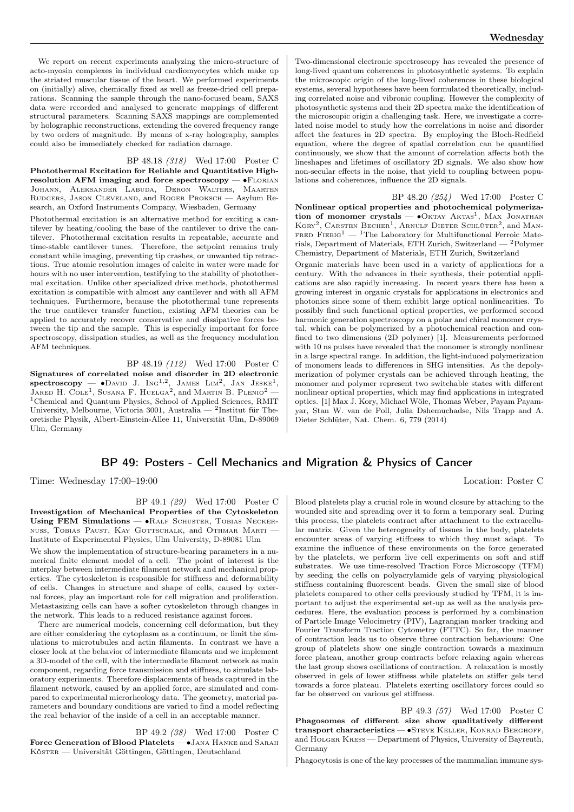We report on recent experiments analyzing the micro-structure of acto-myosin complexes in individual cardiomyocytes which make up the striated muscular tissue of the heart. We performed experiments on (initially) alive, chemically fixed as well as freeze-dried cell preparations. Scanning the sample through the nano-focused beam, SAXS data were recorded and analysed to generate mappings of different structural parameters. Scanning SAXS mappings are complemented by holographic reconstructions, extending the covered frequency range by two orders of magnitude. By means of x-ray holography, samples could also be immediately checked for radiation damage.

BP 48.18 (318) Wed 17:00 Poster C

Photothermal Excitation for Reliable and Quantitative Highresolution AFM imaging and force spectroscopy —  $\cdot$ FLORIAN Johann, Aleksander Labuda, Deron Walters, Maarten Rudgers, Jason Cleveland, and Roger Proksch — Asylum Research, an Oxford Instruments Company, Wiesbaden, Germany

Photothermal excitation is an alternative method for exciting a cantilever by heating/cooling the base of the cantilever to drive the cantilever. Photothermal excitation results in repeatable, accurate and time-stable cantilever tunes. Therefore, the setpoint remains truly constant while imaging, preventing tip crashes, or unwanted tip retractions. True atomic resolution images of calcite in water were made for hours with no user intervention, testifying to the stability of photothermal excitation. Unlike other specialized drive methods, photothermal excitation is compatible with almost any cantilever and with all AFM techniques. Furthermore, because the photothermal tune represents the true cantilever transfer function, existing AFM theories can be applied to accurately recover conservative and dissipative forces between the tip and the sample. This is especially important for force spectroscopy, dissipation studies, as well as the frequency modulation AFM techniques.

BP 48.19 (112) Wed 17:00 Poster C Signatures of correlated noise and disorder in 2D electronic  ${\rm spectroscopy}\ =\ \bullet{\rm D}$ avid J. Ing<sup>1,2</sup>, James Lim<sup>2</sup>, Jan Jeske<sup>1</sup>, JARED H. COLE<sup>1</sup>, SUSANA F. HUELGA<sup>2</sup>, and MARTIN B. PLENIO<sup>2</sup> — <sup>1</sup>Chemical and Quantum Physics, School of Applied Sciences, RMIT University, Melbourne, Victoria 3001, Australia — <sup>2</sup>Institut für Theoretische Physik, Albert-Einstein-Allee 11, Universität Ulm, D-89069 Ulm, Germany

## BP 49: Posters - Cell Mechanics and Migration & Physics of Cancer

Time: Wednesday 17:00–19:00 Location: Poster C

BP 49.1 (29) Wed 17:00 Poster C Investigation of Mechanical Properties of the Cytoskeleton Using FEM Simulations — • RALF SCHUSTER, TOBIAS NECKERnuss, Tobias Paust, Kay Gottschalk, and Othmar Marti — Institute of Experimental Physics, Ulm University, D-89081 Ulm

We show the implementation of structure-bearing parameters in a numerical finite element model of a cell. The point of interest is the interplay between intermediate filament network and mechanical properties. The cytoskeleton is responsible for stiffness and deformability of cells. Changes in structure and shape of cells, caused by external forces, play an important role for cell migration and proliferation. Metastasizing cells can have a softer cytoskeleton through changes in the network. This leads to a reduced resistance against forces.

There are numerical models, concerning cell deformation, but they are either considering the cytoplasm as a continuum, or limit the simulations to microtubules and actin filaments. In contrast we have a closer look at the behavior of intermediate filaments and we implement a 3D-model of the cell, with the intermediate filament network as main component, regarding force transmission and stiffness, to simulate laboratory experiments. Therefore displacements of beads captured in the filament network, caused by an applied force, are simulated and compared to experimental microrheology data. The geometry, material parameters and boundary conditions are varied to find a model reflecting the real behavior of the inside of a cell in an acceptable manner.

BP 49.2 (38) Wed 17:00 Poster C Force Generation of Blood Platelets — ∙Jana Hanke and Sarah Köster — Universität Göttingen, Göttingen, Deutschland

Two-dimensional electronic spectroscopy has revealed the presence of long-lived quantum coherences in photosynthetic systems. To explain the microscopic origin of the long-lived coherences in these biological systems, several hypotheses have been formulated theoretically, including correlated noise and vibronic coupling. However the complexity of photosynthetic systems and their 2D spectra make the identification of the microscopic origin a challenging task. Here, we investigate a correlated noise model to study how the correlations in noise and disorder affect the features in 2D spectra. By employing the Bloch-Redfield equation, where the degree of spatial correlation can be quantified continuously, we show that the amount of correlation affects both the lineshapes and lifetimes of oscillatory 2D signals. We also show how non-secular effects in the noise, that yield to coupling between populations and coherences, influence the 2D signals.

BP 48.20 (254) Wed 17:00 Poster C Nonlinear optical properties and photochemical polymerization of monomer crystals — • OKTAY AKTAS<sup>1</sup>, MAX JONATHAN KORY<sup>2</sup>, CARSTEN BECHER<sup>1</sup>, ARNULF DIETER SCHLÜTER<sup>2</sup>, and MAN-FRED FIEBIG<sup>1</sup> — <sup>1</sup>The Laboratory for Multifunctional Ferroic Materials, Department of Materials, ETH Zurich, Switzerland — <sup>2</sup>Polymer Chemistry, Department of Materials, ETH Zurich, Switzerland

Organic materials have been used in a variety of applications for a century. With the advances in their synthesis, their potential applications are also rapidly increasing. In recent years there has been a growing interest in organic crystals for applications in electronics and photonics since some of them exhibit large optical nonlinearities. To possibly find such functional optical properties, we performed second harmonic generation spectroscopy on a polar and chiral monomer crystal, which can be polymerized by a photochemical reaction and confined to two dimensions (2D polymer) [1]. Measurements performed with 10 ns pulses have revealed that the monomer is strongly nonlinear in a large spectral range. In addition, the light-induced polymerization of monomers leads to differences in SHG intensities. As the depolymerization of polymer crystals can be achieved through heating, the monomer and polymer represent two switchable states with different nonlinear optical properties, which may find applications in integrated optics. [1] Max J. Kory, Michael Wöle, Thomas Weber, Payam Payamyar, Stan W. van de Poll, Julia Dshemuchadse, Nils Trapp and A. Dieter Schlüter, Nat. Chem. 6, 779 (2014)

Blood platelets play a crucial role in wound closure by attaching to the wounded site and spreading over it to form a temporary seal. During this process, the platelets contract after attachment to the extracellular matrix. Given the heterogeneity of tissues in the body, platelets encounter areas of varying stiffness to which they must adapt. To examine the influence of these environments on the force generated by the platelets, we perform live cell experiments on soft and stiff substrates. We use time-resolved Traction Force Microscopy (TFM) by seeding the cells on polyacrylamide gels of varying physiological stiffness containing fluorescent beads. Given the small size of blood platelets compared to other cells previously studied by TFM, it is important to adjust the experimental set-up as well as the analysis procedures. Here, the evaluation process is performed by a combination of Particle Image Velocimetry (PIV), Lagrangian marker tracking and Fourier Transform Traction Cytometry (FTTC). So far, the manner of contraction leads us to observe three contraction behaviours: One group of platelets show one single contraction towards a maximum force plateau, another group contracts before relaxing again whereas the last group shows oscillations of contraction. A relaxation is mostly observed in gels of lower stiffness while platelets on stiffer gels tend towards a force plateau. Platelets exerting oscillatory forces could so far be observed on various gel stiffness.

BP 49.3 (57) Wed 17:00 Poster C Phagosomes of different size show qualitatively different transport characteristics — •STEVE KELLER, KONRAD BERGHOFF, and Holger Kress — Department of Physics, University of Bayreuth, Germany

Phagocytosis is one of the key processes of the mammalian immune sys-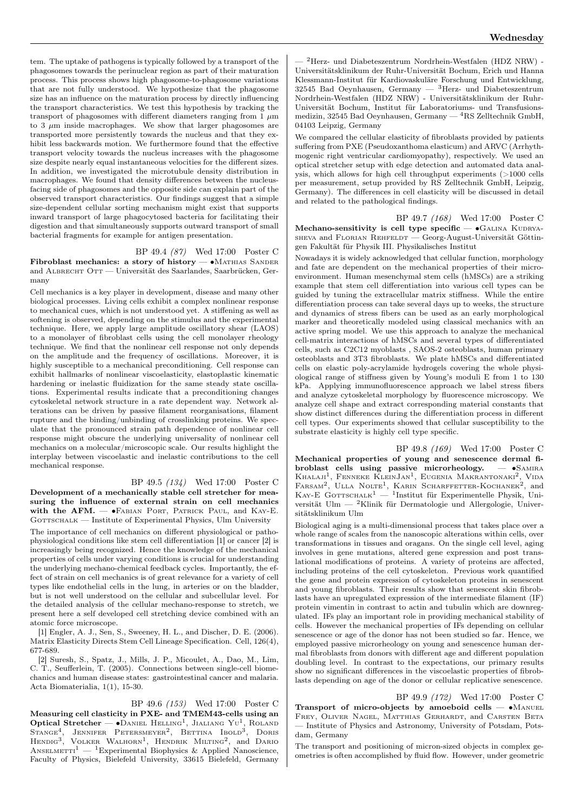tem. The uptake of pathogens is typically followed by a transport of the phagosomes towards the perinuclear region as part of their maturation process. This process shows high phagosome-to-phagosome variations that are not fully understood. We hypothesize that the phagosome size has an influence on the maturation process by directly influencing the transport characteristics. We test this hypothesis by tracking the transport of phagosomes with different diameters ranging from  $1 \mu m$ to 3  $\mu$ m inside macrophages. We show that larger phagosomes are transported more persistently towards the nucleus and that they exhibit less backwards motion. We furthermore found that the effective transport velocity towards the nucleus increases with the phagosome size despite nearly equal instantaneous velocities for the different sizes. In addition, we investigated the microtubule density distribution in macrophages. We found that density differences between the nucleusfacing side of phagosomes and the opposite side can explain part of the observed transport characteristics. Our findings suggest that a simple size-dependent cellular sorting mechanism might exist that supports inward transport of large phagocytosed bacteria for facilitating their digestion and that simultaneously supports outward transport of small bacterial fragments for example for antigen presentation.

BP 49.4 (87) Wed 17:00 Poster C

Fibroblast mechanics: a story of history — ∙Mathias Sander and ALBRECHT OTT — Universität des Saarlandes, Saarbrücken, Germany

Cell mechanics is a key player in development, disease and many other biological processes. Living cells exhibit a complex nonlinear response to mechanical cues, which is not understood yet. A stiffening as well as softening is observed, depending on the stimulus and the experimental technique. Here, we apply large amplitude oscillatory shear (LAOS) to a monolayer of fibroblast cells using the cell monolayer rheology technique. We find that the nonlinear cell response not only depends on the amplitude and the frequency of oscillations. Moreover, it is highly susceptible to a mechanical preconditioning. Cell response can exhibit hallmarks of nonlinear viscoelasticity, elastoplastic kinematic hardening or inelastic fluidization for the same steady state oscillations. Experimental results indicate that a preconditioning changes cytoskeletal network structure in a rate dependent way. Network alterations can be driven by passive filament reorganisations, filament rupture and the binding/unbinding of crosslinking proteins. We speculate that the pronounced strain path dependence of nonlinear cell response might obscure the underlying universality of nonlinear cell mechanics on a molecular/microscopic scale. Our results highlight the interplay between viscoelastic and inelastic contributions to the cell mechanical response.

BP 49.5 (134) Wed 17:00 Poster C Development of a mechanically stable cell stretcher for measuring the influence of external strain on cell mechanics with the  $AFM.$   $\longrightarrow$   $\blacktriangleright$  FABIAN PORT, PATRICK PAUL, and KAY-E. GOTTSCHALK — Institute of Experimental Physics, Ulm University

The importance of cell mechanics on different physiological or pathophysiological conditions like stem cell differentiation [1] or cancer [2] is increasingly being recognized. Hence the knowledge of the mechanical properties of cells under varying conditions is crucial for understanding the underlying mechano-chemical feedback cycles. Importantly, the effect of strain on cell mechanics is of great relevance for a variety of cell types like endothelial cells in the lung, in arteries or on the bladder, but is not well understood on the cellular and subcellular level. For the detailed analysis of the cellular mechano-response to stretch, we present here a self developed cell stretching device combined with an atomic force microscope.

[1] Engler, A. J., Sen, S., Sweeney, H. L., and Discher, D. E. (2006). Matrix Elasticity Directs Stem Cell Lineage Specification. Cell, 126(4), 677-689.

[2] Suresh, S., Spatz, J., Mills, J. P., Micoulet, A., Dao, M., Lim, C. T., Seufferlein, T. (2005). Connections between single-cell biomechanics and human disease states: gastrointestinal cancer and malaria. Acta Biomaterialia, 1(1), 15-30.

BP 49.6 (153) Wed 17:00 Poster C Measuring cell clasticity in PXE- and TMEM43-cells using an Optical Stretcher —  $\bullet$ DANIEL HELLING<sup>1</sup>, JIALIANG YU<sup>1</sup>, ROLAND Stange<sup>4</sup>, Jennifer Petersmeyer<sup>2</sup>, Bettina Ibold<sup>3</sup>, Doris<br>Hendig<sup>3</sup>, Volker Walhorn<sup>1</sup>, Hendrik Milting<sup>2</sup>, and Dario ANSELMETTI<sup>1</sup> — <sup>1</sup>Experimental Biophysics & Applied Nanoscience, Faculty of Physics, Bielefeld University, 33615 Bielefeld, Germany

— <sup>2</sup>Herz- und Diabeteszentrum Nordrhein-Westfalen (HDZ NRW) - Universitätsklinikum der Ruhr-Universität Bochum, Erich und Hanna Klessmann-Institut für Kardiovaskuläre Forschung und Entwicklung, 32545 Bad Oeynhausen, Germany — <sup>3</sup>Herz- und Diabeteszentrum Nordrhein-Westfalen (HDZ NRW) - Universitätsklinikum der Ruhr-Universität Bochum, Institut für Laboratoriums- und Transfusionsmedizin, 32545 Bad Oeynhausen, Germany —  ${}^{4}RS$  Zelltechnik GmbH, 04103 Leipzig, Germany

We compared the cellular elasticity of fibroblasts provided by patients suffering from PXE (Pseudoxanthoma elasticum) and ARVC (Arrhythmogenic right ventricular cardiomyopathy), respectively. We used an optical stretcher setup with edge detection and automated data analysis, which allows for high cell throughput experiments (>1000 cells per measurement, setup provided by RS Zelltechnik GmbH, Leipzig, Germany). The differences in cell elasticity will be discussed in detail and related to the pathological findings.

BP 49.7 (168) Wed 17:00 Poster C Mechano-sensitivity is cell type specific —  $\bullet$ GALINA KUDRYAsheva and Florian Rehfeldt — Georg-August-Universität Göttingen Fakultät für Physik III. Physikalisches Institut

Nowadays it is widely acknowledged that cellular function, morphology and fate are dependent on the mechanical properties of their microenvironment. Human mesenchymal stem cells (hMSCs) are a striking example that stem cell differentiation into various cell types can be guided by tuning the extracellular matrix stiffness. While the entire differentiation process can take several days up to weeks, the structure and dynamics of stress fibers can be used as an early morphological marker and theoretically modeled using classical mechanics with an active spring model. We use this approach to analyze the mechanical cell-matrix interactions of hMSCs and several types of differentiated cells, such as C2C12 myoblasts , SAOS-2 osteoblasts, human primary osteoblasts and 3T3 fibroblasts. We plate hMSCs and differentiated cells on elastic poly-acrylamide hydrogels covering the whole physiological range of stiffness given by Young's moduli E from 1 to 130 kPa. Applying immunofluorescence approach we label stress fibers and analyze cytoskeletal morphology by fluorescence microscopy. We analyze cell shape and extract corresponding material constants that show distinct differences during the differentiation process in different cell types. Our experiments showed that cellular susceptibility to the substrate elasticity is highly cell type specific.

BP 49.8 (169) Wed 17:00 Poster C Mechanical properties of young and senescence dermal fibroblast cells using passive microrheology. — ∙Samira KHALAJI<sup>1</sup>, FENNEKE KLEINJAN<sup>1</sup>, EUGENIA MAKRANTONAKI<sup>2</sup>, VIDA<br>FARSAM<sup>2</sup>, ULLA NOLTE<sup>1</sup>, KARIN SCHARFFETTER-KOCHANEK<sup>2</sup>, and<br>KAY-E GOTTSCHALK<sup>1</sup> — <sup>1</sup>Institut für Experimentelle Physik, Universität Ulm — <sup>2</sup>Klinik für Dermatologie und Allergologie, Universitätsklinikum Ulm

Biological aging is a multi-dimensional process that takes place over a whole range of scales from the nanoscopic alterations within cells, over transformations in tissues and oragans. On the single cell level, aging involves in gene mutations, altered gene expression and post translational modifications of proteins. A variety of proteins are affected, including proteins of the cell cytoskeleton. Previous work quantified the gene and protein expression of cytoskeleton proteins in senescent and young fibroblasts. Their results show that senescent skin fibroblasts have an upregulated expression of the intermediate filament (IF) protein vimentin in contrast to actin and tubulin which are downregulated. IFs play an important role in providing mechanical stability of cells. However the mechanical properties of IFs depending on cellular senescence or age of the donor has not been studied so far. Hence, we employed passive microrheology on young and senescence human dermal fibroblasts from donors with different age and different population doubling level. In contrast to the expectations, our primary results show no significant differences in the viscoelastic properties of fibroblasts depending on age of the donor or cellular replicative senescence.

BP 49.9 (172) Wed 17:00 Poster C Transport of micro-objects by amoeboid cells — •MANUEL Frey, Oliver Nagel, Matthias Gerhardt, and Carsten Beta — Institute of Physics and Astronomy, University of Potsdam, Potsdam, Germany

The transport and positioning of micron-sized objects in complex geometries is often accomplished by fluid flow. However, under geometric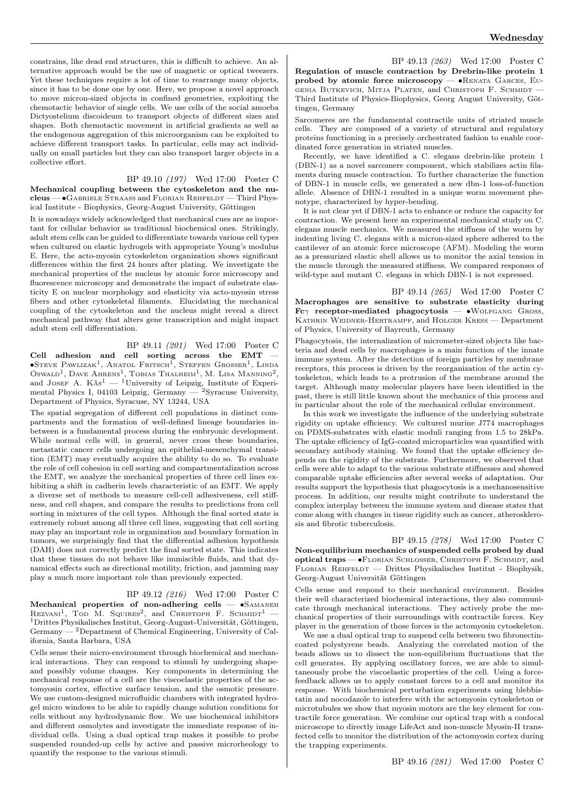constrains, like dead end structures, this is difficult to achieve. An alternative approach would be the use of magnetic or optical tweezers. Yet these techniques require a lot of time to rearrange many objects, since it has to be done one by one. Here, we propose a novel approach to move micron-sized objects in confined geometries, exploiting the chemotactic behavior of single cells. We use cells of the social amoeba Dictyostelium discoideum to transport objects of different sizes and shapes. Both chemotactic movement in artificial gradients as well as the endogenous aggregation of this microorganism can be exploited to achieve different transport tasks. In particular, cells may act individually on small particles but they can also transport larger objects in a collective effort.

## BP 49.10 (197) Wed 17:00 Poster C

Mechanical coupling between the cytoskeleton and the nucleus — ∙Gabriele Straaß and Florian Rehfeldt — Third Physical Institute - Biophysics, Georg-August University, Göttingen

It is nowadays widely acknowledged that mechanical cues are as important for cellular behavior as traditional biochemical ones. Strikingly, adult stem cells can be guided to differentiate towards various cell types when cultured on elastic hydrogels with appropriate Young's modulus E. Here, the acto-myosin cytoskeleton organization shows significant differences within the first 24 hours after plating. We investigate the mechanical properties of the nucleus by atomic force microscopy and fluorescence microscopy and demonstrate the impact of substrate elasticity E on nuclear morphology and elasticity via acto-myosin stress fibers and other cytoskeletal filaments. Elucidating the mechanical coupling of the cytoskeleton and the nucleus might reveal a direct mechanical pathway that alters gene transcription and might impact adult stem cell differentiation.

## BP 49.11 (201) Wed 17:00 Poster C

Cell adhesion and cell sorting across the EMT —  $\bullet$ Steve Pawlizak<sup>1</sup>, Anatol Fritsch<sup>1</sup>, Steffen Grosser<sup>1</sup>, Linda Oswald<sup>1</sup>, Dave Ahrens<sup>1</sup>, Tobias Thalheim<sup>1</sup>, M. Lisa Manning<sup>2</sup>, and JOSEF A.  $K\ddot{a}s^1 - {}^1$ University of Leipzig, Institute of Experimental Physics I, 04103 Leipzig, Germany —  $^2$ Syracuse University, Department of Physics, Syracuse, NY 13244, USA

The spatial segregation of different cell populations in distinct compartments and the formation of well-defined lineage boundaries inbetween is a fundamental process during the embryonic development. While normal cells will, in general, never cross these boundaries, metastatic cancer cells undergoing an epithelial-mesenchymal transition (EMT) may eventually acquire the ability to do so. To evaluate the role of cell cohesion in cell sorting and compartmentalization across the EMT, we analyze the mechanical properties of three cell lines exhibiting a shift in cadherin levels characteristic of an EMT. We apply a diverse set of methods to measure cell-cell adhesiveness, cell stiffness, and cell shapes, and compare the results to predictions from cell sorting in mixtures of the cell types. Although the final sorted state is extremely robust among all three cell lines, suggesting that cell sorting may play an important role in organization and boundary formation in tumors, we surprisingly find that the differential adhesion hypothesis (DAH) does not correctly predict the final sorted state. This indicates that these tissues do not behave like immiscible fluids, and that dynamical effects such as directional motility, friction, and jamming may play a much more important role than previously expected.

#### BP 49.12 (216) Wed 17:00 Poster C

Mechanical properties of non-adhering cells — •SAMANEH REZVANI<sup>1</sup>, TOD M. SQUIRES<sup>2</sup>, and CHRISTOPH F. SCHMIDT<sup>1</sup> -<sup>1</sup>Drittes Physikalisches Institut, Georg-August-Universität, Göttingen, Germany — <sup>2</sup>Department of Chemical Engineering, University of California, Santa Barbara, USA

Cells sense their micro-environment through biochemical and mechanical interactions. They can respond to stimuli by undergoing shapeand possibly volume changes. Key components in determining the mechanical response of a cell are the viscoelastic properties of the actomyosin cortex, effective surface tension, and the osmotic pressure. We use custom-designed microfluidic chambers with integrated hydrogel micro windows to be able to rapidly change solution conditions for cells without any hydrodynamic flow. We use biochemical inhibitors and different osmolytes and investigate the immediate response of individual cells. Using a dual optical trap makes it possible to probe suspended rounded-up cells by active and passive microrheology to quantify the response to the various stimuli.

BP 49.13 (263) Wed 17:00 Poster C Regulation of muscle contraction by Drebrin-like protein 1 probed by atomic force microscopy —  $\bullet$ RENATA GARCES, EU-GENIA BUTKEVICH, MITJA PLATEN, and CHRISTOPH F. SCHMIDT -Third Institute of Physics-Biophysics, Georg August University, Göttingen, Germany

Sarcomeres are the fundamental contractile units of striated muscle cells. They are composed of a variety of structural and regulatory proteins functioning in a precisely orchestrated fashion to enable coordinated force generation in striated muscles.

Recently, we have identified a C. elegans drebrin-like protein 1 (DBN-1) as a novel sarcomere component, which stabilizes actin filaments during muscle contraction. To further characterize the function of DBN-1 in muscle cells, we generated a new dbn-1 loss-of-function allele. Absence of DBN-1 resulted in a unique worm movement phenotype, characterized by hyper-bending.

It is not clear yet if DBN-1 acts to enhance or reduce the capacity for contraction. We present here an experimental mechanical study on C. elegans muscle mechanics. We measured the stiffness of the worm by indenting living C. elegans with a micron-sized sphere adhered to the cantilever of an atomic force microscope (AFM). Modeling the worm as a pressurized elastic shell allows us to monitor the axial tension in the muscle through the measured stiffness. We compared responses of wild-type and mutant C. elegans in which DBN-1 is not expressed.

BP 49.14 (265) Wed 17:00 Poster C Macrophages are sensitive to substrate elasticity during Fc $\gamma$  receptor-mediated phagocytosis — •WOLFGANG GROSS, KATHRIN WEIDNER-HERTRAMPF, and HOLGER KRESS - Department of Physics, University of Bayreuth, Germany

Phagocytosis, the internalization of micrometer-sized objects like bacteria and dead cells by macrophages is a main function of the innate immune system. After the detection of foreign particles by membrane receptors, this process is driven by the reorganization of the actin cytoskeleton, which leads to a protrusion of the membrane around the target. Although many molecular players have been identified in the past, there is still little known about the mechanics of this process and in particular about the role of the mechanical cellular environment.

In this work we investigate the influence of the underlying substrate rigidity on uptake efficiency. We cultured murine J774 macrophages on PDMS-substrates with elastic moduli ranging from 1.5 to 28kPa. The uptake efficiency of IgG-coated microparticles was quantified with secondary antibody staining. We found that the uptake efficiency depends on the rigidity of the substrate. Furthermore, we observed that cells were able to adapt to the various substrate stiffnesses and showed comparable uptake efficiencies after several weeks of adaptation. Our results support the hypothesis that phagocytosis is a mechanosensitive process. In addition, our results might contribute to understand the complex interplay between the immune system and disease states that come along with changes in tissue rigidity such as cancer, atherosklerosis and fibrotic tuberculosis.

BP 49.15 (278) Wed 17:00 Poster C Non-equilibrium mechanics of suspended cells probed by dual optical traps — ∙Florian Schlosser, Christoph F. Schmidt, and Florian Rehfeldt — Drittes Physikalisches Institut - Biophysik, Georg-August Universität Göttingen

Cells sense and respond to their mechanical environment. Besides their well characterized biochemical interactions, they also communicate through mechanical interactions. They actively probe the mechanical properties of their surroundings with contractile forces. Key player in the generation of those forces is the actomyosin cytoskeleton.

We use a dual optical trap to suspend cells between two fibronectincoated polystyrene beads. Analyzing the correlated motion of the beads allows us to dissect the non-equilibrium fluctuations that the cell generates. By applying oscillatory forces, we are able to simultaneously probe the viscoelastic properties of the cell. Using a forcefeedback allows us to apply constant forces to a cell and monitor its response. With biochemical perturbation experiments using blebbistatin and nocodazole to interfere with the actomyosin cytoskeleton or microtubules we show that myosin motors are the key element for contractile force generation. We combine our optical trap with a confocal microscope to directly image LifeAct and non-muscle Myosin-II transfected cells to monitor the distribution of the actomyosin cortex during the trapping experiments.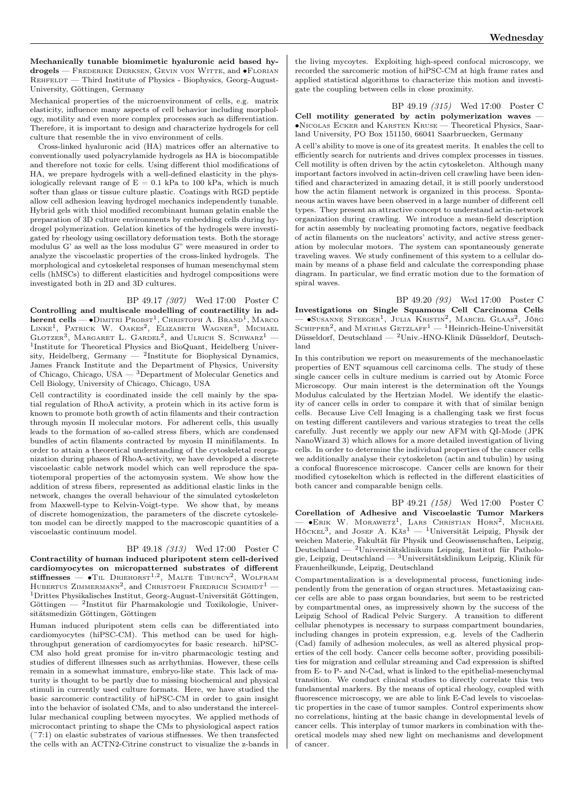Mechanically tunable biomimetic hyaluronic acid based hydrogels — Frederike Derksen, Gevin von Witte, and ∙Florian REHFELDT — Third Institute of Physics - Biophysics, Georg-August-University, Göttingen, Germany

Mechanical properties of the microenvironment of cells, e.g. matrix elasticity, influence many aspects of cell behavior including morphology, motility and even more complex processes such as differentiation. Therefore, it is important to design and characterize hydrogels for cell culture that resemble the in vivo environment of cells.

Cross-linked hyaluronic acid (HA) matrices offer an alternative to conventionally used polyacrylamide hydrogels as HA is biocompatible and therefore not toxic for cells. Using different thiol modifications of HA, we prepare hydrogels with a well-defined elasticity in the physiologically relevant range of  $E = 0.1$  kPa to 100 kPa, which is much softer than glass or tissue culture plastic. Coatings with RGD peptide allow cell adhesion leaving hydrogel mechanics independently tunable. Hybrid gels with thiol modified recombinant human gelatin enable the preparation of 3D culture environments by embedding cells during hydrogel polymerization. Gelation kinetics of the hydrogels were investigated by rheology using oscillatory deformation tests. Both the storage modulus G' as well as the loss modulus G" were measured in order to analyze the viscoelastic properties of the cross-linked hydrogels. The morphological and cytoskeletal responses of human mesenchymal stem cells (hMSCs) to different elasticities and hydrogel compositions were investigated both in 2D and 3D cultures.

BP 49.17 (307) Wed 17:00 Poster C

Controlling and multiscale modelling of contractility in ad**herent cells — •**Dimitri Probst<sup>1</sup>, Снristoph А. Вrамd<sup>1</sup>, Маrco<br>Linke<sup>1</sup>, Ратrick W. Оакез<sup>2</sup>, Еlizаветн Wagner<sup>3</sup>, Мichael GLOTZER<sup>3</sup>, MARGARET L. GARDEL<sup>2</sup>, and ULRICH S. SCHWARZ<sup>1</sup> -<sup>1</sup>Institute for Theoretical Physics and BioQuant, Heidelberg University, Heidelberg, Germany  $-$  <sup>2</sup>Institute for Biophysical Dynamics, James Franck Institute and the Department of Physics, University of Chicago, Chicago, USA — <sup>3</sup>Department of Molecular Genetics and Cell Biology, University of Chicago, Chicago, USA

Cell contractility is coordinated inside the cell mainly by the spatial regulation of RhoA activity, a protein which in its active form is known to promote both growth of actin filaments and their contraction through myosin II molecular motors. For adherent cells, this usually leads to the formation of so-called stress fibers, which are condensed bundles of actin filaments contracted by myosin II minifilaments. In order to attain a theoretical understanding of the cytoskeletal reorganization during phases of RhoA-activity, we have developed a discrete viscoelastic cable network model which can well reproduce the spatiotemporal properties of the actomyosin system. We show how the addition of stress fibers, represented as additional elastic links in the network, changes the overall behaviour of the simulated cytoskeleton from Maxwell-type to Kelvin-Voigt-type. We show that, by means of discrete homogenization, the parameters of the discrete cytoskeleton model can be directly mapped to the macroscopic quantities of a viscoelastic continuum model.

#### BP 49.18 (313) Wed 17:00 Poster C

Contractility of human induced pluripotent stem cell-derived cardiomyocytes on micropatterned substrates of different stiffnesses —  $\bullet$ Til Driehorst<sup>1,2</sup>, Malte Tiburcy<sup>2</sup>, Wolfram HUBERTUS ZIMMERMANN<sup>2</sup>, and CHRISTOPH FRIEDRICH SCHMIDT<sup>1</sup> — <sup>1</sup>Drittes Physikalisches Institut, Georg-August-Universität Göttingen, Göttingen — <sup>2</sup> Institut für Pharmakologie und Toxikologie, Universitätsmedizin Göttingen, Göttingen

Human induced pluripotent stem cells can be differentiated into cardiomyocytes (hiPSC-CM). This method can be used for highthroughput generation of cardiomyocytes for basic research. hiPSC-CM also hold great promise for in-vitro pharmacologic testing and studies of different illnesses such as arrhythmias. However, these cells remain in a somewhat immature, embryo-like state. This lack of maturity is thought to be partly due to missing biochemical and physical stimuli in currently used culture formats. Here, we have studied the basic sarcomeric contractility of hiPSC-CM in order to gain insight into the behavior of isolated CMs, and to also understand the intercellular mechanical coupling between myocytes. We applied methods of microcontact printing to shape the CMs to physiological aspect ratios  $(7:1)$  on elastic substrates of various stiffnesses. We then transfected the cells with an ACTN2-Citrine construct to visualize the z-bands in

the living mycoytes. Exploiting high-speed confocal microscopy, we recorded the sarcomeric motion of hiPSC-CM at high frame rates and applied statistical algorithms to characterize this motion and investigate the coupling between cells in close proximity.

BP 49.19 (315) Wed 17:00 Poster C Cell motility generated by actin polymerization waves -∙Nicolas Ecker and Karsten Kruse — Theoretical Physics, Saarland University, PO Box 151150, 66041 Saarbruecken, Germany

A cell's ability to move is one of its greatest merits. It enables the cell to efficiently search for nutrients and drives complex processes in tissues. Cell motility is often driven by the actin cytoskeleton. Although many important factors involved in actin-driven cell crawling have been identified and characterized in amazing detail, it is still poorly understood how the actin filament network is organized in this process. Spontaneous actin waves have been observed in a large number of different cell types. They present an attractive concept to understand actin-network organization during crawling. We introduce a mean-field description for actin assembly by nucleating promoting factors, negative feedback of actin filaments on the nucleators' activity, and active stress generation by molecular motors. The system can spontaneously generate traveling waves. We study confinement of this system to a cellular domain by means of a phase field and calculate the corresponding phase diagram. In particular, we find erratic motion due to the formation of spiral waves.

BP 49.20 (93) Wed 17:00 Poster C Investigations on Single Squamous Cell Carcinoma Cells<br>— •Susanne Steeger<sup>1</sup>, Julia Kristin<sup>2</sup>, Marcel Glaas<sup>2</sup>, Jörg<br>Schipper<sup>2</sup>, and Mathias Getzlaff<sup>1</sup> — <sup>1</sup>Heinrich-Heine-Universität Düsseldorf, Deutschland — <sup>2</sup>Univ.-HNO-Klinik Düsseldorf, Deutschland

In this contribution we report on measurements of the mechanoelastic properties of ENT squamous cell carcinoma cells. The study of these single cancer cells in culture medium is carried out by Atomic Force Microscopy. Our main interest is the determination oft the Youngs Modulus calculated by the Hertzian Model. We identify the elasticity of cancer cells in order to compare it with that of similar benign cells. Because Live Cell Imaging is a challenging task we first focus on testing different cantilevers and various strategies to treat the cells carefully. Just recently we apply our new AFM with QI-Mode (JPK NanoWizard 3) which allows for a more detailed investigation of living cells. In order to determine the individual properties of the cancer cells we additionally analyse their cytoskeleton (actin and tubulin) by using a confocal fluorescence microscope. Cancer cells are known for their modified cytosekelton which is reflected in the different elasticities of both cancer and comparable benign cells.

BP 49.21 (158) Wed 17:00 Poster C Corellation of Adhesive and Viscoelastic Tumor Markers — ∙Erik W. Morawetz<sup>1</sup> , Lars Christian Horn<sup>2</sup> , Michael HÖCKEL<sup>3</sup>, and JOSEF A. KÄS<sup>1</sup> — <sup>1</sup>Universität Leipzig, Physik der weichen Materie, Fakultät für Physik und Geowissenschaften, Leipzig, Deutschland — <sup>2</sup>Universitätsklinikum Leipzig, Institut für Pathologie, Leipzig, Deutschland — <sup>3</sup>Universitätsklinikum Leipzig, Klinik für Frauenheilkunde, Leipzig, Deutschland

Compartmentalization is a developmental process, functioning independently from the generation of organ structures. Metastasizing cancer cells are able to pass organ boundaries, but seem to be restricted by compartmental ones, as impressively shown by the success of the Leipzig School of Radical Pelvic Surgery. A transition to different cellular phenotypes is necessary to surpass compartment boundaries, including changes in protein expression, e.g. levels of the Cadherin (Cad) family of adhesion molecules, as well as altered physical properties of the cell body. Cancer cells become softer, providing possibilities for migration and cellular streaming and Cad expression is shifted from E- to P- and N-Cad, what is linked to the epithelial-mesenchymal transition. We conduct clinical studies to directly correlate this two fundamental markers. By the means of optical rheology, coupled with fluorescence microscopy, we are able to link E-Cad levels to viscoelastic properties in the case of tumor samples. Control experiments show no correlations, hinting at the basic change in developmental levels of cancer cells. This interplay of tumor markers in combination with theoretical models may shed new light on mechanisms and development of cancer.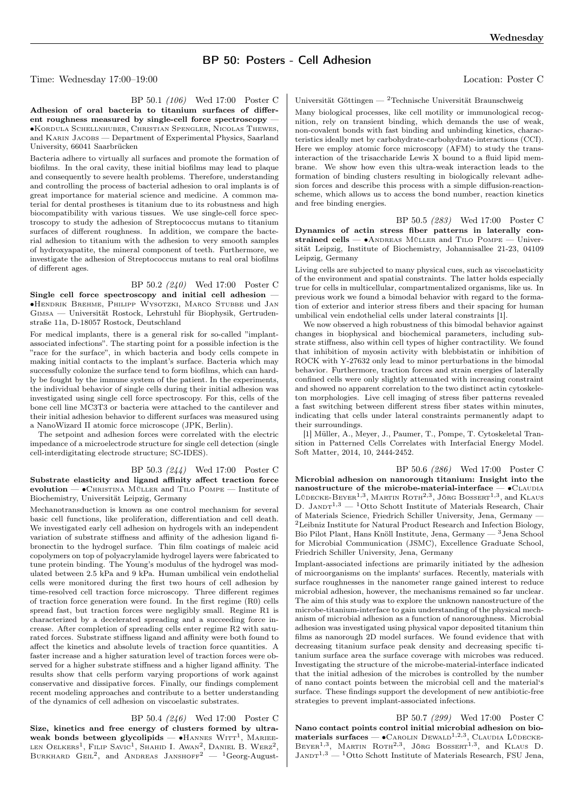## BP 50: Posters - Cell Adhesion

Time: Wednesday 17:00–19:00 Location: Poster C

#### BP 50.1 (106) Wed 17:00 Poster C

Adhesion of oral bacteria to titanium surfaces of different roughness measured by single-cell force spectroscopy — ∙Kordula Schellnhuber, Christian Spengler, Nicolas Thewes, and KARIN JACOBS - Department of Experimental Physics, Saarland University, 66041 Saarbrücken

Bacteria adhere to virtually all surfaces and promote the formation of biofilms. In the oral cavity, these initial biofilms may lead to plaque and consequently to severe health problems. Therefore, understanding and controlling the process of bacterial adhesion to oral implants is of great importance for material science and medicine. A common material for dental prostheses is titanium due to its robustness and high biocompatibility with various tissues. We use single-cell force spectroscopy to study the adhesion of Streptococcus mutans to titanium surfaces of different roughness. In addition, we compare the bacterial adhesion to titanium with the adhesion to very smooth samples of hydroxyapatite, the mineral component of teeth. Furthermore, we investigate the adhesion of Streptococcus mutans to real oral biofilms of different ages.

## BP 50.2 (240) Wed 17:00 Poster C

Single cell force spectroscopy and initial cell adhesion — ∙Hendrik Brehme, Philipp Wysotzki, Marco Stubbe und Jan Gimsa — Universität Rostock, Lehrstuhl für Biophysik, Gertrudenstraße 11a, D-18057 Rostock, Deutschland

For medical implants, there is a general risk for so-called "implantassociated infections". The starting point for a possible infection is the "race for the surface", in which bacteria and body cells compete in making initial contacts to the implant's surface. Bacteria which may successfully colonize the surface tend to form biofilms, which can hardly be fought by the immune system of the patient. In the experiments, the individual behavior of single cells during their initial adhesion was investigated using single cell force spectroscopy. For this, cells of the bone cell line MC3T3 or bacteria were attached to the cantilever and their initial adhesion behavior to different surfaces was measured using a NanoWizard II atomic force microscope (JPK, Berlin).

The setpoint and adhesion forces were correlated with the electric impedance of a microelectrode structure for single cell detection (single cell-interdigitating electrode structure; SC-IDES).

BP 50.3 (244) Wed 17:00 Poster C Substrate elasticity and ligand affinity affect traction force evolution — • CHRISTINA MÜLLER and TILO POMPE — Institute of Biochemistry, Universität Leipzig, Germany

Mechanotransduction is known as one control mechanism for several basic cell functions, like proliferation, differentiation and cell death. We investigated early cell adhesion on hydrogels with an independent variation of substrate stiffness and affinity of the adhesion ligand fibronectin to the hydrogel surface. Thin film coatings of maleic acid copolymers on top of polyacrylamide hydrogel layers were fabricated to tune protein binding. The Young's modulus of the hydrogel was modulated between 2.5 kPa and 9 kPa. Human umbilical vein endothelial cells were monitored during the first two hours of cell adhesion by time-resolved cell traction force microscopy. Three different regimes of traction force generation were found. In the first regime (R0) cells spread fast, but traction forces were negligibly small. Regime R1 is characterized by a decelerated spreading and a succeeding force increase. After completion of spreading cells enter regime R2 with saturated forces. Substrate stiffness ligand and affinity were both found to affect the kinetics and absolute levels of traction force quantities. A faster increase and a higher saturation level of traction forces were observed for a higher substrate stiffness and a higher ligand affinity. The results show that cells perform varying proportions of work against conservative and dissipative forces. Finally, our findings complement recent modeling approaches and contribute to a better understanding of the dynamics of cell adhesion on viscoelastic substrates.

#### BP 50.4 (246) Wed 17:00 Poster C

Size, kinetics and free energy of clusters formed by ultraweak bonds between glycolipids —  $\bullet$ HANNES WITT<sup>1</sup>, MARIEE-LEN OELKERS<sup>1</sup>, FILIP SAVIC<sup>1</sup>, SHAHID I. AWAN<sup>2</sup>, DANIEL B. WERZ<sup>2</sup>, BURKHARD GEIL<sup>2</sup>, and ANDREAS JANSHOFF<sup>2</sup> — <sup>1</sup>Georg-AugustUniversität Göttingen —  $^2$ Technische Universität Braunschweig

Many biological processes, like cell motility or immunological recognition, rely on transient binding, which demands the use of weak, non-covalent bonds with fast binding and unbinding kinetics, characteristics ideally met by carbohydrate-carbohydrate-interactions (CCI). Here we employ atomic force microscopy (AFM) to study the transinteraction of the trisaccharide Lewis X bound to a fluid lipid membrane. We show how even this ultra-weak interaction leads to the formation of binding clusters resulting in biologically relevant adhesion forces and describe this process with a simple diffusion-reactionscheme, which allows us to access the bond number, reaction kinetics and free binding energies.

BP 50.5 (283) Wed 17:00 Poster C Dynamics of actin stress fiber patterns in laterally constrained cells — •ANDREAS MÜLLER and TILO POMPE — Universität Leipzig, Institute of Biochemistry, Johannisallee 21-23, 04109 Leipzig, Germany

Living cells are subjected to many physical cues, such as viscoelasticity of the environment and spatial constraints. The latter holds especially true for cells in multicellular, compartmentalized organisms, like us. In previous work we found a bimodal behavior with regard to the formation of exterior and interior stress fibers and their spacing for human umbilical vein endothelial cells under lateral constraints [1].

We now observed a high robustness of this bimodal behavior against changes in biophysical and biochemical parameters, including substrate stiffness, also within cell types of higher contractility. We found that inhibition of myosin activity with blebbistatin or inhibition of ROCK with Y-27632 only lead to minor perturbations in the bimodal behavior. Furthermore, traction forces and strain energies of laterally confined cells were only slightly attenuated with increasing constraint and showed no apparent correlation to the two distinct actin cytoskeleton morphologies. Live cell imaging of stress fiber patterns revealed a fast switching between different stress fiber states within minutes, indicating that cells under lateral constraints permanently adapt to their surroundings.

[1] Müller, A., Meyer, J., Paumer, T., Pompe, T. Cytoskeletal Transition in Patterned Cells Correlates with Interfacial Energy Model. Soft Matter, 2014, 10, 2444-2452.

BP 50.6 (286) Wed 17:00 Poster C Microbial adhesion on nanorough titanium: Insight into the nanostructure of the microbe-material-interface —  $\bullet$ CLAUDIA LÜDECKE-BEYER<sup>1,3</sup>, MARTIN ROTH<sup>2,3</sup>, JÖRG BOSSERT<sup>1,3</sup>, and KLAUS D. JANDT<sup>1,3</sup> — <sup>1</sup>Otto Schott Institute of Materials Research, Chair of Materials Science, Friedrich Schiller University, Jena, Germany — <sup>2</sup>Leibniz Institute for Natural Product Research and Infection Biology, Bio Pilot Plant, Hans Knöll Institute, Jena, Germany — <sup>3</sup>Jena School for Microbial Communication (JSMC), Excellence Graduate School, Friedrich Schiller University, Jena, Germany

Implant-associated infections are primarily initiated by the adhesion of microorganisms on the implants' surfaces. Recently, materials with surface roughnesses in the nanometer range gained interest to reduce microbial adhesion, however, the mechanisms remained so far unclear. The aim of this study was to explore the unknown nanostructure of the microbe-titanium-interface to gain understanding of the physical mechanism of microbial adhesion as a function of nanoroughness. Microbial adhesion was investigated using physical vapor deposited titanium thin films as nanorough 2D model surfaces. We found evidence that with decreasing titanium surface peak density and decreasing specific titanium surface area the surface coverage with microbes was reduced. Investigating the structure of the microbe-material-interface indicated that the initial adhesion of the microbes is controlled by the number of nano contact points between the microbial cell and the material's surface. These findings support the development of new antibiotic-free strategies to prevent implant-associated infections.

BP 50.7 (299) Wed 17:00 Poster C Nano contact points control initial microbial adhesion on biomaterials surfaces —  $\bullet$  CAROLIN DEWALD<sup>1,2,3</sup>, CLAUDIA LÜDECKE-BEYER<sup>1,3</sup>, MARTIN ROTH<sup>2,3</sup>, JÖRG BOSSERT<sup>1,3</sup>, and KLAUS D.  $J_{ANDT}^{1,3}$  — <sup>1</sup>Otto Schott Institute of Materials Research, FSU Jena,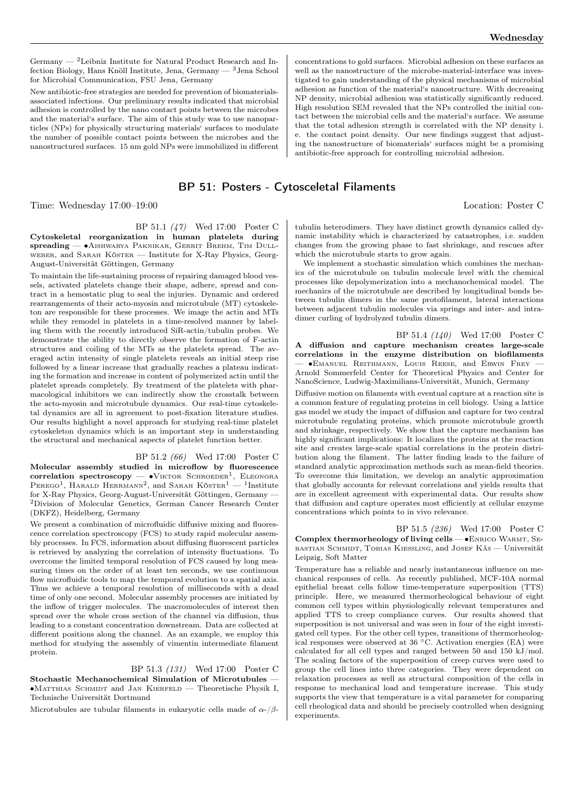Germany  $-$  <sup>2</sup>Leibniz Institute for Natural Product Research and Infection Biology, Hans Knöll Institute, Jena, Germany — <sup>3</sup>Jena School for Microbial Communication, FSU Jena, Germany

New antibiotic-free strategies are needed for prevention of biomaterialsassociated infections. Our preliminary results indicated that microbial adhesion is controlled by the nano contact points between the microbes and the material's surface. The aim of this study was to use nanoparticles (NPs) for physically structuring materials' surfaces to modulate the number of possible contact points between the microbes and the nanostructured surfaces. 15 nm gold NPs were immobilized in different

## BP 51: Posters - Cytosceletal Filaments

Time: Wednesday 17:00–19:00 Location: Poster C

BP 51.1 (47) Wed 17:00 Poster C Cytoskeletal reorganization in human platelets during spreading — • AISHWARYA PAKNIKAR, GERRIT BREHM, TIM DULLweber, and Sarah Köster — Institute for X-Ray Physics, Georg-August-Universität Göttingen, Germany

To maintain the life-sustaining process of repairing damaged blood vessels, activated platelets change their shape, adhere, spread and contract in a hemostatic plug to seal the injuries. Dynamic and ordered rearrangements of their acto-myosin and microtubule (MT) cytoskeleton are responsible for these processes. We image the actin and MTs while they remodel in platelets in a time-resolved manner by labeling them with the recently introduced SiR-actin/tubulin probes. We demonstrate the ability to directly observe the formation of F-actin structures and coiling of the MTs as the platelets spread. The averaged actin intensity of single platelets reveals an initial steep rise followed by a linear increase that gradually reaches a plateau indicating the formation and increase in content of polymerized actin until the platelet spreads completely. By treatment of the platelets with pharmacological inhibitors we can indirectly show the crosstalk between the acto-myosin and microtubule dynamics. Our real-time cytoskeletal dynamics are all in agreement to post-fixation literature studies. Our results highlight a novel approach for studying real-time platelet cytoskeleton dynamics which is an important step in understanding the structural and mechanical aspects of platelet function better.

BP 51.2 (66) Wed 17:00 Poster C Molecular assembly studied in microflow by fluorescence  $\text{correlation spectroscopy} = \bullet \text{V}}$ IKTOR SCHROEDER<sup>1</sup>, ELEONORA PEREGO<sup>1</sup>, HARALD HERRMANN<sup>2</sup>, and SARAH KÖSTER<sup>1</sup> - <sup>1</sup>Institute for X-Ray Physics, Georg-August-Universität Göttingen, Germany — <sup>2</sup>Division of Molecular Genetics, German Cancer Research Center (DKFZ), Heidelberg, Germany

We present a combination of microfluidic diffusive mixing and fluorescence correlation spectroscopy (FCS) to study rapid molecular assembly processes. In FCS, information about diffusing fluorescent particles is retrieved by analyzing the correlation of intensity fluctuations. To overcome the limited temporal resolution of FCS caused by long measuring times on the order of at least ten seconds, we use continuous flow microfluidic tools to map the temporal evolution to a spatial axis. Thus we achieve a temporal resolution of milliseconds with a dead time of only one second. Molecular assembly processes are initiated by the inflow of trigger molecules. The macromolecules of interest then spread over the whole cross section of the channel via diffusion, thus leading to a constant concentration downstream. Data are collected at different positions along the channel. As an example, we employ this method for studying the assembly of vimentin intermediate filament protein.

BP 51.3 (131) Wed 17:00 Poster C Stochastic Mechanochemical Simulation of Microtubules — ∙Matthias Schmidt and Jan Kierfeld — Theoretische Physik I, Technische Universität Dortmund

Microtubules are tubular filaments in eukaryotic cells made of  $\alpha$ -/ $\beta$ -

concentrations to gold surfaces. Microbial adhesion on these surfaces as well as the nanostructure of the microbe-material-interface was investigated to gain understanding of the physical mechanisms of microbial adhesion as function of the material's nanostructure. With decreasing NP density, microbial adhesion was statistically significantly reduced. High resolution SEM revealed that the NPs controlled the initial contact between the microbial cells and the material's surface. We assume that the total adhesion strength is correlated with the NP density i. e. the contact point density. Our new findings suggest that adjusting the nanostructure of biomaterials' surfaces might be a promising antibiotic-free approach for controlling microbial adhesion.

tubulin heterodimers. They have distinct growth dynamics called dynamic instability which is characterized by catastrophes, i.e. sudden changes from the growing phase to fast shrinkage, and rescues after

which the microtubule starts to grow again. We implement a stochastic simulation which combines the mechanics of the microtubule on tubulin molecule level with the chemical processes like depolymerization into a mechanochemical model. The mechanics of the microtubule are described by longitudinal bonds between tubulin dimers in the same protofilament, lateral interactions between adjacent tubulin molecules via springs and inter- and intradimer curling of hydrolyzed tubulin dimers.

BP 51.4 (140) Wed 17:00 Poster C A diffusion and capture mechanism creates large-scale correlations in the enzyme distribution on biofilaments — ∙Emanuel Reithmann, Louis Reese, and Erwin Frey — Arnold Sommerfeld Center for Theoretical Physics and Center for NanoScience, Ludwig-Maximilians-Universität, Munich, Germany

Diffusive motion on filaments with eventual capture at a reaction site is a common feature of regulating proteins in cell biology. Using a lattice gas model we study the impact of diffusion and capture for two central microtubule regulating proteins, which promote microtubule growth and shrinkage, respectively. We show that the capture mechanism has highly significant implications: It localizes the proteins at the reaction site and creates large-scale spatial correlations in the protein distribution along the filament. The latter finding leads to the failure of standard analytic approximation methods such as mean-field theories. To overcome this limitation, we develop an analytic approximation that globally accounts for relevant correlations and yields results that are in excellent agreement with experimental data. Our results show that diffusion and capture operates most efficiently at cellular enzyme concentrations which points to in vivo relevance.

BP 51.5 (236) Wed 17:00 Poster C Complex thermorheology of living cells — •ENRICO WARMT, SEbastian Schmidt, Tobias Kiessling, and Josef Käs - Universität Leipzig, Soft Matter

Temperature has a reliable and nearly instantaneous influence on mechanical responses of cells. As recently published, MCF-10A normal epithelial breast cells follow time-temperature superposition (TTS) principle. Here, we measured thermorheological behaviour of eight common cell types within physiologically relevant temperatures and applied TTS to creep compliance curves. Our results showed that superposition is not universal and was seen in four of the eight investigated cell types. For the other cell types, transitions of thermorheological responses were observed at 36  $\degree$ C. Activation energies (EA) were calculated for all cell types and ranged between 50 and 150 kJ/mol. The scaling factors of the superposition of creep curves were used to group the cell lines into three categories. They were dependent on relaxation processes as well as structural composition of the cells in response to mechanical load and temperature increase. This study supports the view that temperature is a vital parameter for comparing cell rheological data and should be precisely controlled when designing experiments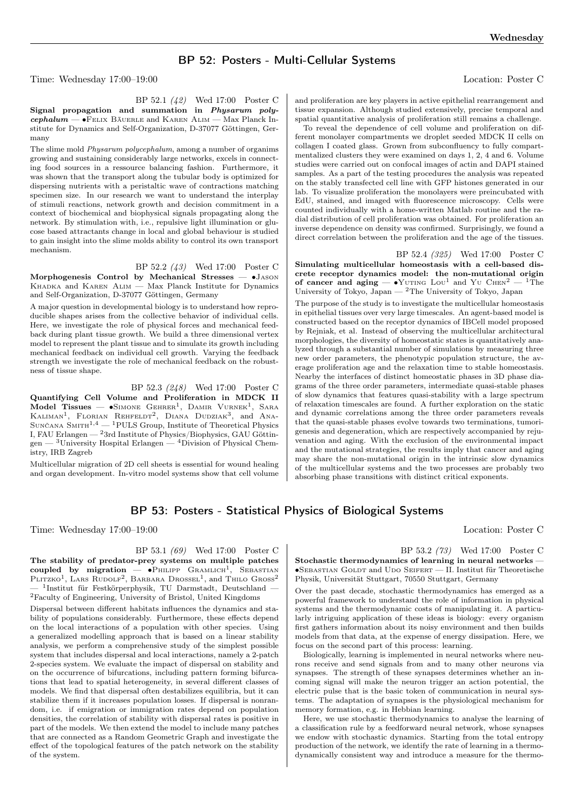## BP 52: Posters - Multi-Cellular Systems

Time: Wednesday 17:00–19:00 Location: Poster C

BP 52.1 (42) Wed 17:00 Poster C Signal propagation and summation in Physarum poly $cephalum - \bullet$ Felix Bäuerle and Karen Alim — Max Planck Institute for Dynamics and Self-Organization, D-37077 Göttingen, Germany

The slime mold Physarum polycephalum, among a number of organims growing and sustaining considerably large networks, excels in connecting food sources in a ressource balancing fashion. Furthermore, it was shown that the transport along the tubular body is optimized for dispersing nutrients with a peristaltic wave of contractions matching specimen size. In our research we want to understand the interplay of stimuli reactions, network growth and decision commitment in a context of biochemical and biophysical signals propagating along the network. By stimulation with, i.e., repulsive light illumination or glucose based attractants change in local and global behaviour is studied to gain insight into the slime molds ability to control its own transport mechanism.

BP 52.2 (43) Wed 17:00 Poster C

Morphogenesis Control by Mechanical Stresses — ∙Jason KHADKA and KAREN ALIM — Max Planck Institute for Dynamics and Self-Organization, D-37077 Göttingen, Germany

A major question in developmental biology is to understand how reproducible shapes arises from the collective behavior of individual cells. Here, we investigate the role of physical forces and mechanical feedback during plant tissue growth. We build a three dimensional vertex model to represent the plant tissue and to simulate its growth including mechanical feedback on individual cell growth. Varying the feedback strength we investigate the role of mechanical feedback on the robustness of tissue shape.

BP 52.3 (248) Wed 17:00 Poster C Quantifying Cell Volume and Proliferation in MDCK II Model Tissues —  $\bullet$ Simone Gehrer<sup>1</sup>, Damir Vurnek<sup>1</sup>, Sara KALIMAN<sup>1</sup>, FLORIAN REHFELDT<sup>2</sup>, DIANA DUDZIAK<sup>3</sup>, and ANA-SUNČANA  $\text{SMTH}^{1,4}$  — <sup>1</sup>PULS Group, Institute of Theoretical Physics I, FAU Erlangen — <sup>2</sup>3rd Institute of Physics/Biophysics, GAU Göttin $gen - 3$ University Hospital Erlangen —  $4$ Division of Physical Chemistry, IRB Zagreb

Multicellular migration of 2D cell sheets is essential for wound healing and organ development. In-vitro model systems show that cell volume and proliferation are key players in active epithelial rearrangement and tissue expansion. Although studied extensively, precise temporal and spatial quantitative analysis of proliferation still remains a challenge.

To reveal the dependence of cell volume and proliferation on different monolayer compartments we droplet seeded MDCK II cells on collagen I coated glass. Grown from subconfluency to fully compartmentalized clusters they were examined on days 1, 2, 4 and 6. Volume studies were carried out on confocal images of actin and DAPI stained samples. As a part of the testing procedures the analysis was repeated on the stably transfected cell line with GFP histones generated in our lab. To visualize proliferation the monolayers were preincubated with EdU, stained, and imaged with fluorescence microscopy. Cells were counted individually with a home-written Matlab routine and the radial distribution of cell proliferation was obtained. For proliferation an inverse dependence on density was confirmed. Surprisingly, we found a direct correlation between the proliferation and the age of the tissues.

BP 52.4 (325) Wed 17:00 Poster C Simulating multicellular homeostasis with a cell-based discrete receptor dynamics model: the non-mutational origin of cancer and aging —  $\bullet$ YUTING LOU<sup>1</sup> and YU CHEN<sup>2</sup> — <sup>1</sup>The University of Tokyo, Japan  $-2$  The University of Tokyo, Japan

The purpose of the study is to investigate the multicellular homeostasis in epithelial tissues over very large timescales. An agent-based model is constructed based on the receptor dynamics of IBCell model proposed by Rejniak, et al. Instead of observing the multicellular architectural morphologies, the diversity of homeostatic states is quantitatively analyzed through a substantial number of simulations by measuring three new order parameters, the phenotypic population structure, the average proliferation age and the relaxation time to stable homeostasis. Nearby the interfaces of distinct homeostatic phases in 3D phase diagrams of the three order parameters, intermediate quasi-stable phases of slow dynamics that features quasi-stability with a large spectrum of relaxation timescales are found. A further exploration on the static and dynamic correlations among the three order parameters reveals that the quasi-stable phases evolve towards two terminations, tumorigenesis and degeneration, which are respectively accompanied by rejuvenation and aging. With the exclusion of the environmental impact and the mutational strategies, the results imply that cancer and aging may share the non-mutational origin in the intrinsic slow dynamics of the multicellular systems and the two processes are probably two absorbing phase transitions with distinct critical exponents.

## BP 53: Posters - Statistical Physics of Biological Systems

Time: Wednesday 17:00–19:00 Location: Poster C

BP 53.1 (69) Wed 17:00 Poster C

The stability of predator-prey systems on multiple patches  $\text{coupled}$  by migration — • PHILIPP  $\text{Gramlich}^1$ , SEBASTIAN PLITZKO<sup>1</sup>, LARS RUDOLF<sup>2</sup>, BARBARA DROSSEL<sup>1</sup>, and THILO GROSS<sup>2</sup> — <sup>1</sup> Institut für Festkörperphysik, TU Darmstadt, Deutschland —  ${\rm ^2F}$  Faculty of Engineering, University of Bristol, United Kingdoms

Dispersal between different habitats influences the dynamics and stability of populations considerably. Furthermore, these effects depend on the local interactions of a population with other species. Using a generalized modelling approach that is based on a linear stability analysis, we perform a comprehensive study of the simplest possible system that includes dispersal and local interactions, namely a 2-patch 2-species system. We evaluate the impact of dispersal on stability and on the occurrence of bifurcations, including pattern forming bifurcations that lead to spatial heterogeneity, in several different classes of models. We find that dispersal often destabilizes equilibria, but it can stabilize them if it increases population losses. If dispersal is nonrandom, i.e. if emigration or immigration rates depend on population densities, the correlation of stability with dispersal rates is positive in part of the models. We then extend the model to include many patches that are connected as a Random Geometric Graph and investigate the effect of the topological features of the patch network on the stability of the system.

BP 53.2 (73) Wed 17:00 Poster C Stochastic thermodynamics of learning in neural networks — ∙Sebastian Goldt and Udo Seifert — II. Institut für Theoretische Physik, Universität Stuttgart, 70550 Stuttgart, Germany

Over the past decade, stochastic thermodynamics has emerged as a powerful framework to understand the role of information in physical systems and the thermodynamic costs of manipulating it. A particularly intriguing application of these ideas is biology: every organism first gathers information about its noisy environment and then builds models from that data, at the expense of energy dissipation. Here, we focus on the second part of this process: learning.

Biologically, learning is implemented in neural networks where neurons receive and send signals from and to many other neurons via synapses. The strength of these synapses determines whether an incoming signal will make the neuron trigger an action potential, the electric pulse that is the basic token of communication in neural systems. The adaptation of synapses is the physiological mechanism for memory formation, e.g. in Hebbian learning.

Here, we use stochastic thermodynamics to analyse the learning of a classification rule by a feedforward neural network, whose synapses we endow with stochastic dynamics. Starting from the total entropy production of the network, we identify the rate of learning in a thermodynamically consistent way and introduce a measure for the thermo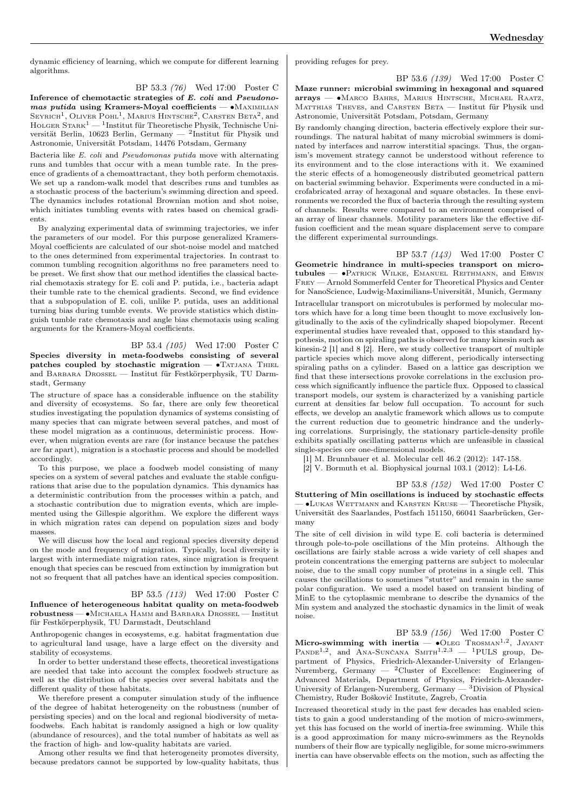dynamic efficiency of learning, which we compute for different learning algorithms.

BP 53.3 (76) Wed 17:00 Poster C Inference of chemotactic strategies of E. coli and Pseudonomas putida using Kramers-Moyal coefficients — •MAXIMILIAN SEYRICH<sup>1</sup>, OLIVER POHL<sup>1</sup>, MARIUS HINTSCHE<sup>2</sup>, CARSTEN BETA<sup>2</sup>, and HOLGER  $S\textsc{rank}^1-$  Institut für Theoretische Physik, Technische Universität Berlin, 10623 Berlin, Germany — <sup>2</sup> Institut für Physik und Astronomie, Universität Potsdam, 14476 Potsdam, Germany

Bacteria like E. coli and Pseudomonas putida move with alternating runs and tumbles that occur with a mean tumble rate. In the presence of gradients of a chemoattractant, they both perform chemotaxis. We set up a random-walk model that describes runs and tumbles as a stochastic process of the bacterium's swimming direction and speed. The dynamics includes rotational Brownian motion and shot noise, which initiates tumbling events with rates based on chemical gradients.

By analyzing experimental data of swimming trajectories, we infer the parameters of our model. For this purpose generalized Kramers-Moyal coefficients are calculated of our shot-noise model and matched to the ones determined from experimental trajectories. In contrast to common tumbling recognition algorithms no free parameters need to be preset. We first show that our method identifies the classical bacterial chemotaxis strategy for E. coli and P. putida, i.e., bacteria adapt their tumble rate to the chemical gradients. Second, we find evidence that a subpopulation of E. coli, unlike P. putida, uses an additional turning bias during tumble events. We provide statistics which distinguish tumble rate chemotaxis and angle bias chemotaxis using scaling arguments for the Kramers-Moyal coefficients.

BP 53.4 (105) Wed 17:00 Poster C

Species diversity in meta-foodwebs consisting of several patches coupled by stochastic migration — •TATJANA THIEL and Barbara Drossel — Institut für Festkörperphysik, TU Darmstadt, Germany

The structure of space has a considerable influence on the stability and diversity of ecosystems. So far, there are only few theoretical studies investigating the population dynamics of systems consisting of many species that can migrate between several patches, and most of these model migration as a continuous, deterministic process. However, when migration events are rare (for instance because the patches are far apart), migration is a stochastic process and should be modelled accordingly.

To this purpose, we place a foodweb model consisting of many species on a system of several patches and evaluate the stable configurations that arise due to the population dynamics. This dynamics has a deterministic contribution from the processes within a patch, and a stochastic contribution due to migration events, which are implemented using the Gillespie algorithm. We explore the different ways in which migration rates can depend on population sizes and body masses.

We will discuss how the local and regional species diversity depend on the mode and frequency of migration. Typically, local diversity is largest with intermediate migration rates, since migration is frequent enough that species can be rescued from extinction by immigration but not so frequent that all patches have an identical species composition.

BP 53.5 (113) Wed 17:00 Poster C Influence of heterogeneous habitat quality on meta-foodweb robustness — ∙Michaela Hamm and Barbara Drossel — Institut für Festkörperphysik, TU Darmstadt, Deutschland

Anthropogenic changes in ecosystems, e.g. habitat fragmentation due to agricultural land usage, have a large effect on the diversity and stability of ecosystems.

In order to better understand these effects, theoretical investigations are needed that take into account the complex foodweb structure as well as the distribution of the species over several habitats and the different quality of these habitats.

We therefore present a computer simulation study of the influence of the degree of habitat heterogeneity on the robustness (number of persisting species) and on the local and regional biodiversity of metafoodwebs. Each habitat is randomly assigned a high or low quality (abundance of resources), and the total number of habitats as well as the fraction of high- and low-quality habitats are varied.

Among other results we find that heterogeneity promotes diversity, because predators cannot be supported by low-quality habitats, thus providing refuges for prey.

BP 53.6 (139) Wed 17:00 Poster C Maze runner: microbial swimming in hexagonal and squared arrays — ∙Marco Bahrs, Marius Hintsche, Michael Raatz, MATTHIAS THEVES, and CARSTEN BETA — Institut für Physik und Astronomie, Universität Potsdam, Potsdam, Germany

By randomly changing direction, bacteria effectively explore their surroundings. The natural habitat of many microbial swimmers is dominated by interfaces and narrow interstitial spacings. Thus, the organism's movement strategy cannot be understood without reference to its environment and to the close interactions with it. We examined the steric effects of a homogeneously distributed geometrical pattern on bacterial swimming behavior. Experiments were conducted in a microfabricated array of hexagonal and square obstacles. In these environments we recorded the flux of bacteria through the resulting system of channels. Results were compared to an environment comprised of an array of linear channels. Motility parameters like the effective diffusion coefficient and the mean square displacement serve to compare the different experimental surroundings.

BP 53.7 (143) Wed 17:00 Poster C Geometric hindrance in multi-species transport on microtubules — ∙Patrick Wilke, Emanuel Reithmann, and Erwin Frey — Arnold Sommerfeld Center for Theoretical Physics and Center for NanoScience, Ludwig-Maximilians-Universität, Munich, Germany Intracellular transport on microtubules is performed by molecular motors which have for a long time been thought to move exclusively longitudinally to the axis of the cylindrically shaped biopolymer. Recent experimental studies have revealed that, opposed to this standard hypothesis, motion on spiraling paths is observed for many kinesin such as kinesin-2 [1] and 8 [2]. Here, we study collective transport of multiple particle species which move along different, periodically intersecting spiraling paths on a cylinder. Based on a lattice gas description we find that these intersections provoke correlations in the exclusion process which significantly influence the particle flux. Opposed to classical transport models, our system is characterized by a vanishing particle current at densities far below full occupation. To account for such effects, we develop an analytic framework which allows us to compute the current reduction due to geometric hindrance and the underlying correlations. Surprisingly, the stationary particle-density profile exhibits spatially oscillating patterns which are unfeasible in classical single-species ore one-dimensional models.

[1] M. Brunnbauer et al. Molecular cell 46.2 (2012): 147-158.

[2] V. Bormuth et al. Biophysical journal 103.1 (2012): L4-L6.

BP 53.8 (152) Wed 17:00 Poster C Stuttering of Min oscillations is induced by stochastic effects — ∙Lukas Wettmann and Karsten Kruse — Theoretische Physik, Universität des Saarlandes, Postfach 151150, 66041 Saarbrücken, Germany

The site of cell division in wild type E. coli bacteria is determined through pole-to-pole oscillations of the Min proteins. Although the oscillations are fairly stable across a wide variety of cell shapes and protein concentrations the emerging patterns are subject to molecular noise, due to the small copy number of proteins in a single cell. This causes the oscillations to sometimes "stutter" and remain in the same polar configuration. We used a model based on transient binding of MinE to the cytoplasmic membrane to describe the dynamics of the Min system and analyzed the stochastic dynamics in the limit of weak noise.

BP 53.9 (156) Wed 17:00 Poster C

Micro-swimming with inertia  $-$  •OLEG TROSMAN<sup>1,2</sup>, JAYANT PANDE<sup>1,2</sup>, and ANA-SUNČANA SMITH<sup>1,2,3</sup> - <sup>1</sup>PULS group, Department of Physics, Friedrich-Alexander-University of Erlangen-Nuremberg, Germany — <sup>2</sup>Cluster of Excellence: Engineering of Advanced Materials, Department of Physics, Friedrich-Alexander-University of Erlangen-Nuremberg, Germany — <sup>3</sup>Division of Physical Chemistry, Ruđer Bošković Institute, Zagreb, Croatia

Increased theoretical study in the past few decades has enabled scientists to gain a good understanding of the motion of micro-swimmers, yet this has focused on the world of inertia-free swimming. While this is a good approximation for many micro-swimmers as the Reynolds numbers of their flow are typically negligible, for some micro-swimmers inertia can have observable effects on the motion, such as affecting the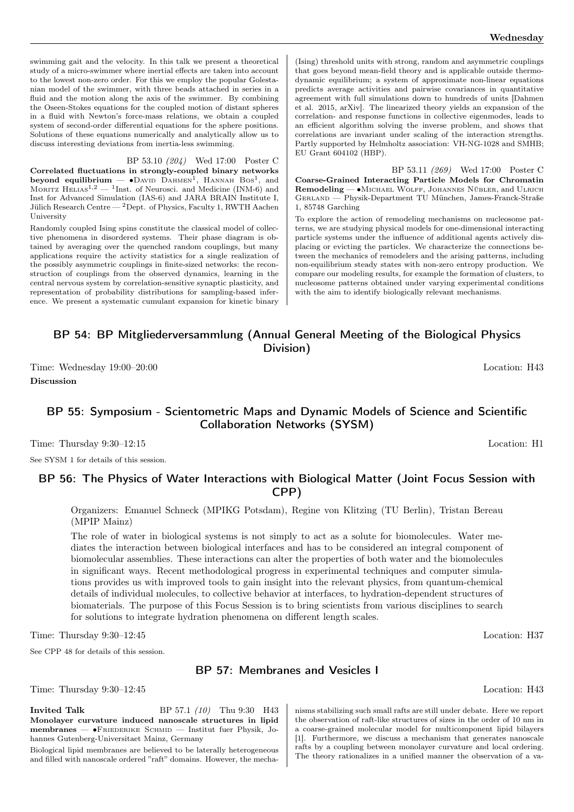swimming gait and the velocity. In this talk we present a theoretical study of a micro-swimmer where inertial effects are taken into account to the lowest non-zero order. For this we employ the popular Golestanian model of the swimmer, with three beads attached in series in a fluid and the motion along the axis of the swimmer. By combining the Oseen-Stokes equations for the coupled motion of distant spheres in a fluid with Newton's force-mass relations, we obtain a coupled system of second-order differential equations for the sphere positions. Solutions of these equations numerically and analytically allow us to discuss interesting deviations from inertia-less swimming.

BP 53.10 (204) Wed 17:00 Poster C Correlated fluctuations in strongly-coupled binary networks beyond equilibrium —  $\bullet$ David Dahmen<sup>1</sup>, Hannah Bos<sup>1</sup>, and MORITZ  $\text{HELIAS}^{1,2}$  — <sup>1</sup>Inst. of Neurosci. and Medicine (INM-6) and Inst for Advanced Simulation (IAS-6) and JARA BRAIN Institute I, Jülich Research Centre —  $^2$ Dept. of Physics, Faculty 1, RWTH Aachen University

Randomly coupled Ising spins constitute the classical model of collective phenomena in disordered systems. Their phase diagram is obtained by averaging over the quenched random couplings, but many applications require the activity statistics for a single realization of the possibly asymmetric couplings in finite-sized networks: the reconstruction of couplings from the observed dynamics, learning in the central nervous system by correlation-sensitive synaptic plasticity, and representation of probability distributions for sampling-based inference. We present a systematic cumulant expansion for kinetic binary

(Ising) threshold units with strong, random and asymmetric couplings that goes beyond mean-field theory and is applicable outside thermodynamic equilibrium; a system of approximate non-linear equations predicts average activities and pairwise covariances in quantitative agreement with full simulations down to hundreds of units [Dahmen et al. 2015, arXiv]. The linearized theory yields an expansion of the correlation- and response functions in collective eigenmodes, leads to an efficient algorithm solving the inverse problem, and shows that correlations are invariant under scaling of the interaction strengths. Partly supported by Helmholtz association: VH-NG-1028 and SMHB; EU Grant 604102 (HBP).

BP 53.11 (269) Wed 17:00 Poster C Coarse-Grained Interacting Particle Models for Chromatin Remodeling — • MICHAEL WOLFF, JOHANNES NÜBLER, and ULRICH Gerland — Physik-Department TU München, James-Franck-Straße 1, 85748 Garching

To explore the action of remodeling mechanisms on nucleosome patterns, we are studying physical models for one-dimensional interacting particle systems under the influence of additional agents actively displacing or evicting the particles. We characterize the connections between the mechanics of remodelers and the arising patterns, including non-equilibrium steady states with non-zero entropy production. We compare our modeling results, for example the formation of clusters, to nucleosome patterns obtained under varying experimental conditions with the aim to identify biologically relevant mechanisms.

## BP 54: BP Mitgliederversammlung (Annual General Meeting of the Biological Physics Division)

Time: Wednesday 19:00–20:00 Location: H43

Discussion

## BP 55: Symposium - Scientometric Maps and Dynamic Models of Science and Scientific Collaboration Networks (SYSM)

Time: Thursday 9:30–12:15 Location: H1

See SYSM 1 for details of this session.

## BP 56: The Physics of Water Interactions with Biological Matter (Joint Focus Session with CPP)

Organizers: Emanuel Schneck (MPIKG Potsdam), Regine von Klitzing (TU Berlin), Tristan Bereau (MPIP Mainz)

The role of water in biological systems is not simply to act as a solute for biomolecules. Water mediates the interaction between biological interfaces and has to be considered an integral component of biomolecular assemblies. These interactions can alter the properties of both water and the biomolecules in significant ways. Recent methodological progress in experimental techniques and computer simulations provides us with improved tools to gain insight into the relevant physics, from quantum-chemical details of individual molecules, to collective behavior at interfaces, to hydration-dependent structures of biomaterials. The purpose of this Focus Session is to bring scientists from various disciplines to search for solutions to integrate hydration phenomena on different length scales.

Time: Thursday 9:30–12:45 Location: H37

See CPP 48 for details of this session.

## BP 57: Membranes and Vesicles I

Time: Thursday 9:30–12:45 Location: H43

**Invited Talk** BP 57.1 (10) Thu 9:30 H43 Monolayer curvature induced nanoscale structures in lipid membranes — ∙Friederike Schmid — Institut fuer Physik, Johannes Gutenberg-Universitaet Mainz, Germany

Biological lipid membranes are believed to be laterally heterogeneous and filled with nanoscale ordered "raft" domains. However, the mechanisms stabilizing such small rafts are still under debate. Here we report the observation of raft-like structures of sizes in the order of 10 nm in a coarse-grained molecular model for multicomponent lipid bilayers [1]. Furthermore, we discuss a mechanism that generates nanoscale rafts by a coupling between monolayer curvature and local ordering. The theory rationalizes in a unified manner the observation of a va-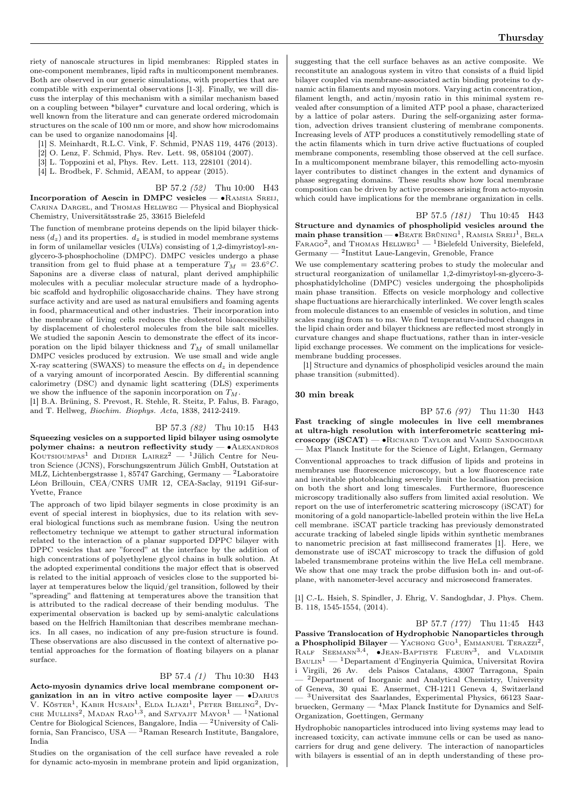compatible with experimental observations [1-3]. Finally, we will discuss the interplay of this mechanism with a similar mechanism based on a coupling between \*bilayer\* curvature and local ordering, which is well known from the literature and can generate ordered microdomain structures on the scale of 100 nm or more, and show how microdomains can be used to organize nanodomains [4].

- [1] S. Meinhardt, R.L.C. Vink, F. Schmid, PNAS 119, 4476 (2013).
- [2] O. Lenz, F. Schmid, Phys. Rev. Lett. 98, 058104 (2007).
- [3] L. Toppozini et al, Phys. Rev. Lett. 113, 228101 (2014).
- [4] L. Brodbek, F. Schmid, AEAM, to appear (2015).

BP 57.2 (52) Thu 10:00 H43

Incorporation of Aescin in DMPC vesicles — ∙Ramsia Sreij, Carina Dargel, and Thomas Hellweg — Physical and Biophysical Chemistry, Universitätsstraße 25, 33615 Bielefeld

The function of membrane proteins depends on the lipid bilayer thickness  $(d_z)$  and its properties.  $d_z$  is studied in model membrane systems in form of unilamellar vesicles (ULVs) consisting of 1,2-dimyristoyl-snglycero-3-phosphocholine (DMPC). DMPC vesicles undergo a phase transition from gel to fluid phase at a temperature  $T_M = 23.6^{\circ}C$ . Saponins are a diverse class of natural, plant derived amphiphilic molecules with a peculiar molecular structure made of a hydrophobic scaffold and hydrophilic oligosaccharide chains. They have strong surface activity and are used as natural emulsifiers and foaming agents in food, pharmaceutical and other industries. Their incorporation into the membrane of living cells reduces the cholesterol bioaccessibility by displacement of cholesterol molecules from the bile salt micelles. We studied the saponin Aescin to demonstrate the effect of its incorporation on the lipid bilayer thickness and  $T_M$  of small unilamellar DMPC vesicles produced by extrusion. We use small and wide angle X-ray scattering (SWAXS) to measure the effects on  $d_z$  in dependence of a varying amount of incorporated Aescin. By differential scanning calorimetry (DSC) and dynamic light scattering (DLS) experiments we show the influence of the saponin incorporation on  $T_M$ .

[1] B.A. Brüning, S. Prevost, R. Stehle, R. Steitz, P. Falus, B. Farago, and T. Hellweg, Biochim. Biophys. Acta, 1838, 2412-2419.

BP 57.3 (82) Thu 10:15 H43 Squeezing vesicles on a supported lipid bilayer using osmolyte polymer chains: a neutron reflectivity study —  $\bullet$ ALEXANDROS KOUTSIOUMPAS<sup>1</sup> and DIDIER LAIREZ<sup>2</sup> — <sup>1</sup>Jülich Centre for Neutron Science (JCNS), Forschungszentrum Jülich GmbH, Outstation at MLZ, Lichtenbergstrasse 1, 85747 Garching, Germany — <sup>2</sup>Laboratoire Léon Brillouin, CEA/CNRS UMR 12, CEA-Saclay, 91191 Gif-sur-Yvette, France

The approach of two lipid bilayer segments in close proximity is an event of special interest in biophysics, due to its relation with several biological functions such as membrane fusion. Using the neutron reflectometry technique we attempt to gather structural information related to the interaction of a planar supported DPPC bilayer with DPPC vesicles that are "forced" at the interface by the addition of high concentrations of polyethylene glycol chains in bulk solution. At the adopted experimental conditions the major effect that is observed is related to the initial approach of vesicles close to the supported bilayer at temperatures below the liquid/gel transition, followed by their "spreading" and flattening at temperatures above the transition that is attributed to the radical decrease of their bending modulus. The experimental observation is backed up by semi-analytic calculations based on the Helfrich Hamiltonian that describes membrane mechanics. In all cases, no indication of any pre-fusion structure is found. These observations are also discussed in the context of alternative potential approaches for the formation of floating bilayers on a planar surface.

#### BP 57.4 (1) Thu 10:30 H43

Acto-myosin dynamics drive local membrane component organization in an in vitro active composite layer —  $\bullet$ DARIUS V. Köster<sup>1</sup>, Kabir Husain<sup>1</sup>, Elda Iljazi<sup>1</sup>, Peter Bieling<sup>2</sup>, Dy-CHE MULLINS<sup>2</sup>, MADAN RAO<sup>1,3</sup>, and SATYAJIT MAYOR<sup>1</sup> — <sup>1</sup>National Centre for Biological Sciences, Bangalore, India — <sup>2</sup>University of California, San Francisco, USA — <sup>3</sup>Raman Research Institute, Bangalore, India

Studies on the organisation of the cell surface have revealed a role for dynamic acto-myosin in membrane protein and lipid organization, suggesting that the cell surface behaves as an active composite. We reconstitute an analogous system in vitro that consists of a fluid lipid bilayer coupled via membrane-associated actin binding proteins to dynamic actin filaments and myosin motors. Varying actin concentration, filament length, and actin/myosin ratio in this minimal system revealed after consumption of a limited ATP pool a phase, characterized by a lattice of polar asters. During the self-organizing aster formation, advection drives transient clustering of membrane components. Increasing levels of ATP produces a constitutively remodelling state of the actin filaments which in turn drive active fluctuations of coupled membrane components, resembling those observed at the cell surface. In a multicomponent membrane bilayer, this remodelling acto-myosin layer contributes to distinct changes in the extent and dynamics of phase segregating domains. These results show how local membrane composition can be driven by active processes arising from acto-myosin which could have implications for the membrane organization in cells.

BP 57.5 (181) Thu 10:45 H43 Structure and dynamics of phospholipid vesicles around the main phase transition — • BEATE BRÜNING<sup>1</sup>, RAMSIA SREIJ<sup>1</sup>, BELA FARAGO<sup>2</sup>, and THOMAS HELLWEG<sup>1</sup> — <sup>1</sup>Bielefeld University, Bielefeld, Germany — <sup>2</sup> Institut Laue-Langevin, Grenoble, France

We use complementary scattering probes to study the molecular and structural reorganization of unilamellar 1,2-dimyristoyl-sn-glycero-3 phosphatidylcholine (DMPC) vesicles undergoing the phospholipids main phase transition. Effects on vesicle morphology and collective shape fluctuations are hierarchically interlinked. We cover length scales from molecule distances to an ensemble of vesicles in solution, and time scales ranging from ns to ms. We find temperature-induced changes in the lipid chain order and bilayer thickness are reflected most strongly in curvature changes and shape fluctuations, rather than in inter-vesicle lipid exchange processes. We comment on the implications for vesiclemembrane budding processes.

[1] Structure and dynamics of phospholipid vesicles around the main phase transition (submitted).

#### 30 min break

BP 57.6 (97) Thu 11:30 H43 Fast tracking of single molecules in live cell membranes at ultra-high resolution with interferometric scattering microscopy  $(iSCAT)$  —  $\bullet$ Richard Taylor and Vahid Sandoghdar — Max Planck Institute for the Science of Light, Erlangen, Germany Conventional approaches to track diffusion of lipids and proteins in membranes use fluorescence microscopy, but a low fluorescence rate and inevitable photobleaching severely limit the localisation precision on both the short and long timescales. Furthermore, fluorescence microscopy traditionally also suffers from limited axial resolution. We report on the use of interferometric scattering microscopy (iSCAT) for monitoring of a gold nanoparticle-labelled protein within the live HeLa cell membrane. iSCAT particle tracking has previously demonstrated accurate tracking of labeled single lipids within synthetic membranes to nanometric precision at fast millisecond framerates [1]. Here, we demonstrate use of iSCAT microscopy to track the diffusion of gold labeled transmembrane proteins within the live HeLa cell membrane. We show that one may track the probe diffusion both in- and out-ofplane, with nanometer-level accuracy and microsecond framerates.

[1] C.-L. Hsieh, S. Spindler, J. Ehrig, V. Sandoghdar, J. Phys. Chem. B. 118, 1545-1554, (2014).

BP 57.7 (177) Thu 11:45 H43 Passive Translocation of Hydrophobic Nanoparticles through a Phospholipid Bilayer — YACHONG GUO<sup>1</sup>, EMMANUEL TERAZZI<sup>2</sup>, RALF SEEMANN<sup>3,4</sup>,  $\bullet$ JEAN-BAPTISTE FLEURY<sup>3</sup>, and VLADIMIR  $\mathbf{B}\textsc{a}$ lla $^1$ Departament d'Enginyeria Quimica, Universitat Rovira i Virgili, 26 Av. dels Paisos Catalans, 43007 Tarragona, Spain <sup>2</sup>Department of Inorganic and Analytical Chemistry, University of Geneva, 30 quai E. Ansermet, CH-1211 Geneva 4, Switzerland — <sup>3</sup>Universitat des Saarlandes, Experimental Physics, 66123 Saarbruecken, Germany —  $4$ Max Planck Institute for Dynamics and Self-Organization, Goettingen, Germany

Hydrophobic nanoparticles introduced into living systems may lead to increased toxicity, can activate immune cells or can be used as nanocarriers for drug and gene delivery. The interaction of nanoparticles with bilayers is essential of an in depth understanding of these pro-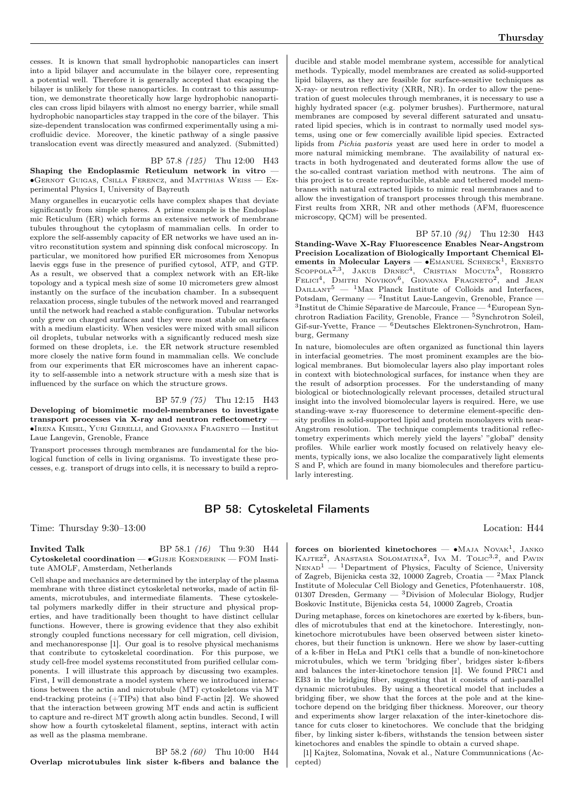#### BP 57.8 (125) Thu 12:00 H43

Shaping the Endoplasmic Reticulum network in vitro — ∙Gernot Guigas, Csilla Ferencz, and Matthias Weiss — Experimental Physics I, University of Bayreuth

Many organelles in eucaryotic cells have complex shapes that deviate significantly from simple spheres. A prime example is the Endoplasmic Reticulum (ER) which forms an extensive network of membrane tubules throughout the cytoplasm of mammalian cells. In order to explore the self-assembly capacity of ER networks we have used an invitro reconstitution system and spinning disk confocal microscopy. In particular, we monitored how purified ER microsomes from Xenopus laevis eggs fuse in the presence of purified cytosol, ATP, and GTP. As a result, we observed that a complex network with an ER-like topology and a typical mesh size of some 10 micrometers grew almost instantly on the surface of the incubation chamber. In a subsequent relaxation process, single tubules of the network moved and rearranged until the network had reached a stable configuration. Tubular networks only grew on charged surfaces and they were most stable on surfaces with a medium elasticity. When vesicles were mixed with small silicon oil droplets, tubular networks with a significantly reduced mesh size formed on these droplets, i.e. the ER network structure resembled more closely the native form found in mammalian cells. We conclude from our experiments that ER microscomes have an inherent capacity to self-assemble into a network structure with a mesh size that is influenced by the surface on which the structure grows.

BP 57.9 (75) Thu 12:15 H43 Developing of biomimetic model-membranes to investigate transport processes via X-ray and neutron reflectometry — ∙Irena Kiesel, Yuri Gerelli, and Giovanna Fragneto — Institut Laue Langevin, Grenoble, France

Transport processes through membranes are fundamental for the biological function of cells in living organisms. To investigate these processes, e.g. transport of drugs into cells, it is necessary to build a repro-

ducible and stable model membrane system, accessible for analytical methods. Typically, model membranes are created as solid-supported lipid bilayers, as they are feasible for surface-sensitive techniques as X-ray- or neutron reflectivity (XRR, NR). In order to allow the penetration of guest molecules through membranes, it is necessary to use a highly hydrated spacer (e.g. polymer brushes). Furthermore, natural membranes are composed by several different saturated and unsaturated lipid species, which is in contrast to normally used model systems, using one or few comercially availible lipid species. Extracted lipids from Pichia pastoris yeast are used here in order to model a more natural mimicking membrane. The availability of natural extracts in both hydrogenated and deuterated forms allow the use of the so-called contrast variation method with neutrons. The aim of this project is to create reproducible, stable and tethered model membranes with natural extracted lipids to mimic real membranes and to allow the investigation of transport processes through this membrane. First reults from XRR, NR and other methods (AFM, fluorescence microscopy, QCM) will be presented.

BP 57.10 (94) Thu 12:30 H43 Standing-Wave X-Ray Fluorescence Enables Near-Angstrom Precision Localization of Biologically Important Chemical Elements in Molecular Layers — •Emanuel Schneck<sup>1</sup>, Ernesto<br>Scoppola<sup>2,3</sup>, Jakub Drnec<sup>4</sup>, Cristian Mocuta<sup>5</sup>, Roberto<br>Felici<sup>4</sup>, Dmitri Novikov<sup>6</sup>, Giovanna Fragneto<sup>2</sup>, and Jean  $D$ AILLANT<sup>5</sup> — <sup>1</sup>Max Planck Institute of Colloids and Interfaces,

Potsdam, Germany — <sup>2</sup> Institut Laue-Langevin, Grenoble, France — 3 Institut de Chimie Séparative de Marcoule, France — <sup>4</sup>European Synchrotron Radiation Facility, Grenoble, France — <sup>5</sup>Synchrotron Soleil,  $G$ if-sur-Yvette, France —  $\overset{6}{ }$ Deutsches Elektronen-Synchrotron, Hamburg, Germany

In nature, biomolecules are often organized as functional thin layers in interfacial geometries. The most prominent examples are the biological membranes. But biomolecular layers also play important roles in context with biotechnological surfaces, for instance when they are the result of adsorption processes. For the understanding of many biological or biotechnologically relevant processes, detailed structural insight into the involved biomolecular layers is required. Here, we use standing-wave x-ray fluorescence to determine element-specific density profiles in solid-supported lipid and protein monolayers with near-Angstrom resolution. The technique complements traditional reflectometry experiments which merely yield the layers' "global" density profiles. While earlier work mostly focused on relatively heavy elements, typically ions, we also localize the comparatively light elements S and P, which are found in many biomolecules and therefore particularly interesting.

## BP 58: Cytoskeletal Filaments

Time: Thursday 9:30–13:00 Location: H44

#### **Invited Talk** BP 58.1 (16) Thu 9:30 H44 <code>Cytoskeletal</code> coordination —  $\bullet$ Gijsje Koenderink — FOM Institute AMOLF, Amsterdam, Netherlands

Cell shape and mechanics are determined by the interplay of the plasma membrane with three distinct cytoskeletal networks, made of actin filaments, microtubules, and intermediate filaments. These cytoskeletal polymers markedly differ in their structure and physical properties, and have traditionally been thought to have distinct cellular functions. However, there is growing evidence that they also exhibit strongly coupled functions necessary for cell migration, cell division, and mechanoresponse [1]. Our goal is to resolve physical mechanisms that contribute to cytoskeletal coordination. For this purpose, we study cell-free model systems reconstituted from purified cellular components. I will illustrate this approach by discussing two examples. First, I will demonstrate a model system where we introduced interactions between the actin and microtubule (MT) cytoskeletons via MT end-tracking proteins (+TIPs) that also bind F-actin [2]. We showed that the interaction between growing MT ends and actin is sufficient to capture and re-direct MT growth along actin bundles. Second, I will show how a fourth cytoskeletal filament, septins, interact with actin as well as the plasma membrane.

BP 58.2 (60) Thu 10:00 H44 Overlap microtubules link sister k-fibers and balance the

forces on bioriented kinetochores — • MAJA NOVAK<sup>1</sup>, JANKO KAJTEZ<sup>2</sup>, ANASTASIA SOLOMATINA<sup>2</sup>, IVA M. TOLIC<sup>3,2</sup>, and PAVIN  $N_{\text{ENAD}}^{1}$  — <sup>1</sup>Department of Physics, Faculty of Science, University of Zagreb, Bijenicka cesta 32, 10000 Zagreb, Croatia — <sup>2</sup>Max Planck Institute of Molecular Cell Biology and Genetics, Pfotenhauerstr. 108, 01307 Dresden, Germany —  ${}^{3}$ Division of Molecular Biology, Rudjer Boskovic Institute, Bijenicka cesta 54, 10000 Zagreb, Croatia

During metaphase, forces on kinetochores are exerted by k-fibers, bundles of microtubules that end at the kinetochore. Interestingly, nonkinetochore microtubules have been observed between sister kinetochores, but their function is unknown. Here we show by laser-cutting of a k-fiber in HeLa and PtK1 cells that a bundle of non-kinetochore microtubules, which we term 'bridging fiber', bridges sister k-fibers and balances the inter-kinetochore tension [1]. We found PRC1 and EB3 in the bridging fiber, suggesting that it consists of anti-parallel dynamic microtubules. By using a theoretical model that includes a bridging fiber, we show that the forces at the pole and at the kinetochore depend on the bridging fiber thickness. Moreover, our theory and experiments show larger relaxation of the inter-kinetochore distance for cuts closer to kinetochores. We conclude that the bridging fiber, by linking sister k-fibers, withstands the tension between sister kinetochores and enables the spindle to obtain a curved shape.

[1] Kajtez, Solomatina, Novak et al., Nature Communnications (Accepted)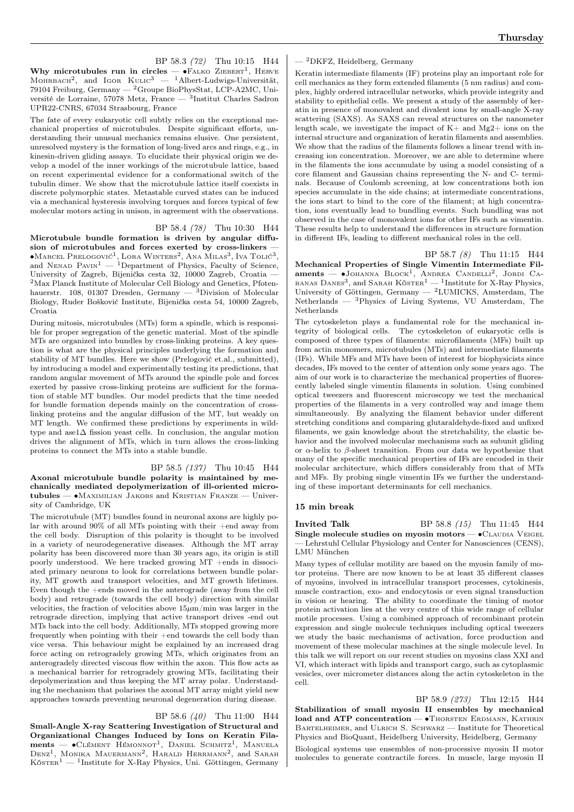BP 58.3 (72) Thu 10:15 H44 Why microtubules run in circles —  $\bullet$ FALKO ZIEBERT<sup>1</sup>, HERVE MOHRBACH<sup>2</sup>, and IGOR  $K_{ULIC}^3$  — <sup>1</sup>Albert-Ludwigs-Universität, 79104 Freiburg, Germany — <sup>2</sup>Groupe BioPhysStat, LCP-A2MC, Université de Lorraine, 57078 Metz, France — <sup>3</sup> Institut Charles Sadron UPR22-CNRS, 67034 Strasbourg, France

The fate of every eukaryotic cell subtly relies on the exceptional mechanical properties of microtubules. Despite significant efforts, understanding their unusual mechanics remains elusive. One persistent, unresolved mystery is the formation of long-lived arcs and rings, e.g., in kinesin-driven gliding assays. To elucidate their physical origin we develop a model of the inner workings of the microtubule lattice, based on recent experimental evidence for a conformational switch of the tubulin dimer. We show that the microtubule lattice itself coexists in discrete polymorphic states. Metastable curved states can be induced via a mechanical hysteresis involving torques and forces typical of few molecular motors acting in unison, in agreement with the observations.

#### BP 58.4 (78) Thu 10:30 H44

Microtubule bundle formation is driven by angular diffusion of microtubules and forces exerted by cross-linkers — ∙Marcel Prelogović<sup>1</sup> , Lora Winters<sup>2</sup> , Ana Milas<sup>3</sup> , Iva Tolić<sup>3</sup> , and Nenad Pavin<sup>1</sup> — <sup>1</sup>Department of Physics, Faculty of Science, University of Zagreb, Bijenička cesta 32, 10000 Zagreb, Croatia — <sup>2</sup>Max Planck Institute of Molecular Cell Biology and Genetics, Pfotenhauerstr. 108, 01307 Dresden, Germany  $-$  3Division of Molecular Biology, Ruder Bošković Institute, Bijenička cesta 54, 10000 Zagreb, Croatia

During mitosis, microtubules (MTs) form a spindle, which is responsible for proper segregation of the genetic material. Most of the spindle MTs are organized into bundles by cross-linking proteins. A key question is what are the physical principles underlying the formation and stability of MT bundles. Here we show (Prelogović et.al., submitted), by introducing a model and experimentally testing its predictions, that random angular movement of MTs around the spindle pole and forces exerted by passive cross-linking proteins are sufficient for the formation of stable MT bundles. Our model predicts that the time needed for bundle formation depends mainly on the concentration of crosslinking proteins and the angular diffusion of the MT, but weakly on MT length. We confirmed these predictions by experiments in wildtype and ase1 $\Delta$  fission yeast cells. In conclusion, the angular motion drives the alignment of MTs, which in turn allows the cross-linking proteins to connect the MTs into a stable bundle.

BP 58.5 (137) Thu 10:45 H44 Axonal microtubule bundle polarity is maintained by mechanically mediated depolymerization of ill-oriented microtubules — ∙Maximilian Jakobs and Kristian Franze — University of Cambridge, UK

The microtubule (MT) bundles found in neuronal axons are highly polar with around  $90\%$  of all MTs pointing with their +end away from the cell body. Disruption of this polarity is thought to be involved in a variety of neurodegenerative diseases. Although the MT array polarity has been discovered more than 30 years ago, its origin is still poorly understood. We here tracked growing  $MT$  +ends in dissociated primary neurons to look for correlations between bundle polarity, MT growth and transport velocities, and MT growth lifetimes. Even though the +ends moved in the anterograde (away from the cell body) and retrograde (towards the cell body) direction with similar velocities, the fraction of velocities above  $15\mu$ m/min was larger in the retrograde direction, implying that active transport drives -end out MTs back into the cell body. Additionally, MTs stopped growing more frequently when pointing with their +end towards the cell body than vice versa. This behaviour might be explained by an increased drag force acting on retrogradely growing MTs, which originates from an anterogradely directed viscous flow within the axon. This flow acts as a mechanical barrier for retrogradely growing MTs, facilitating their depolymerization and thus keeping the MT array polar. Understanding the mechanism that polarises the axonal MT array might yield new approaches towards preventing neuronal degeneration during disease.

#### BP 58.6 (40) Thu 11:00 H44

Small-Angle X-ray Scattering Investigation of Structural and Organizational Changes Induced by Ions on Keratin Fila $ments$  —  $\bullet$ Clément Hémonnot<sup>1</sup>, Daniel Schmitz<sup>1</sup>, Manuela DENZ<sup>1</sup>, MONIKA MAUERMANN<sup>2</sup>, HARALD HERRMANN<sup>2</sup>, and SARAH  $K\ddot{\sigma}$ STER<sup>1</sup> — <sup>1</sup>Institute for X-Ray Physics, Uni. Göttingen, Germany

#### $-$ <sup>2</sup>DKFZ, Heidelberg, Germany

Keratin intermediate filaments (IF) proteins play an important role for cell mechanics as they form extended filaments (5 nm radius) and complex, highly ordered intracellular networks, which provide integrity and stability to epithelial cells. We present a study of the assembly of keratin in presence of monovalent and divalent ions by small-angle X-ray scattering (SAXS). As SAXS can reveal structures on the nanometer length scale, we investigate the impact of  $\mathrm{K+}$  and  $\mathrm{Mg2+}$  ions on the internal structure and organization of keratin filaments and assemblies. We show that the radius of the filaments follows a linear trend with increasing ion concentration. Moreover, we are able to determine where in the filaments the ions accumulate by using a model consisting of a core filament and Gaussian chains representing the N- and C- terminals. Because of Coulomb screening, at low concentrations both ion species accumulate in the side chains; at intermediate concentrations, the ions start to bind to the core of the filament; at high concentration, ions eventually lead to bundling events. Such bundling was not observed in the case of monovalent ions for other IFs such as vimentin. These results help to understand the differences in structure formation in different IFs, leading to different mechanical roles in the cell.

#### BP 58.7 (8) Thu 11:15 H44

Mechanical Properties of Single Vimentin Intermediate Filaments — •JOHANNA BLOCK<sup>1</sup>, ANDREA CANDELLI<sup>2</sup>, JORDI CA-BANAS DANES<sup>3</sup>, and SARAH KÖSTER<sup>1</sup> — <sup>1</sup>Institute for X-Ray Physics, University of Göttingen, Germany — <sup>2</sup>LUMICKS, Amsterdam, The Netherlands — <sup>3</sup>Physics of Living Systems, VU Amsterdam, The Netherlands

The cytoskeleton plays a fundamental role for the mechanical integrity of biological cells. The cytoskeleton of eukaryotic cells is composed of three types of filaments: microfilaments (MFs) built up from actin monomers, microtubules (MTs) and intermediate filaments (IFs). While MFs and MTs have been of interest for biophysicists since decades, IFs moved to the center of attention only some years ago. The aim of our work is to characterize the mechanical properties of fluorescently labeled single vimentin filaments in solution. Using combined optical tweezers and fluorescent microscopy we test the mechanical properties of the filaments in a very controlled way and image them simultaneously. By analyzing the filament behavior under different stretching conditions and comparing glutaraldehyde-fixed and unfixed filaments, we gain knowledge about the stretchability, the elastic behavior and the involved molecular mechanisms such as subunit gliding or  $\alpha$ -helix to  $\beta$ -sheet transition. From our data we hypothesize that many of the specific mechanical properties of IFs are encoded in their molecular architecture, which differs considerably from that of MTs and MFs. By probing single vimentin IFs we further the understanding of these important determinants for cell mechanics.

#### 15 min break

**Invited Talk** BP 58.8 (15) Thu 11:45 H44 Single molecule studies on myosin motors — • CLAUDIA VEIGEL — Lehrstuhl Cellular Physiology and Center for Nanosciences (CENS), LMU München

Many types of cellular motility are based on the myosin family of motor proteins. There are now known to be at least 35 different classes of myosins, involved in intracellular transport processes, cytokinesis, muscle contraction, exo- and endocytosis or even signal transduction in vision or hearing. The ability to coordinate the timing of motor protein activation lies at the very centre of this wide range of cellular motile processes. Using a combined approach of recombinant protein expression and single molecule techniques including optical tweezers we study the basic mechanisms of activation, force production and movement of these molecular machines at the single molecule level. In this talk we will report on our recent studies on myosins class XXI and VI, which interact with lipids and transport cargo, such as cytoplasmic vesicles, over micrometer distances along the actin cytoskeleton in the cell.

BP 58.9 (273) Thu 12:15 H44 Stabilization of small myosin II ensembles by mechanical load and ATP concentration — • Thorsten Erdmann, KATHRIN BARTELHEIMER, and ULRICH S. SCHWARZ — Institute for Theoretical Physics and BioQuant, Heidelberg University, Heidelberg, Germany Biological systems use ensembles of non-processive myosin II motor molecules to generate contractile forces. In muscle, large myosin II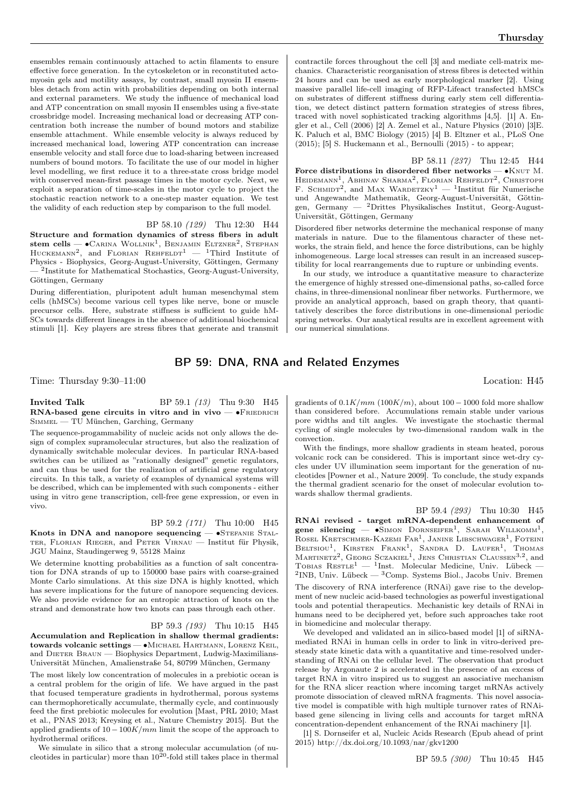ensembles remain continuously attached to actin filaments to ensure effective force generation. In the cytoskeleton or in reconstituted actomyosin gels and motility assays, by contrast, small myosin II ensembles detach from actin with probabilities depending on both internal and external parameters. We study the influence of mechanical load and ATP concentration on small myosin II ensembles using a five-state crossbridge model. Increasing mechanical load or decreasing ATP concentration both increase the number of bound motors and stabilize ensemble attachment. While ensemble velocity is always reduced by increased mechanical load, lowering ATP concentration can increase ensemble velocity and stall force due to load-sharing between increased numbers of bound motors. To facilitate the use of our model in higher level modelling, we first reduce it to a three-state cross bridge model with conserved mean-first passage times in the motor cycle. Next, we exploit a separation of time-scales in the motor cycle to project the stochastic reaction network to a one-step master equation. We test the validity of each reduction step by comparison to the full model.

#### BP 58.10 (129) Thu 12:30 H44

Structure and formation dynamics of stress fibers in adult stem cells —  $\bullet$ Carina Wollnik<sup>1</sup>, Benjamin Eltzner<sup>2</sup>, Stephan HUCKEMANN<sup>2</sup>, and FLORIAN REHFELDT<sup>1</sup>  $-$  <sup>1</sup>Third Institute of Physics - Biophysics, Georg-August-University, Göttingen, Germany — <sup>2</sup> Institute for Mathematical Stochastics, Georg-August-University, Göttingen, Germany

During differentiation, pluripotent adult human mesenchymal stem cells (hMSCs) become various cell types like nerve, bone or muscle precursor cells. Here, substrate stiffness is sufficient to guide hM-SCs towards different lineages in the absence of additional biochemical stimuli [1]. Key players are stress fibres that generate and transmit contractile forces throughout the cell [3] and mediate cell-matrix mechanics. Characteristic reorganisation of stress fibres is detected within 24 hours and can be used as early morphological marker [2]. Using massive parallel life-cell imaging of RFP-Lifeact transfected hMSCs on substrates of different stiffness during early stem cell differentiation, we detect distinct pattern formation strategies of stress fibres, traced with novel sophisticated tracking algorithms [4,5]. [1] A. Engler et al., Cell (2006) [2] A. Zemel et al., Nature Physics (2010) [3]E. K. Paluch et al, BMC Biology (2015) [4] B. Eltzner et al., PLoS One  $(2015)$ ; [5] S. Huckemann et al., Bernoulli  $(2015)$  - to appear;

BP 58.11 (237) Thu 12:45 H44 Force distributions in disordered fiber networks — •KNUT M. HEIDEMANN<sup>1</sup>, ABHINAV SHARMA<sup>2</sup>, FLORIAN REHFELDT<sup>2</sup>, CHRISTOPH F. SCHMIDT<sup>2</sup>, and MAX WARDETZKY<sup>1</sup> — <sup>1</sup>Institut für Numerische und Angewandte Mathematik, Georg-August-Universität, Göttingen, Germany — <sup>2</sup>Drittes Physikalisches Institut, Georg-August-Universität, Göttingen, Germany

Disordered fiber networks determine the mechanical response of many materials in nature. Due to the filamentous character of these networks, the strain field, and hence the force distributions, can be highly inhomogeneous. Large local stresses can result in an increased susceptibility for local rearrangements due to rupture or unbinding events.

In our study, we introduce a quantitative measure to characterize the emergence of highly stressed one-dimensional paths, so-called force chains, in three-dimensional nonlinear fiber networks. Furthermore, we provide an analytical approach, based on graph theory, that quantitatively describes the force distributions in one-dimensional periodic spring networks. Our analytical results are in excellent agreement with our numerical simulations.

## BP 59: DNA, RNA and Related Enzymes

Time: Thursday 9:30–11:00 Location: H45

#### **Invited Talk** BP 59.1 (13) Thu 9:30 H45 RNA-based gene circuits in vitro and in vivo —  $\bullet$ FRIEDRICH Simmel — TU München, Garching, Germany

The sequence-progammability of nucleic acids not only allows the design of complex supramolecular structures, but also the realization of dynamically switchable molecular devices. In particular RNA-based switches can be utilized as "rationally designed" genetic regulators, and can thus be used for the realization of artificial gene regulatory circuits. In this talk, a variety of examples of dynamical systems will be described, which can be implemented with such components - either using in vitro gene transcription, cell-free gene expression, or even in vivo.

#### BP 59.2 (171) Thu 10:00 H45

Knots in DNA and nanopore sequencing — •STEFANIE STALter, Florian Rieger, and Peter Virnau — Institut für Physik, JGU Mainz, Staudingerweg 9, 55128 Mainz

We determine knotting probabilities as a function of salt concentration for DNA strands of up to 150000 base pairs with coarse-grained Monte Carlo simulations. At this size DNA is highly knotted, which has severe implications for the future of nanopore sequencing devices. We also provide evidence for an entropic attraction of knots on the strand and demonstrate how two knots can pass through each other.

#### BP 59.3 (193) Thu 10:15 H45

Accumulation and Replication in shallow thermal gradients: towards volcanic settings — ∙Michael Hartmann, Lorenz Keil, and DIETER BRAUN — Biophysics Department, Ludwig-Maximilians-Universität München, Amalienstraße 54, 80799 München, Germany

The most likely low concentration of molecules in a prebiotic ocean is a central problem for the origin of life. We have argued in the past that focused temperature gradients in hydrothermal, porous systems can thermophoretically accumulate, thermally cycle, and continuously feed the first prebiotic molecules for evolution [Mast, PRL 2010; Mast et al., PNAS 2013; Kreysing et al., Nature Chemistry 2015]. But the applied gradients of  $10 - 100K/mm$  limit the scope of the approach to hydrothermal orifices.

We simulate in silico that a strong molecular accumulation (of nucleotides in particular) more than  $10^{20}$ -fold still takes place in thermal

gradients of  $0.1K/mm$  (100 $K/m$ ), about 100 – 1000 fold more shallow than considered before. Accumulations remain stable under various pore widths and tilt angles. We investigate the stochastic thermal cycling of single molecules by two-dimensional random walk in the convection.

With the findings, more shallow gradients in steam heated, porous volcanic rock can be considered. This is important since wet-dry cycles under UV illumination seem important for the generation of nucleotides [Powner et al., Nature 2009]. To conclude, the study expands the thermal gradient scenario for the onset of molecular evolution towards shallow thermal gradients.

BP 59.4 (293) Thu 10:30 H45 RNAi revised - target mRNA-dependent enhancement of gene silencing —  $\bullet$ SIMON DORNSEIFER<sup>1</sup>, SARAH WILLKOMM<sup>1</sup>, ROSEL KRETSCHMER-KAZEMI FAR<sup>1</sup>, JANINE LIBSCHWAGER<sup>1</sup>, FOTEINI BELTSIOU<sup>1</sup>, KIRSTEN FRANK<sup>1</sup>, SANDRA D. LAUFER<sup>1</sup>, THOMAS<br>MARTINETZ<sup>2</sup>, GEORG SCZAKIEL<sup>1</sup>, JENS CHRISTIAN CLAUSSEN<sup>3,2</sup>, and TOBIAS  $\text{Res}\text{TLE}^1$  — <sup>1</sup>Inst. Molecular Medicine, Univ. Lübeck —  ${}^{2}$ INB, Univ. Lübeck —  ${}^{3}$ Comp. Systems Biol., Jacobs Univ. Bremen The discovery of RNA interference (RNAi) gave rise to the development of new nucleic acid-based technologies as powerful investigational tools and potential therapeutics. Mechanistic key details of RNAi in humans need to be deciphered yet, before such approaches take root in biomedicine and molecular therapy.

We developed and validated an in silico-based model [1] of siRNAmediated RNAi in human cells in order to link in vitro-derived presteady state kinetic data with a quantitative and time-resolved understanding of RNAi on the cellular level. The observation that product release by Argonaute 2 is accelerated in the presence of an excess of target RNA in vitro inspired us to suggest an associative mechanism for the RNA slicer reaction where incoming target mRNAs actively promote dissociation of cleaved mRNA fragments. This novel associative model is compatible with high multiple turnover rates of RNAibased gene silencing in living cells and accounts for target mRNA concentration-dependent enhancement of the RNAi machinery [1].

[1] S. Dornseifer et al, Nucleic Acids Research (Epub ahead of print 2015) http://dx.doi.org/10.1093/nar/gkv1200

BP 59.5 (300) Thu 10:45 H45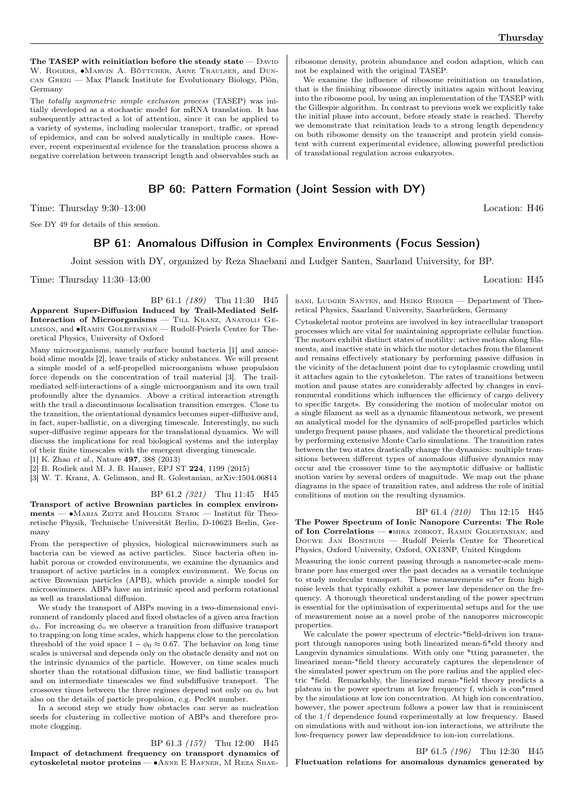The TASEP with reinitiation before the steady state  $-$  DAVID W. ROGERS, •MARVIN A. BÖTTCHER, ARNE TRAULSEN, and DUNcan Greig — Max Planck Institute for Evolutionary Biology, Plön, Germany

The totally asymmetric simple exclusion process (TASEP) was initially developed as a stochastic model for mRNA translation. It has subsequently attracted a lot of attention, since it can be applied to a variety of systems, including molecular transport, traffic, or spread of epidemics, and can be solved analytically in multiple cases. However, recent experimental evidence for the translation process shows a negative correlation between transcript length and observables such as

## BP 60: Pattern Formation (Joint Session with DY)

Time: Thursday 9:30–13:00 Location: H46

See DY 49 for details of this session.

## BP 61: Anomalous Diffusion in Complex Environments (Focus Session)

Joint session with DY, organized by Reza Shaebani and Ludger Santen, Saarland University, for BP.

Time: Thursday  $11:30-13:00$  Location: H45

BP 61.1 (189) Thu 11:30 H45 Apparent Super-Diffusion Induced by Trail-Mediated Self-Interaction of Microorganisms — TILL KRANZ, ANATOLIJ GElimson, and ∙Ramin Golestanian — Rudolf-Peierls Centre for Theoretical Physics, University of Oxford

Many microorganisms, namely surface bound bacteria [1] and amoeboid slime moulds [2], leave trails of sticky substances. We will present a simple model of a self-propelled microorganism whose propulsion force depends on the concentration of trail material [3]. The trailmediated self-interactions of a single microorganism and its own trail profoundly alter the dynamics. Above a critical interaction strength with the trail a discontinuous localisation transition emerges. Close to the transition, the orientational dynamics becomes super-diffusive and, in fact, super-ballistic, on a diverging timescale. Interestingly, no such super-diffusive regime appears for the translational dynamics. We will discuss the implications for real biological systems and the interplay of their finite timescales with the emergent diverging timescale.

[1] K. Zhao et al., Nature 497, 388 (2013)

[2] B. Rodiek and M. J. B. Hauser, EPJ ST 224, 1199 (2015)

[3] W. T. Kranz, A. Gelimson, and R. Golestanian, arXiv:1504.06814

BP 61.2 (321) Thu 11:45 H45

Transport of active Brownian particles in complex environments — • MARIA ZEITZ and HOLGER STARK — Institut für Theoretische Physik, Technische Universität Berlin, D-10623 Berlin, Germany

From the perspective of physics, biological microswimmers such as bacteria can be viewed as active particles. Since bacteria often inhabit porous or crowded environments, we examine the dynamics and transport of active particles in a complex environment. We focus on active Brownian particles (APB), which provide a simple model for microswimmers. ABPs have an intrinsic speed and perform rotational as well as translational diffusion.

We study the transport of ABPs moving in a two-dimensional environment of randomly placed and fixed obstacles of a given area fraction  $\phi_o$ . For increasing  $\phi_o$  we observe a transition from diffusive transport to trapping on long time scales, which happens close to the percolation threshold of the void space  $1 - \phi_0 \approx 0.67$ . The behavior on long time scales is universal and depends only on the obstacle density and not on the intrinsic dynamics of the particle. However, on time scales much shorter than the rotational diffusion time, we find ballistic transport and on intermediate timescales we find subdiffusive transport. The crossover times between the three regimes depend not only on  $\phi_o$  but also on the details of particle propulsion, e.g. Peclét number.

In a second step we study how obstacles can serve as nucleation seeds for clustering in collective motion of ABPs and therefore promote clogging.

BP 61.3 (157) Thu 12:00 H45

Impact of detachment frequency on transport dynamics of cytoskeletal motor proteins — ∙Anne E Hafner, M Reza Shae-

ribosome density, protein abundance and codon adaption, which can not be explained with the original TASEP.

We examine the influence of ribosome reinitiation on translation, that is the finishing ribosome directly initiates again without leaving into the ribosome pool, by using an implementation of the TASEP with the Gillespie algorithm. In contrast to previous work we explicitly take the initial phase into account, before steady state is reached. Thereby we demonstrate that reinitation leads to a strong length dependency on both ribosome density on the transcript and protein yield consistent with current experimental evidence, allowing powerful prediction of translational regulation across eukaryotes.

bani, Ludger Santen, and Heiko Rieger — Department of Theo-

retical Physics, Saarland University, Saarbrücken, Germany Cytoskeletal motor proteins are involved in key intracellular transport processes which are vital for maintaining appropriate cellular function.

The motors exhibit distinct states of motility: active motion along filaments, and inactive state in which the motor detaches from the filament and remains effectively stationary by performing passive diffusion in the vicinity of the detachment point due to cytoplasmic crowding until it attaches again to the cytoskeleton. The rates of transitions between motion and pause states are considerably affected by changes in environmental conditions which influences the efficiency of cargo delivery to specific targets. By considering the motion of molecular motor on a single filament as well as a dynamic filamentous network, we present an analytical model for the dynamics of self-propelled particles which undergo frequent pause phases, and validate the theoretical predictions by performing extensive Monte Carlo simulations. The transition rates between the two states drastically change the dynamics: multiple transitions between different types of anomalous diffusive dynamics may occur and the crossover time to the asymptotic diffusive or ballistic motion varies by several orders of magnitude. We map out the phase diagrams in the space of transition rates, and address the role of initial conditions of motion on the resulting dynamics.

BP 61.4 (210) Thu 12:15 H45 The Power Spectrum of Ionic Nanopore Currents: The Role of Ion Correlations — ∙mira zorkot, Ramin Golestanian, and Douwe Jan Bonthuis — Rudolf Peierls Centre for Theoretical Physics, Oxford University, Oxford, OX13NP, United Kingdom

Measuring the ionic current passing through a nanometer-scale membrane pore has emerged over the past decades as a versatile technique to study molecular transport. These measurements su\*er from high noise levels that typically exhibit a power law dependence on the frequency. A thorough theoretical understanding of the power spectrum is essential for the optimisation of experimental setups and for the use of measurement noise as a novel probe of the nanopores microscopic properties.

We calculate the power spectrum of electric-\*field-driven ion transport through nanopores using both linearized mean-fi\*eld theory and Langevin dynamics simulations. With only one \*tting parameter, the linearized mean-\*field theory accurately captures the dependence of the simulated power spectrum on the pore radius and the applied electric \*field. Remarkably, the linearized mean-\*field theory predicts a plateau in the power spectrum at low frequency f, which is con\*rmed by the simulations at low ion concentration. At high ion concentration, however, the power spectrum follows a power law that is reminiscent of the 1/f dependence found experimentally at low frequency. Based on simulations with and without ion-ion interactions, we attribute the low-frequency power law dependdence to ion-ion correlations.

BP 61.5 (196) Thu 12:30 H45 Fluctuation relations for anomalous dynamics generated by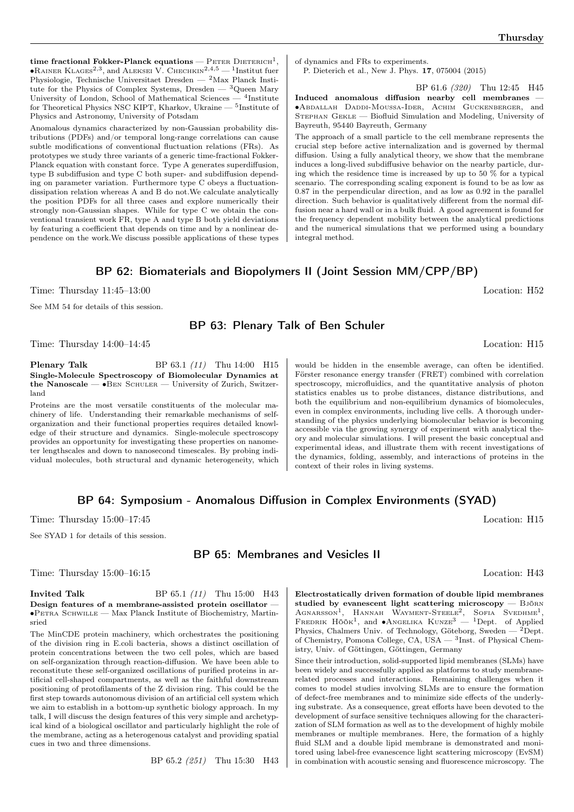time fractional Fokker-Planck equations —  $\text{PETER}\:\text{DIERICH}^1,$  $\bullet$ Rainer Klages<sup>2,3</sup>, and Aleksei V. Chechkin<sup>2,4,5</sup> — <sup>1</sup>Institut fuer Physiologie, Technische Universitaet Dresden — <sup>2</sup>Max Planck Institute for the Physics of Complex Systems, Dresden  $-$  <sup>3</sup>Queen Mary University of London, School of Mathematical Sciences — <sup>4</sup>Institute for Theoretical Physics NSC KIPT, Kharkov, Ukraine — <sup>5</sup> Institute of Physics and Astronomy, University of Potsdam

Anomalous dynamics characterized by non-Gaussian probability distributions (PDFs) and/or temporal long-range correlations can cause subtle modifications of conventional fluctuation relations (FRs). As prototypes we study three variants of a generic time-fractional Fokker-Planck equation with constant force. Type A generates superdiffusion, type B subdiffusion and type C both super- and subdiffusion depending on parameter variation. Furthermore type C obeys a fluctuationdissipation relation whereas A and B do not.We calculate analytically the position PDFs for all three cases and explore numerically their strongly non-Gaussian shapes. While for type C we obtain the conventional transient work FR, type A and type B both yield deviations by featuring a coefficient that depends on time and by a nonlinear dependence on the work.We discuss possible applications of these types of dynamics and FRs to experiments.

P. Dieterich et al., New J. Phys. 17, 075004 (2015)

BP 61.6 (320) Thu 12:45 H45

Induced anomalous diffusion nearby cell membranes — ∙Abdallah Daddi-Moussa-Ider, Achim Guckenberger, and Stephan Gekle — Biofluid Simulation and Modeling, University of Bayreuth, 95440 Bayreuth, Germany

The approach of a small particle to the cell membrane represents the crucial step before active internalization and is governed by thermal diffusion. Using a fully analytical theory, we show that the membrane induces a long-lived subdiffusive behavior on the nearby particle, during which the residence time is increased by up to 50 % for a typical scenario. The corresponding scaling exponent is found to be as low as 0.87 in the perpendicular direction, and as low as 0.92 in the parallel direction. Such behavior is qualitatively different from the normal diffusion near a hard wall or in a bulk fluid. A good agreement is found for the frequency dependent mobility between the analytical predictions and the numerical simulations that we performed using a boundary integral method.

## BP 62: Biomaterials and Biopolymers II (Joint Session MM/CPP/BP)

Time: Thursday  $11:45-13:00$  Location: H52

See MM 54 for details of this session.

## BP 63: Plenary Talk of Ben Schuler

Time: Thursday  $14:00-14:45$  Location: H15

**Plenary Talk** BP 63.1 (11) Thu 14:00 H15 Single-Molecule Spectroscopy of Biomolecular Dynamics at the Nanoscale — ∙Ben Schuler — University of Zurich, Switzerland

Proteins are the most versatile constituents of the molecular machinery of life. Understanding their remarkable mechanisms of selforganization and their functional properties requires detailed knowledge of their structure and dynamics. Single-molecule spectroscopy provides an opportunity for investigating these properties on nanometer lengthscales and down to nanosecond timescales. By probing individual molecules, both structural and dynamic heterogeneity, which

would be hidden in the ensemble average, can often be identified. Förster resonance energy transfer (FRET) combined with correlation spectroscopy, microfluidics, and the quantitative analysis of photon statistics enables us to probe distances, distance distributions, and both the equilibrium and non-equilibrium dynamics of biomolecules, even in complex environments, including live cells. A thorough understanding of the physics underlying biomolecular behavior is becoming accessible via the growing synergy of experiment with analytical theory and molecular simulations. I will present the basic conceptual and experimental ideas, and illustrate them with recent investigations of the dynamics, folding, assembly, and interactions of proteins in the context of their roles in living systems.

## BP 64: Symposium - Anomalous Diffusion in Complex Environments (SYAD)

Time: Thursday  $15:00-17:45$  Location: H15

See SYAD 1 for details of this session.

## BP 65: Membranes and Vesicles II

Time: Thursday  $15:00-16:15$  Location: H43

**Invited Talk** BP 65.1 (11) Thu 15:00 H43 Design features of a membrane-assisted protein oscillator — ∙Petra Schwille — Max Planck Institute of Biochemistry, Martinsried

The MinCDE protein machinery, which orchestrates the positioning of the division ring in E.coli bacteria, shows a distinct oscillation of protein concentrations between the two cell poles, which are based on self-organization through reaction-diffusion. We have been able to reconstitute these self-organized oscillations of purified proteins in artificial cell-shaped compartments, as well as the faithful downstream positioning of protofilaments of the Z division ring. This could be the first step towards autonomous division of an artificial cell system which we aim to establish in a bottom-up synthetic biology approach. In my talk, I will discuss the design features of this very simple and archetypical kind of a biological oscillator and particularly highlight the role of the membrane, acting as a heterogenous catalyst and providing spatial cues in two and three dimensions.

BP 65.2 (251) Thu 15:30 H43

Electrostatically driven formation of double lipid membranes studied by evanescent light scattering microscopy  $-$  Björn AGNARSSON<sup>1</sup>, HANNAH WAYMENT-STEELE<sup>2</sup>, SOFIA SVEDHME<sup>1</sup>, FREDRIK HÖÖK<sup>1</sup>, and ●ANGELIKA KUNZE<sup>3</sup> — <sup>1</sup>Dept. of Applied Physics, Chalmers Univ. of Technology, Göteborg, Sweden — <sup>2</sup>Dept. of Chemistry, Pomona College, CA, USA  $-$ <sup>3</sup>Inst. of Physical Chemistry, Univ. of Göttingen, Göttingen, Germany

Since their introduction, solid-supported lipid membranes (SLMs) have been widely and successfully applied as platforms to study membranerelated processes and interactions. Remaining challenges when it comes to model studies involving SLMs are to ensure the formation of defect-free membranes and to minimize side effects of the underlying substrate. As a consequence, great efforts have been devoted to the development of surface sensitive techniques allowing for the characterization of SLM formation as well as to the development of highly mobile membranes or multiple membranes. Here, the formation of a highly fluid SLM and a double lipid membrane is demonstrated and monitored using label-free evanescence light scattering microscopy (EvSM) in combination with acoustic sensing and fluorescence microscopy. The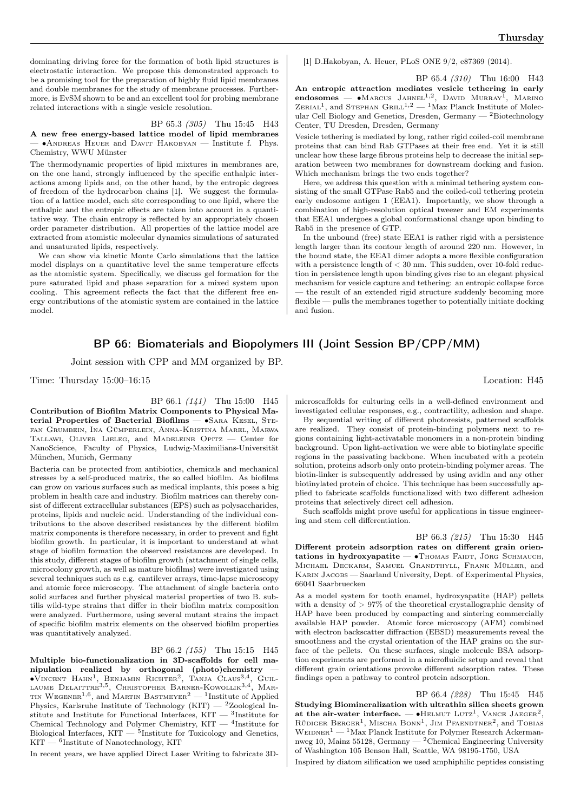dominating driving force for the formation of both lipid structures is electrostatic interaction. We propose this demonstrated approach to be a promising tool for the preparation of highly fluid lipid membranes and double membranes for the study of membrane processes. Furthermore, is EvSM shown to be and an excellent tool for probing membrane related interactions with a single vesicle resolution.

BP 65.3 (305) Thu 15:45 H43

A new free energy-based lattice model of lipid membranes — ∙Andreas Heuer and Davit Hakobyan — Institute f. Phys. Chemistry, WWU Münster

The thermodynamic properties of lipid mixtures in membranes are, on the one hand, strongly influenced by the specific enthalpic interactions among lipids and, on the other hand, by the entropic degrees of freedom of the hydrocarbon chains [1]. We suggest the formulation of a lattice model, each site corresponding to one lipid, where the enthalpic and the entropic effects are taken into account in a quantitative way. The chain entropy is reflected by an appropriately chosen order parameter distribution. All properties of the lattice model are extracted from atomistic molecular dynamics simulations of saturated and unsaturated lipids, respectively.

We can show via kinetic Monte Carlo simulations that the lattice model displays on a quantitative level the same temperature effects as the atomistic system. Specifically, we discuss gel formation for the pure saturated lipid and phase separation for a mixed system upon cooling. This agreement reflects the fact that the different free energy contributions of the atomistic system are contained in the lattice model.

## BP 66: Biomaterials and Biopolymers III (Joint Session BP/CPP/MM)

Joint session with CPP and MM organized by BP.

Time: Thursday  $15:00-16:15$  Location: H45

BP 66.1 (141) Thu 15:00 H45

Contribution of Biofilm Matrix Components to Physical Material Properties of Bacterial Biofilms — •SARA KESEL, STEfan Grumbein, Ina Gümperlein, Anna-Kristina Marel, Marwa Tallawi, Oliver Lieleg, and Madeleine Opitz — Center for NanoScience, Faculty of Physics, Ludwig-Maximilians-Universität München, Munich, Germany

Bacteria can be protected from antibiotics, chemicals and mechanical stresses by a self-produced matrix, the so called biofilm. As biofilms can grow on various surfaces such as medical implants, this poses a big problem in health care and industry. Biofilm matrices can thereby consist of different extracellular substances (EPS) such as polysaccharides, proteins, lipids and nucleic acid. Understanding of the individual contributions to the above described resistances by the different biofilm matrix components is therefore necessary, in order to prevent and fight biofilm growth. In particular, it is important to understand at what stage of biofilm formation the observed resistances are developed. In this study, different stages of biofilm growth (attachment of single cells, microcolony growth, as well as mature biofilms) were investigated using several techniques such as e.g. cantilever arrays, time-lapse microscopy and atomic force microscopy. The attachment of single bacteria onto solid surfaces and further physical material properties of two B. subtilis wild-type strains that differ in their biofilm matrix composition were analyzed. Furthermore, using several mutant strains the impact of specific biofilm matrix elements on the observed biofilm properties was quantitatively analyzed.

#### BP 66.2 (155) Thu 15:15 H45

Multiple bio-functionalization in 3D-scaffolds for cell manipulation realized by orthogonal (photo)chemistry — ∙Vincent Hahn<sup>1</sup> , Benjamin Richter<sup>2</sup> , Tanja Claus3,<sup>4</sup> , Guil-laume Delaittre3,5 , Christopher Barner-Kowollik3,<sup>4</sup> , Martin Wegener<sup>1,6</sup>, and Martin Bastmeyer<sup>2</sup> — <sup>1</sup>Institute of Applied Physics, Karlsruhe Institute of Technology (KIT)  $-$  <sup>2</sup>Zoological Institute and Institute for Functional Interfaces,  $\text{KIT} = \text{^{3}}\text{Institute for}$ Chemical Technology and Polymer Chemistry, KIT — <sup>4</sup>Institute for Biological Interfaces, KIT — <sup>5</sup>Institute for Toxicology and Genetics,  $\rm{KIT} - {^6}I$ nstitute of Nanotechnology,  $\rm{KIT}$ 

In recent years, we have applied Direct Laser Writing to fabricate 3D-

[1] D.Hakobyan, A. Heuer, PLoS ONE 9/2, e87369 (2014).

BP 65.4 (310) Thu 16:00 H43 An entropic attraction mediates vesicle tethering in early endosomes —  $\bullet$ Marcus Jahnel<sup>1,2</sup>, David Murray<sup>1</sup>, Marino  $\text{ZERIAL}^1$ , and STEPHAN  $\text{GRILL}^{1,2}$  — <sup>1</sup>Max Planck Institute of Molecular Cell Biology and Genetics, Dresden, Germany  $-$  <sup>2</sup>Biotechnology Center, TU Dresden, Dresden, Germany

Vesicle tethering is mediated by long, rather rigid coiled-coil membrane proteins that can bind Rab GTPases at their free end. Yet it is still unclear how these large fibrous proteins help to decrease the initial separation between two membranes for downstream docking and fusion. Which mechanism brings the two ends together?

Here, we address this question with a minimal tethering system consisting of the small GTPase Rab5 and the coiled-coil tethering protein early endosome antigen 1 (EEA1). Importantly, we show through a combination of high-resolution optical tweezer and EM experiments that EEA1 undergoes a global conformational change upon binding to Rab5 in the presence of GTP.

In the unbound (free) state EEA1 is rather rigid with a persistence length larger than its contour length of around 220 nm. However, in the bound state, the EEA1 dimer adopts a more flexible configuration with a persistence length of  $<$  30 nm. This sudden, over 10-fold reduction in persistence length upon binding gives rise to an elegant physical mechanism for vesicle capture and tethering: an entropic collapse force — the result of an extended rigid structure suddenly becoming more flexible — pulls the membranes together to potentially initiate docking and fusion.

microscaffolds for culturing cells in a well-defined environment and investigated cellular responses, e.g., contractility, adhesion and shape.

By sequential writing of different photoresists, patterned scaffolds are realized. They consist of protein-binding polymers next to regions containing light-activatable monomers in a non-protein binding background. Upon light-activation we were able to biotinylate specific regions in the passivating backbone. When incubated with a protein solution, proteins adsorb only onto protein-binding polymer areas. The biotin-linker is subsequently addressed by using avidin and any other biotinylated protein of choice. This technique has been successfully applied to fabricate scaffolds functionalized with two different adhesion proteins that selectively direct cell adhesion.

Such scaffolds might prove useful for applications in tissue engineering and stem cell differentiation.

BP 66.3 (215) Thu 15:30 H45 Different protein adsorption rates on different grain orientations in hydroxyapatite — • THOMAS FAIDT, JÖRG SCHMAUCH, Michael Deckarm, Samuel Grandthyll, Frank Müller, and Karin Jacobs — Saarland University, Dept. of Experimental Physics, 66041 Saarbruecken

As a model system for tooth enamel, hydroxyapatite (HAP) pellets with a density of  $> 97\%$  of the theoretical crystallographic density of HAP have been produced by compacting and sintering commercially available HAP powder. Atomic force microscopy (AFM) combined with electron backscatter diffraction (EBSD) measurements reveal the smoothness and the crystal orientation of the HAP grains on the surface of the pellets. On these surfaces, single molecule BSA adsorption experiments are performed in a microfluidic setup and reveal that different grain orientations provoke different adsorption rates. These findings open a pathway to control protein adsorption.

BP 66.4 (228) Thu 15:45 H45 Studying Biomineralization with ultrathin silica sheets grown at the air-water interface.  $- \bullet$ HELMUT LUTZ<sup>1</sup>, VANCE JAEGER<sup>2</sup>, RÜDIGER BERGER<sup>1</sup>, MISCHA BONN<sup>1</sup>, JIM PFAENDTNER<sup>2</sup>, and TOBIAS  $\mathrm{W} \textsc{e}$ ner $1$ — $^1 \text{Max}$  Planck Institute for Polymer Research Ackermannweg 10, Mainz 55128, Germany — <sup>2</sup>Chemical Engineering University of Washington 105 Benson Hall, Seattle, WA 98195-1750, USA

Inspired by diatom silification we used amphiphilic peptides consisting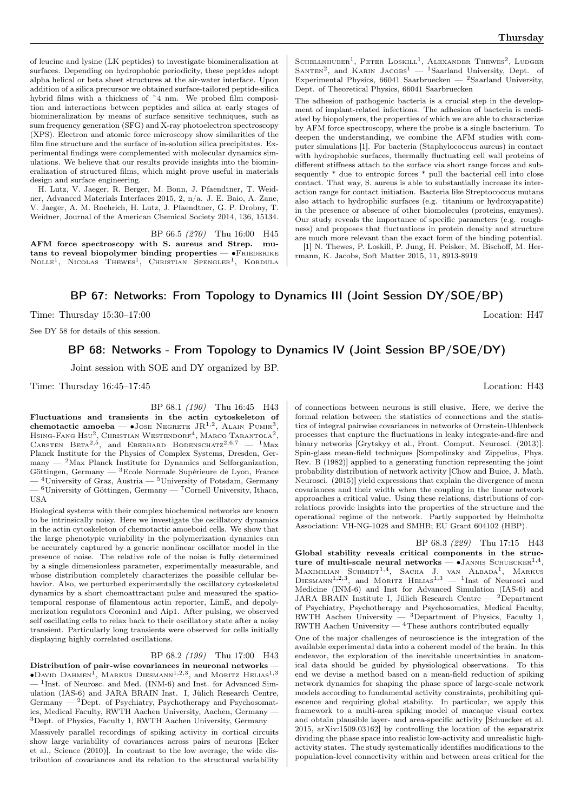of leucine and lysine (LK peptides) to investigate biomineralization at surfaces. Depending on hydrophobic periodicity, these peptides adopt alpha helical or beta sheet structures at the air-water interface. Upon addition of a silica precursor we obtained surface-tailored peptide-silica hybrid films with a thickness of  $\tilde{e}$  nm. We probed film composition and interactions between peptides and silica at early stages of biomineralization by means of surface sensitive techniques, such as sum frequency generation (SFG) and X-ray photoelectron spectroscopy (XPS). Electron and atomic force microscopy show similarities of the film fine structure and the surface of in-solution silica precipitates. Experimental findings were complemented with molecular dynamics simulations. We believe that our results provide insights into the biomineralization of structured films, which might prove useful in materials design and surface engineering.

H. Lutz, V. Jaeger, R. Berger, M. Bonn, J. Pfaendtner, T. Weidner, Advanced Materials Interfaces 2015, 2, n/a. J. E. Baio, A. Zane, V. Jaeger, A. M. Roehrich, H. Lutz, J. Pfaendtner, G. P. Drobny, T. Weidner, Journal of the American Chemical Society 2014, 136, 15134.

BP 66.5 (270) Thu 16:00 H45

AFM force spectroscopy with S. aureus and Strep. mutans to reveal biopolymer binding properties —  $\bullet$ FRIEDERIKE Nolle<sup>1</sup>, Nicolas Thewes<sup>1</sup>, Christian Spengler<sup>1</sup>, Kordula

SCHELLNHUBER<sup>1</sup>, PETER LOSKILL<sup>1</sup>, ALEXANDER THEWES<sup>2</sup>, LUDGER<br>SANTEN<sup>2</sup>, and KARIN JACOBS<sup>1</sup> — <sup>1</sup>Saarland University, Dept. of Experimental Physics, 66041 Saarbruecken —  $^2$ Saarland University, Dept. of Theoretical Physics, 66041 Saarbruecken

The adhesion of pathogenic bacteria is a crucial step in the development of implant-related infections. The adhesion of bacteria is mediated by biopolymers, the properties of which we are able to characterize by AFM force spectroscopy, where the probe is a single bacterium. To deepen the understanding, we combine the AFM studies with computer simulations [1]. For bacteria (Staphylococcus aureus) in contact with hydrophobic surfaces, thermally fluctuating cell wall proteins of different stiffness attach to the surface via short range forces and subsequently \* due to entropic forces \* pull the bacterial cell into close contact. That way, S. aureus is able to substantially increase its interaction range for contact initiation. Bacteria like Streptococcus mutans also attach to hydrophilic surfaces (e.g. titanium or hydroxyapatite) in the presence or absence of other biomolecules (proteins, enzymes). Our study reveals the importance of specific parameters (e.g. roughness) and proposes that fluctuations in protein density and structure are much more relevant than the exact form of the binding potential.

[1] N. Thewes, P. Loskill, P. Jung, H. Peisker, M. Bischoff, M. Herrmann, K. Jacobs, Soft Matter 2015, 11, 8913-8919

## BP 67: Networks: From Topology to Dynamics III (Joint Session DY/SOE/BP)

Time: Thursday 15:30–17:00 Location: H47

See DY 58 for details of this session.

# BP 68: Networks - From Topology to Dynamics IV (Joint Session BP/SOE/DY)

Joint session with SOE and DY organized by BP.

Time: Thursday  $16:45-17:45$  Location: H43

BP 68.1 (190) Thu 16:45 H43

Fluctuations and transients in the actin cytoskeleton of chemotactic amoeba — •Jose Negrete JR<sup>1,2</sup>, Alain Pumir<sup>3</sup>, Hsing-Fang Hsu $^2$ , Christian Westendorf<sup>4</sup>, Marco Tarantola<sup>2</sup>, CARSTEN BETA<sup>2,5</sup>, and EBERHARD BODENSCHATZ<sup>2,6,7</sup> - <sup>1</sup>Max Planck Institute for the Physics of Complex Systems, Dresden, Germany  $-$  <sup>2</sup>Max Planck Institute for Dynamics and Selforganization, Göttingen, Germany — <sup>3</sup>Ecole Normale Supérieure de Lyon, France  $-$ <sup>4</sup>University of Graz, Austria  $-$ <sup>5</sup>University of Potsdam, Germany

 $-$ <sup>6</sup>University of Göttingen, Germany  $-$ <sup>7</sup>Cornell University, Ithaca, **IISA** 

Biological systems with their complex biochemical networks are known to be intrinsically noisy. Here we investigate the oscillatory dynamics in the actin cytoskeleton of chemotactic amoeboid cells. We show that the large phenotypic variability in the polymerization dynamics can be accurately captured by a generic nonlinear oscillator model in the presence of noise. The relative role of the noise is fully determined by a single dimensionless parameter, experimentally measurable, and whose distribution completely characterizes the possible cellular behavior. Also, we perturbed experimentally the oscillatory cytoskeletal dynamics by a short chemoattractant pulse and measured the spatiotemporal response of filamentous actin reporter, LimE, and depolymerization regulators Coronin1 and Aip1. After pulsing, we observed self oscillating cells to relax back to their oscillatory state after a noisy transient. Particularly long transients were observed for cells initially displaying highly correlated oscillations.

BP 68.2 (199) Thu 17:00 H43

Distribution of pair-wise covariances in neuronal networks —  $\bullet$ David Dahmen<sup>1</sup>, Markus Diesmann<sup>1,2,3</sup>, and Moritz Helias<sup>1,3</sup>  $-$ <sup>1</sup>Inst. of Neurosc. and Med. (INM-6) and Inst. for Advanced Simulation (IAS-6) and JARA BRAIN Inst. I, Jülich Research Centre, Germany —  $2$ Dept. of Psychiatry, Psychotherapy and Psychosomatics, Medical Faculty, RWTH Aachen University, Aachen, Germany — <sup>3</sup>Dept. of Physics, Faculty 1, RWTH Aachen University, Germany

Massively parallel recordings of spiking activity in cortical circuits show large variability of covariances across pairs of neurons [Ecker et al., Science (2010)]. In contrast to the low average, the wide distribution of covariances and its relation to the structural variability

of connections between neurons is still elusive. Here, we derive the formal relation between the statistics of connections and the statistics of integral pairwise covariances in networks of Ornstein-Uhlenbeck processes that capture the fluctuations in leaky integrate-and-fire and binary networks [Grytskyy et al., Front. Comput. Neurosci. (2013)]. Spin-glass mean-field techniques [Sompolinsky and Zippelius, Phys. Rev. B (1982)] applied to a generating function representing the joint probability distribution of network activity [Chow and Buice, J. Math. Neurosci. (2015)] yield expressions that explain the divergence of mean covariances and their width when the coupling in the linear network approaches a critical value. Using these relations, distributions of correlations provide insights into the properties of the structure and the operational regime of the network. Partly supported by Helmholtz Association: VH-NG-1028 and SMHB; EU Grant 604102 (HBP).

BP 68.3 (229) Thu 17:15 H43 Global stability reveals critical components in the structure of multi-scale neural networks —  $\bullet$ Jannis Schuecker<sup>1,4</sup>, Maximilian Schmidt<sup>1,4</sup>, Sacha J. van Albada<sup>1</sup>, Markus<br>Diesmann<sup>1,2,3</sup>, and Moritz Helias<sup>1,3</sup> — <sup>1</sup>Inst of Neurosci and Medicine (INM-6) and Inst for Advanced Simulation (IAS-6) and JARA BRAIN Institute I, Jülich Research Centre —  $^2$ Department of Psychiatry, Psychotherapy and Psychosomatics, Medical Faculty, RWTH Aachen University  $-$  3Department of Physics, Faculty 1,  $RWTH$  Aachen University  $4$ These authors contributed equally

One of the major challenges of neuroscience is the integration of the available experimental data into a coherent model of the brain. In this endeavor, the exploration of the inevitable uncertainties in anatomical data should be guided by physiological observations. To this end we devise a method based on a mean-field reduction of spiking network dynamics for shaping the phase space of large-scale network models according to fundamental activity constraints, prohibiting quiescence and requiring global stability. In particular, we apply this framework to a multi-area spiking model of macaque visual cortex and obtain plausible layer- and area-specific activity [Schuecker et al. 2015, arXiv:1509.03162] by controlling the location of the separatrix dividing the phase space into realistic low-activity and unrealistic highactivity states. The study systematically identifies modifications to the population-level connectivity within and between areas critical for the